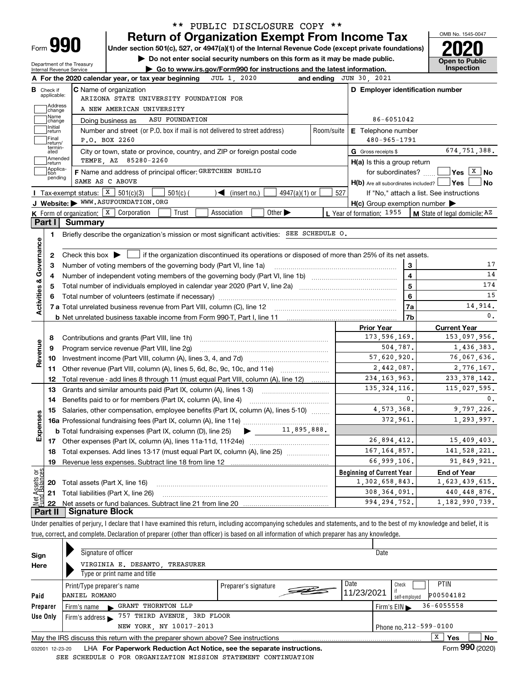| Form |  |
|------|--|

# **Return of Organization Exempt From Income Tax** \*\* PUBLIC DISCLOSURE COPY \*\*

**Under section 501(c), 527, or 4947(a)(1) of the Internal Revenue Code (except private foundations) 2020**

**| Do not enter social security numbers on this form as it may be made public.**

OMB No. 1545-0047 **Open to Public** 

|                                            | Internal Revenue Service         | Department of the Treasury<br>Go to www.irs.gov/Form990 for instructions and the latest information.                                                     |     |                                                     |                         | Inspection                                                                                         |
|--------------------------------------------|----------------------------------|----------------------------------------------------------------------------------------------------------------------------------------------------------|-----|-----------------------------------------------------|-------------------------|----------------------------------------------------------------------------------------------------|
|                                            |                                  | A For the 2020 calendar year, or tax year beginning<br>JUL 1, 2020                                                                                       |     | and ending JUN 30, 2021                             |                         |                                                                                                    |
|                                            | <b>B</b> Check if<br>applicable: | <b>C</b> Name of organization                                                                                                                            |     | D Employer identification number                    |                         |                                                                                                    |
|                                            | Address                          | ARIZONA STATE UNIVERSITY FOUNDATION FOR                                                                                                                  |     |                                                     |                         |                                                                                                    |
|                                            | change<br>Name                   | A NEW AMERICAN UNIVERSITY                                                                                                                                |     |                                                     |                         |                                                                                                    |
|                                            | change<br>Initial                | ASU FOUNDATION<br>Doing business as                                                                                                                      |     | 86-6051042                                          |                         |                                                                                                    |
|                                            | return                           | Number and street (or P.O. box if mail is not delivered to street address)<br>Room/suite                                                                 |     | E Telephone number                                  |                         |                                                                                                    |
|                                            | Final<br>return/<br>termin-      | P.O. BOX 2260                                                                                                                                            |     | $480 - 965 - 1791$                                  |                         |                                                                                                    |
|                                            | ated                             | City or town, state or province, country, and ZIP or foreign postal code                                                                                 |     | <b>G</b> Gross receipts \$                          |                         | 674,751,388.                                                                                       |
|                                            | ]Amended<br>]return              | TEMPE, AZ 85280-2260                                                                                                                                     |     | H(a) Is this a group return                         |                         |                                                                                                    |
|                                            | Applica-<br>tion<br>pending      | F Name and address of principal officer: GRETCHEN BUHLIG                                                                                                 |     |                                                     |                         | for subordinates? $\frac{1}{2}$ Yes $\boxed{X}$ No                                                 |
|                                            |                                  | SAME AS C ABOVE                                                                                                                                          |     | $H(b)$ Are all subordinates included? $\Box$ Yes    |                         | No                                                                                                 |
|                                            |                                  | Tax-exempt status: $X \ 501(c)(3)$<br>$501(c)$ (<br>$\blacktriangleleft$ (insert no.)<br>$4947(a)(1)$ or                                                 | 527 |                                                     |                         | If "No," attach a list. See instructions                                                           |
|                                            |                                  | J Website: WWW.ASUFOUNDATION.ORG                                                                                                                         |     | $H(c)$ Group exemption number $\blacktriangleright$ |                         |                                                                                                    |
|                                            |                                  | <b>K</b> Form of organization: $\boxed{\textbf{x}}$ Corporation<br>Trust<br>Association<br>Other $\blacktriangleright$                                   |     | L Year of formation: 1955                           |                         | M State of legal domicile: AZ                                                                      |
|                                            |                                  | Part I Summary                                                                                                                                           |     |                                                     |                         |                                                                                                    |
|                                            | 1.                               | Briefly describe the organization's mission or most significant activities: SEE SCHEDULE O.                                                              |     |                                                     |                         |                                                                                                    |
|                                            |                                  |                                                                                                                                                          |     |                                                     |                         |                                                                                                    |
|                                            | 2                                | Check this box $\blacktriangleright$ $\blacksquare$ if the organization discontinued its operations or disposed of more than 25% of its net assets.      |     |                                                     |                         |                                                                                                    |
|                                            | З                                |                                                                                                                                                          |     |                                                     | 3                       | 17                                                                                                 |
|                                            | 4                                |                                                                                                                                                          |     |                                                     | $\overline{\mathbf{4}}$ | 14                                                                                                 |
|                                            | 5                                | Total number of individuals employed in calendar year 2020 (Part V, line 2a) manufacture of individuals employed in calendar year 2020 (Part V, line 2a) |     | $\overline{5}$                                      | 174                     |                                                                                                    |
|                                            |                                  |                                                                                                                                                          |     |                                                     | $6\phantom{a}$          | 15                                                                                                 |
| Activities & Governance                    |                                  |                                                                                                                                                          |     |                                                     | 7a                      | 14,914.                                                                                            |
|                                            |                                  |                                                                                                                                                          |     |                                                     | 7b                      | 0.                                                                                                 |
|                                            |                                  |                                                                                                                                                          |     | <b>Prior Year</b>                                   |                         | <b>Current Year</b>                                                                                |
|                                            | 8                                |                                                                                                                                                          |     | 173,596,169.                                        |                         | 153,097,956.                                                                                       |
| Revenue                                    | 9                                | Program service revenue (Part VIII, line 2g)                                                                                                             |     | 504,787.                                            |                         | 1,436,383.                                                                                         |
|                                            | 10                               |                                                                                                                                                          |     | 57,620,920.                                         |                         | 76,067,636.                                                                                        |
|                                            | 11                               | Other revenue (Part VIII, column (A), lines 5, 6d, 8c, 9c, 10c, and 11e)                                                                                 |     | 2,442,087.                                          |                         | 2,776,167.                                                                                         |
|                                            | 12                               | Total revenue - add lines 8 through 11 (must equal Part VIII, column (A), line 12)                                                                       |     | 234, 163, 963.                                      |                         | 233, 378, 142.                                                                                     |
|                                            | 13                               | Grants and similar amounts paid (Part IX, column (A), lines 1-3) <i>manual community container</i>                                                       |     | 135, 324, 116.                                      |                         | 115,027,595.                                                                                       |
|                                            |                                  |                                                                                                                                                          |     |                                                     |                         |                                                                                                    |
|                                            | 14                               |                                                                                                                                                          |     |                                                     | 0.                      |                                                                                                    |
|                                            | 15                               | Salaries, other compensation, employee benefits (Part IX, column (A), lines 5-10)                                                                        |     | 4,573,368.                                          |                         |                                                                                                    |
|                                            |                                  |                                                                                                                                                          |     | 372,961.                                            |                         |                                                                                                    |
|                                            |                                  | <b>b</b> Total fundraising expenses (Part IX, column (D), line 25) $\rightarrow$ _______11,895,888.                                                      |     |                                                     |                         |                                                                                                    |
|                                            |                                  |                                                                                                                                                          |     | 26,894,412.                                         |                         |                                                                                                    |
|                                            |                                  | Total expenses. Add lines 13-17 (must equal Part IX, column (A), line 25) [                                                                              |     | 167, 164, 857.                                      |                         |                                                                                                    |
|                                            | 19                               | Revenue less expenses. Subtract line 18 from line 12                                                                                                     |     | 66,999,106.                                         |                         |                                                                                                    |
|                                            |                                  |                                                                                                                                                          |     | <b>Beginning of Current Year</b>                    |                         | 0.<br>9,797,226.<br>1,293,997.<br>15,409,403.<br>141,528,221.<br>91,849,921.<br><b>End of Year</b> |
|                                            | 20                               | Total assets (Part X, line 16)                                                                                                                           |     | 1,302,658,843.                                      |                         | 1,623,439,615.                                                                                     |
|                                            | 21                               | Total liabilities (Part X, line 26)                                                                                                                      |     | 308, 364, 091.                                      |                         | 440, 448, 876.                                                                                     |
| Expenses<br>Net Assets or<br>Eund Balances | 22                               |                                                                                                                                                          |     | 994, 294, 752.                                      |                         | 1, 182, 990, 739.                                                                                  |

true, correct, and complete. Declaration of preparer (other than officer) is based on all information of which preparer has any knowledge.

| Sign     | Signature of officer                                                            |                      |            | Date                                               |
|----------|---------------------------------------------------------------------------------|----------------------|------------|----------------------------------------------------|
| Here     | VIRGINIA E. DESANTO TREASURER                                                   |                      |            |                                                    |
|          | Type or print name and title                                                    |                      |            |                                                    |
|          | Print/Type preparer's name                                                      | Preparer's signature | Date       | <b>PTIN</b><br>Check                               |
| Paid     | DANIEL ROMANO                                                                   |                      | 11/23/2021 | P00504182<br>self-employed                         |
| Preparer | GRANT THORNTON LLP<br>Firm's name                                               |                      |            | $36 - 6055558$<br>Firm's $EIN \blacktriangleright$ |
| Use Only | Firm's address $\triangleright$ 757 THIRD AVENUE, 3RD FLOOR                     |                      |            |                                                    |
|          | NEW YORK, NY 10017-2013                                                         |                      |            | Phone no. 212-599-0100                             |
|          | May the IRS discuss this return with the preparer shown above? See instructions |                      |            | x<br>Yes<br>No                                     |
|          |                                                                                 |                      |            | $F = 000 \text{ (0000)}$                           |

032001 12-23-20 LHA **For Paperwork Reduction Act Notice, see the separate instructions.** Form 990 (2020) SEE SCHEDULE O FOR ORGANIZATION MISSION STATEMENT CONTINUATION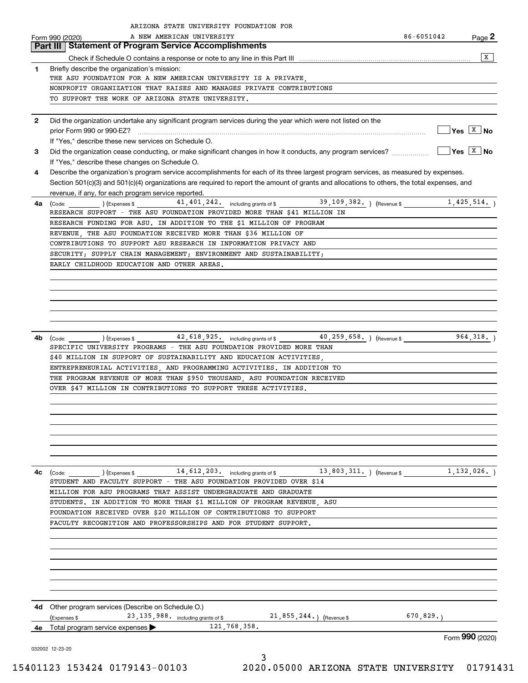|              | ARIZONA STATE UNIVERSITY FOUNDATION FOR<br>A NEW AMERICAN UNIVERSITY                                                                                                               | 86-6051042 |                                        |
|--------------|------------------------------------------------------------------------------------------------------------------------------------------------------------------------------------|------------|----------------------------------------|
|              | Form 990 (2020)<br><b>Part III   Statement of Program Service Accomplishments</b>                                                                                                  |            | Page 2                                 |
|              |                                                                                                                                                                                    |            | x                                      |
|              |                                                                                                                                                                                    |            |                                        |
| 1            | Briefly describe the organization's mission:<br>THE ASU FOUNDATION FOR A NEW AMERICAN UNIVERSITY IS A PRIVATE,                                                                     |            |                                        |
|              | NONPROFIT ORGANIZATION THAT RAISES AND MANAGES PRIVATE CONTRIBUTIONS                                                                                                               |            |                                        |
|              | TO SUPPORT THE WORK OF ARIZONA STATE UNIVERSITY.                                                                                                                                   |            |                                        |
|              |                                                                                                                                                                                    |            |                                        |
| $\mathbf{2}$ | Did the organization undertake any significant program services during the year which were not listed on the                                                                       |            |                                        |
|              | prior Form 990 or 990-EZ?                                                                                                                                                          |            | $\sqrt{}$ Yes $\sqrt{}$ x $\sqrt{}$ No |
|              | If "Yes," describe these new services on Schedule O.                                                                                                                               |            |                                        |
| 3            | Did the organization cease conducting, or make significant changes in how it conducts, any program services?                                                                       |            | $\sqrt{}$ Yes $\sqrt{X}$ No            |
|              | If "Yes," describe these changes on Schedule O.                                                                                                                                    |            |                                        |
| 4            | Describe the organization's program service accomplishments for each of its three largest program services, as measured by expenses.                                               |            |                                        |
|              | Section 501(c)(3) and 501(c)(4) organizations are required to report the amount of grants and allocations to others, the total expenses, and                                       |            |                                        |
|              | revenue, if any, for each program service reported.                                                                                                                                |            |                                        |
| 4a           |                                                                                                                                                                                    |            |                                        |
|              | RESEARCH SUPPORT - THE ASU FOUNDATION PROVIDED MORE THAN \$41 MILLION IN                                                                                                           |            |                                        |
|              | RESEARCH FUNDING FOR ASU. IN ADDITION TO THE \$1 MILLION OF PROGRAM                                                                                                                |            |                                        |
|              | REVENUE, THE ASU FOUNDATION RECEIVED MORE THAN \$36 MILLION OF                                                                                                                     |            |                                        |
|              | CONTRIBUTIONS TO SUPPORT ASU RESEARCH IN INFORMATION PRIVACY AND                                                                                                                   |            |                                        |
|              | SECURITY; SUPPLY CHAIN MANAGEMENT; ENVIRONMENT AND SUSTAINABILITY;                                                                                                                 |            |                                        |
|              | EARLY CHILDHOOD EDUCATION AND OTHER AREAS.                                                                                                                                         |            |                                        |
|              |                                                                                                                                                                                    |            |                                        |
|              |                                                                                                                                                                                    |            |                                        |
|              |                                                                                                                                                                                    |            |                                        |
|              |                                                                                                                                                                                    |            |                                        |
|              |                                                                                                                                                                                    |            |                                        |
|              |                                                                                                                                                                                    |            |                                        |
| 4b           |                                                                                                                                                                                    |            |                                        |
|              | SPECIFIC UNIVERSITY PROGRAMS - THE ASU FOUNDATION PROVIDED MORE THAN                                                                                                               |            |                                        |
|              | \$40 MILLION IN SUPPORT OF SUSTAINABILITY AND EDUCATION ACTIVITIES,                                                                                                                |            |                                        |
|              | ENTREPRENEURIAL ACTIVITIES, AND PROGRAMMING ACTIVITIES. IN ADDITION TO                                                                                                             |            |                                        |
|              | THE PROGRAM REVENUE OF MORE THAN \$950 THOUSAND, ASU FOUNDATION RECEIVED                                                                                                           |            |                                        |
|              | OVER \$47 MILLION IN CONTRIBUTIONS TO SUPPORT THESE ACTIVITIES.                                                                                                                    |            |                                        |
|              |                                                                                                                                                                                    |            |                                        |
|              |                                                                                                                                                                                    |            |                                        |
|              |                                                                                                                                                                                    |            |                                        |
|              |                                                                                                                                                                                    |            |                                        |
|              |                                                                                                                                                                                    |            |                                        |
|              |                                                                                                                                                                                    |            |                                        |
|              |                                                                                                                                                                                    |            |                                        |
| 4c           | (Code: (Code: ) (Expenses \$44, 612, 203. including grants of \$4, 612, 203. including grants of \$4, 612, 203. including grants of \$4, 612, 803, 311. ) (Revenue \$4, 132, 026.) |            |                                        |
|              | STUDENT AND FACULTY SUPPORT - THE ASU FOUNDATION PROVIDED OVER \$14                                                                                                                |            |                                        |
|              | MILLION FOR ASU PROGRAMS THAT ASSIST UNDERGRADUATE AND GRADUATE                                                                                                                    |            |                                        |
|              | STUDENTS. IN ADDITION TO MORE THAN \$1 MILLION OF PROGRAM REVENUE ASU                                                                                                              |            |                                        |
|              | FOUNDATION RECEIVED OVER \$20 MILLION OF CONTRIBUTIONS TO SUPPORT                                                                                                                  |            |                                        |
|              | FACULTY RECOGNITION AND PROFESSORSHIPS AND FOR STUDENT SUPPORT.                                                                                                                    |            |                                        |
|              |                                                                                                                                                                                    |            |                                        |
|              |                                                                                                                                                                                    |            |                                        |
|              |                                                                                                                                                                                    |            |                                        |
|              |                                                                                                                                                                                    |            |                                        |
|              |                                                                                                                                                                                    |            |                                        |
|              |                                                                                                                                                                                    |            |                                        |
|              |                                                                                                                                                                                    |            |                                        |
|              | 4d Other program services (Describe on Schedule O.)                                                                                                                                |            |                                        |
|              | 23, 135, 988. including grants of \$21, 855, 244. ) (Revenue \$<br>(Expenses \$                                                                                                    | 670,829.   |                                        |
| 4е           | 121,768,358.<br>Total program service expenses                                                                                                                                     |            |                                        |
|              |                                                                                                                                                                                    |            | Form 990 (2020)                        |
|              | 032002 12-23-20                                                                                                                                                                    |            |                                        |
|              | 3                                                                                                                                                                                  |            |                                        |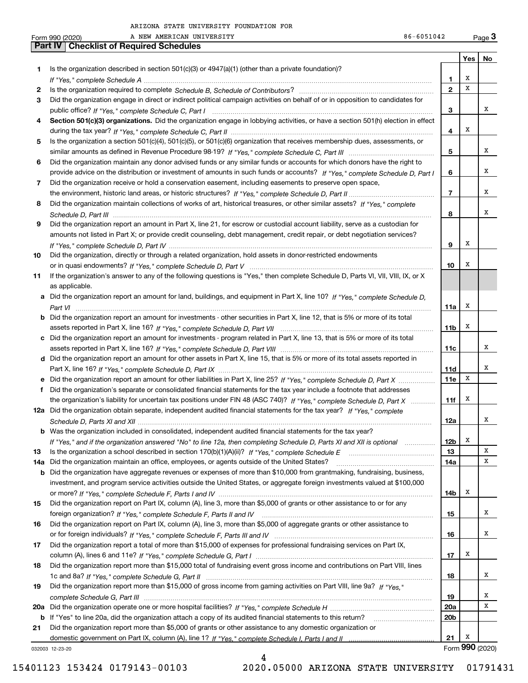|     | 86-6051042<br>A NEW AMERICAN UNIVERSITY<br>Form 990 (2020)                                                                            |                         |     | $_{\text{Page}}$ 3 |
|-----|---------------------------------------------------------------------------------------------------------------------------------------|-------------------------|-----|--------------------|
|     | Part IV<br><b>Checklist of Required Schedules</b>                                                                                     |                         |     |                    |
|     |                                                                                                                                       |                         | Yes | No                 |
| 1   | Is the organization described in section $501(c)(3)$ or $4947(a)(1)$ (other than a private foundation)?                               |                         |     |                    |
|     |                                                                                                                                       | 1                       | х   |                    |
| 2   |                                                                                                                                       | $\mathbf{2}$            | х   |                    |
| З   | Did the organization engage in direct or indirect political campaign activities on behalf of or in opposition to candidates for       |                         |     |                    |
|     |                                                                                                                                       | з                       |     | х                  |
| 4   | Section 501(c)(3) organizations. Did the organization engage in lobbying activities, or have a section 501(h) election in effect      |                         | х   |                    |
|     |                                                                                                                                       | 4                       |     |                    |
| 5   | Is the organization a section 501(c)(4), 501(c)(5), or 501(c)(6) organization that receives membership dues, assessments, or          |                         |     | х                  |
|     |                                                                                                                                       | 5                       |     |                    |
| 6   | Did the organization maintain any donor advised funds or any similar funds or accounts for which donors have the right to             |                         |     | х                  |
|     | provide advice on the distribution or investment of amounts in such funds or accounts? If "Yes," complete Schedule D, Part I          | 6                       |     |                    |
| 7   | Did the organization receive or hold a conservation easement, including easements to preserve open space,                             | $\overline{\mathbf{r}}$ |     | х                  |
| 8   | Did the organization maintain collections of works of art, historical treasures, or other similar assets? If "Yes," complete          |                         |     |                    |
|     |                                                                                                                                       | 8                       |     | х                  |
| 9   | Did the organization report an amount in Part X, line 21, for escrow or custodial account liability, serve as a custodian for         |                         |     |                    |
|     | amounts not listed in Part X; or provide credit counseling, debt management, credit repair, or debt negotiation services?             |                         |     |                    |
|     |                                                                                                                                       | 9                       | X   |                    |
| 10  | Did the organization, directly or through a related organization, hold assets in donor-restricted endowments                          |                         |     |                    |
|     |                                                                                                                                       | 10                      | X   |                    |
| 11  | If the organization's answer to any of the following questions is "Yes," then complete Schedule D, Parts VI, VII, VIII, IX, or X      |                         |     |                    |
|     | as applicable.                                                                                                                        |                         |     |                    |
|     | a Did the organization report an amount for land, buildings, and equipment in Part X, line 10? If "Yes." complete Schedule D.         |                         |     |                    |
|     |                                                                                                                                       | 11a                     | х   |                    |
|     | <b>b</b> Did the organization report an amount for investments - other securities in Part X, line 12, that is 5% or more of its total |                         |     |                    |
|     |                                                                                                                                       | 11 <sub>b</sub>         | х   |                    |
|     | c Did the organization report an amount for investments - program related in Part X, line 13, that is 5% or more of its total         |                         |     |                    |
|     |                                                                                                                                       | 11c                     |     | х                  |
|     | d Did the organization report an amount for other assets in Part X, line 15, that is 5% or more of its total assets reported in       |                         |     |                    |
|     |                                                                                                                                       | 11d                     |     | х                  |
|     | e Did the organization report an amount for other liabilities in Part X, line 25? If "Yes," complete Schedule D, Part X               | 11e                     | X   |                    |
| f.  | Did the organization's separate or consolidated financial statements for the tax year include a footnote that addresses               |                         |     |                    |
|     | the organization's liability for uncertain tax positions under FIN 48 (ASC 740)? If "Yes," complete Schedule D, Part X                | 11f                     | X   |                    |
|     | 12a Did the organization obtain separate, independent audited financial statements for the tax year? If "Yes," complete               |                         |     |                    |
|     |                                                                                                                                       | 12a                     |     |                    |
|     | <b>b</b> Was the organization included in consolidated, independent audited financial statements for the tax year?                    |                         |     |                    |
|     | If "Yes," and if the organization answered "No" to line 12a, then completing Schedule D, Parts XI and XII is optional                 | 12b                     | х   |                    |
| 13  |                                                                                                                                       | 13                      |     | X                  |
| 14a | Did the organization maintain an office, employees, or agents outside of the United States?                                           | 14a                     |     | х                  |
| b   | Did the organization have aggregate revenues or expenses of more than \$10,000 from grantmaking, fundraising, business,               |                         |     |                    |
|     | investment, and program service activities outside the United States, or aggregate foreign investments valued at \$100,000            |                         |     |                    |
|     |                                                                                                                                       | 14b                     | x   |                    |
| 15  | Did the organization report on Part IX, column (A), line 3, more than \$5,000 of grants or other assistance to or for any             |                         |     |                    |
|     |                                                                                                                                       | 15                      |     | х                  |
| 16  | Did the organization report on Part IX, column (A), line 3, more than \$5,000 of aggregate grants or other assistance to              |                         |     |                    |
|     |                                                                                                                                       | 16                      |     | х                  |
| 17  | Did the organization report a total of more than \$15,000 of expenses for professional fundraising services on Part IX,               |                         |     |                    |
|     |                                                                                                                                       | 17                      | х   |                    |
| 18  | Did the organization report more than \$15,000 total of fundraising event gross income and contributions on Part VIII, lines          |                         |     |                    |
|     |                                                                                                                                       | 18                      |     | х                  |
| 19  | Did the organization report more than \$15,000 of gross income from gaming activities on Part VIII, line 9a? If "Yes."                |                         |     |                    |
|     |                                                                                                                                       | 19                      |     | x                  |
|     |                                                                                                                                       | 20a                     |     | х                  |
|     | b If "Yes" to line 20a, did the organization attach a copy of its audited financial statements to this return?                        | 20 <sub>b</sub>         |     |                    |
| 21  | Did the organization report more than \$5,000 of grants or other assistance to any domestic organization or                           |                         |     |                    |
|     |                                                                                                                                       | 21                      | Х   |                    |
|     | 032003 12-23-20<br>4                                                                                                                  |                         |     | Form 990 (2020)    |
|     |                                                                                                                                       |                         |     |                    |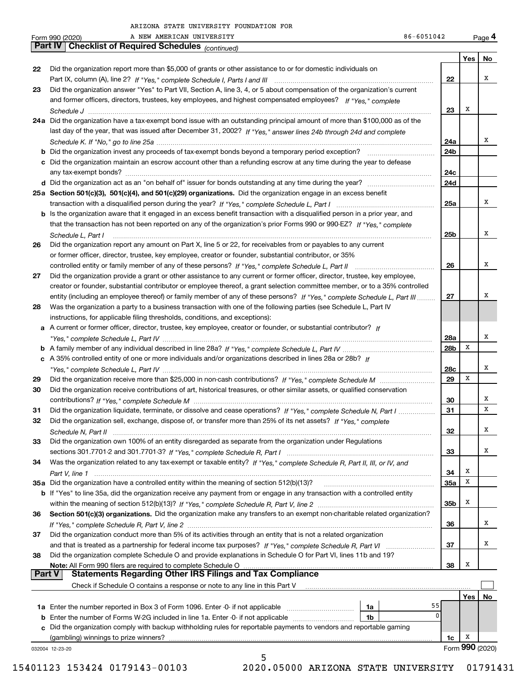A NEW AMERICAN UNIVERSITY

|               | 86-6051042<br>A NEW AMERICAN UNIVERSITY<br>Form 990 (2020)                                                                   |                 |     | Page 4          |
|---------------|------------------------------------------------------------------------------------------------------------------------------|-----------------|-----|-----------------|
|               | <b>Checklist of Required Schedules (continued)</b><br><b>Part IV</b>                                                         |                 |     |                 |
|               |                                                                                                                              |                 | Yes | No              |
| 22            | Did the organization report more than \$5,000 of grants or other assistance to or for domestic individuals on                |                 |     |                 |
|               |                                                                                                                              | 22              |     | х               |
| 23            | Did the organization answer "Yes" to Part VII, Section A, line 3, 4, or 5 about compensation of the organization's current   |                 |     |                 |
|               | and former officers, directors, trustees, key employees, and highest compensated employees? If "Yes," complete               |                 |     |                 |
|               |                                                                                                                              | 23              | х   |                 |
|               | 24a Did the organization have a tax-exempt bond issue with an outstanding principal amount of more than \$100,000 as of the  |                 |     |                 |
|               | last day of the year, that was issued after December 31, 2002? If "Yes," answer lines 24b through 24d and complete           |                 |     |                 |
|               |                                                                                                                              | 24a             |     | х               |
|               |                                                                                                                              | 24b             |     |                 |
|               | c Did the organization maintain an escrow account other than a refunding escrow at any time during the year to defease       |                 |     |                 |
|               |                                                                                                                              | 24c             |     |                 |
|               |                                                                                                                              | 24d             |     |                 |
|               |                                                                                                                              |                 |     |                 |
|               | 25a Section 501(c)(3), 501(c)(4), and 501(c)(29) organizations. Did the organization engage in an excess benefit             |                 |     | х               |
|               |                                                                                                                              | 25a             |     |                 |
|               | b Is the organization aware that it engaged in an excess benefit transaction with a disqualified person in a prior year, and |                 |     |                 |
|               | that the transaction has not been reported on any of the organization's prior Forms 990 or 990-EZ? If "Yes," complete        |                 |     |                 |
|               | Schedule L. Part I                                                                                                           | 25 <sub>b</sub> |     | х               |
| 26            | Did the organization report any amount on Part X, line 5 or 22, for receivables from or payables to any current              |                 |     |                 |
|               | or former officer, director, trustee, key employee, creator or founder, substantial contributor, or 35%                      |                 |     |                 |
|               |                                                                                                                              | 26              |     | х               |
| 27            | Did the organization provide a grant or other assistance to any current or former officer, director, trustee, key employee,  |                 |     |                 |
|               | creator or founder, substantial contributor or employee thereof, a grant selection committee member, or to a 35% controlled  |                 |     |                 |
|               | entity (including an employee thereof) or family member of any of these persons? If "Yes," complete Schedule L, Part III     | 27              |     | х               |
| 28            | Was the organization a party to a business transaction with one of the following parties (see Schedule L, Part IV            |                 |     |                 |
|               | instructions, for applicable filing thresholds, conditions, and exceptions):                                                 |                 |     |                 |
|               | a A current or former officer, director, trustee, key employee, creator or founder, or substantial contributor? If           |                 |     |                 |
|               |                                                                                                                              | 28a             |     | х               |
|               |                                                                                                                              | 28 <sub>b</sub> | Х   |                 |
|               | c A 35% controlled entity of one or more individuals and/or organizations described in lines 28a or 28b? If                  |                 |     |                 |
|               |                                                                                                                              | 28c             |     | х               |
| 29            |                                                                                                                              | 29              | Х   |                 |
| 30            | Did the organization receive contributions of art, historical treasures, or other similar assets, or qualified conservation  |                 |     |                 |
|               |                                                                                                                              | 30              |     | Х               |
| 31            | Did the organization liquidate, terminate, or dissolve and cease operations? If "Yes," complete Schedule N, Part I           | 31              |     | X               |
|               | Did the organization sell, exchange, dispose of, or transfer more than 25% of its net assets? If "Yes," complete             |                 |     |                 |
|               |                                                                                                                              |                 |     | Х               |
|               |                                                                                                                              | 32              |     |                 |
| 33            | Did the organization own 100% of an entity disregarded as separate from the organization under Regulations                   |                 |     |                 |
|               |                                                                                                                              | 33              |     | x               |
| 34            | Was the organization related to any tax-exempt or taxable entity? If "Yes," complete Schedule R, Part II, III, or IV, and    |                 |     |                 |
|               |                                                                                                                              | 34              | х   |                 |
|               | 35a Did the organization have a controlled entity within the meaning of section 512(b)(13)?                                  | <b>35a</b>      | х   |                 |
|               | b If "Yes" to line 35a, did the organization receive any payment from or engage in any transaction with a controlled entity  |                 |     |                 |
|               |                                                                                                                              | 35b             | х   |                 |
| 36            | Section 501(c)(3) organizations. Did the organization make any transfers to an exempt non-charitable related organization?   |                 |     |                 |
|               |                                                                                                                              | 36              |     | x               |
| 37            | Did the organization conduct more than 5% of its activities through an entity that is not a related organization             |                 |     |                 |
|               |                                                                                                                              | 37              |     | x               |
| 38            | Did the organization complete Schedule O and provide explanations in Schedule O for Part VI, lines 11b and 19?               |                 |     |                 |
|               | Note: All Form 990 filers are required to complete Schedule O                                                                | 38              | x   |                 |
| <b>Part V</b> | <b>Statements Regarding Other IRS Filings and Tax Compliance</b>                                                             |                 |     |                 |
|               | Check if Schedule O contains a response or note to any line in this Part V                                                   |                 |     |                 |
|               |                                                                                                                              |                 | Yes | No              |
|               | 55<br>1a                                                                                                                     |                 |     |                 |
|               | <b>b</b> Enter the number of Forms W-2G included in line 1a. Enter -0- if not applicable<br>1b                               | 0               |     |                 |
|               | c Did the organization comply with backup withholding rules for reportable payments to vendors and reportable gaming         |                 |     |                 |
|               |                                                                                                                              | 1c              | x   |                 |
|               | 032004 12-23-20                                                                                                              |                 |     | Form 990 (2020) |
|               | 5                                                                                                                            |                 |     |                 |
|               |                                                                                                                              |                 |     |                 |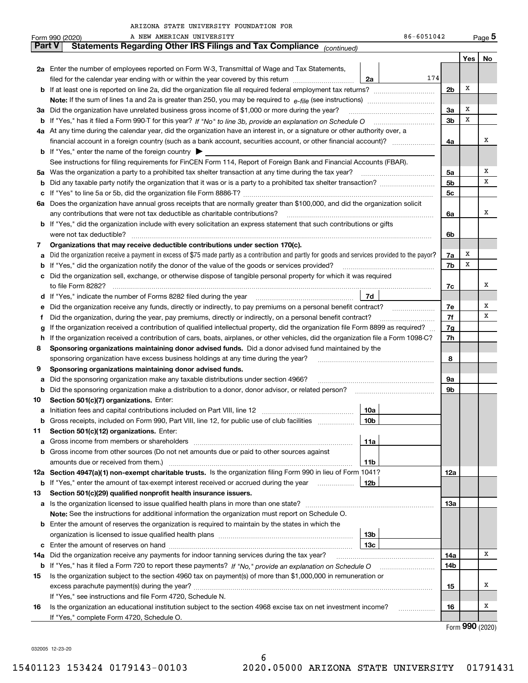|               | 86-6051042<br>A NEW AMERICAN UNIVERSITY<br>Form 990 (2020)                                                                                      |                |     | Page 5          |  |  |  |  |  |
|---------------|-------------------------------------------------------------------------------------------------------------------------------------------------|----------------|-----|-----------------|--|--|--|--|--|
| <b>Part V</b> | Statements Regarding Other IRS Filings and Tax Compliance (continued)                                                                           |                |     |                 |  |  |  |  |  |
|               |                                                                                                                                                 |                | Yes | No              |  |  |  |  |  |
|               | 2a Enter the number of employees reported on Form W-3, Transmittal of Wage and Tax Statements,                                                  |                |     |                 |  |  |  |  |  |
|               | 174<br>filed for the calendar year ending with or within the year covered by this return <i>manumumumum</i><br>2a                               |                |     |                 |  |  |  |  |  |
| b             | 2 <sub>b</sub><br>If at least one is reported on line 2a, did the organization file all required federal employment tax returns?                |                |     |                 |  |  |  |  |  |
|               |                                                                                                                                                 |                |     |                 |  |  |  |  |  |
|               | 3a Did the organization have unrelated business gross income of \$1,000 or more during the year?                                                | 3a             | X   |                 |  |  |  |  |  |
| b             |                                                                                                                                                 | 3 <sub>b</sub> | X   |                 |  |  |  |  |  |
|               |                                                                                                                                                 |                |     |                 |  |  |  |  |  |
|               | 4a At any time during the calendar year, did the organization have an interest in, or a signature or other authority over, a                    |                |     | х               |  |  |  |  |  |
|               | financial account in a foreign country (such as a bank account, securities account, or other financial account)?                                | 4a             |     |                 |  |  |  |  |  |
|               | <b>b</b> If "Yes," enter the name of the foreign country $\blacktriangleright$                                                                  |                |     |                 |  |  |  |  |  |
|               | See instructions for filing requirements for FinCEN Form 114, Report of Foreign Bank and Financial Accounts (FBAR).                             |                |     |                 |  |  |  |  |  |
| 5a            |                                                                                                                                                 | 5a             |     | х               |  |  |  |  |  |
| b             |                                                                                                                                                 | 5b             |     | х               |  |  |  |  |  |
| с             |                                                                                                                                                 | 5 <sub>c</sub> |     |                 |  |  |  |  |  |
|               | 6a Does the organization have annual gross receipts that are normally greater than \$100,000, and did the organization solicit                  |                |     |                 |  |  |  |  |  |
|               | any contributions that were not tax deductible as charitable contributions?                                                                     | 6a             |     | х               |  |  |  |  |  |
|               | <b>b</b> If "Yes," did the organization include with every solicitation an express statement that such contributions or gifts                   |                |     |                 |  |  |  |  |  |
|               | were not tax deductible?                                                                                                                        | 6b             |     |                 |  |  |  |  |  |
| 7             | Organizations that may receive deductible contributions under section 170(c).                                                                   |                |     |                 |  |  |  |  |  |
| а             | Did the organization receive a payment in excess of \$75 made partly as a contribution and partly for goods and services provided to the payor? | 7a             | х   |                 |  |  |  |  |  |
| b             | If "Yes," did the organization notify the donor of the value of the goods or services provided?                                                 | 7b             | х   |                 |  |  |  |  |  |
| с             | Did the organization sell, exchange, or otherwise dispose of tangible personal property for which it was required                               |                |     |                 |  |  |  |  |  |
|               |                                                                                                                                                 | 7c             |     | х               |  |  |  |  |  |
| d             | 7d                                                                                                                                              |                |     |                 |  |  |  |  |  |
| е             |                                                                                                                                                 | 7e             |     | х               |  |  |  |  |  |
| f             | Did the organization, during the year, pay premiums, directly or indirectly, on a personal benefit contract?                                    | 7f             |     | x               |  |  |  |  |  |
| a             | If the organization received a contribution of qualified intellectual property, did the organization file Form 8899 as required?                | 7g             |     |                 |  |  |  |  |  |
| h             | If the organization received a contribution of cars, boats, airplanes, or other vehicles, did the organization file a Form 1098-C?              | 7h             |     |                 |  |  |  |  |  |
| 8             | Sponsoring organizations maintaining donor advised funds. Did a donor advised fund maintained by the                                            |                |     |                 |  |  |  |  |  |
|               | sponsoring organization have excess business holdings at any time during the year?                                                              | 8              |     |                 |  |  |  |  |  |
| 9             | Sponsoring organizations maintaining donor advised funds.                                                                                       |                |     |                 |  |  |  |  |  |
| а             | Did the sponsoring organization make any taxable distributions under section 4966?                                                              | 9а             |     |                 |  |  |  |  |  |
| b             | Did the sponsoring organization make a distribution to a donor, donor advisor, or related person? [[[[[[[[[[[                                   | 9b             |     |                 |  |  |  |  |  |
| 10            | Section 501(c)(7) organizations. Enter:                                                                                                         |                |     |                 |  |  |  |  |  |
| а             | 10a                                                                                                                                             |                |     |                 |  |  |  |  |  |
|               | Gross receipts, included on Form 990, Part VIII, line 12, for public use of club facilities<br> 10b                                             |                |     |                 |  |  |  |  |  |
| 11            | Section 501(c)(12) organizations. Enter:                                                                                                        |                |     |                 |  |  |  |  |  |
|               |                                                                                                                                                 |                |     |                 |  |  |  |  |  |
| а             | Gross income from members or shareholders<br>11a<br>Gross income from other sources (Do not net amounts due or paid to other sources against    |                |     |                 |  |  |  |  |  |
| b             |                                                                                                                                                 |                |     |                 |  |  |  |  |  |
|               | amounts due or received from them.)<br>11b                                                                                                      |                |     |                 |  |  |  |  |  |
|               | 12a Section 4947(a)(1) non-exempt charitable trusts. Is the organization filing Form 990 in lieu of Form 1041?                                  | 12a            |     |                 |  |  |  |  |  |
|               | 12b<br><b>b</b> If "Yes," enter the amount of tax-exempt interest received or accrued during the year <i>manument</i>                           |                |     |                 |  |  |  |  |  |
| 13            | Section 501(c)(29) qualified nonprofit health insurance issuers.                                                                                |                |     |                 |  |  |  |  |  |
| а             | Is the organization licensed to issue qualified health plans in more than one state?                                                            | 13а            |     |                 |  |  |  |  |  |
|               | Note: See the instructions for additional information the organization must report on Schedule O.                                               |                |     |                 |  |  |  |  |  |
| b             | Enter the amount of reserves the organization is required to maintain by the states in which the                                                |                |     |                 |  |  |  |  |  |
|               | 13b                                                                                                                                             |                |     |                 |  |  |  |  |  |
| c             | 13 <sub>c</sub>                                                                                                                                 |                |     |                 |  |  |  |  |  |
| 14a           | Did the organization receive any payments for indoor tanning services during the tax year?                                                      | 14a            |     | x               |  |  |  |  |  |
|               | <b>b</b> If "Yes," has it filed a Form 720 to report these payments? If "No," provide an explanation on Schedule O                              | 14b            |     |                 |  |  |  |  |  |
| 15            | Is the organization subject to the section 4960 tax on payment(s) of more than \$1,000,000 in remuneration or                                   |                |     |                 |  |  |  |  |  |
|               |                                                                                                                                                 | 15             |     | x               |  |  |  |  |  |
|               | If "Yes," see instructions and file Form 4720, Schedule N.                                                                                      |                |     |                 |  |  |  |  |  |
| 16            | Is the organization an educational institution subject to the section 4968 excise tax on net investment income?                                 | 16             |     | x               |  |  |  |  |  |
|               | If "Yes," complete Form 4720, Schedule O.                                                                                                       |                |     |                 |  |  |  |  |  |
|               |                                                                                                                                                 |                |     | Form 990 (2020) |  |  |  |  |  |

032005 12-23-20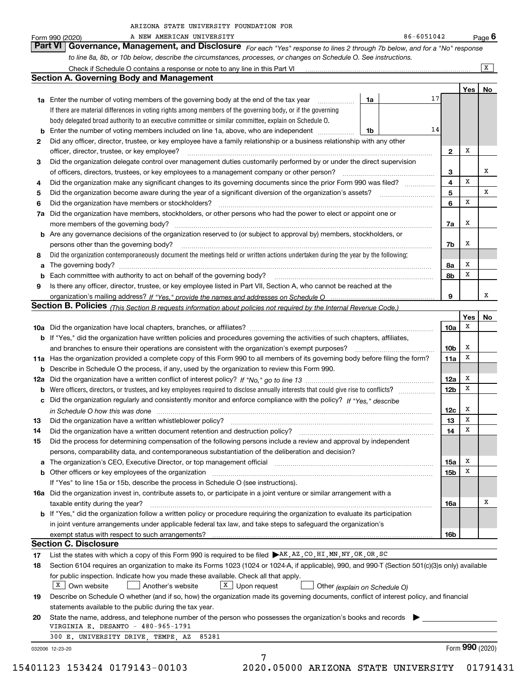|  | ARIZONA STATE UNIVERSITY FOUNDATION FOR |  |
|--|-----------------------------------------|--|
|  |                                         |  |

|      | 86-6051042<br>A NEW AMERICAN UNIVERSITY<br>Form 990 (2020)                                                                                                                                           |                 |                 | <u>Page</u> 6  |
|------|------------------------------------------------------------------------------------------------------------------------------------------------------------------------------------------------------|-----------------|-----------------|----------------|
|      | Part VI<br>Governance, Management, and Disclosure For each "Yes" response to lines 2 through 7b below, and for a "No" response                                                                       |                 |                 |                |
|      | to line 8a, 8b, or 10b below, describe the circumstances, processes, or changes on Schedule O. See instructions.                                                                                     |                 |                 |                |
|      | Check if Schedule O contains a response or note to any line in this Part VI [11] [12] [12] Check if Schedule O contains a response or note to any line in this Part VI                               |                 |                 | $\overline{X}$ |
|      | <b>Section A. Governing Body and Management</b>                                                                                                                                                      |                 |                 |                |
|      |                                                                                                                                                                                                      |                 | Yes             | No             |
|      | 17<br><b>1a</b> Enter the number of voting members of the governing body at the end of the tax year<br>1a                                                                                            |                 |                 |                |
|      | If there are material differences in voting rights among members of the governing body, or if the governing                                                                                          |                 |                 |                |
|      | body delegated broad authority to an executive committee or similar committee, explain on Schedule O.                                                                                                |                 |                 |                |
| b    | 14<br>Enter the number of voting members included on line 1a, above, who are independent<br>1b                                                                                                       |                 |                 |                |
| 2    | Did any officer, director, trustee, or key employee have a family relationship or a business relationship with any other                                                                             |                 |                 |                |
|      | officer, director, trustee, or key employee?                                                                                                                                                         | $\mathbf{2}$    | х               |                |
| З    | Did the organization delegate control over management duties customarily performed by or under the direct supervision                                                                                |                 |                 |                |
|      | of officers, directors, trustees, or key employees to a management company or other person?                                                                                                          | з               |                 | х              |
| 4    | Did the organization make any significant changes to its governing documents since the prior Form 990 was filed?                                                                                     | 4               | X               |                |
| 5    |                                                                                                                                                                                                      | 5               |                 | x              |
| 6    | Did the organization have members or stockholders?                                                                                                                                                   | 6               | х               |                |
| 7a   | Did the organization have members, stockholders, or other persons who had the power to elect or appoint one or                                                                                       |                 |                 |                |
|      | more members of the governing body?                                                                                                                                                                  | 7a              | х               |                |
|      | <b>b</b> Are any governance decisions of the organization reserved to (or subject to approval by) members, stockholders, or                                                                          |                 |                 |                |
|      | persons other than the governing body?                                                                                                                                                               | 7b              | х               |                |
| 8    | Did the organization contemporaneously document the meetings held or written actions undertaken during the year by the following:                                                                    |                 |                 |                |
| a    | The governing body?                                                                                                                                                                                  | 8a              | X               |                |
| b    |                                                                                                                                                                                                      | 8b              | х               |                |
| 9    | Is there any officer, director, trustee, or key employee listed in Part VII, Section A, who cannot be reached at the                                                                                 |                 |                 |                |
|      |                                                                                                                                                                                                      | 9               |                 | х              |
|      | <b>Section B. Policies</b> (This Section B requests information about policies not required by the Internal Revenue Code.)                                                                           |                 |                 |                |
|      |                                                                                                                                                                                                      |                 | Yes             | No             |
|      |                                                                                                                                                                                                      | 10a             | х               |                |
|      | <b>b</b> If "Yes," did the organization have written policies and procedures governing the activities of such chapters, affiliates,                                                                  |                 |                 |                |
|      | and branches to ensure their operations are consistent with the organization's exempt purposes?                                                                                                      | 10 <sub>b</sub> | х               |                |
|      | 11a Has the organization provided a complete copy of this Form 990 to all members of its governing body before filing the form?                                                                      | 11a             | X               |                |
|      | <b>b</b> Describe in Schedule O the process, if any, used by the organization to review this Form 990.                                                                                               |                 |                 |                |
|      |                                                                                                                                                                                                      | 12a             | X               |                |
|      |                                                                                                                                                                                                      | 12 <sub>b</sub> | х               |                |
|      | c Did the organization regularly and consistently monitor and enforce compliance with the policy? If "Yes," describe                                                                                 |                 |                 |                |
|      | in Schedule O how this was done manufactured and contain an according to the state of the state of the state o                                                                                       | 12c             | х               |                |
| 13 - |                                                                                                                                                                                                      | 13              | X               |                |
| 14   | Did the organization have a written document retention and destruction policy?                                                                                                                       | 14              | х               |                |
| 15   | Did the process for determining compensation of the following persons include a review and approval by independent                                                                                   |                 |                 |                |
|      | persons, comparability data, and contemporaneous substantiation of the deliberation and decision?                                                                                                    |                 |                 |                |
| a    | The organization's CEO, Executive Director, or top management official manufactured content content of the organization's CEO, executive Director, or top management official                        | 15a             | х               |                |
|      |                                                                                                                                                                                                      | 15b             | х               |                |
|      | If "Yes" to line 15a or 15b, describe the process in Schedule O (see instructions).                                                                                                                  |                 |                 |                |
|      | 16a Did the organization invest in, contribute assets to, or participate in a joint venture or similar arrangement with a                                                                            |                 |                 |                |
|      | taxable entity during the year?                                                                                                                                                                      | 16a             |                 | х              |
|      | b If "Yes," did the organization follow a written policy or procedure requiring the organization to evaluate its participation                                                                       |                 |                 |                |
|      | in joint venture arrangements under applicable federal tax law, and take steps to safequard the organization's                                                                                       |                 |                 |                |
|      | exempt status with respect to such arrangements?<br><b>Section C. Disclosure</b>                                                                                                                     | 16b             |                 |                |
|      | List the states with which a copy of this Form 990 is required to be filed ▶AK, AZ, CO, HI, MN, NY, OK, OR, SC                                                                                       |                 |                 |                |
| 17   |                                                                                                                                                                                                      |                 |                 |                |
| 18   | Section 6104 requires an organization to make its Forms 1023 (1024 or 1024-A, if applicable), 990, and 990-T (Section 501(c)(3)s only) available                                                     |                 |                 |                |
|      | for public inspection. Indicate how you made these available. Check all that apply.<br>$X$ Own website<br>$X$ Upon request<br>Another's website                                                      |                 |                 |                |
|      | Other (explain on Schedule O)                                                                                                                                                                        |                 |                 |                |
| 19   | Describe on Schedule O whether (and if so, how) the organization made its governing documents, conflict of interest policy, and financial<br>statements available to the public during the tax year. |                 |                 |                |
| 20   | State the name, address, and telephone number of the person who possesses the organization's books and records                                                                                       |                 |                 |                |
|      | VIRGINIA E. DESANTO - 480-965-1791                                                                                                                                                                   |                 |                 |                |
|      | 300 E. UNIVERSITY DRIVE, TEMPE, AZ<br>85281                                                                                                                                                          |                 |                 |                |
|      | 032006 12-23-20                                                                                                                                                                                      |                 | Form 990 (2020) |                |
|      |                                                                                                                                                                                                      |                 |                 |                |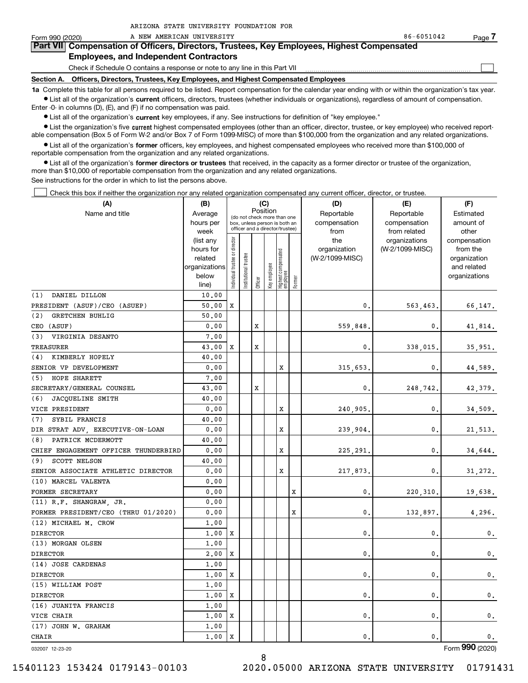| Form 990 (2020) | A NEW AMERICAN UNIVERSITY                                                                                                                                  | 86-6051042 | Page |
|-----------------|------------------------------------------------------------------------------------------------------------------------------------------------------------|------------|------|
|                 | Part VII Compensation of Officers, Directors, Trustees, Key Employees, Highest Compensated                                                                 |            |      |
|                 | <b>Employees, and Independent Contractors</b>                                                                                                              |            |      |
|                 | Check if Schedule O contains a response or note to any line in this Part VII                                                                               |            |      |
|                 | Section A. Officers, Directors, Trustees, Key Employees, and Highest Compensated Employees                                                                 |            |      |
|                 | 1a Complete this table for all persons required to be listed. Report compensation for the calendar year ending with or within the organization's tax year. |            |      |

**•** List all of the organization's current officers, directors, trustees (whether individuals or organizations), regardless of amount of compensation. Enter -0- in columns (D), (E), and (F) if no compensation was paid.

 $\bullet$  List all of the organization's  $\,$ current key employees, if any. See instructions for definition of "key employee."

ARIZONA STATE UNIVERSITY FOUNDATION FOR

**•** List the organization's five current highest compensated employees (other than an officer, director, trustee, or key employee) who received reportable compensation (Box 5 of Form W-2 and/or Box 7 of Form 1099-MISC) of more than \$100,000 from the organization and any related organizations.

**•** List all of the organization's former officers, key employees, and highest compensated employees who received more than \$100,000 of reportable compensation from the organization and any related organizations.

**former directors or trustees**  ¥ List all of the organization's that received, in the capacity as a former director or trustee of the organization, more than \$10,000 of reportable compensation from the organization and any related organizations.

See instructions for the order in which to list the persons above.

Check this box if neither the organization nor any related organization compensated any current officer, director, or trustee.  $\mathcal{L}^{\text{max}}$ 

| (A)                                  | (B)                    |                               |                       |         | (C)          |                                                                  |        | (D)                 | (E)                              | (F)                      |
|--------------------------------------|------------------------|-------------------------------|-----------------------|---------|--------------|------------------------------------------------------------------|--------|---------------------|----------------------------------|--------------------------|
| Name and title                       | Average                |                               |                       |         | Position     | (do not check more than one                                      |        | Reportable          | Reportable                       | Estimated                |
|                                      | hours per              |                               |                       |         |              | box, unless person is both an<br>officer and a director/trustee) |        | compensation        | compensation                     | amount of                |
|                                      | week                   |                               |                       |         |              |                                                                  |        | from                | from related                     | other                    |
|                                      | (list any<br>hours for |                               |                       |         |              |                                                                  |        | the<br>organization | organizations<br>(W-2/1099-MISC) | compensation<br>from the |
|                                      | related                |                               |                       |         |              |                                                                  |        | (W-2/1099-MISC)     |                                  | organization             |
|                                      | organizations          |                               |                       |         |              |                                                                  |        |                     |                                  | and related              |
|                                      | below                  | ndividual trustee or director | Institutional trustee |         | Key employee | Highest compensated<br>employee                                  |        |                     |                                  | organizations            |
|                                      | line)                  |                               |                       | Officer |              |                                                                  | Former |                     |                                  |                          |
| (1)<br>DANIEL DILLON                 | 10,00                  |                               |                       |         |              |                                                                  |        |                     |                                  |                          |
| PRESIDENT (ASUF)/CEO (ASUEP)         | 50.00                  | X                             |                       |         |              |                                                                  |        | 0.                  | 563,463.                         | 66,147.                  |
| (2)<br><b>GRETCHEN BUHLIG</b>        | 50.00                  |                               |                       |         |              |                                                                  |        |                     |                                  |                          |
| CEO (ASUF)                           | 0.00                   |                               |                       | x       |              |                                                                  |        | 559,848             | 0.                               | 41,814.                  |
| (3)<br>VIRGINIA DESANTO              | 7.00                   |                               |                       |         |              |                                                                  |        |                     |                                  |                          |
| TREASURER                            | 43.00                  | X                             |                       | x       |              |                                                                  |        | $\mathbf{0}$        | 338,015.                         | 35,951.                  |
| (4) KIMBERLY HOPELY                  | 40.00                  |                               |                       |         |              |                                                                  |        |                     |                                  |                          |
| SENIOR VP DEVELOPMENT                | 0.00                   |                               |                       |         |              | X                                                                |        | 315,653             | 0.                               | 44,589.                  |
| (5) HOPE SHARETT                     | 7.00                   |                               |                       |         |              |                                                                  |        |                     |                                  |                          |
| SECRETARY/GENERAL COUNSEL            | 43.00                  |                               |                       | x       |              |                                                                  |        | 0.                  | 248,742.                         | 42,379.                  |
| (6)<br>JACQUELINE SMITH              | 40.00                  |                               |                       |         |              |                                                                  |        |                     |                                  |                          |
| VICE PRESIDENT                       | 0.00                   |                               |                       |         |              | X                                                                |        | 240,905.            | 0.                               | 34,509.                  |
| (7)<br>SYBIL FRANCIS                 | 40.00                  |                               |                       |         |              |                                                                  |        |                     |                                  |                          |
| DIR STRAT ADV, EXECUTIVE-ON-LOAN     | 0.00                   |                               |                       |         |              | X                                                                |        | 239,904.            | $\mathbf{0}$ .                   | 21,513.                  |
| PATRICK MCDERMOTT<br>(8)             | 40.00                  |                               |                       |         |              |                                                                  |        |                     |                                  |                          |
| CHIEF ENGAGEMENT OFFICER THUNDERBIRD | 0.00                   |                               |                       |         |              | X                                                                |        | 225,291             | 0.                               | 34,644.                  |
| (9)<br><b>SCOTT NELSON</b>           | 40.00                  |                               |                       |         |              |                                                                  |        |                     |                                  |                          |
| SENIOR ASSOCIATE ATHLETIC DIRECTOR   | 0.00                   |                               |                       |         |              | X                                                                |        | 217,873.            | 0.                               | 31,272.                  |
| (10) MARCEL VALENTA                  | 0.00                   |                               |                       |         |              |                                                                  |        |                     |                                  |                          |
| FORMER SECRETARY                     | 0.00                   |                               |                       |         |              |                                                                  | X      | 0.                  | 220, 310.                        | 19,638.                  |
| (11) R.F. SHANGRAW, JR.              | 0.00                   |                               |                       |         |              |                                                                  |        |                     |                                  |                          |
| FORMER PRESIDENT/CEO (THRU 01/2020)  | 0.00                   |                               |                       |         |              |                                                                  | X      | $\mathbf{0}$        | 132,897.                         | 4,296.                   |
| (12) MICHAEL M. CROW                 | 1.00                   |                               |                       |         |              |                                                                  |        |                     |                                  |                          |
| <b>DIRECTOR</b>                      | 1.00                   | X                             |                       |         |              |                                                                  |        | $\mathbf{0}$        | 0.                               | 0.                       |
| (13) MORGAN OLSEN                    | 1.00                   |                               |                       |         |              |                                                                  |        |                     |                                  |                          |
| <b>DIRECTOR</b>                      | 2,00                   | X                             |                       |         |              |                                                                  |        | $\mathbf{0}$        | $\mathbf{0}$ .                   | $\mathbf{0}$ .           |
| (14) JOSE CARDENAS                   | 1.00                   |                               |                       |         |              |                                                                  |        |                     |                                  |                          |
| <b>DIRECTOR</b>                      | 1,00                   | X                             |                       |         |              |                                                                  |        | $\mathbf{0}$        | $\mathbf{0}$ .                   | $\mathbf{0}$ .           |
| (15) WILLIAM POST                    | 1.00                   |                               |                       |         |              |                                                                  |        |                     |                                  |                          |
| <b>DIRECTOR</b>                      | 1,00                   | X                             |                       |         |              |                                                                  |        | $\mathbf{0}$        | $\mathbf{0}$ .                   | $\mathfrak{o}$ .         |
| (16) JUANITA FRANCIS                 | 1.00                   |                               |                       |         |              |                                                                  |        |                     |                                  |                          |
| VICE CHAIR                           | 1,00                   | X                             |                       |         |              |                                                                  |        | $\mathbf 0$         | 0.                               | $\mathbf{0}$ .           |
| (17) JOHN W. GRAHAM                  | 1,00                   |                               |                       |         |              |                                                                  |        |                     |                                  |                          |
| <b>CHAIR</b>                         | 1,00                   | $\mathbf x$                   |                       |         |              |                                                                  |        | $\mathbf{0}$ .      | $\mathbf{0}$ .                   | 0.                       |

032007 12-23-20

Form (2020) **990**

8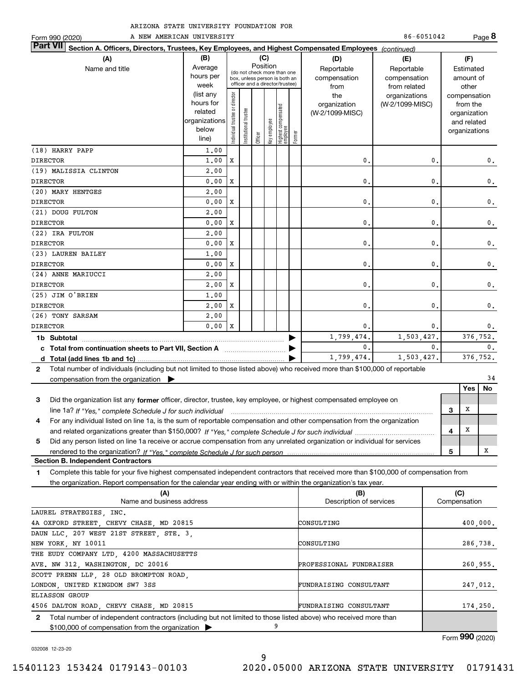| ARIZONA STATE UNIVERSITY FOUNDATION FOR |  |  |  |  |  |
|-----------------------------------------|--|--|--|--|--|
|-----------------------------------------|--|--|--|--|--|

| Form 990 (2020)                                                                                                                              | A NEW AMERICAN UNIVERSITY                                            |                                |                            |          |              |                                                                                                 |        |                                        | 86-6051042                                 |   |                                                                          | Page 8        |
|----------------------------------------------------------------------------------------------------------------------------------------------|----------------------------------------------------------------------|--------------------------------|----------------------------|----------|--------------|-------------------------------------------------------------------------------------------------|--------|----------------------------------------|--------------------------------------------|---|--------------------------------------------------------------------------|---------------|
| <b>Part VII</b><br>Section A. Officers, Directors, Trustees, Key Employees, and Highest Compensated Employees (continued)                    |                                                                      |                                |                            |          |              |                                                                                                 |        |                                        |                                            |   |                                                                          |               |
| (A)                                                                                                                                          | (B)                                                                  |                                |                            |          | (C)          |                                                                                                 |        | (D)                                    | (E)                                        |   | (F)                                                                      |               |
| Name and title                                                                                                                               | Average<br>hours per<br>week                                         |                                |                            | Position |              | (do not check more than one<br>box, unless person is both an<br>officer and a director/trustee) |        | Reportable<br>compensation<br>from     | Reportable<br>compensation<br>from related |   | Estimated<br>amount of<br>other                                          |               |
|                                                                                                                                              | (list any<br>hours for<br>related<br>organizations<br>below<br>line) | Individual trustee or director | trustee<br>Institutional t | Officer  | key employee | Highest compensated<br>employee                                                                 | Former | the<br>organization<br>(W-2/1099-MISC) | organizations<br>(W-2/1099-MISC)           |   | compensation<br>from the<br>organization<br>and related<br>organizations |               |
| (18) HARRY PAPP                                                                                                                              | 1.00                                                                 |                                |                            |          |              |                                                                                                 |        |                                        |                                            |   |                                                                          |               |
| <b>DIRECTOR</b>                                                                                                                              | 1,00                                                                 | X                              |                            |          |              |                                                                                                 |        | 0.                                     | $\mathbf{0}$ .                             |   |                                                                          | 0.            |
| (19) MALISSIA CLINTON<br><b>DIRECTOR</b>                                                                                                     | 2,00<br>0.00                                                         | X                              |                            |          |              |                                                                                                 |        | $\mathbf{0}$ .                         | 0.                                         |   |                                                                          | 0.            |
| (20) MARY HENTGES                                                                                                                            | 2,00                                                                 |                                |                            |          |              |                                                                                                 |        |                                        |                                            |   |                                                                          |               |
| <b>DIRECTOR</b>                                                                                                                              | 0.00                                                                 | X                              |                            |          |              |                                                                                                 |        | $\mathbf{0}$ .                         | 0                                          |   |                                                                          | 0.            |
| (21) DOUG FULTON                                                                                                                             | 2,00                                                                 |                                |                            |          |              |                                                                                                 |        |                                        |                                            |   |                                                                          |               |
| <b>DIRECTOR</b>                                                                                                                              | 0.00                                                                 | X                              |                            |          |              |                                                                                                 |        | 0.                                     | 0.                                         |   |                                                                          | $\mathbf 0$ . |
| (22) IRA FULTON                                                                                                                              | 2,00                                                                 |                                |                            |          |              |                                                                                                 |        |                                        |                                            |   |                                                                          |               |
| <b>DIRECTOR</b>                                                                                                                              | 0.00                                                                 | х                              |                            |          |              |                                                                                                 |        | 0.                                     | 0.                                         |   |                                                                          | 0.            |
| (23) LAUREN BAILEY                                                                                                                           | 1.00                                                                 |                                |                            |          |              |                                                                                                 |        |                                        |                                            |   |                                                                          |               |
| <b>DIRECTOR</b>                                                                                                                              | 0.00                                                                 | х                              |                            |          |              |                                                                                                 |        | $\mathbf 0$ .                          | $\mathbf{0}$                               |   |                                                                          | $\mathbf 0$ . |
| (24) ANNE MARIUCCI                                                                                                                           | 2,00                                                                 |                                |                            |          |              |                                                                                                 |        |                                        |                                            |   |                                                                          |               |
| <b>DIRECTOR</b>                                                                                                                              | 2,00                                                                 | X                              |                            |          |              |                                                                                                 |        | $\mathbf{0}$ .                         | $\mathbf{0}$                               |   |                                                                          | 0.            |
| (25) JIM O'BRIEN                                                                                                                             | 1,00                                                                 |                                |                            |          |              |                                                                                                 |        |                                        |                                            |   |                                                                          |               |
| <b>DIRECTOR</b>                                                                                                                              | 2,00                                                                 | X                              |                            |          |              |                                                                                                 |        | $\mathbf{0}$ .                         | $\mathbf{0}$ .                             |   |                                                                          | 0.            |
| (26) TONY SARSAM                                                                                                                             | 2,00                                                                 |                                |                            |          |              |                                                                                                 |        |                                        |                                            |   |                                                                          |               |
| <b>DIRECTOR</b>                                                                                                                              | 0.00                                                                 | $\mathbf{x}$                   |                            |          |              |                                                                                                 |        | 0.                                     | 0.                                         |   |                                                                          | 0.            |
|                                                                                                                                              |                                                                      |                                |                            |          |              |                                                                                                 |        | 1,799,474.                             | 1,503,427.                                 |   |                                                                          | 376.752.      |
| c Total from continuation sheets to Part VII, Section A <b>manufarity</b>                                                                    |                                                                      |                                |                            |          |              |                                                                                                 |        | $\mathbf{0}$ .                         | $\mathbf{0}$ .                             |   |                                                                          | 0.            |
|                                                                                                                                              |                                                                      |                                |                            |          |              |                                                                                                 |        | 1,799,474.                             | 1,503,427.                                 |   |                                                                          | 376,752.      |
| Total number of individuals (including but not limited to those listed above) who received more than \$100,000 of reportable<br>$\mathbf{2}$ |                                                                      |                                |                            |          |              |                                                                                                 |        |                                        |                                            |   |                                                                          |               |
| compensation from the organization $\blacktriangleright$                                                                                     |                                                                      |                                |                            |          |              |                                                                                                 |        |                                        |                                            |   |                                                                          | 34            |
|                                                                                                                                              |                                                                      |                                |                            |          |              |                                                                                                 |        |                                        |                                            |   | <b>Yes</b>                                                               | <b>No</b>     |
| Did the organization list any former officer, director, trustee, key employee, or highest compensated employee on<br>3                       |                                                                      |                                |                            |          |              |                                                                                                 |        |                                        |                                            |   |                                                                          |               |
| line 1a? If "Yes," complete Schedule J for such individual manufactured contained and the Ves," complete Schedule J for such individual      |                                                                      |                                |                            |          |              |                                                                                                 |        |                                        |                                            | 3 | х                                                                        |               |
| For any individual listed on line 1a, is the sum of reportable compensation and other compensation from the organization<br>4                |                                                                      |                                |                            |          |              |                                                                                                 |        |                                        |                                            |   |                                                                          |               |
|                                                                                                                                              |                                                                      |                                |                            |          |              |                                                                                                 |        |                                        |                                            | 4 | X                                                                        |               |

**55Section B. Independent Contractors** *If "Yes," complete Schedule J for such person* rendered to the organization? Did any person listed on line 1a receive or accrue compensation from any unrelated organization or individual for services

**1**Complete this table for your five highest compensated independent contractors that received more than \$100,000 of compensation from the organization. Report compensation for the calendar year ending with or within the organization's tax year.

| (A)                                                                                                                              | (B)                     | (C)          |
|----------------------------------------------------------------------------------------------------------------------------------|-------------------------|--------------|
| Name and business address                                                                                                        | Description of services | Compensation |
| LAUREL STRATEGIES, INC.                                                                                                          |                         |              |
| 4A OXFORD STREET, CHEVY CHASE, MD 20815                                                                                          | CONSULTING              | 400,000.     |
| DAUN LLC. 207 WEST 21ST STREET. STE. 3.                                                                                          |                         |              |
| NEW YORK, NY 10011                                                                                                               | CONSULTING              | 286,738.     |
| THE EUDY COMPANY LTD, 4200 MASSACHUSETTS                                                                                         |                         |              |
| AVE. NW 312, WASHINGTON, DC 20016                                                                                                | PROFESSIONAL FUNDRAISER | 260,955.     |
| SCOTT PRENN LLP, 28 OLD BROMPTON ROAD,                                                                                           |                         |              |
| LONDON, UNITED KINGDOM SW7 3SS                                                                                                   | FUNDRAISING CONSULTANT  | 247,012.     |
| ELIASSON GROUP                                                                                                                   |                         |              |
| 4506 DALTON ROAD, CHEVY CHASE, MD 20815                                                                                          | FUNDRAISING CONSULTANT  | 174,250.     |
| Total number of independent contractors (including but not limited to those listed above) who received more than<br>$\mathbf{2}$ |                         |              |
| $$100,000$ of compensation from the organization $\triangleright$                                                                |                         |              |

Form (2020) **990**

032008 12-23-20

X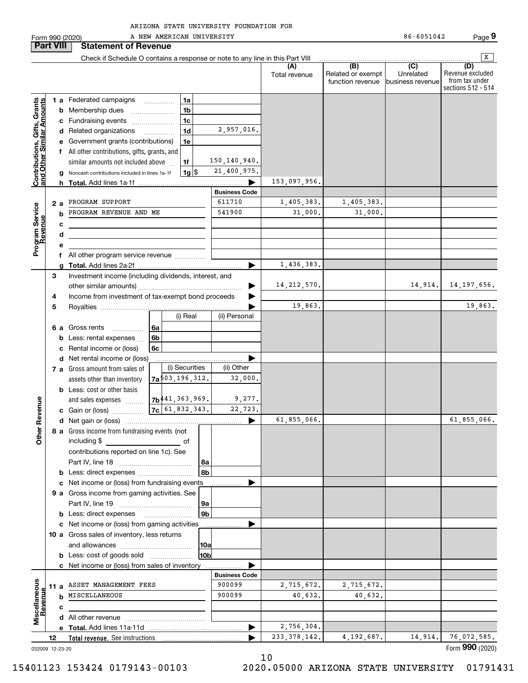Form 990 (2020) Page A NEW AMERICAN UNIVERSITY 86-6051042 **Part VIII Statement of Revenue**  $\boxed{\mathbf{X}}$ Check if Schedule O contains a response or note to any line in this Part VIII  $\overline{(D)}$ **(A) (B) (C) (D)** Revenue excluded Total revenue  $\vert$  Related or exempt Unrelatedfrom tax under function revenue business revenue sections 512 - 514 **Contributions, Gifts, Grants**<br>and Other Similar Amounts **1 a** Federated campaigns **Contributions, Gifts, Grants and Other Similar Amounts** ~~~~~**1ab** Membership dues \_\_\_\_\_\_\_\_\_\_\_\_\_\_\_ **1bc**Fundraising events ~~~~~~~ **1c**2,957,016. **d** Related organizations …………… **1de** Government grants (contributions) **1ef** All other contributions, gifts, grants, and 150,140,940. similar amounts not included above **1f**21,400,975. **1**\$**g** Noncash contributions included in lines 1a-1f 1g 153,097,956. **h Total.**  Add lines 1a-1f | **Business Code** 1,405,383. **a2**PROGRAM SUPPORT 611710 1,405,383. Program Service<br>Revenue **Program Service** PROGRAM REVENUE AND ME 541900 31,000. 31 000. 31,000. **bRevenue cdef** All other program service revenue  $\ldots$ .......... 1,436,383. **gTotal.**  Add lines 2a-2f | Investment income (including dividends, interest, and **3**14,212,570. 14,914. 14,197,656. …… ▶ other similar amounts) ~~~~~~~~~~~~~~~~~Income from investment of tax-exempt bond proceeds **4** $\blacksquare$ 19,863. 19,863. **5**Royalties | (i) Real (ii) Personal **6 a** Gross rents **6a**~~~~~**6bb** Less: rental expenses  $\ldots$ **6cc** Rental income or (loss)  $\blacktriangleright$ **d** Net rental income or (loss) (i) Securities (ii) Other **7 a** Gross amount from sales of 503,196,312. 32,000. assets other than inventory **7ab** Less: cost or other basis 9,277. 441,363,969. **Other Revenue Other Revenue** and sales expenses **7b**61,832,343. 22,723. **7cc** Gain or (loss) …………… 61,855,066. | 61,855,066. **d**Net gain or (loss) | **8 a** Gross income from fundraising events (not including \$ of contributions reported on line 1c). See Part IV, line 18 ~~~~~~~~~~~~ **8a8bb** Less: direct expenses  $^{(1)}$ **c** Net income or (loss) from fundraising events **............... 9 a** Gross income from gaming activities. See Part IV, line 19 ~~~~~~~~~~~~ **9a9bb** Less: direct expenses \_\_\_\_\_\_\_\_\_\_\_\_\_\_\_\_\_\_  $\blacktriangleright$ **c** Net income or (loss) from gaming activities . . . . . . . . . . . . . . . . . . **10 a** Gross sales of inventory, less returns and allowances ~~~~~~~~~~~~ **10a10bb** Less: cost of goods sold  $^{[1]}$  .....................  $\blacksquare$ **c** Net income or (loss) from sales of inventory . . . . . . . . . . . . . . . . . . **Business Code Miscellaneous** Miscellaneous 2,715,672. 2,715,672. **11 a** ASSET MANAGEMENT FEES 900099 Revenue **Revenue** MISCELLANEOUS40,632. **b**US | 900099 | 40,632.| 40,632. **cd** All other revenue  $\ldots$   $\ldots$   $\ldots$   $\ldots$   $\ldots$   $\ldots$   $\ldots$   $\ldots$ 2,756,304. **Total.**  Add lines 11a-11d | **e**233,378,142. 4,192,687. 14,914. 76,072,585. …… ▶ **12Total revenue.**  See instructions Form (2020) **990**

10

032009 12-23-20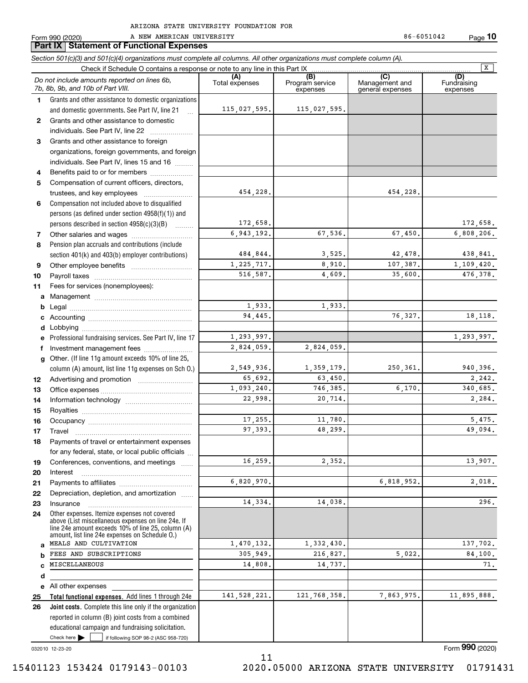|              | Form 990 (2020)<br>A NEW AMERICAN UNIVERSITY<br><b>Part IX   Statement of Functional Expenses</b>                                                          |                       |                                    | 86-6051042                                | Page 10                        |
|--------------|------------------------------------------------------------------------------------------------------------------------------------------------------------|-----------------------|------------------------------------|-------------------------------------------|--------------------------------|
|              | Section 501(c)(3) and 501(c)(4) organizations must complete all columns. All other organizations must complete column (A).                                 |                       |                                    |                                           |                                |
|              | Check if Schedule O contains a response or note to any line in this Part IX                                                                                |                       |                                    |                                           | $\overline{\mathbf{x}}$        |
|              | Do not include amounts reported on lines 6b,<br>7b, 8b, 9b, and 10b of Part VIII.                                                                          | (A)<br>Total expenses | (B)<br>Program service<br>expenses | (C)<br>Management and<br>general expenses | (D)<br>Fundraising<br>expenses |
| $\mathbf 1$  | Grants and other assistance to domestic organizations<br>and domestic governments. See Part IV, line 21<br>$\mathbb{R}$                                    | 115,027,595.          | 115,027,595.                       |                                           |                                |
| $\mathbf{2}$ | Grants and other assistance to domestic<br>individuals. See Part IV, line 22                                                                               |                       |                                    |                                           |                                |
| 3            | Grants and other assistance to foreign                                                                                                                     |                       |                                    |                                           |                                |
|              | organizations, foreign governments, and foreign                                                                                                            |                       |                                    |                                           |                                |
|              | individuals. See Part IV, lines 15 and 16                                                                                                                  |                       |                                    |                                           |                                |
| 4            | Benefits paid to or for members                                                                                                                            |                       |                                    |                                           |                                |
| 5            | Compensation of current officers, directors,                                                                                                               |                       |                                    |                                           |                                |
|              | trustees, and key employees                                                                                                                                | 454,228.              |                                    | 454,228.                                  |                                |
| 6            | Compensation not included above to disqualified                                                                                                            |                       |                                    |                                           |                                |
|              | persons (as defined under section 4958(f)(1)) and                                                                                                          |                       |                                    |                                           |                                |
|              | persons described in section 4958(c)(3)(B)                                                                                                                 | 172,658.              |                                    |                                           | 172,658.                       |
| 7            |                                                                                                                                                            | 6,943,192.            | 67,536.                            | 67,450.                                   | 6,808,206.                     |
| 8            | Pension plan accruals and contributions (include                                                                                                           |                       |                                    |                                           |                                |
|              | section 401(k) and 403(b) employer contributions)                                                                                                          | 484,844.              | 3,525.                             | 42,478.                                   | 438,841.                       |
| 9            |                                                                                                                                                            | 1,225,717.            | 8,910.                             | 107,387.                                  | 1,109,420.                     |
| 10           |                                                                                                                                                            | 516,587.              | 4,609.                             | 35,600.                                   | 476,378.                       |
| 11           | Fees for services (nonemployees):                                                                                                                          |                       |                                    |                                           |                                |
| a            |                                                                                                                                                            |                       |                                    |                                           |                                |
| b            |                                                                                                                                                            | 1,933.                | 1,933.                             |                                           |                                |
| c            |                                                                                                                                                            | 94,445.               |                                    | 76,327.                                   | 18,118.                        |
| d            |                                                                                                                                                            |                       |                                    |                                           |                                |
| е            | Professional fundraising services. See Part IV, line 17                                                                                                    | 1,293,997.            |                                    |                                           | 1,293,997.                     |
| f            | Investment management fees                                                                                                                                 | 2,824,059.            | 2,824,059.                         |                                           |                                |
| g            | Other. (If line 11g amount exceeds 10% of line 25,                                                                                                         |                       |                                    |                                           |                                |
|              | column (A) amount, list line 11g expenses on Sch O.)                                                                                                       | 2,549,936.            | 1,359,179.                         | 250,361.                                  | 940,396.                       |
| 12           |                                                                                                                                                            | 65,692.               | 63,450.                            |                                           | 2,242.                         |
| 13           |                                                                                                                                                            | 1.093.240.            | 746,385.                           | 6,170.                                    | 340,685.                       |
| 14           |                                                                                                                                                            | 22,998.               | 20,714.                            |                                           | 2,284.                         |
| 15           |                                                                                                                                                            |                       |                                    |                                           |                                |
| 16           | Occupancy                                                                                                                                                  | 17,255.               | 11,780.                            |                                           | 5.475.                         |
| 17           | Travel                                                                                                                                                     | 97,393.               | 48,299.                            |                                           | 49,094.                        |
| 18           | Payments of travel or entertainment expenses                                                                                                               |                       |                                    |                                           |                                |
|              | for any federal, state, or local public officials                                                                                                          |                       |                                    |                                           |                                |
| 19           | Conferences, conventions, and meetings                                                                                                                     | 16,259.               | 2,352.                             |                                           | 13,907.                        |
| 20           | Interest                                                                                                                                                   | 6,820,970.            |                                    | 6,818,952.                                | 2,018.                         |
| 21           |                                                                                                                                                            |                       |                                    |                                           |                                |
| 22           | Depreciation, depletion, and amortization                                                                                                                  | 14,334.               | 14,038.                            |                                           | 296.                           |
| 23           | Insurance<br>Other expenses. Itemize expenses not covered                                                                                                  |                       |                                    |                                           |                                |
| 24           | above (List miscellaneous expenses on line 24e. If<br>line 24e amount exceeds 10% of line 25, column (A)<br>amount, list line 24e expenses on Schedule 0.) |                       |                                    |                                           |                                |
| a            | MEALS AND CULTIVATION                                                                                                                                      | 1,470,132.            | 1,332,430.                         |                                           | 137,702.                       |
|              | FEES AND SUBSCRIPTIONS                                                                                                                                     | 305,949.              | 216,827.                           | 5,022.                                    | 84,100.                        |
|              | MISCELLANEOUS                                                                                                                                              | 14,808.               | 14,737.                            |                                           | 71.                            |
| d            |                                                                                                                                                            |                       |                                    |                                           |                                |
|              | e All other expenses                                                                                                                                       |                       |                                    |                                           |                                |
| 25           | Total functional expenses. Add lines 1 through 24e                                                                                                         | 141, 528, 221.        | 121,768,358.                       | 7,863,975.                                | 11,895,888.                    |
| 26           | Joint costs. Complete this line only if the organization                                                                                                   |                       |                                    |                                           |                                |
|              | reported in column (B) joint costs from a combined<br>educational campaign and fundraising solicitation.                                                   |                       |                                    |                                           |                                |

11

032010 12-23-20

 $Check here$ 

Check here  $\begin{array}{|c|c|c|c|c|}\hline \text{ } & \text{ if following SOP 98-2 (ASC 958-720)} \hline \end{array}$ 

Form (2020) **990**

A NEW AMERICAN UNIVERSITY **86-6051042** 

**10**

 <sup>15401123 153424 0179143-00103 2020.05000</sup> ARIZONA STATE UNIVERSITY 01791431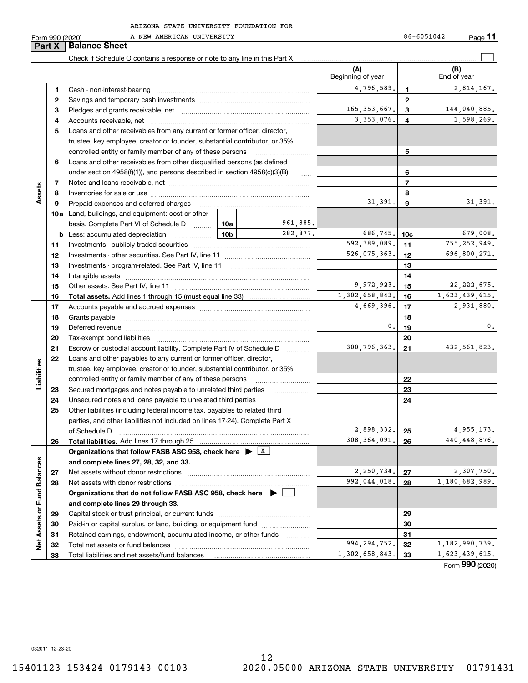|                             | Part X | <b>Balance Sheet</b>                                                                                                                                                                                                           |                 |                   |                          |                |                    |
|-----------------------------|--------|--------------------------------------------------------------------------------------------------------------------------------------------------------------------------------------------------------------------------------|-----------------|-------------------|--------------------------|----------------|--------------------|
|                             |        |                                                                                                                                                                                                                                |                 |                   |                          |                |                    |
|                             |        |                                                                                                                                                                                                                                |                 |                   | (A)<br>Beginning of year |                | (B)<br>End of year |
|                             | 1      |                                                                                                                                                                                                                                |                 |                   | 4,796,589.               | 1              | 2,814,167.         |
|                             | 2      |                                                                                                                                                                                                                                |                 |                   |                          | $\mathbf{2}$   |                    |
|                             | З      |                                                                                                                                                                                                                                |                 |                   | 165, 353, 667.           | 3              | 144,040,885.       |
|                             | 4      |                                                                                                                                                                                                                                |                 |                   | 3, 353, 076.             | 4              | 1,598,269.         |
|                             | 5      | Loans and other receivables from any current or former officer, director,                                                                                                                                                      |                 |                   |                          |                |                    |
|                             |        | trustee, key employee, creator or founder, substantial contributor, or 35%                                                                                                                                                     |                 |                   |                          |                |                    |
|                             |        | controlled entity or family member of any of these persons                                                                                                                                                                     |                 |                   |                          | 5              |                    |
|                             | 6      | Loans and other receivables from other disqualified persons (as defined                                                                                                                                                        |                 |                   |                          |                |                    |
|                             |        | under section $4958(f)(1)$ , and persons described in section $4958(c)(3)(B)$                                                                                                                                                  |                 | $\ldots$          |                          | 6              |                    |
|                             | 7      |                                                                                                                                                                                                                                |                 |                   |                          | $\overline{7}$ |                    |
| Assets                      | 8      |                                                                                                                                                                                                                                |                 |                   |                          | 8              |                    |
|                             | 9      | Prepaid expenses and deferred charges                                                                                                                                                                                          |                 |                   | 31,391.                  | 9              | 31,391.            |
|                             |        | <b>10a</b> Land, buildings, and equipment: cost or other                                                                                                                                                                       |                 |                   |                          |                |                    |
|                             |        | basis. Complete Part VI of Schedule D                                                                                                                                                                                          | 10a             | 961,885.          |                          |                |                    |
|                             |        | <b>b</b> Less: accumulated depreciation<br>$\ldots \ldots \ldots \ldots$                                                                                                                                                       | 10 <sub>b</sub> | 282.877.          | 686,745.                 | 10c            | 679,008.           |
|                             | 11     |                                                                                                                                                                                                                                |                 |                   | 592,389,089.             | 11             | 755, 252, 949.     |
|                             | 12     |                                                                                                                                                                                                                                |                 | 526,075,363.      | 12                       | 696,800,271.   |                    |
|                             | 13     |                                                                                                                                                                                                                                |                 |                   | 13                       |                |                    |
|                             | 14     |                                                                                                                                                                                                                                |                 | 14                |                          |                |                    |
|                             | 15     |                                                                                                                                                                                                                                |                 | 9,972,923.        | 15                       | 22, 222, 675.  |                    |
|                             | 16     |                                                                                                                                                                                                                                |                 |                   | 1,302,658,843.           | 16             | 1,623,439,615.     |
|                             | 17     |                                                                                                                                                                                                                                |                 |                   | 4,669,396.               | 17             | 2,931,880.         |
|                             | 18     |                                                                                                                                                                                                                                |                 |                   | 18                       |                |                    |
|                             | 19     | Deferred revenue manual contracts and contracts are all the contracts and contracts are contracted and contracts are contracted and contract are contracted and contract are contracted and contract are contracted and contra |                 |                   | $\mathbf{0}$ .           | 19             | 0.                 |
|                             | 20     |                                                                                                                                                                                                                                |                 |                   |                          | 20             |                    |
|                             | 21     | Escrow or custodial account liability. Complete Part IV of Schedule D                                                                                                                                                          |                 | 1.1.1.1.1.1.1.1.1 | 300,796,363.             | 21             | 432, 561, 823.     |
|                             | 22     | Loans and other payables to any current or former officer, director,                                                                                                                                                           |                 |                   |                          |                |                    |
| Liabilities                 |        | trustee, key employee, creator or founder, substantial contributor, or 35%                                                                                                                                                     |                 |                   |                          |                |                    |
|                             |        | controlled entity or family member of any of these persons                                                                                                                                                                     |                 |                   |                          | 22             |                    |
|                             | 23     | Secured mortgages and notes payable to unrelated third parties                                                                                                                                                                 |                 |                   |                          | 23             |                    |
|                             | 24     | Unsecured notes and loans payable to unrelated third parties                                                                                                                                                                   |                 |                   |                          | 24             |                    |
|                             | 25     | Other liabilities (including federal income tax, payables to related third                                                                                                                                                     |                 |                   |                          |                |                    |
|                             |        | parties, and other liabilities not included on lines 17-24). Complete Part X                                                                                                                                                   |                 |                   |                          |                |                    |
|                             |        | of Schedule D                                                                                                                                                                                                                  |                 |                   | 2,898,332.               | 25             | 4,955,173.         |
|                             | 26     | <b>Total liabilities.</b> Add lines 17 through 25                                                                                                                                                                              |                 |                   | 308, 364, 091.           | 26             | 440, 448, 876.     |
|                             |        | Organizations that follow FASB ASC 958, check here $\blacktriangleright$ $\boxed{\text{X}}$                                                                                                                                    |                 |                   |                          |                |                    |
|                             |        | and complete lines 27, 28, 32, and 33.                                                                                                                                                                                         |                 |                   |                          |                |                    |
|                             | 27     | Net assets without donor restrictions                                                                                                                                                                                          |                 |                   | 2,250,734.               | 27             | 2,307,750.         |
|                             | 28     |                                                                                                                                                                                                                                |                 |                   | 992,044,018.             | 28             | 1,180,682,989.     |
|                             |        | Organizations that do not follow FASB ASC 958, check here $\blacktriangleright$                                                                                                                                                |                 |                   |                          |                |                    |
| Net Assets or Fund Balances |        | and complete lines 29 through 33.                                                                                                                                                                                              |                 |                   |                          |                |                    |
|                             | 29     |                                                                                                                                                                                                                                |                 |                   |                          | 29             |                    |
|                             | 30     | Paid-in or capital surplus, or land, building, or equipment fund                                                                                                                                                               |                 |                   |                          | 30             |                    |
|                             | 31     | Retained earnings, endowment, accumulated income, or other funds                                                                                                                                                               |                 | $\cdots$          |                          | 31             |                    |
|                             | 32     | Total net assets or fund balances                                                                                                                                                                                              |                 |                   | 994, 294, 752.           | 32             | 1, 182, 990, 739.  |
|                             | 33     |                                                                                                                                                                                                                                |                 |                   | 1,302,658,843.           | 33             | 1,623,439,615.     |

Form (2020) **990**

032011 12-23-20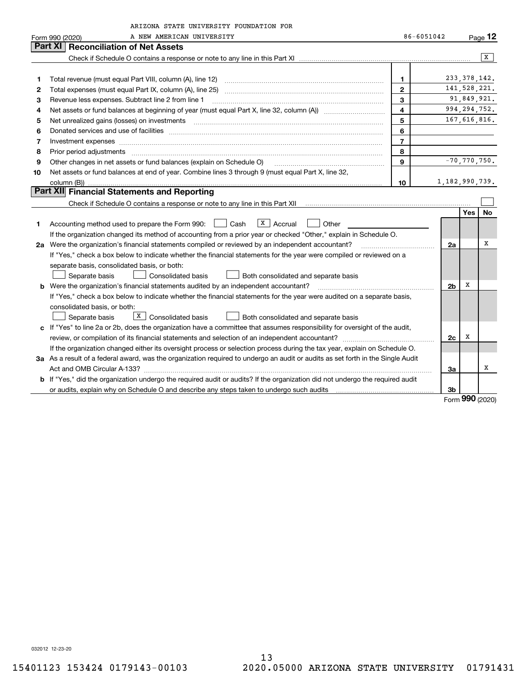|    | ARIZONA STATE UNIVERSITY FOUNDATION FOR                                                                                         |                |                   |                  |    |  |  |
|----|---------------------------------------------------------------------------------------------------------------------------------|----------------|-------------------|------------------|----|--|--|
|    | 86-6051042<br>A NEW AMERICAN UNIVERSITY<br>Form 990 (2020)                                                                      |                |                   |                  |    |  |  |
|    | <b>Reconciliation of Net Assets</b><br>Part XI                                                                                  |                |                   |                  |    |  |  |
|    |                                                                                                                                 |                |                   |                  | x  |  |  |
|    |                                                                                                                                 |                |                   |                  |    |  |  |
| 1  | Total revenue (must equal Part VIII, column (A), line 12)                                                                       | $\mathbf{1}$   |                   | 233, 378, 142.   |    |  |  |
| 2  |                                                                                                                                 | $\overline{2}$ |                   | 141,528,221.     |    |  |  |
| 3  | Revenue less expenses. Subtract line 2 from line 1                                                                              | $\mathbf{3}$   |                   | 91,849,921.      |    |  |  |
| 4  |                                                                                                                                 | $\overline{4}$ |                   | 994, 294, 752.   |    |  |  |
| 5  |                                                                                                                                 | 5              |                   | 167,616,816.     |    |  |  |
| 6  |                                                                                                                                 | 6              |                   |                  |    |  |  |
| 7  |                                                                                                                                 | $\overline{7}$ |                   |                  |    |  |  |
| 8  | Prior period adjustments                                                                                                        | 8              |                   |                  |    |  |  |
| 9  | Other changes in net assets or fund balances (explain on Schedule O)                                                            | $\mathbf{Q}$   |                   | $-70, 770, 750.$ |    |  |  |
| 10 | Net assets or fund balances at end of year. Combine lines 3 through 9 (must equal Part X, line 32,                              |                |                   |                  |    |  |  |
|    | column (B))                                                                                                                     | 10             | 1, 182, 990, 739. |                  |    |  |  |
|    | Part XII Financial Statements and Reporting                                                                                     |                |                   |                  |    |  |  |
|    |                                                                                                                                 |                |                   |                  |    |  |  |
|    |                                                                                                                                 |                |                   | Yes              | No |  |  |
| 1  | $X \mid$ Accrual<br>Accounting method used to prepare the Form 990: <u>June</u> Cash<br>Other                                   |                |                   |                  |    |  |  |
|    | If the organization changed its method of accounting from a prior year or checked "Other," explain in Schedule O.               |                |                   |                  |    |  |  |
|    | 2a Were the organization's financial statements compiled or reviewed by an independent accountant?                              |                | 2a                |                  | х  |  |  |
|    | If "Yes," check a box below to indicate whether the financial statements for the year were compiled or reviewed on a            |                |                   |                  |    |  |  |
|    | separate basis, consolidated basis, or both:                                                                                    |                |                   |                  |    |  |  |
|    | Separate basis<br>Consolidated basis<br>Both consolidated and separate basis                                                    |                |                   |                  |    |  |  |
|    | <b>b</b> Were the organization's financial statements audited by an independent accountant?                                     |                | 2 <sub>b</sub>    | х                |    |  |  |
|    | If "Yes," check a box below to indicate whether the financial statements for the year were audited on a separate basis,         |                |                   |                  |    |  |  |
|    | consolidated basis, or both:                                                                                                    |                |                   |                  |    |  |  |
|    | $\boxed{\textbf{X}}$ Consolidated basis<br>Separate basis<br>Both consolidated and separate basis                               |                |                   |                  |    |  |  |
|    | c If "Yes" to line 2a or 2b, does the organization have a committee that assumes responsibility for oversight of the audit,     |                |                   |                  |    |  |  |
|    |                                                                                                                                 |                | 2c                | х                |    |  |  |
|    | If the organization changed either its oversight process or selection process during the tax year, explain on Schedule O.       |                |                   |                  |    |  |  |
|    | 3a As a result of a federal award, was the organization required to undergo an audit or audits as set forth in the Single Audit |                |                   |                  |    |  |  |
|    |                                                                                                                                 |                | 3a                |                  | х  |  |  |
|    | b If "Yes," did the organization undergo the required audit or audits? If the organization did not undergo the required audit   |                |                   |                  |    |  |  |
|    |                                                                                                                                 |                | 3b                | מחח              |    |  |  |

Form (2020) **990**

032012 12-23-20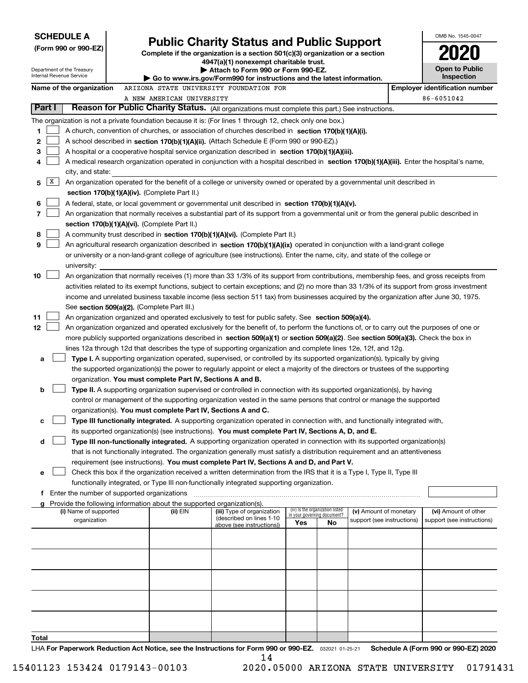| <b>SCHEDULE A</b><br><b>Public Charity Status and Public Support</b> |                                                                                                                                                                                                                                                                |                                                                               |                             |                                 |                            | OMB No. 1545-0047 |                                                     |
|----------------------------------------------------------------------|----------------------------------------------------------------------------------------------------------------------------------------------------------------------------------------------------------------------------------------------------------------|-------------------------------------------------------------------------------|-----------------------------|---------------------------------|----------------------------|-------------------|-----------------------------------------------------|
| (Form 990 or 990-EZ)                                                 |                                                                                                                                                                                                                                                                | Complete if the organization is a section 501(c)(3) organization or a section |                             |                                 |                            |                   |                                                     |
|                                                                      |                                                                                                                                                                                                                                                                | 4947(a)(1) nonexempt charitable trust.                                        |                             |                                 |                            |                   |                                                     |
| Department of the Treasury<br>Internal Revenue Service               |                                                                                                                                                                                                                                                                | Attach to Form 990 or Form 990-EZ.                                            |                             |                                 |                            |                   | <b>Open to Public</b><br>Inspection                 |
|                                                                      |                                                                                                                                                                                                                                                                | Go to www.irs.gov/Form990 for instructions and the latest information.        |                             |                                 |                            |                   |                                                     |
| Name of the organization                                             | ARIZONA STATE UNIVERSITY FOUNDATION FOR<br>A NEW AMERICAN UNIVERSITY                                                                                                                                                                                           |                                                                               |                             |                                 |                            |                   | <b>Employer identification number</b><br>86-6051042 |
| Part I                                                               | Reason for Public Charity Status. (All organizations must complete this part.) See instructions.                                                                                                                                                               |                                                                               |                             |                                 |                            |                   |                                                     |
|                                                                      | The organization is not a private foundation because it is: (For lines 1 through 12, check only one box.)                                                                                                                                                      |                                                                               |                             |                                 |                            |                   |                                                     |
| 1                                                                    | A church, convention of churches, or association of churches described in section 170(b)(1)(A)(i).                                                                                                                                                             |                                                                               |                             |                                 |                            |                   |                                                     |
| 2                                                                    | A school described in section 170(b)(1)(A)(ii). (Attach Schedule E (Form 990 or 990-EZ).)                                                                                                                                                                      |                                                                               |                             |                                 |                            |                   |                                                     |
| 3                                                                    | A hospital or a cooperative hospital service organization described in section 170(b)(1)(A)(iii).                                                                                                                                                              |                                                                               |                             |                                 |                            |                   |                                                     |
| 4                                                                    | A medical research organization operated in conjunction with a hospital described in section 170(b)(1)(A)(iii). Enter the hospital's name,                                                                                                                     |                                                                               |                             |                                 |                            |                   |                                                     |
| city, and state:                                                     |                                                                                                                                                                                                                                                                |                                                                               |                             |                                 |                            |                   |                                                     |
| X<br>5                                                               | An organization operated for the benefit of a college or university owned or operated by a governmental unit described in                                                                                                                                      |                                                                               |                             |                                 |                            |                   |                                                     |
|                                                                      | section 170(b)(1)(A)(iv). (Complete Part II.)                                                                                                                                                                                                                  |                                                                               |                             |                                 |                            |                   |                                                     |
| 6                                                                    | A federal, state, or local government or governmental unit described in section 170(b)(1)(A)(v).                                                                                                                                                               |                                                                               |                             |                                 |                            |                   |                                                     |
| 7                                                                    | An organization that normally receives a substantial part of its support from a governmental unit or from the general public described in                                                                                                                      |                                                                               |                             |                                 |                            |                   |                                                     |
|                                                                      | section 170(b)(1)(A)(vi). (Complete Part II.)                                                                                                                                                                                                                  |                                                                               |                             |                                 |                            |                   |                                                     |
| 8<br>9                                                               | A community trust described in section 170(b)(1)(A)(vi). (Complete Part II.)<br>An agricultural research organization described in section 170(b)(1)(A)(ix) operated in conjunction with a land-grant college                                                  |                                                                               |                             |                                 |                            |                   |                                                     |
|                                                                      | or university or a non-land-grant college of agriculture (see instructions). Enter the name, city, and state of the college or                                                                                                                                 |                                                                               |                             |                                 |                            |                   |                                                     |
| university:                                                          |                                                                                                                                                                                                                                                                |                                                                               |                             |                                 |                            |                   |                                                     |
| 10                                                                   | An organization that normally receives (1) more than 33 1/3% of its support from contributions, membership fees, and gross receipts from                                                                                                                       |                                                                               |                             |                                 |                            |                   |                                                     |
|                                                                      | activities related to its exempt functions, subject to certain exceptions; and (2) no more than 33 1/3% of its support from gross investment                                                                                                                   |                                                                               |                             |                                 |                            |                   |                                                     |
|                                                                      | income and unrelated business taxable income (less section 511 tax) from businesses acquired by the organization after June 30, 1975.                                                                                                                          |                                                                               |                             |                                 |                            |                   |                                                     |
|                                                                      | See section 509(a)(2). (Complete Part III.)                                                                                                                                                                                                                    |                                                                               |                             |                                 |                            |                   |                                                     |
| 11                                                                   | An organization organized and operated exclusively to test for public safety. See section 509(a)(4).                                                                                                                                                           |                                                                               |                             |                                 |                            |                   |                                                     |
| 12                                                                   | An organization organized and operated exclusively for the benefit of, to perform the functions of, or to carry out the purposes of one or                                                                                                                     |                                                                               |                             |                                 |                            |                   |                                                     |
|                                                                      | more publicly supported organizations described in section 509(a)(1) or section 509(a)(2). See section 509(a)(3). Check the box in                                                                                                                             |                                                                               |                             |                                 |                            |                   |                                                     |
|                                                                      | lines 12a through 12d that describes the type of supporting organization and complete lines 12e, 12f, and 12g.                                                                                                                                                 |                                                                               |                             |                                 |                            |                   |                                                     |
| a                                                                    | Type I. A supporting organization operated, supervised, or controlled by its supported organization(s), typically by giving<br>the supported organization(s) the power to regularly appoint or elect a majority of the directors or trustees of the supporting |                                                                               |                             |                                 |                            |                   |                                                     |
|                                                                      | organization. You must complete Part IV, Sections A and B.                                                                                                                                                                                                     |                                                                               |                             |                                 |                            |                   |                                                     |
| b                                                                    | Type II. A supporting organization supervised or controlled in connection with its supported organization(s), by having                                                                                                                                        |                                                                               |                             |                                 |                            |                   |                                                     |
|                                                                      | control or management of the supporting organization vested in the same persons that control or manage the supported                                                                                                                                           |                                                                               |                             |                                 |                            |                   |                                                     |
|                                                                      | organization(s). You must complete Part IV, Sections A and C.                                                                                                                                                                                                  |                                                                               |                             |                                 |                            |                   |                                                     |
| с                                                                    | Type III functionally integrated. A supporting organization operated in connection with, and functionally integrated with,                                                                                                                                     |                                                                               |                             |                                 |                            |                   |                                                     |
|                                                                      | its supported organization(s) (see instructions). You must complete Part IV, Sections A, D, and E.                                                                                                                                                             |                                                                               |                             |                                 |                            |                   |                                                     |
| d                                                                    | Type III non-functionally integrated. A supporting organization operated in connection with its supported organization(s)                                                                                                                                      |                                                                               |                             |                                 |                            |                   |                                                     |
|                                                                      | that is not functionally integrated. The organization generally must satisfy a distribution requirement and an attentiveness                                                                                                                                   |                                                                               |                             |                                 |                            |                   |                                                     |
|                                                                      | requirement (see instructions). You must complete Part IV, Sections A and D, and Part V.                                                                                                                                                                       |                                                                               |                             |                                 |                            |                   |                                                     |
| е                                                                    | Check this box if the organization received a written determination from the IRS that it is a Type I, Type II, Type III<br>functionally integrated, or Type III non-functionally integrated supporting organization.                                           |                                                                               |                             |                                 |                            |                   |                                                     |
|                                                                      | f Enter the number of supported organizations                                                                                                                                                                                                                  |                                                                               |                             |                                 |                            |                   |                                                     |
| g                                                                    | Provide the following information about the supported organization(s).                                                                                                                                                                                         |                                                                               |                             |                                 |                            |                   |                                                     |
| (i) Name of supported                                                | (ii) EIN                                                                                                                                                                                                                                                       | (iii) Type of organization<br>(described on lines 1-10                        | in your governing document? | (iv) Is the organization listed | (v) Amount of monetary     |                   | (vi) Amount of other                                |
| organization                                                         |                                                                                                                                                                                                                                                                | above (see instructions))                                                     | Yes                         | No                              | support (see instructions) |                   | support (see instructions)                          |
|                                                                      |                                                                                                                                                                                                                                                                |                                                                               |                             |                                 |                            |                   |                                                     |
|                                                                      |                                                                                                                                                                                                                                                                |                                                                               |                             |                                 |                            |                   |                                                     |
|                                                                      |                                                                                                                                                                                                                                                                |                                                                               |                             |                                 |                            |                   |                                                     |
|                                                                      |                                                                                                                                                                                                                                                                |                                                                               |                             |                                 |                            |                   |                                                     |
|                                                                      |                                                                                                                                                                                                                                                                |                                                                               |                             |                                 |                            |                   |                                                     |
|                                                                      |                                                                                                                                                                                                                                                                |                                                                               |                             |                                 |                            |                   |                                                     |
|                                                                      |                                                                                                                                                                                                                                                                |                                                                               |                             |                                 |                            |                   |                                                     |
|                                                                      |                                                                                                                                                                                                                                                                |                                                                               |                             |                                 |                            |                   |                                                     |
|                                                                      |                                                                                                                                                                                                                                                                |                                                                               |                             |                                 |                            |                   |                                                     |
| Total                                                                |                                                                                                                                                                                                                                                                |                                                                               |                             |                                 |                            |                   |                                                     |
|                                                                      | UA For Departuark Poduction Act Notice, and the Instructions for Form 000 or 000 FZ. seems at as at                                                                                                                                                            |                                                                               |                             |                                 |                            |                   | Schoolule A (Form 000 or 000 FZ) 2020               |

LHA For Paperwork Reduction Act Notice, see the Instructions for Form 990 or 990-EZ. <sub>032021</sub> o1-25-21 Schedule A (Form 990 or 990-EZ) 2020 14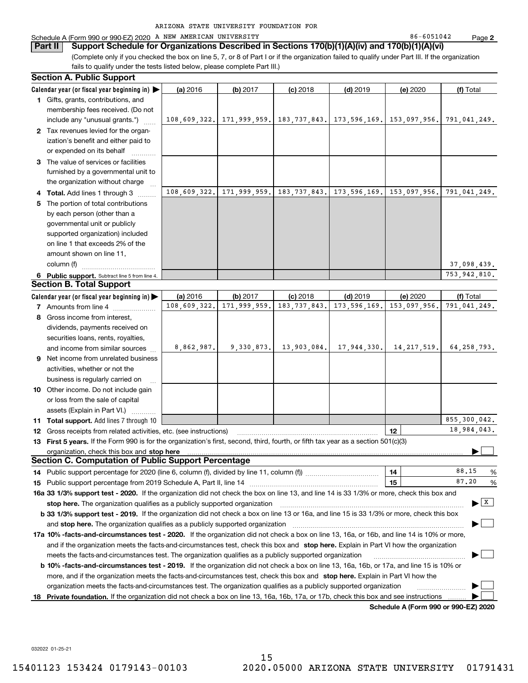## Schedule A (Form 990 or 990-EZ) 2020 A NEW AMERICAN UNIVERSITY 86-6051042 Page

(Complete only if you checked the box on line 5, 7, or 8 of Part I or if the organization failed to qualify under Part III. If the organization fails to qualify under the tests listed below, please complete Part III.) **Part II** Support Schedule for Organizations Described in Sections 170(b)(1)(A)(iv) and 170(b)(1)(A)(vi)

|   | <b>Section A. Public Support</b>                                                                                                                                                                                                  |              |                                        |                |                |                                 |                                          |  |
|---|-----------------------------------------------------------------------------------------------------------------------------------------------------------------------------------------------------------------------------------|--------------|----------------------------------------|----------------|----------------|---------------------------------|------------------------------------------|--|
|   | Calendar year (or fiscal year beginning in) $\blacktriangleright$                                                                                                                                                                 | (a) 2016     | (b) 2017                               | $(c)$ 2018     | $(d)$ 2019     | (e) 2020                        | (f) Total                                |  |
|   | 1 Gifts, grants, contributions, and                                                                                                                                                                                               |              |                                        |                |                |                                 |                                          |  |
|   | membership fees received. (Do not                                                                                                                                                                                                 |              |                                        |                |                |                                 |                                          |  |
|   | include any "unusual grants.")                                                                                                                                                                                                    |              | 108,609,322. 171,999,959. 183,737,843. |                |                | 173, 596, 169.   153, 097, 956. | 791,041,249.                             |  |
|   | 2 Tax revenues levied for the organ-                                                                                                                                                                                              |              |                                        |                |                |                                 |                                          |  |
|   | ization's benefit and either paid to                                                                                                                                                                                              |              |                                        |                |                |                                 |                                          |  |
|   | or expended on its behalf                                                                                                                                                                                                         |              |                                        |                |                |                                 |                                          |  |
|   | 3 The value of services or facilities                                                                                                                                                                                             |              |                                        |                |                |                                 |                                          |  |
|   | furnished by a governmental unit to                                                                                                                                                                                               |              |                                        |                |                |                                 |                                          |  |
|   | the organization without charge                                                                                                                                                                                                   |              |                                        |                |                |                                 |                                          |  |
|   | 4 Total. Add lines 1 through 3                                                                                                                                                                                                    | 108,609,322. | 171,999,959.                           | 183, 737, 843. | 173, 596, 169. | 153,097,956.                    | 791,041,249.                             |  |
| 5 | The portion of total contributions                                                                                                                                                                                                |              |                                        |                |                |                                 |                                          |  |
|   | by each person (other than a                                                                                                                                                                                                      |              |                                        |                |                |                                 |                                          |  |
|   | governmental unit or publicly                                                                                                                                                                                                     |              |                                        |                |                |                                 |                                          |  |
|   | supported organization) included                                                                                                                                                                                                  |              |                                        |                |                |                                 |                                          |  |
|   | on line 1 that exceeds 2% of the                                                                                                                                                                                                  |              |                                        |                |                |                                 |                                          |  |
|   | amount shown on line 11,                                                                                                                                                                                                          |              |                                        |                |                |                                 |                                          |  |
|   | column (f)                                                                                                                                                                                                                        |              |                                        |                |                |                                 | 37,098,439.                              |  |
|   | 6 Public support. Subtract line 5 from line 4.                                                                                                                                                                                    |              |                                        |                |                |                                 | 753,942,810.                             |  |
|   | <b>Section B. Total Support</b>                                                                                                                                                                                                   |              |                                        |                |                |                                 |                                          |  |
|   | Calendar year (or fiscal year beginning in) $\blacktriangleright$                                                                                                                                                                 | (a) 2016     | (b) 2017                               | $(c)$ 2018     | $(d)$ 2019     | (e) 2020                        | (f) Total                                |  |
|   | 7 Amounts from line 4                                                                                                                                                                                                             | 108,609,322. | 171,999,959.                           | 183, 737, 843. | 173, 596, 169. | 153,097,956.                    | 791,041,249.                             |  |
| 8 | Gross income from interest,                                                                                                                                                                                                       |              |                                        |                |                |                                 |                                          |  |
|   | dividends, payments received on                                                                                                                                                                                                   |              |                                        |                |                |                                 |                                          |  |
|   | securities loans, rents, royalties,                                                                                                                                                                                               |              |                                        |                |                |                                 |                                          |  |
|   | and income from similar sources                                                                                                                                                                                                   | 8,862,987.   | 9,330,873.                             | 13,903,084.    | 17,944,330.    | 14, 217, 519.                   | 64, 258, 793.                            |  |
|   | 9 Net income from unrelated business                                                                                                                                                                                              |              |                                        |                |                |                                 |                                          |  |
|   | activities, whether or not the                                                                                                                                                                                                    |              |                                        |                |                |                                 |                                          |  |
|   | business is regularly carried on                                                                                                                                                                                                  |              |                                        |                |                |                                 |                                          |  |
|   | 10 Other income. Do not include gain                                                                                                                                                                                              |              |                                        |                |                |                                 |                                          |  |
|   | or loss from the sale of capital                                                                                                                                                                                                  |              |                                        |                |                |                                 |                                          |  |
|   | assets (Explain in Part VI.)                                                                                                                                                                                                      |              |                                        |                |                |                                 |                                          |  |
|   | <b>11 Total support.</b> Add lines 7 through 10                                                                                                                                                                                   |              |                                        |                |                |                                 | 855,300,042.                             |  |
|   | <b>12</b> Gross receipts from related activities, etc. (see instructions)                                                                                                                                                         |              |                                        |                |                | 12                              | 18,984,043.                              |  |
|   | 13 First 5 years. If the Form 990 is for the organization's first, second, third, fourth, or fifth tax year as a section 501(c)(3)                                                                                                |              |                                        |                |                |                                 |                                          |  |
|   | organization, check this box and stop here                                                                                                                                                                                        |              |                                        |                |                |                                 |                                          |  |
|   | <b>Section C. Computation of Public Support Percentage</b>                                                                                                                                                                        |              |                                        |                |                |                                 |                                          |  |
|   | 14 Public support percentage for 2020 (line 6, column (f), divided by line 11, column (f) <i>managerecommum</i>                                                                                                                   |              |                                        |                |                | 14                              | 88.15<br>%                               |  |
|   |                                                                                                                                                                                                                                   |              |                                        |                |                | 15                              | 87.20<br>%                               |  |
|   | 16a 33 1/3% support test - 2020. If the organization did not check the box on line 13, and line 14 is 33 1/3% or more, check this box and                                                                                         |              |                                        |                |                |                                 |                                          |  |
|   | stop here. The organization qualifies as a publicly supported organization                                                                                                                                                        |              |                                        |                |                |                                 | $\blacktriangleright$ $\boxed{\text{X}}$ |  |
|   |                                                                                                                                                                                                                                   |              |                                        |                |                |                                 |                                          |  |
|   | b 33 1/3% support test - 2019. If the organization did not check a box on line 13 or 16a, and line 15 is 33 1/3% or more, check this box<br>and <b>stop here.</b> The organization qualifies as a publicly supported organization |              |                                        |                |                |                                 |                                          |  |
|   | 17a 10% -facts-and-circumstances test - 2020. If the organization did not check a box on line 13, 16a, or 16b, and line 14 is 10% or more,                                                                                        |              |                                        |                |                |                                 |                                          |  |
|   | and if the organization meets the facts-and-circumstances test, check this box and stop here. Explain in Part VI how the organization                                                                                             |              |                                        |                |                |                                 |                                          |  |
|   | meets the facts-and-circumstances test. The organization qualifies as a publicly supported organization                                                                                                                           |              |                                        |                |                |                                 |                                          |  |
|   | <b>b 10% -facts-and-circumstances test - 2019.</b> If the organization did not check a box on line 13, 16a, 16b, or 17a, and line 15 is 10% or                                                                                    |              |                                        |                |                |                                 |                                          |  |
|   | more, and if the organization meets the facts-and-circumstances test, check this box and stop here. Explain in Part VI how the                                                                                                    |              |                                        |                |                |                                 |                                          |  |
|   | organization meets the facts-and-circumstances test. The organization qualifies as a publicly supported organization                                                                                                              |              |                                        |                |                |                                 |                                          |  |
|   |                                                                                                                                                                                                                                   |              |                                        |                |                |                                 |                                          |  |
|   | 18 Private foundation. If the organization did not check a box on line 13, 16a, 16b, 17a, or 17b, check this box and see instructions                                                                                             |              |                                        |                |                |                                 |                                          |  |

**Schedule A (Form 990 or 990-EZ) 2020**

032022 01-25-21

**2**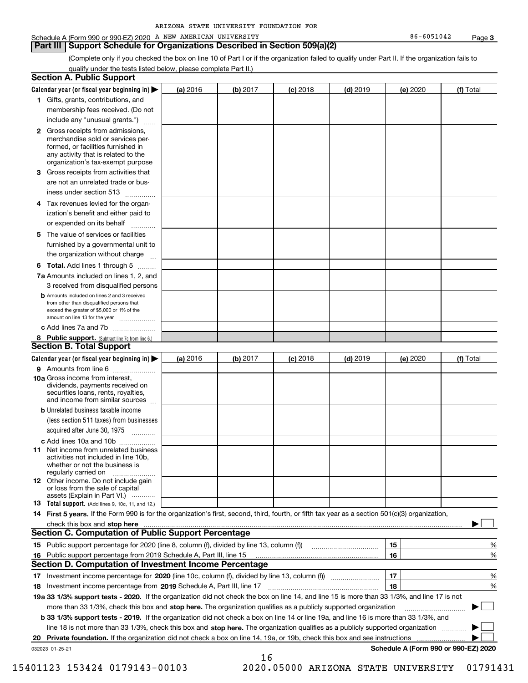**Part III Support Schedule for Organizations Described in Section 509(a)(2)** 

(Complete only if you checked the box on line 10 of Part I or if the organization failed to qualify under Part II. If the organization fails to qualify under the tests listed below, please complete Part II.)

|    | <b>Section A. Public Support</b>                                                                                                                                                                                                                                                      |          |          |            |            |          |                                      |
|----|---------------------------------------------------------------------------------------------------------------------------------------------------------------------------------------------------------------------------------------------------------------------------------------|----------|----------|------------|------------|----------|--------------------------------------|
|    | Calendar year (or fiscal year beginning in) $\blacktriangleright$                                                                                                                                                                                                                     | (a) 2016 | (b) 2017 | $(c)$ 2018 | $(d)$ 2019 | (e) 2020 | (f) Total                            |
|    | 1 Gifts, grants, contributions, and                                                                                                                                                                                                                                                   |          |          |            |            |          |                                      |
|    | membership fees received. (Do not                                                                                                                                                                                                                                                     |          |          |            |            |          |                                      |
|    | include any "unusual grants.")                                                                                                                                                                                                                                                        |          |          |            |            |          |                                      |
|    | <b>2</b> Gross receipts from admissions,<br>merchandise sold or services per-<br>formed, or facilities furnished in<br>any activity that is related to the<br>organization's tax-exempt purpose                                                                                       |          |          |            |            |          |                                      |
|    | 3 Gross receipts from activities that<br>are not an unrelated trade or bus-                                                                                                                                                                                                           |          |          |            |            |          |                                      |
|    | iness under section 513                                                                                                                                                                                                                                                               |          |          |            |            |          |                                      |
|    | 4 Tax revenues levied for the organ-<br>ization's benefit and either paid to<br>or expended on its behalf                                                                                                                                                                             |          |          |            |            |          |                                      |
|    | .<br>5 The value of services or facilities                                                                                                                                                                                                                                            |          |          |            |            |          |                                      |
|    | furnished by a governmental unit to<br>the organization without charge                                                                                                                                                                                                                |          |          |            |            |          |                                      |
|    | <b>6 Total.</b> Add lines 1 through 5                                                                                                                                                                                                                                                 |          |          |            |            |          |                                      |
|    | 7a Amounts included on lines 1, 2, and<br>3 received from disqualified persons                                                                                                                                                                                                        |          |          |            |            |          |                                      |
|    | <b>b</b> Amounts included on lines 2 and 3 received<br>from other than disqualified persons that<br>exceed the greater of \$5,000 or 1% of the<br>amount on line 13 for the year                                                                                                      |          |          |            |            |          |                                      |
|    | c Add lines 7a and 7b                                                                                                                                                                                                                                                                 |          |          |            |            |          |                                      |
|    | 8 Public support. (Subtract line 7c from line 6.)<br><b>Section B. Total Support</b>                                                                                                                                                                                                  |          |          |            |            |          |                                      |
|    | Calendar year (or fiscal year beginning in)                                                                                                                                                                                                                                           | (a) 2016 | (b) 2017 | $(c)$ 2018 | $(d)$ 2019 | (e) 2020 | (f) Total                            |
|    | 9 Amounts from line 6                                                                                                                                                                                                                                                                 |          |          |            |            |          |                                      |
|    | 10a Gross income from interest,<br>dividends, payments received on<br>securities loans, rents, royalties,<br>and income from similar sources                                                                                                                                          |          |          |            |            |          |                                      |
|    | <b>b</b> Unrelated business taxable income                                                                                                                                                                                                                                            |          |          |            |            |          |                                      |
|    | (less section 511 taxes) from businesses                                                                                                                                                                                                                                              |          |          |            |            |          |                                      |
|    | acquired after June 30, 1975                                                                                                                                                                                                                                                          |          |          |            |            |          |                                      |
|    | c Add lines 10a and 10b                                                                                                                                                                                                                                                               |          |          |            |            |          |                                      |
|    | 11 Net income from unrelated business<br>activities not included in line 10b,<br>whether or not the business is<br>regularly carried on                                                                                                                                               |          |          |            |            |          |                                      |
|    | <b>12</b> Other income. Do not include gain<br>or loss from the sale of capital<br>assets (Explain in Part VI.)                                                                                                                                                                       |          |          |            |            |          |                                      |
|    | <b>13</b> Total support. (Add lines 9, 10c, 11, and 12.)                                                                                                                                                                                                                              |          |          |            |            |          |                                      |
|    | 14 First 5 years. If the Form 990 is for the organization's first, second, third, fourth, or fifth tax year as a section 501(c)(3) organization,                                                                                                                                      |          |          |            |            |          |                                      |
|    | check this box and stop here measured and contained a state of the state of the state of the state of the state of the state of the state of the state of the state of the state of the state of the state of the state of the<br>Section C. Computation of Public Support Percentage |          |          |            |            |          |                                      |
|    |                                                                                                                                                                                                                                                                                       |          |          |            |            | 15       | %                                    |
|    | 16 Public support percentage from 2019 Schedule A, Part III, line 15                                                                                                                                                                                                                  |          |          |            |            | 16       | %                                    |
|    | <b>Section D. Computation of Investment Income Percentage</b>                                                                                                                                                                                                                         |          |          |            |            |          |                                      |
|    | 17 Investment income percentage for 2020 (line 10c, column (f), divided by line 13, column (f))                                                                                                                                                                                       |          |          |            |            | 17       | %                                    |
|    | <b>18</b> Investment income percentage from <b>2019</b> Schedule A, Part III, line 17                                                                                                                                                                                                 |          |          |            |            | 18       | %                                    |
|    | 19a 33 1/3% support tests - 2020. If the organization did not check the box on line 14, and line 15 is more than 33 1/3%, and line 17 is not                                                                                                                                          |          |          |            |            |          | $\sim$ 1                             |
|    | more than 33 1/3%, check this box and stop here. The organization qualifies as a publicly supported organization<br><b>b 33 1/3% support tests - 2019.</b> If the organization did not check a box on line 14 or line 19a, and line 16 is more than 33 1/3%, and                      |          |          |            |            |          |                                      |
|    | line 18 is not more than 33 1/3%, check this box and stop here. The organization qualifies as a publicly supported organization                                                                                                                                                       |          |          |            |            |          |                                      |
| 20 | <b>Private foundation.</b> If the organization did not check a box on line 14, 19a, or 19b, check this box and see instructions                                                                                                                                                       |          |          |            |            |          |                                      |
|    | 032023 01-25-21                                                                                                                                                                                                                                                                       |          |          |            |            |          | Schedule A (Form 990 or 990-EZ) 2020 |
|    |                                                                                                                                                                                                                                                                                       |          | 16       |            |            |          |                                      |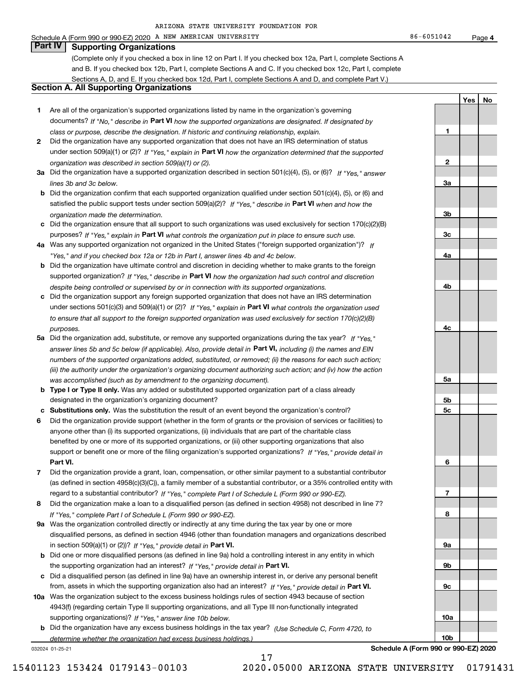Schedule A (Form 990 or 990-EZ) 2020 A NEW AMERICAN UNIVERSITY 86-6051042 Page

**1**

**2**

**3a**

**3b**

**3c**

**4a**

**4b**

**4c**

**5a**

**5b5c**

**6**

**7**

**8**

**9a**

**9b**

**9c**

**10a**

**10b**

**YesNo**

# **Part IV Supporting Organizations**

(Complete only if you checked a box in line 12 on Part I. If you checked box 12a, Part I, complete Sections A and B. If you checked box 12b, Part I, complete Sections A and C. If you checked box 12c, Part I, complete Sections A, D, and E. If you checked box 12d, Part I, complete Sections A and D, and complete Part V.)

### **Section A. All Supporting Organizations**

- **1** Are all of the organization's supported organizations listed by name in the organization's governing documents? If "No," describe in **Part VI** how the supported organizations are designated. If designated by *class or purpose, describe the designation. If historic and continuing relationship, explain.*
- **2** Did the organization have any supported organization that does not have an IRS determination of status under section 509(a)(1) or (2)? If "Yes," explain in Part VI how the organization determined that the supported *organization was described in section 509(a)(1) or (2).*
- **3a** Did the organization have a supported organization described in section 501(c)(4), (5), or (6)? If "Yes," answer *lines 3b and 3c below.*
- **b** Did the organization confirm that each supported organization qualified under section 501(c)(4), (5), or (6) and satisfied the public support tests under section 509(a)(2)? If "Yes," describe in **Part VI** when and how the *organization made the determination.*
- **c**Did the organization ensure that all support to such organizations was used exclusively for section 170(c)(2)(B) purposes? If "Yes," explain in **Part VI** what controls the organization put in place to ensure such use.
- **4a***If* Was any supported organization not organized in the United States ("foreign supported organization")? *"Yes," and if you checked box 12a or 12b in Part I, answer lines 4b and 4c below.*
- **b** Did the organization have ultimate control and discretion in deciding whether to make grants to the foreign supported organization? If "Yes," describe in **Part VI** how the organization had such control and discretion *despite being controlled or supervised by or in connection with its supported organizations.*
- **c** Did the organization support any foreign supported organization that does not have an IRS determination under sections 501(c)(3) and 509(a)(1) or (2)? If "Yes," explain in **Part VI** what controls the organization used *to ensure that all support to the foreign supported organization was used exclusively for section 170(c)(2)(B) purposes.*
- **5a** Did the organization add, substitute, or remove any supported organizations during the tax year? If "Yes," answer lines 5b and 5c below (if applicable). Also, provide detail in **Part VI,** including (i) the names and EIN *numbers of the supported organizations added, substituted, or removed; (ii) the reasons for each such action; (iii) the authority under the organization's organizing document authorizing such action; and (iv) how the action was accomplished (such as by amendment to the organizing document).*
- **b** Type I or Type II only. Was any added or substituted supported organization part of a class already designated in the organization's organizing document?
- **cSubstitutions only.**  Was the substitution the result of an event beyond the organization's control?
- **6** Did the organization provide support (whether in the form of grants or the provision of services or facilities) to **Part VI.** *If "Yes," provide detail in* support or benefit one or more of the filing organization's supported organizations? anyone other than (i) its supported organizations, (ii) individuals that are part of the charitable class benefited by one or more of its supported organizations, or (iii) other supporting organizations that also
- **7**Did the organization provide a grant, loan, compensation, or other similar payment to a substantial contributor *If "Yes," complete Part I of Schedule L (Form 990 or 990-EZ).* regard to a substantial contributor? (as defined in section 4958(c)(3)(C)), a family member of a substantial contributor, or a 35% controlled entity with
- **8** Did the organization make a loan to a disqualified person (as defined in section 4958) not described in line 7? *If "Yes," complete Part I of Schedule L (Form 990 or 990-EZ).*
- **9a** Was the organization controlled directly or indirectly at any time during the tax year by one or more in section 509(a)(1) or (2))? If "Yes," *provide detail in* <code>Part VI.</code> disqualified persons, as defined in section 4946 (other than foundation managers and organizations described
- **b**the supporting organization had an interest? If "Yes," provide detail in P**art VI**. Did one or more disqualified persons (as defined in line 9a) hold a controlling interest in any entity in which
- **c**Did a disqualified person (as defined in line 9a) have an ownership interest in, or derive any personal benefit from, assets in which the supporting organization also had an interest? If "Yes," provide detail in P**art VI.**
- **10a** Was the organization subject to the excess business holdings rules of section 4943 because of section supporting organizations)? If "Yes," answer line 10b below. 4943(f) (regarding certain Type II supporting organizations, and all Type III non-functionally integrated
- **b** Did the organization have any excess business holdings in the tax year? (Use Schedule C, Form 4720, to *determine whether the organization had excess business holdings.)*

17

032024 01-25-21

**Schedule A (Form 990 or 990-EZ) 2020**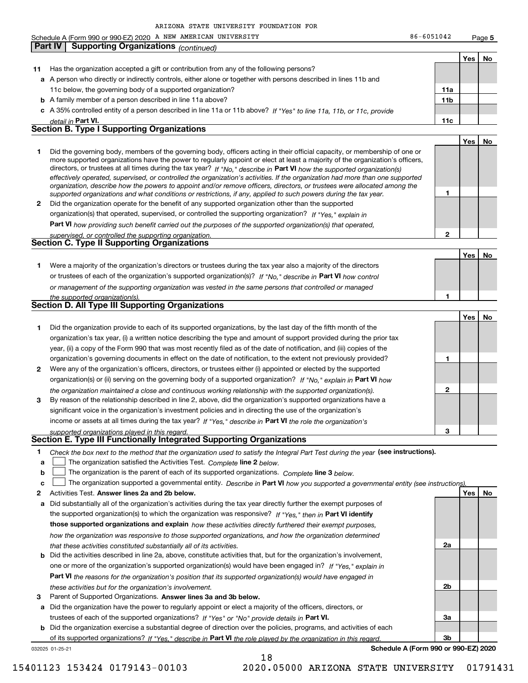|    | Schedule A (Form 990 or 990-EZ) 2020 A NEW AMERICAN UNIVERSITY                                                                                                                                                                                             | 86-6051042                           |     | Page 5 |
|----|------------------------------------------------------------------------------------------------------------------------------------------------------------------------------------------------------------------------------------------------------------|--------------------------------------|-----|--------|
|    | <b>Supporting Organizations (continued)</b><br>Part IV                                                                                                                                                                                                     |                                      |     |        |
|    |                                                                                                                                                                                                                                                            |                                      | Yes | No     |
| 11 | Has the organization accepted a gift or contribution from any of the following persons?                                                                                                                                                                    |                                      |     |        |
|    | a A person who directly or indirectly controls, either alone or together with persons described in lines 11b and                                                                                                                                           |                                      |     |        |
|    | 11c below, the governing body of a supported organization?                                                                                                                                                                                                 | 11a                                  |     |        |
|    | <b>b</b> A family member of a person described in line 11a above?                                                                                                                                                                                          | 11 <sub>b</sub>                      |     |        |
|    | c A 35% controlled entity of a person described in line 11a or 11b above? If "Yes" to line 11a, 11b, or 11c, provide                                                                                                                                       |                                      |     |        |
|    | detail in Part VI.                                                                                                                                                                                                                                         | 11c                                  |     |        |
|    | <b>Section B. Type I Supporting Organizations</b>                                                                                                                                                                                                          |                                      |     |        |
|    |                                                                                                                                                                                                                                                            |                                      | Yes | No     |
| 1  | Did the governing body, members of the governing body, officers acting in their official capacity, or membership of one or                                                                                                                                 |                                      |     |        |
|    | more supported organizations have the power to regularly appoint or elect at least a majority of the organization's officers,                                                                                                                              |                                      |     |        |
|    | directors, or trustees at all times during the tax year? If "No," describe in Part VI how the supported organization(s)                                                                                                                                    |                                      |     |        |
|    | effectively operated, supervised, or controlled the organization's activities. If the organization had more than one supported<br>organization, describe how the powers to appoint and/or remove officers, directors, or trustees were allocated among the |                                      |     |        |
|    | supported organizations and what conditions or restrictions, if any, applied to such powers during the tax year.                                                                                                                                           | 1                                    |     |        |
| 2  | Did the organization operate for the benefit of any supported organization other than the supported                                                                                                                                                        |                                      |     |        |
|    | organization(s) that operated, supervised, or controlled the supporting organization? If "Yes," explain in                                                                                                                                                 |                                      |     |        |
|    | Part VI how providing such benefit carried out the purposes of the supported organization(s) that operated,                                                                                                                                                |                                      |     |        |
|    | supervised, or controlled the supporting organization.                                                                                                                                                                                                     | 2                                    |     |        |
|    | <b>Section C. Type II Supporting Organizations</b>                                                                                                                                                                                                         |                                      |     |        |
|    |                                                                                                                                                                                                                                                            |                                      | Yes | No     |
| 1  | Were a majority of the organization's directors or trustees during the tax year also a majority of the directors                                                                                                                                           |                                      |     |        |
|    | or trustees of each of the organization's supported organization(s)? If "No," describe in Part VI how control                                                                                                                                              |                                      |     |        |
|    | or management of the supporting organization was vested in the same persons that controlled or managed                                                                                                                                                     |                                      |     |        |
|    | the supported organization(s).                                                                                                                                                                                                                             | 1                                    |     |        |
|    | Section D. All Type III Supporting Organizations                                                                                                                                                                                                           |                                      |     |        |
|    |                                                                                                                                                                                                                                                            |                                      | Yes | No     |
| 1  | Did the organization provide to each of its supported organizations, by the last day of the fifth month of the                                                                                                                                             |                                      |     |        |
|    | organization's tax year, (i) a written notice describing the type and amount of support provided during the prior tax                                                                                                                                      |                                      |     |        |
|    | year, (ii) a copy of the Form 990 that was most recently filed as of the date of notification, and (iii) copies of the                                                                                                                                     |                                      |     |        |
|    | organization's governing documents in effect on the date of notification, to the extent not previously provided?                                                                                                                                           | 1                                    |     |        |
| 2  | Were any of the organization's officers, directors, or trustees either (i) appointed or elected by the supported                                                                                                                                           |                                      |     |        |
|    | organization(s) or (ii) serving on the governing body of a supported organization? If "No," explain in Part VI how                                                                                                                                         |                                      |     |        |
|    | the organization maintained a close and continuous working relationship with the supported organization(s).                                                                                                                                                | 2                                    |     |        |
| 3  | By reason of the relationship described in line 2, above, did the organization's supported organizations have a                                                                                                                                            |                                      |     |        |
|    | significant voice in the organization's investment policies and in directing the use of the organization's                                                                                                                                                 |                                      |     |        |
|    | income or assets at all times during the tax year? If "Yes," describe in Part VI the role the organization's                                                                                                                                               |                                      |     |        |
|    | supported organizations played in this regard.                                                                                                                                                                                                             | 3                                    |     |        |
|    | Section E. Type III Functionally Integrated Supporting Organizations                                                                                                                                                                                       |                                      |     |        |
| 1  | Check the box next to the method that the organization used to satisfy the Integral Part Test during the year (see instructions).                                                                                                                          |                                      |     |        |
| a  | The organization satisfied the Activities Test. Complete line 2 below.                                                                                                                                                                                     |                                      |     |        |
| b  | The organization is the parent of each of its supported organizations. Complete line 3 below.                                                                                                                                                              |                                      |     |        |
| c  | The organization supported a governmental entity. Describe in Part VI how you supported a governmental entity (see instructions).                                                                                                                          |                                      |     |        |
| 2  | Activities Test. Answer lines 2a and 2b below.                                                                                                                                                                                                             |                                      | Yes | No     |
| a  | Did substantially all of the organization's activities during the tax year directly further the exempt purposes of                                                                                                                                         |                                      |     |        |
|    | the supported organization(s) to which the organization was responsive? If "Yes," then in Part VI identify                                                                                                                                                 |                                      |     |        |
|    | those supported organizations and explain how these activities directly furthered their exempt purposes,                                                                                                                                                   |                                      |     |        |
|    | how the organization was responsive to those supported organizations, and how the organization determined                                                                                                                                                  |                                      |     |        |
|    | that these activities constituted substantially all of its activities.                                                                                                                                                                                     | 2a                                   |     |        |
|    | <b>b</b> Did the activities described in line 2a, above, constitute activities that, but for the organization's involvement,                                                                                                                               |                                      |     |        |
|    | one or more of the organization's supported organization(s) would have been engaged in? If "Yes," explain in                                                                                                                                               |                                      |     |        |
|    | Part VI the reasons for the organization's position that its supported organization(s) would have engaged in                                                                                                                                               |                                      |     |        |
|    |                                                                                                                                                                                                                                                            | 2b                                   |     |        |
| з  | these activities but for the organization's involvement.<br>Parent of Supported Organizations. Answer lines 3a and 3b below.                                                                                                                               |                                      |     |        |
|    | Did the organization have the power to regularly appoint or elect a majority of the officers, directors, or                                                                                                                                                |                                      |     |        |
| a  | trustees of each of the supported organizations? If "Yes" or "No" provide details in Part VI.                                                                                                                                                              | За                                   |     |        |
|    |                                                                                                                                                                                                                                                            |                                      |     |        |
|    | <b>b</b> Did the organization exercise a substantial degree of direction over the policies, programs, and activities of each                                                                                                                               | 3b                                   |     |        |
|    | of its supported organizations? If "Yes," describe in Part VI the role played by the organization in this regard.<br>032025 01-25-21                                                                                                                       | Schedule A (Form 990 or 990-EZ) 2020 |     |        |

18

**Schedule A (Form 990 or 990-EZ) 2020**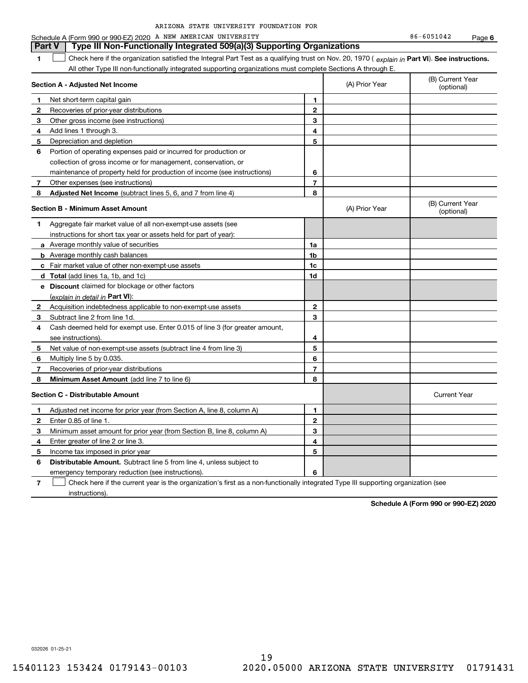|  |  |  | ARIZONA STATE UNIVERSITY FOUNDATION FOR |  |
|--|--|--|-----------------------------------------|--|
|--|--|--|-----------------------------------------|--|

**6** Schedule A (Form 990 or 990-EZ) 2020 A NEW AMERICAN UNIVERSITY 86-6051042 Page

|    | Type III Non-Functionally Integrated 509(a)(3) Supporting Organizations<br>Part V                                                              |                |                |                                |  |  |  |
|----|------------------------------------------------------------------------------------------------------------------------------------------------|----------------|----------------|--------------------------------|--|--|--|
| 1. | Check here if the organization satisfied the Integral Part Test as a qualifying trust on Nov. 20, 1970 (explain in Part VI). See instructions. |                |                |                                |  |  |  |
|    | All other Type III non-functionally integrated supporting organizations must complete Sections A through E.                                    |                |                |                                |  |  |  |
|    | Section A - Adjusted Net Income                                                                                                                |                | (A) Prior Year | (B) Current Year<br>(optional) |  |  |  |
| 1  | Net short-term capital gain                                                                                                                    | 1              |                |                                |  |  |  |
| 2  | Recoveries of prior-year distributions                                                                                                         | 2              |                |                                |  |  |  |
| 3  | Other gross income (see instructions)                                                                                                          | 3              |                |                                |  |  |  |
| 4  | Add lines 1 through 3.                                                                                                                         | 4              |                |                                |  |  |  |
| 5  | Depreciation and depletion                                                                                                                     | 5              |                |                                |  |  |  |
| 6  | Portion of operating expenses paid or incurred for production or                                                                               |                |                |                                |  |  |  |
|    | collection of gross income or for management, conservation, or                                                                                 |                |                |                                |  |  |  |
|    | maintenance of property held for production of income (see instructions)                                                                       | 6              |                |                                |  |  |  |
| 7  | Other expenses (see instructions)                                                                                                              | $\overline{7}$ |                |                                |  |  |  |
| 8  | Adjusted Net Income (subtract lines 5, 6, and 7 from line 4)                                                                                   | 8              |                |                                |  |  |  |
|    | <b>Section B - Minimum Asset Amount</b>                                                                                                        |                | (A) Prior Year | (B) Current Year<br>(optional) |  |  |  |
| 1  | Aggregate fair market value of all non-exempt-use assets (see                                                                                  |                |                |                                |  |  |  |
|    | instructions for short tax year or assets held for part of year):                                                                              |                |                |                                |  |  |  |
|    | <b>a</b> Average monthly value of securities                                                                                                   | 1a             |                |                                |  |  |  |
|    | <b>b</b> Average monthly cash balances                                                                                                         | 1b             |                |                                |  |  |  |
|    | c Fair market value of other non-exempt-use assets                                                                                             | 1 <sub>c</sub> |                |                                |  |  |  |
|    | <b>d</b> Total (add lines 1a, 1b, and 1c)                                                                                                      | 1d             |                |                                |  |  |  |
|    | e Discount claimed for blockage or other factors                                                                                               |                |                |                                |  |  |  |
|    | (explain in detail in Part VI):                                                                                                                |                |                |                                |  |  |  |
| 2  | Acquisition indebtedness applicable to non-exempt-use assets                                                                                   | $\mathbf{2}$   |                |                                |  |  |  |
| 3  | Subtract line 2 from line 1d.                                                                                                                  | 3              |                |                                |  |  |  |
| 4  | Cash deemed held for exempt use. Enter 0.015 of line 3 (for greater amount,                                                                    |                |                |                                |  |  |  |
|    | see instructions).                                                                                                                             | 4              |                |                                |  |  |  |
| 5  | Net value of non-exempt-use assets (subtract line 4 from line 3)                                                                               | 5              |                |                                |  |  |  |
| 6  | Multiply line 5 by 0.035.                                                                                                                      | 6              |                |                                |  |  |  |
| 7  | Recoveries of prior-year distributions                                                                                                         | $\overline{7}$ |                |                                |  |  |  |
| 8  | Minimum Asset Amount (add line 7 to line 6)                                                                                                    | 8              |                |                                |  |  |  |
|    | <b>Section C - Distributable Amount</b>                                                                                                        |                |                | <b>Current Year</b>            |  |  |  |
| 1  | Adjusted net income for prior year (from Section A, line 8, column A)                                                                          | 1              |                |                                |  |  |  |
| 2  | Enter 0.85 of line 1.                                                                                                                          | $\overline{2}$ |                |                                |  |  |  |
| 3  | Minimum asset amount for prior year (from Section B, line 8, column A)                                                                         | 3              |                |                                |  |  |  |
| 4  | Enter greater of line 2 or line 3.                                                                                                             | 4              |                |                                |  |  |  |
| 5  | Income tax imposed in prior year                                                                                                               | 5              |                |                                |  |  |  |
| 6  | <b>Distributable Amount.</b> Subtract line 5 from line 4, unless subject to                                                                    |                |                |                                |  |  |  |
|    | emergency temporary reduction (see instructions).                                                                                              | 6              |                |                                |  |  |  |

**7**Check here if the current year is the organization's first as a non-functionally integrated Type III supporting organization (see instructions).

**Schedule A (Form 990 or 990-EZ) 2020**

032026 01-25-21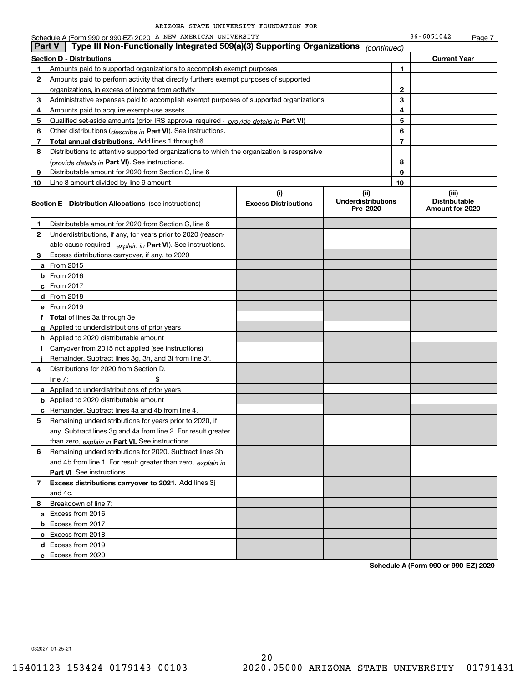Schedule A (Form 990 or 990-EZ) 2020 A NEW AMERICAN UNIVERSITY 86-6051042 Page

Page **7** 

|              | . agu r<br>Type III Non-Functionally Integrated 509(a)(3) Supporting Organizations<br><b>Part V</b><br>(continued) |                                    |                                               |                                                  |  |  |  |
|--------------|--------------------------------------------------------------------------------------------------------------------|------------------------------------|-----------------------------------------------|--------------------------------------------------|--|--|--|
|              | <b>Section D - Distributions</b>                                                                                   |                                    |                                               | <b>Current Year</b>                              |  |  |  |
| 1            | Amounts paid to supported organizations to accomplish exempt purposes                                              |                                    | 1                                             |                                                  |  |  |  |
| 2            | Amounts paid to perform activity that directly furthers exempt purposes of supported                               |                                    |                                               |                                                  |  |  |  |
|              | organizations, in excess of income from activity                                                                   | 2                                  |                                               |                                                  |  |  |  |
| 3            | Administrative expenses paid to accomplish exempt purposes of supported organizations                              |                                    | З                                             |                                                  |  |  |  |
| 4            | Amounts paid to acquire exempt-use assets                                                                          |                                    | 4                                             |                                                  |  |  |  |
| 5            | Qualified set-aside amounts (prior IRS approval required - provide details in Part VI)                             |                                    | 5                                             |                                                  |  |  |  |
| 6            | Other distributions ( <i>describe in</i> Part VI). See instructions.                                               |                                    | 6                                             |                                                  |  |  |  |
| 7            | <b>Total annual distributions.</b> Add lines 1 through 6.                                                          |                                    | 7                                             |                                                  |  |  |  |
| 8            | Distributions to attentive supported organizations to which the organization is responsive                         |                                    |                                               |                                                  |  |  |  |
|              | (provide details in Part VI). See instructions.                                                                    |                                    | 8                                             |                                                  |  |  |  |
| 9            | Distributable amount for 2020 from Section C, line 6                                                               |                                    | 9                                             |                                                  |  |  |  |
| 10           | Line 8 amount divided by line 9 amount                                                                             |                                    | 10                                            |                                                  |  |  |  |
|              | <b>Section E - Distribution Allocations</b> (see instructions)                                                     | (i)<br><b>Excess Distributions</b> | (ii)<br><b>Underdistributions</b><br>Pre-2020 | (iii)<br><b>Distributable</b><br>Amount for 2020 |  |  |  |
| 1            | Distributable amount for 2020 from Section C, line 6                                                               |                                    |                                               |                                                  |  |  |  |
| 2            | Underdistributions, if any, for years prior to 2020 (reason-                                                       |                                    |                                               |                                                  |  |  |  |
|              | able cause required - explain in Part VI). See instructions.                                                       |                                    |                                               |                                                  |  |  |  |
| 3            | Excess distributions carryover, if any, to 2020                                                                    |                                    |                                               |                                                  |  |  |  |
|              | <b>a</b> From 2015                                                                                                 |                                    |                                               |                                                  |  |  |  |
|              | <b>b</b> From $2016$                                                                                               |                                    |                                               |                                                  |  |  |  |
|              | <b>c</b> From 2017                                                                                                 |                                    |                                               |                                                  |  |  |  |
|              | $d$ From 2018                                                                                                      |                                    |                                               |                                                  |  |  |  |
|              | e From 2019                                                                                                        |                                    |                                               |                                                  |  |  |  |
|              | f Total of lines 3a through 3e                                                                                     |                                    |                                               |                                                  |  |  |  |
|              | g Applied to underdistributions of prior years                                                                     |                                    |                                               |                                                  |  |  |  |
|              | <b>h</b> Applied to 2020 distributable amount                                                                      |                                    |                                               |                                                  |  |  |  |
| j.           | Carryover from 2015 not applied (see instructions)                                                                 |                                    |                                               |                                                  |  |  |  |
|              | Remainder. Subtract lines 3g, 3h, and 3i from line 3f.                                                             |                                    |                                               |                                                  |  |  |  |
| 4            | Distributions for 2020 from Section D,                                                                             |                                    |                                               |                                                  |  |  |  |
|              | \$<br>line $7:$                                                                                                    |                                    |                                               |                                                  |  |  |  |
|              | a Applied to underdistributions of prior years                                                                     |                                    |                                               |                                                  |  |  |  |
|              | <b>b</b> Applied to 2020 distributable amount                                                                      |                                    |                                               |                                                  |  |  |  |
|              | <b>c</b> Remainder. Subtract lines 4a and 4b from line 4.                                                          |                                    |                                               |                                                  |  |  |  |
| 5            | Remaining underdistributions for years prior to 2020, if                                                           |                                    |                                               |                                                  |  |  |  |
|              | any. Subtract lines 3g and 4a from line 2. For result greater                                                      |                                    |                                               |                                                  |  |  |  |
|              | than zero, explain in Part VI. See instructions.                                                                   |                                    |                                               |                                                  |  |  |  |
| 6            | Remaining underdistributions for 2020. Subtract lines 3h                                                           |                                    |                                               |                                                  |  |  |  |
|              | and 4b from line 1. For result greater than zero, explain in                                                       |                                    |                                               |                                                  |  |  |  |
|              | Part VI. See instructions.                                                                                         |                                    |                                               |                                                  |  |  |  |
| $\mathbf{7}$ | Excess distributions carryover to 2021. Add lines 3j                                                               |                                    |                                               |                                                  |  |  |  |
|              | and 4c.                                                                                                            |                                    |                                               |                                                  |  |  |  |
| 8            | Breakdown of line 7:                                                                                               |                                    |                                               |                                                  |  |  |  |
|              | a Excess from 2016                                                                                                 |                                    |                                               |                                                  |  |  |  |
|              | <b>b</b> Excess from 2017                                                                                          |                                    |                                               |                                                  |  |  |  |
|              | c Excess from 2018                                                                                                 |                                    |                                               |                                                  |  |  |  |
|              | d Excess from 2019                                                                                                 |                                    |                                               |                                                  |  |  |  |
|              | e Excess from 2020                                                                                                 |                                    |                                               |                                                  |  |  |  |

**Schedule A (Form 990 or 990-EZ) 2020**

032027 01-25-21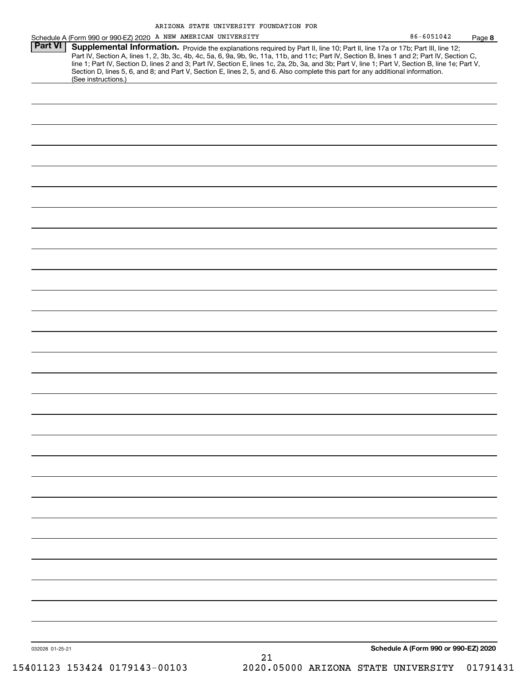| 86-6051042 | Page 8 |
|------------|--------|
|------------|--------|

|                | ARIZONA STATE UNIVERSITY FOUNDATION FOR                                                                                                                                                                                                                                                                                                                                                                                                                                                                                                                                                     |            |        |
|----------------|---------------------------------------------------------------------------------------------------------------------------------------------------------------------------------------------------------------------------------------------------------------------------------------------------------------------------------------------------------------------------------------------------------------------------------------------------------------------------------------------------------------------------------------------------------------------------------------------|------------|--------|
|                | Schedule A (Form 990 or 990-EZ) 2020 A NEW AMERICAN UNIVERSITY                                                                                                                                                                                                                                                                                                                                                                                                                                                                                                                              | 86-6051042 | Page 8 |
| <b>Part VI</b> | Supplemental Information. Provide the explanations required by Part II, line 10; Part II, line 17a or 17b; Part III, line 12;<br>Part IV, Section A, lines 1, 2, 3b, 3c, 4b, 4c, 5a, 6, 9a, 9b, 9c, 11a, 11b, and 11c; Part IV, Section B, lines 1 and 2; Part IV, Section C,<br>line 1; Part IV, Section D, lines 2 and 3; Part IV, Section E, lines 1c, 2a, 2b, 3a, and 3b; Part V, line 1; Part V, Section B, line 1e; Part V,<br>Section D, lines 5, 6, and 8; and Part V, Section E, lines 2, 5, and 6. Also complete this part for any additional information.<br>(See instructions.) |            |        |
|                |                                                                                                                                                                                                                                                                                                                                                                                                                                                                                                                                                                                             |            |        |
|                |                                                                                                                                                                                                                                                                                                                                                                                                                                                                                                                                                                                             |            |        |
|                |                                                                                                                                                                                                                                                                                                                                                                                                                                                                                                                                                                                             |            |        |
|                |                                                                                                                                                                                                                                                                                                                                                                                                                                                                                                                                                                                             |            |        |
|                |                                                                                                                                                                                                                                                                                                                                                                                                                                                                                                                                                                                             |            |        |
|                |                                                                                                                                                                                                                                                                                                                                                                                                                                                                                                                                                                                             |            |        |
|                |                                                                                                                                                                                                                                                                                                                                                                                                                                                                                                                                                                                             |            |        |
|                |                                                                                                                                                                                                                                                                                                                                                                                                                                                                                                                                                                                             |            |        |
|                |                                                                                                                                                                                                                                                                                                                                                                                                                                                                                                                                                                                             |            |        |

032028 01-25-21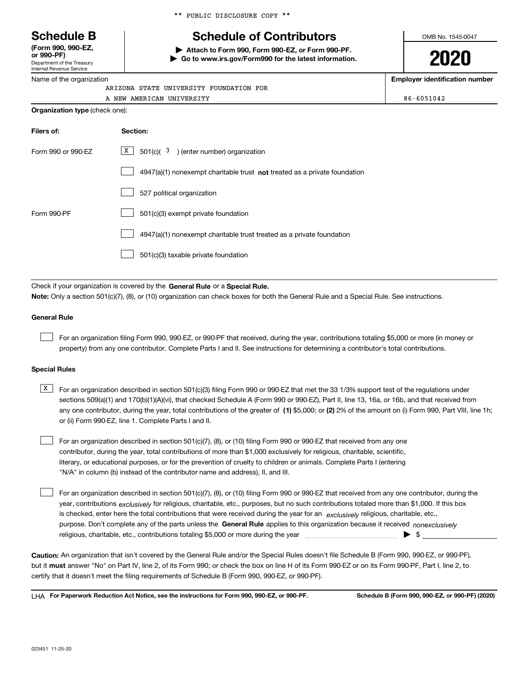Department of the Treasury **(Form 990, 990-EZ, or 990-PF)**

| Internal Revenue Service |  |  |  |  |  |  |  |  |
|--------------------------|--|--|--|--|--|--|--|--|
| $\blacksquare$           |  |  |  |  |  |  |  |  |

Name of the organization

# **Schedule B Schedule of Contributors**

**| Attach to Form 990, Form 990-EZ, or Form 990-PF. | Go to www.irs.gov/Form990 for the latest information.** OMB No. 1545-0047

**2020**

**Employer identification number**

| -<br>ARIZONA STATE UNIVERSITY FOUNDATION FOR |            |
|----------------------------------------------|------------|
| A NEW AMERICAN UNIVERSITY                    | 86-6051042 |
| Organization type (check one):               |            |

| Filers of:         | Section:                                                                    |  |  |  |  |
|--------------------|-----------------------------------------------------------------------------|--|--|--|--|
| Form 990 or 990-EZ | X<br>$501(c)$ ( $3$ ) (enter number) organization                           |  |  |  |  |
|                    | $4947(a)(1)$ nonexempt charitable trust not treated as a private foundation |  |  |  |  |
|                    | 527 political organization                                                  |  |  |  |  |
| Form 990-PF        | 501(c)(3) exempt private foundation                                         |  |  |  |  |
|                    | 4947(a)(1) nonexempt charitable trust treated as a private foundation       |  |  |  |  |
|                    | 501(c)(3) taxable private foundation                                        |  |  |  |  |

Check if your organization is covered by the **General Rule** or a **Special Rule. Note:**  Only a section 501(c)(7), (8), or (10) organization can check boxes for both the General Rule and a Special Rule. See instructions.

### **General Rule**

 $\mathcal{L}^{\text{max}}$ 

For an organization filing Form 990, 990-EZ, or 990-PF that received, during the year, contributions totaling \$5,000 or more (in money or property) from any one contributor. Complete Parts I and II. See instructions for determining a contributor's total contributions.

#### **Special Rules**

any one contributor, during the year, total contributions of the greater of  $\,$  (1) \$5,000; or **(2)** 2% of the amount on (i) Form 990, Part VIII, line 1h;  $\overline{X}$  For an organization described in section 501(c)(3) filing Form 990 or 990-EZ that met the 33 1/3% support test of the regulations under sections 509(a)(1) and 170(b)(1)(A)(vi), that checked Schedule A (Form 990 or 990-EZ), Part II, line 13, 16a, or 16b, and that received from or (ii) Form 990-EZ, line 1. Complete Parts I and II.

For an organization described in section 501(c)(7), (8), or (10) filing Form 990 or 990-EZ that received from any one contributor, during the year, total contributions of more than \$1,000 exclusively for religious, charitable, scientific, literary, or educational purposes, or for the prevention of cruelty to children or animals. Complete Parts I (entering "N/A" in column (b) instead of the contributor name and address), II, and III.  $\mathcal{L}^{\text{max}}$ 

purpose. Don't complete any of the parts unless the **General Rule** applies to this organization because it received *nonexclusively* year, contributions <sub>exclusively</sub> for religious, charitable, etc., purposes, but no such contributions totaled more than \$1,000. If this box is checked, enter here the total contributions that were received during the year for an  $\;$ exclusively religious, charitable, etc., For an organization described in section 501(c)(7), (8), or (10) filing Form 990 or 990-EZ that received from any one contributor, during the religious, charitable, etc., contributions totaling \$5,000 or more during the year  $\Box$ — $\Box$   $\Box$  $\mathcal{L}^{\text{max}}$ 

**Caution:**  An organization that isn't covered by the General Rule and/or the Special Rules doesn't file Schedule B (Form 990, 990-EZ, or 990-PF),  **must** but it answer "No" on Part IV, line 2, of its Form 990; or check the box on line H of its Form 990-EZ or on its Form 990-PF, Part I, line 2, to certify that it doesn't meet the filing requirements of Schedule B (Form 990, 990-EZ, or 990-PF).

**For Paperwork Reduction Act Notice, see the instructions for Form 990, 990-EZ, or 990-PF. Schedule B (Form 990, 990-EZ, or 990-PF) (2020)** LHA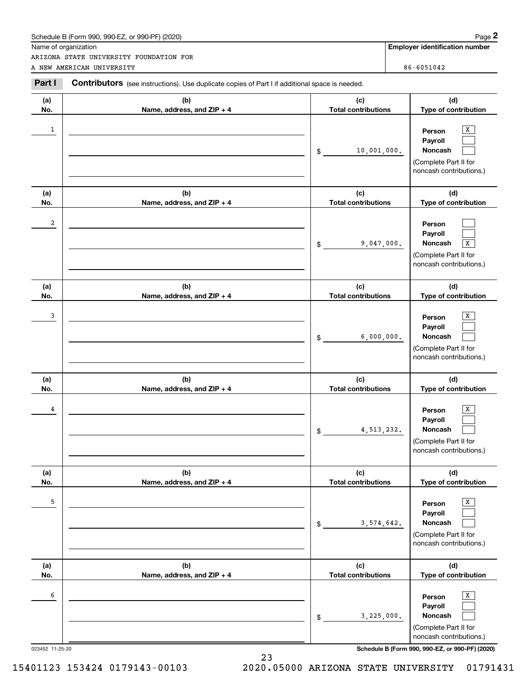|                      | Schedule B (Form 990, 990-EZ, or 990-PF) (2020)                                                       |                                   | Page 2                                                                                             |
|----------------------|-------------------------------------------------------------------------------------------------------|-----------------------------------|----------------------------------------------------------------------------------------------------|
| Name of organization | ARIZONA STATE UNIVERSITY FOUNDATION FOR                                                               |                                   | <b>Employer identification number</b>                                                              |
|                      | A NEW AMERICAN UNIVERSITY                                                                             |                                   | 86-6051042                                                                                         |
| Part I               | <b>Contributors</b> (see instructions). Use duplicate copies of Part I if additional space is needed. |                                   |                                                                                                    |
| (a)<br>No.           | (b)<br>Name, address, and ZIP + 4                                                                     | (c)<br><b>Total contributions</b> | (d)<br>Type of contribution                                                                        |
| 1                    |                                                                                                       | 10,001,000.<br>\$                 | X<br>Person<br>Payroll<br>Noncash<br>(Complete Part II for<br>noncash contributions.)              |
| (a)<br>No.           | (b)<br>Name, address, and ZIP + 4                                                                     | (c)<br><b>Total contributions</b> | (d)<br>Type of contribution                                                                        |
| 2                    |                                                                                                       | 9,047,000.<br>\$                  | Person<br>Payroll<br>Noncash<br>$\overline{X}$<br>(Complete Part II for<br>noncash contributions.) |
| (a)<br>No.           | (b)<br>Name, address, and ZIP + 4                                                                     | (c)<br><b>Total contributions</b> | (d)<br>Type of contribution                                                                        |
| 3                    |                                                                                                       | 6,000,000.<br>\$                  | x<br>Person<br>Payroll<br>Noncash<br>(Complete Part II for<br>noncash contributions.)              |
| (a)<br>No.           | (b)<br>Name, address, and ZIP + 4                                                                     | (c)<br><b>Total contributions</b> | (d)<br>Type of contribution                                                                        |
| 4                    |                                                                                                       | 4, 513, 232.<br>\$                | x<br>Person<br>Payroll<br>Noncash<br>(Complete Part II for<br>noncash contributions.)              |
| (a)<br>No.           | (b)<br>Name, address, and ZIP + 4                                                                     | (c)<br><b>Total contributions</b> | (d)<br>Type of contribution                                                                        |
| 5                    |                                                                                                       | 3,574,642.<br>\$                  | X<br>Person<br>Payroll<br>Noncash<br>(Complete Part II for<br>noncash contributions.)              |
| (a)<br>No.           | (b)<br>Name, address, and ZIP + 4                                                                     | (c)<br><b>Total contributions</b> | (d)<br>Type of contribution                                                                        |
| 6                    |                                                                                                       | 3,225,000.<br>\$                  | х<br>Person<br>Payroll<br>Noncash<br>(Complete Part II for<br>noncash contributions.)              |

23

023452 11-25-20 **Schedule B (Form 990, 990-EZ, or 990-PF) (2020)**

15401123 153424 0179143-00103 2020.05000 ARIZONA STATE UNIVERSITY 01791431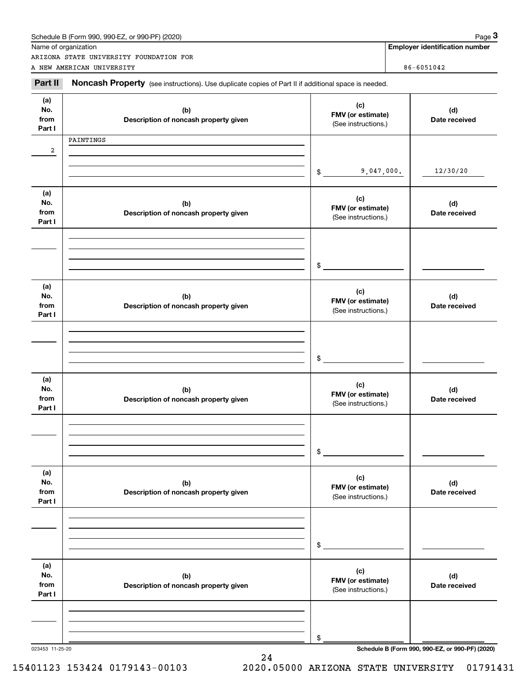|                              | Name of organization<br>ARIZONA STATE UNIVERSITY FOUNDATION FOR                                     |                                                 |                | <b>Employer identification number</b> |  |
|------------------------------|-----------------------------------------------------------------------------------------------------|-------------------------------------------------|----------------|---------------------------------------|--|
|                              | A NEW AMERICAN UNIVERSITY                                                                           |                                                 | $86 - 6051042$ |                                       |  |
| Part II                      | Noncash Property (see instructions). Use duplicate copies of Part II if additional space is needed. |                                                 |                |                                       |  |
| (a)<br>No.<br>from<br>Part I | (b)<br>Description of noncash property given                                                        | (c)<br>FMV (or estimate)<br>(See instructions.) |                | (d)<br>Date received                  |  |
| 2                            | PAINTINGS                                                                                           |                                                 |                |                                       |  |
|                              |                                                                                                     | 9,047,000.<br>\$                                |                | 12/30/20                              |  |
| (a)<br>No.<br>from<br>Part I | (b)<br>Description of noncash property given                                                        | (c)<br>FMV (or estimate)<br>(See instructions.) |                | (d)<br>Date received                  |  |
|                              |                                                                                                     | \$                                              |                |                                       |  |
| (a)<br>No.<br>from<br>Part I | (b)<br>Description of noncash property given                                                        | (c)<br>FMV (or estimate)<br>(See instructions.) |                | (d)<br>Date received                  |  |
|                              |                                                                                                     | \$                                              |                |                                       |  |
| (a)<br>No.<br>from<br>Part I | (b)<br>Description of noncash property given                                                        | (c)<br>FMV (or estimate)<br>(See instructions.) |                | (d)<br>Date received                  |  |
|                              |                                                                                                     | \$                                              |                |                                       |  |
| (a)<br>No.<br>from<br>Part I | (b)<br>Description of noncash property given                                                        | (c)<br>FMV (or estimate)<br>(See instructions.) |                | (d)<br>Date received                  |  |
|                              |                                                                                                     | \$                                              |                |                                       |  |
| (a)<br>No.<br>from<br>Part I | (b)<br>Description of noncash property given                                                        | (c)<br>FMV (or estimate)<br>(See instructions.) |                | (d)<br>Date received                  |  |
|                              |                                                                                                     |                                                 |                |                                       |  |
|                              |                                                                                                     | \$                                              |                |                                       |  |

24

023453 11-25-20 **Schedule B (Form 990, 990-EZ, or 990-PF) (2020)**

15401123 153424 0179143-00103 2020.05000 ARIZONA STATE UNIVERSITY 01791431

Schedule B (Form 990, 990-EZ, or 990-PF) (2020) Page 3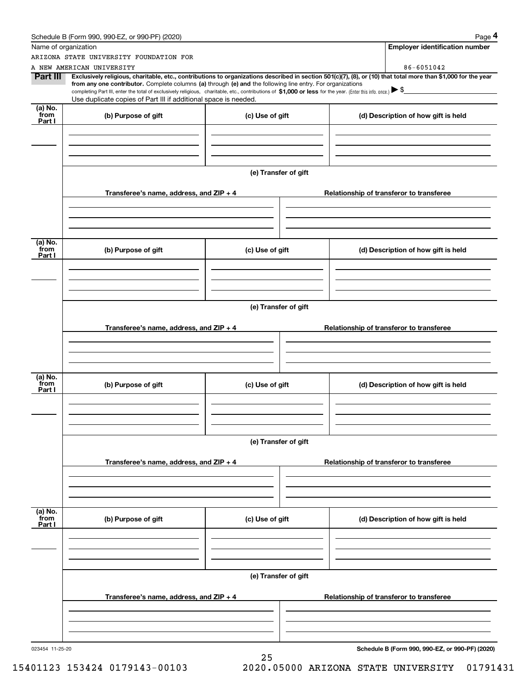|                           | Schedule B (Form 990, 990-EZ, or 990-PF) (2020)                                                                                                                                                                                                                              |                      |  | Page 4                                          |  |  |  |
|---------------------------|------------------------------------------------------------------------------------------------------------------------------------------------------------------------------------------------------------------------------------------------------------------------------|----------------------|--|-------------------------------------------------|--|--|--|
|                           | Name of organization                                                                                                                                                                                                                                                         |                      |  | <b>Employer identification number</b>           |  |  |  |
|                           | ARIZONA STATE UNIVERSITY FOUNDATION FOR                                                                                                                                                                                                                                      |                      |  |                                                 |  |  |  |
|                           | A NEW AMERICAN UNIVERSITY                                                                                                                                                                                                                                                    |                      |  | 86-6051042                                      |  |  |  |
| Part III                  | Exclusively religious, charitable, etc., contributions to organizations described in section 501(c)(7), (8), or (10) that total more than \$1,000 for the year<br>from any one contributor. Complete columns (a) through (e) and the following line entry. For organizations |                      |  |                                                 |  |  |  |
|                           | completing Part III, enter the total of exclusively religious, charitable, etc., contributions of \$1,000 or less for the year. (Enter this info. once.) $\blacktriangleright$ \$                                                                                            |                      |  |                                                 |  |  |  |
|                           | Use duplicate copies of Part III if additional space is needed.                                                                                                                                                                                                              |                      |  |                                                 |  |  |  |
| (a) No.<br>from<br>Part I | (b) Purpose of gift                                                                                                                                                                                                                                                          | (c) Use of gift      |  | (d) Description of how gift is held             |  |  |  |
|                           |                                                                                                                                                                                                                                                                              |                      |  |                                                 |  |  |  |
|                           |                                                                                                                                                                                                                                                                              |                      |  |                                                 |  |  |  |
|                           |                                                                                                                                                                                                                                                                              |                      |  |                                                 |  |  |  |
|                           |                                                                                                                                                                                                                                                                              |                      |  |                                                 |  |  |  |
|                           |                                                                                                                                                                                                                                                                              | (e) Transfer of gift |  |                                                 |  |  |  |
|                           |                                                                                                                                                                                                                                                                              |                      |  |                                                 |  |  |  |
|                           | Transferee's name, address, and ZIP + 4                                                                                                                                                                                                                                      |                      |  | Relationship of transferor to transferee        |  |  |  |
|                           |                                                                                                                                                                                                                                                                              |                      |  |                                                 |  |  |  |
|                           |                                                                                                                                                                                                                                                                              |                      |  |                                                 |  |  |  |
|                           |                                                                                                                                                                                                                                                                              |                      |  |                                                 |  |  |  |
| (a) No.                   |                                                                                                                                                                                                                                                                              |                      |  |                                                 |  |  |  |
| from<br>Part I            | (b) Purpose of gift                                                                                                                                                                                                                                                          | (c) Use of gift      |  | (d) Description of how gift is held             |  |  |  |
|                           |                                                                                                                                                                                                                                                                              |                      |  |                                                 |  |  |  |
|                           |                                                                                                                                                                                                                                                                              |                      |  |                                                 |  |  |  |
|                           |                                                                                                                                                                                                                                                                              |                      |  |                                                 |  |  |  |
|                           |                                                                                                                                                                                                                                                                              |                      |  |                                                 |  |  |  |
|                           | (e) Transfer of gift                                                                                                                                                                                                                                                         |                      |  |                                                 |  |  |  |
|                           |                                                                                                                                                                                                                                                                              |                      |  |                                                 |  |  |  |
|                           | Transferee's name, address, and ZIP + 4                                                                                                                                                                                                                                      |                      |  | Relationship of transferor to transferee        |  |  |  |
|                           |                                                                                                                                                                                                                                                                              |                      |  |                                                 |  |  |  |
|                           |                                                                                                                                                                                                                                                                              |                      |  |                                                 |  |  |  |
|                           |                                                                                                                                                                                                                                                                              |                      |  |                                                 |  |  |  |
| (a) No.                   |                                                                                                                                                                                                                                                                              |                      |  |                                                 |  |  |  |
| from<br>Part I            | (b) Purpose of gift                                                                                                                                                                                                                                                          | (c) Use of gift      |  | (d) Description of how gift is held             |  |  |  |
|                           |                                                                                                                                                                                                                                                                              |                      |  |                                                 |  |  |  |
|                           |                                                                                                                                                                                                                                                                              |                      |  |                                                 |  |  |  |
|                           |                                                                                                                                                                                                                                                                              |                      |  |                                                 |  |  |  |
|                           |                                                                                                                                                                                                                                                                              |                      |  |                                                 |  |  |  |
|                           |                                                                                                                                                                                                                                                                              | (e) Transfer of gift |  |                                                 |  |  |  |
|                           |                                                                                                                                                                                                                                                                              |                      |  |                                                 |  |  |  |
|                           | Transferee's name, address, and ZIP + 4                                                                                                                                                                                                                                      |                      |  | Relationship of transferor to transferee        |  |  |  |
|                           |                                                                                                                                                                                                                                                                              |                      |  |                                                 |  |  |  |
|                           |                                                                                                                                                                                                                                                                              |                      |  |                                                 |  |  |  |
|                           |                                                                                                                                                                                                                                                                              |                      |  |                                                 |  |  |  |
| (a) No.                   |                                                                                                                                                                                                                                                                              |                      |  |                                                 |  |  |  |
| from<br>Part I            | (b) Purpose of gift                                                                                                                                                                                                                                                          | (c) Use of gift      |  | (d) Description of how gift is held             |  |  |  |
|                           |                                                                                                                                                                                                                                                                              |                      |  |                                                 |  |  |  |
|                           |                                                                                                                                                                                                                                                                              |                      |  |                                                 |  |  |  |
|                           |                                                                                                                                                                                                                                                                              |                      |  |                                                 |  |  |  |
|                           |                                                                                                                                                                                                                                                                              |                      |  |                                                 |  |  |  |
|                           | (e) Transfer of gift                                                                                                                                                                                                                                                         |                      |  |                                                 |  |  |  |
|                           |                                                                                                                                                                                                                                                                              |                      |  |                                                 |  |  |  |
|                           | Transferee's name, address, and ZIP + 4                                                                                                                                                                                                                                      |                      |  | Relationship of transferor to transferee        |  |  |  |
|                           |                                                                                                                                                                                                                                                                              |                      |  |                                                 |  |  |  |
|                           |                                                                                                                                                                                                                                                                              |                      |  |                                                 |  |  |  |
|                           |                                                                                                                                                                                                                                                                              |                      |  |                                                 |  |  |  |
| 023454 11-25-20           |                                                                                                                                                                                                                                                                              |                      |  | Schedule B (Form 990, 990-EZ, or 990-PF) (2020) |  |  |  |
|                           |                                                                                                                                                                                                                                                                              | 25                   |  |                                                 |  |  |  |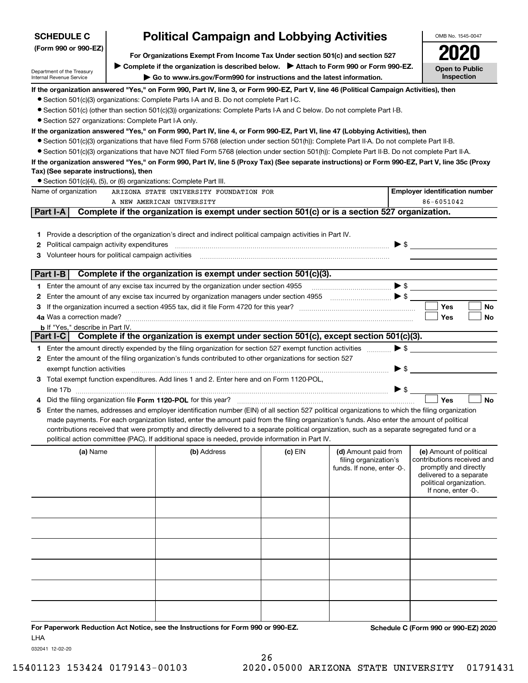| <b>SCHEDULE C</b>                                                                                                                                                                                                           | <b>Political Campaign and Lobbying Activities</b> |                                                                                                                                                   |           |                                                     |                                     | OMB No. 1545-0047                                   |  |  |
|-----------------------------------------------------------------------------------------------------------------------------------------------------------------------------------------------------------------------------|---------------------------------------------------|---------------------------------------------------------------------------------------------------------------------------------------------------|-----------|-----------------------------------------------------|-------------------------------------|-----------------------------------------------------|--|--|
| (Form 990 or 990-EZ)<br>For Organizations Exempt From Income Tax Under section 501(c) and section 527                                                                                                                       |                                                   |                                                                                                                                                   |           |                                                     |                                     |                                                     |  |  |
|                                                                                                                                                                                                                             |                                                   |                                                                                                                                                   |           |                                                     |                                     |                                                     |  |  |
| > Complete if the organization is described below. > Attach to Form 990 or Form 990-EZ.<br>Department of the Treasury<br>Go to www.irs.gov/Form990 for instructions and the latest information.<br>Internal Revenue Service |                                                   |                                                                                                                                                   |           |                                                     | <b>Open to Public</b><br>Inspection |                                                     |  |  |
| If the organization answered "Yes," on Form 990, Part IV, line 3, or Form 990-EZ, Part V, line 46 (Political Campaign Activities), then                                                                                     |                                                   |                                                                                                                                                   |           |                                                     |                                     |                                                     |  |  |
|                                                                                                                                                                                                                             |                                                   | • Section 501(c)(3) organizations: Complete Parts I-A and B. Do not complete Part I-C.                                                            |           |                                                     |                                     |                                                     |  |  |
|                                                                                                                                                                                                                             |                                                   | • Section 501(c) (other than section 501(c)(3)) organizations: Complete Parts I-A and C below. Do not complete Part I-B.                          |           |                                                     |                                     |                                                     |  |  |
| • Section 527 organizations: Complete Part I-A only.                                                                                                                                                                        |                                                   |                                                                                                                                                   |           |                                                     |                                     |                                                     |  |  |
|                                                                                                                                                                                                                             |                                                   | If the organization answered "Yes," on Form 990, Part IV, line 4, or Form 990-EZ, Part VI, line 47 (Lobbying Activities), then                    |           |                                                     |                                     |                                                     |  |  |
|                                                                                                                                                                                                                             |                                                   | • Section 501(c)(3) organizations that have filed Form 5768 (election under section 501(h)): Complete Part II-A. Do not complete Part II-B.       |           |                                                     |                                     |                                                     |  |  |
|                                                                                                                                                                                                                             |                                                   | • Section 501(c)(3) organizations that have NOT filed Form 5768 (election under section 501(h)): Complete Part II-B. Do not complete Part II-A.   |           |                                                     |                                     |                                                     |  |  |
|                                                                                                                                                                                                                             |                                                   | If the organization answered "Yes," on Form 990, Part IV, line 5 (Proxy Tax) (See separate instructions) or Form 990-EZ, Part V, line 35c (Proxy  |           |                                                     |                                     |                                                     |  |  |
| Tax) (See separate instructions), then                                                                                                                                                                                      |                                                   |                                                                                                                                                   |           |                                                     |                                     |                                                     |  |  |
| Name of organization                                                                                                                                                                                                        |                                                   | • Section 501(c)(4), (5), or (6) organizations: Complete Part III.<br>ARIZONA STATE UNIVERSITY FOUNDATION FOR                                     |           |                                                     |                                     | <b>Employer identification number</b>               |  |  |
|                                                                                                                                                                                                                             |                                                   | A NEW AMERICAN UNIVERSITY                                                                                                                         |           |                                                     |                                     | 86-6051042                                          |  |  |
| Part I-A                                                                                                                                                                                                                    |                                                   | Complete if the organization is exempt under section 501(c) or is a section 527 organization.                                                     |           |                                                     |                                     |                                                     |  |  |
|                                                                                                                                                                                                                             |                                                   |                                                                                                                                                   |           |                                                     |                                     |                                                     |  |  |
|                                                                                                                                                                                                                             |                                                   | 1 Provide a description of the organization's direct and indirect political campaign activities in Part IV.                                       |           |                                                     |                                     |                                                     |  |  |
| <b>2</b> Political campaign activity expenditures                                                                                                                                                                           |                                                   |                                                                                                                                                   |           |                                                     |                                     |                                                     |  |  |
| 3 Volunteer hours for political campaign activities                                                                                                                                                                         |                                                   |                                                                                                                                                   |           |                                                     |                                     |                                                     |  |  |
|                                                                                                                                                                                                                             |                                                   |                                                                                                                                                   |           |                                                     |                                     |                                                     |  |  |
| Part I-B                                                                                                                                                                                                                    |                                                   | Complete if the organization is exempt under section 501(c)(3).                                                                                   |           |                                                     |                                     |                                                     |  |  |
|                                                                                                                                                                                                                             |                                                   | 1 Enter the amount of any excise tax incurred by the organization under section 4955                                                              |           |                                                     |                                     |                                                     |  |  |
|                                                                                                                                                                                                                             |                                                   |                                                                                                                                                   |           |                                                     |                                     |                                                     |  |  |
|                                                                                                                                                                                                                             |                                                   |                                                                                                                                                   |           |                                                     |                                     | Yes<br><b>No</b>                                    |  |  |
|                                                                                                                                                                                                                             |                                                   |                                                                                                                                                   |           |                                                     |                                     | Yes<br>No                                           |  |  |
| <b>b</b> If "Yes," describe in Part IV.                                                                                                                                                                                     |                                                   | Part I-C Complete if the organization is exempt under section 501(c), except section 501(c)(3).                                                   |           |                                                     |                                     |                                                     |  |  |
|                                                                                                                                                                                                                             |                                                   | 1 Enter the amount directly expended by the filing organization for section 527 exempt function activities                                        |           |                                                     |                                     | $\blacktriangleright$ \$                            |  |  |
|                                                                                                                                                                                                                             |                                                   | 2 Enter the amount of the filing organization's funds contributed to other organizations for section 527                                          |           |                                                     |                                     |                                                     |  |  |
| exempt function activities                                                                                                                                                                                                  |                                                   |                                                                                                                                                   |           |                                                     | $\blacktriangleright$ \$            |                                                     |  |  |
|                                                                                                                                                                                                                             |                                                   | 3 Total exempt function expenditures. Add lines 1 and 2. Enter here and on Form 1120-POL,                                                         |           |                                                     |                                     |                                                     |  |  |
|                                                                                                                                                                                                                             |                                                   |                                                                                                                                                   |           |                                                     | $\triangleright$ s                  |                                                     |  |  |
|                                                                                                                                                                                                                             |                                                   |                                                                                                                                                   |           |                                                     |                                     | Yes<br><b>No</b>                                    |  |  |
|                                                                                                                                                                                                                             |                                                   | 5 Enter the names, addresses and employer identification number (EIN) of all section 527 political organizations to which the filing organization |           |                                                     |                                     |                                                     |  |  |
|                                                                                                                                                                                                                             |                                                   | made payments. For each organization listed, enter the amount paid from the filing organization's funds. Also enter the amount of political       |           |                                                     |                                     |                                                     |  |  |
|                                                                                                                                                                                                                             |                                                   | contributions received that were promptly and directly delivered to a separate political organization, such as a separate segregated fund or a    |           |                                                     |                                     |                                                     |  |  |
|                                                                                                                                                                                                                             |                                                   | political action committee (PAC). If additional space is needed, provide information in Part IV.                                                  |           |                                                     |                                     |                                                     |  |  |
| (a) Name                                                                                                                                                                                                                    |                                                   | (b) Address                                                                                                                                       | $(c)$ EIN | (d) Amount paid from                                |                                     | (e) Amount of political                             |  |  |
|                                                                                                                                                                                                                             |                                                   |                                                                                                                                                   |           | filing organization's<br>funds. If none, enter -0-. |                                     | contributions received and<br>promptly and directly |  |  |
|                                                                                                                                                                                                                             |                                                   |                                                                                                                                                   |           |                                                     |                                     | delivered to a separate                             |  |  |
|                                                                                                                                                                                                                             |                                                   |                                                                                                                                                   |           |                                                     |                                     | political organization.<br>If none, enter -0-.      |  |  |
|                                                                                                                                                                                                                             |                                                   |                                                                                                                                                   |           |                                                     |                                     |                                                     |  |  |
|                                                                                                                                                                                                                             |                                                   |                                                                                                                                                   |           |                                                     |                                     |                                                     |  |  |
|                                                                                                                                                                                                                             |                                                   |                                                                                                                                                   |           |                                                     |                                     |                                                     |  |  |
|                                                                                                                                                                                                                             |                                                   |                                                                                                                                                   |           |                                                     |                                     |                                                     |  |  |
|                                                                                                                                                                                                                             |                                                   |                                                                                                                                                   |           |                                                     |                                     |                                                     |  |  |
|                                                                                                                                                                                                                             |                                                   |                                                                                                                                                   |           |                                                     |                                     |                                                     |  |  |
|                                                                                                                                                                                                                             |                                                   |                                                                                                                                                   |           |                                                     |                                     |                                                     |  |  |
|                                                                                                                                                                                                                             |                                                   |                                                                                                                                                   |           |                                                     |                                     |                                                     |  |  |
|                                                                                                                                                                                                                             |                                                   |                                                                                                                                                   |           |                                                     |                                     |                                                     |  |  |
|                                                                                                                                                                                                                             |                                                   |                                                                                                                                                   |           |                                                     |                                     |                                                     |  |  |
|                                                                                                                                                                                                                             |                                                   |                                                                                                                                                   |           |                                                     |                                     |                                                     |  |  |
|                                                                                                                                                                                                                             |                                                   |                                                                                                                                                   |           |                                                     |                                     |                                                     |  |  |

**For Paperwork Reduction Act Notice, see the Instructions for Form 990 or 990-EZ. Schedule C (Form 990 or 990-EZ) 2020** LHA

032041 12-02-20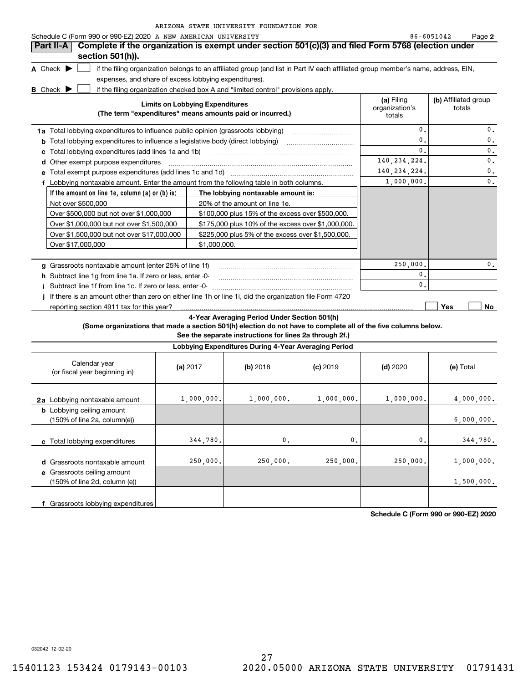| Schedule C (Form 990 or 990-EZ) 2020 A NEW AMERICAN UNIVERSITY                         |                                                                                                                                   |                                        | 86-6051042<br>Page 2           |
|----------------------------------------------------------------------------------------|-----------------------------------------------------------------------------------------------------------------------------------|----------------------------------------|--------------------------------|
| Part II-A                                                                              | Complete if the organization is exempt under section 501(c)(3) and filed Form 5768 (election under                                |                                        |                                |
| section 501(h)).                                                                       |                                                                                                                                   |                                        |                                |
| A Check $\blacktriangleright$                                                          | if the filing organization belongs to an affiliated group (and list in Part IV each affiliated group member's name, address, EIN, |                                        |                                |
| expenses, and share of excess lobbying expenditures).                                  |                                                                                                                                   |                                        |                                |
| <b>B</b> Check $\blacktriangleright$                                                   | if the filing organization checked box A and "limited control" provisions apply.                                                  |                                        |                                |
|                                                                                        | <b>Limits on Lobbying Expenditures</b><br>(The term "expenditures" means amounts paid or incurred.)                               | (a) Filing<br>organization's<br>totals | (b) Affiliated group<br>totals |
| 1a Total lobbying expenditures to influence public opinion (grassroots lobbying)       |                                                                                                                                   | $\mathbf{0}$ .                         | 0.                             |
| <b>b</b> Total lobbying expenditures to influence a legislative body (direct lobbying) |                                                                                                                                   | $\mathbf{0}$ .                         | $\mathbf{0}$ .                 |
| с                                                                                      |                                                                                                                                   | 0.                                     | 0.                             |
| Other exempt purpose expenditures<br>d                                                 |                                                                                                                                   | 140, 234, 224.                         | 0.                             |
|                                                                                        |                                                                                                                                   | 140, 234, 224.                         | $\mathbf{0}$ .                 |
|                                                                                        | Lobbying nontaxable amount. Enter the amount from the following table in both columns.                                            | 1,000,000.                             | 0.                             |
| If the amount on line 1e, column $(a)$ or $(b)$ is:                                    | The lobbying nontaxable amount is:                                                                                                |                                        |                                |
| Not over \$500,000                                                                     | 20% of the amount on line 1e.                                                                                                     |                                        |                                |
| Over \$500,000 but not over \$1,000,000                                                | \$100,000 plus 15% of the excess over \$500,000.                                                                                  |                                        |                                |
| Over \$1,000,000 but not over \$1,500,000                                              | \$175,000 plus 10% of the excess over \$1,000,000.                                                                                |                                        |                                |
| Over \$1,500,000 but not over \$17,000,000                                             | \$225,000 plus 5% of the excess over \$1,500,000.                                                                                 |                                        |                                |
| Over \$17,000,000                                                                      | \$1,000,000.                                                                                                                      |                                        |                                |
|                                                                                        |                                                                                                                                   |                                        |                                |
| Grassroots nontaxable amount (enter 25% of line 1f)<br>q                               |                                                                                                                                   | 250,000.                               | $\mathbf{0}$ .                 |
| h Subtract line 1g from line 1a. If zero or less, enter -0-                            |                                                                                                                                   | 0.                                     |                                |
| Subtract line 1f from line 1c. If zero or less, enter -0-                              |                                                                                                                                   | $\mathbf{0}$ .                         |                                |
|                                                                                        | If there is an amount other than zero on either line 1h or line 1i, did the organization file Form 4720                           |                                        |                                |
| reporting section 4911 tax for this year?                                              |                                                                                                                                   |                                        | Yes<br>No.                     |

**4-Year Averaging Period Under Section 501(h)**

**(Some organizations that made a section 501(h) election do not have to complete all of the five columns below.**

**See the separate instructions for lines 2a through 2f.)**

| Lobbying Expenditures During 4-Year Averaging Period                                 |            |                |                |                |            |  |  |  |
|--------------------------------------------------------------------------------------|------------|----------------|----------------|----------------|------------|--|--|--|
| Calendar year<br>(or fiscal year beginning in)                                       | (a) $2017$ | $(b)$ 2018     | $(c)$ 2019     | $(d)$ 2020     | (e) Total  |  |  |  |
| 2a Lobbying nontaxable amount                                                        | 1,000,000. | 1,000,000.     | 1,000,000.     | 1,000,000.     | 4,000,000. |  |  |  |
| <b>b</b> Lobbying ceiling amount<br>$(150\% \text{ of line } 2a, \text{ column}(e))$ |            |                |                |                | 6,000,000. |  |  |  |
| c Total lobbying expenditures                                                        | 344,780.   | $\mathsf{0}$ . | $\mathbf{0}$ . | $\mathbf{0}$ . | 344,780.   |  |  |  |
| Grassroots nontaxable amount<br>d                                                    | 250,000.   | 250,000.       | 250,000.       | 250,000.       | 1,000,000. |  |  |  |
| e Grassroots ceiling amount<br>(150% of line 2d, column (e))                         |            |                |                |                | 1,500,000. |  |  |  |
| f Grassroots lobbying expenditures                                                   |            |                |                |                |            |  |  |  |

**Schedule C (Form 990 or 990-EZ) 2020**

032042 12-02-20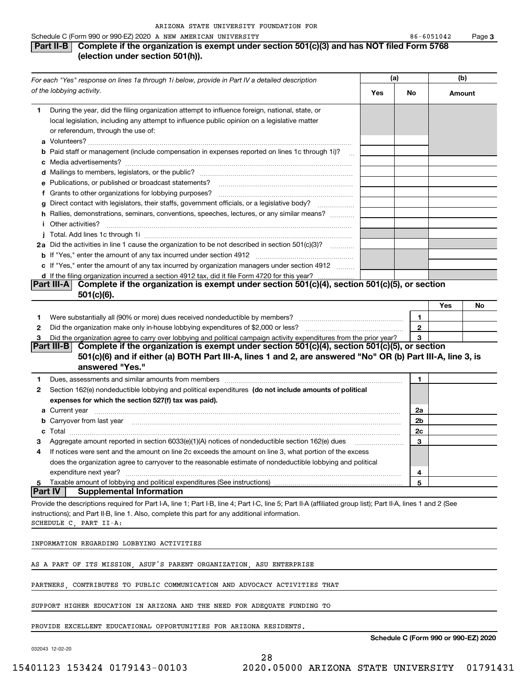#### Schedule C (Form 990 or 990-EZ) 2020 A NEW AMERICAN UNIVERSITY 86-6051042 Page

## **Part II-B** Complete if the organization is exempt under section 501(c)(3) and has NOT filed Form 5768 **(election under section 501(h)).**

| For each "Yes" response on lines 1a through 1i below, provide in Part IV a detailed description |                                                                                                                                                                                                                                                                                          | (a) |              | (b)    |    |
|-------------------------------------------------------------------------------------------------|------------------------------------------------------------------------------------------------------------------------------------------------------------------------------------------------------------------------------------------------------------------------------------------|-----|--------------|--------|----|
|                                                                                                 | of the lobbying activity.                                                                                                                                                                                                                                                                | Yes | No           | Amount |    |
| 1.                                                                                              | During the year, did the filing organization attempt to influence foreign, national, state, or                                                                                                                                                                                           |     |              |        |    |
|                                                                                                 | local legislation, including any attempt to influence public opinion on a legislative matter                                                                                                                                                                                             |     |              |        |    |
|                                                                                                 | or referendum, through the use of:                                                                                                                                                                                                                                                       |     |              |        |    |
|                                                                                                 |                                                                                                                                                                                                                                                                                          |     |              |        |    |
|                                                                                                 | <b>b</b> Paid staff or management (include compensation in expenses reported on lines 1c through 1i)?<br>$\sim$ 100 $\sim$                                                                                                                                                               |     |              |        |    |
|                                                                                                 |                                                                                                                                                                                                                                                                                          |     |              |        |    |
|                                                                                                 |                                                                                                                                                                                                                                                                                          |     |              |        |    |
|                                                                                                 | e Publications, or published or broadcast statements?                                                                                                                                                                                                                                    |     |              |        |    |
|                                                                                                 | f Grants to other organizations for lobbying purposes?                                                                                                                                                                                                                                   |     |              |        |    |
|                                                                                                 | g Direct contact with legislators, their staffs, government officials, or a legislative body?<br>.                                                                                                                                                                                       |     |              |        |    |
|                                                                                                 | h Rallies, demonstrations, seminars, conventions, speeches, lectures, or any similar means?                                                                                                                                                                                              |     |              |        |    |
|                                                                                                 | <i>i</i> Other activities?                                                                                                                                                                                                                                                               |     |              |        |    |
|                                                                                                 |                                                                                                                                                                                                                                                                                          |     |              |        |    |
|                                                                                                 | 2a Did the activities in line 1 cause the organization to be not described in section 501(c)(3)?                                                                                                                                                                                         |     |              |        |    |
|                                                                                                 |                                                                                                                                                                                                                                                                                          |     |              |        |    |
|                                                                                                 | c If "Yes," enter the amount of any tax incurred by organization managers under section 4912                                                                                                                                                                                             |     |              |        |    |
|                                                                                                 | d If the filing organization incurred a section 4912 tax, did it file Form 4720 for this year?<br>Complete if the organization is exempt under section 501(c)(4), section 501(c)(5), or section<br>Part III-A                                                                            |     |              |        |    |
|                                                                                                 | $501(c)(6)$ .                                                                                                                                                                                                                                                                            |     |              |        |    |
|                                                                                                 |                                                                                                                                                                                                                                                                                          |     |              | Yes    | No |
| 1                                                                                               | Were substantially all (90% or more) dues received nondeductible by members? [111] was uncontracted with the substantially all (90% or more) dues received nondeductible by members? [11] was uncontracted with the substantia                                                           |     | 1.           |        |    |
| 2                                                                                               |                                                                                                                                                                                                                                                                                          |     | $\mathbf{2}$ |        |    |
| З                                                                                               | Did the organization agree to carry over lobbying and political campaign activity expenditures from the prior year?<br>Complete if the organization is exempt under section 501(c)(4), section 501(c)(5), or section<br><b>Part III-B</b>                                                |     | 3            |        |    |
|                                                                                                 | 501(c)(6) and if either (a) BOTH Part III-A, lines 1 and 2, are answered "No" OR (b) Part III-A, line 3, is<br>answered "Yes."                                                                                                                                                           |     |              |        |    |
| 1                                                                                               | Dues, assessments and similar amounts from members [11] matter content to a set a set of the set of the set of the set of the set of the set of the set of the set of the set of the set of the set of the set of the set of t                                                           |     | 1            |        |    |
| $\mathbf{2}$                                                                                    | Section 162(e) nondeductible lobbying and political expenditures (do not include amounts of political                                                                                                                                                                                    |     |              |        |    |
|                                                                                                 | expenses for which the section 527(f) tax was paid).                                                                                                                                                                                                                                     |     |              |        |    |
|                                                                                                 | <b>a</b> Current year                                                                                                                                                                                                                                                                    |     | 2a           |        |    |
|                                                                                                 | b Carryover from last year manufactured and contact the control of the control of the control of the control of the control of the control of the control of the control of the control of the control of the control of the c                                                           |     | 2b           |        |    |
|                                                                                                 |                                                                                                                                                                                                                                                                                          |     | 2c           |        |    |
| З                                                                                               | Aggregate amount reported in section 6033(e)(1)(A) notices of nondeductible section 162(e) dues                                                                                                                                                                                          |     | 3            |        |    |
| 4                                                                                               | If notices were sent and the amount on line 2c exceeds the amount on line 3, what portion of the excess                                                                                                                                                                                  |     |              |        |    |
|                                                                                                 | does the organization agree to carryover to the reasonable estimate of nondeductible lobbying and political                                                                                                                                                                              |     |              |        |    |
|                                                                                                 | expenditure next year?                                                                                                                                                                                                                                                                   |     | 4            |        |    |
| 5<br><b>Part IV</b>                                                                             | Taxable amount of lobbying and political expenditures (See instructions)<br><b>Supplemental Information</b>                                                                                                                                                                              |     | 5            |        |    |
|                                                                                                 |                                                                                                                                                                                                                                                                                          |     |              |        |    |
|                                                                                                 | Provide the descriptions required for Part I-A, line 1; Part I-B, line 4; Part I-C, line 5; Part II-A (affiliated group list); Part II-A, lines 1 and 2 (See<br>instructions); and Part II-B, line 1. Also, complete this part for any additional information.<br>SCHEDULE C, PART II-A: |     |              |        |    |
|                                                                                                 | INFORMATION REGARDING LOBBYING ACTIVITIES                                                                                                                                                                                                                                                |     |              |        |    |
|                                                                                                 | AS A PART OF ITS MISSION, ASUF'S PARENT ORGANIZATION, ASU ENTERPRISE                                                                                                                                                                                                                     |     |              |        |    |
|                                                                                                 | PARTNERS, CONTRIBUTES TO PUBLIC COMMUNICATION AND ADVOCACY ACTIVITIES THAT                                                                                                                                                                                                               |     |              |        |    |
|                                                                                                 | SUPPORT HIGHER EDUCATION IN ARIZONA AND THE NEED FOR ADEQUATE FUNDING TO                                                                                                                                                                                                                 |     |              |        |    |
|                                                                                                 | PROVIDE EXCELLENT EDUCATIONAL OPPORTUNITIES FOR ARIZONA RESIDENTS.                                                                                                                                                                                                                       |     |              |        |    |

28

032043 12-02-20

**Schedule C (Form 990 or 990-EZ) 2020**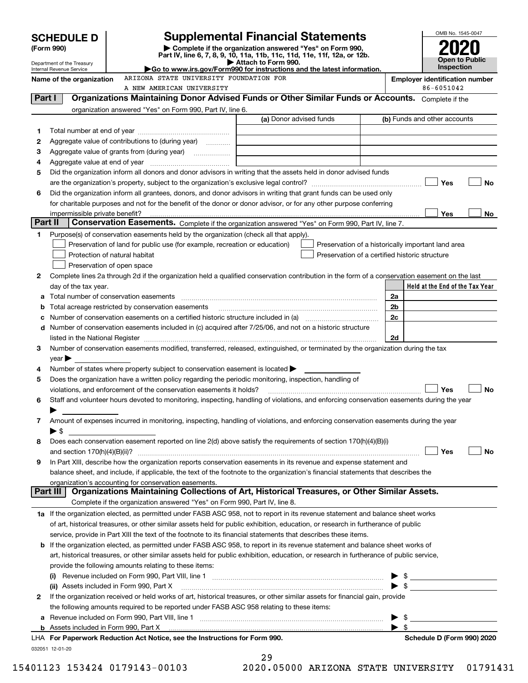|          | <b>SCHEDULE D</b>                                      |                                                                                                                                                                                                                                | <b>Supplemental Financial Statements</b>                                                                                                       |                         | OMB No. 1545-0047                     |
|----------|--------------------------------------------------------|--------------------------------------------------------------------------------------------------------------------------------------------------------------------------------------------------------------------------------|------------------------------------------------------------------------------------------------------------------------------------------------|-------------------------|---------------------------------------|
|          | (Form 990)                                             |                                                                                                                                                                                                                                | Complete if the organization answered "Yes" on Form 990,                                                                                       |                         |                                       |
|          |                                                        |                                                                                                                                                                                                                                | Part IV, line 6, 7, 8, 9, 10, 11a, 11b, 11c, 11d, 11e, 11f, 12a, or 12b.<br>Attach to Form 990.                                                |                         | Open to Public                        |
|          | Department of the Treasury<br>Internal Revenue Service |                                                                                                                                                                                                                                | Go to www.irs.gov/Form990 for instructions and the latest information.                                                                         |                         | <b>Inspection</b>                     |
|          | Name of the organization                               | ARIZONA STATE UNIVERSITY FOUNDATION FOR                                                                                                                                                                                        |                                                                                                                                                |                         | <b>Employer identification number</b> |
|          |                                                        | A NEW AMERICAN UNIVERSITY                                                                                                                                                                                                      |                                                                                                                                                |                         | 86-6051042                            |
| Part I   |                                                        |                                                                                                                                                                                                                                | Organizations Maintaining Donor Advised Funds or Other Similar Funds or Accounts. Complete if the                                              |                         |                                       |
|          |                                                        | organization answered "Yes" on Form 990, Part IV, line 6.                                                                                                                                                                      | (a) Donor advised funds                                                                                                                        |                         | (b) Funds and other accounts          |
|          |                                                        |                                                                                                                                                                                                                                |                                                                                                                                                |                         |                                       |
| 1<br>2   |                                                        | Aggregate value of contributions to (during year)                                                                                                                                                                              |                                                                                                                                                |                         |                                       |
| З        |                                                        |                                                                                                                                                                                                                                |                                                                                                                                                |                         |                                       |
| 4        |                                                        |                                                                                                                                                                                                                                |                                                                                                                                                |                         |                                       |
| 5        |                                                        |                                                                                                                                                                                                                                | Did the organization inform all donors and donor advisors in writing that the assets held in donor advised funds                               |                         |                                       |
|          |                                                        |                                                                                                                                                                                                                                |                                                                                                                                                |                         | Yes<br>No                             |
| 6        |                                                        |                                                                                                                                                                                                                                | Did the organization inform all grantees, donors, and donor advisors in writing that grant funds can be used only                              |                         |                                       |
|          |                                                        |                                                                                                                                                                                                                                | for charitable purposes and not for the benefit of the donor or donor advisor, or for any other purpose conferring                             |                         |                                       |
|          | impermissible private benefit?                         |                                                                                                                                                                                                                                |                                                                                                                                                |                         | Yes<br>No.                            |
| Part II  |                                                        |                                                                                                                                                                                                                                | Conservation Easements. Complete if the organization answered "Yes" on Form 990, Part IV, line 7.                                              |                         |                                       |
| 1        |                                                        | Purpose(s) of conservation easements held by the organization (check all that apply).                                                                                                                                          |                                                                                                                                                |                         |                                       |
|          |                                                        | Preservation of land for public use (for example, recreation or education)                                                                                                                                                     | Preservation of a historically important land area                                                                                             |                         |                                       |
|          |                                                        | Protection of natural habitat                                                                                                                                                                                                  | Preservation of a certified historic structure                                                                                                 |                         |                                       |
|          |                                                        | Preservation of open space                                                                                                                                                                                                     |                                                                                                                                                |                         |                                       |
| 2        |                                                        |                                                                                                                                                                                                                                | Complete lines 2a through 2d if the organization held a qualified conservation contribution in the form of a conservation easement on the last |                         |                                       |
|          | day of the tax year.                                   |                                                                                                                                                                                                                                |                                                                                                                                                |                         | Held at the End of the Tax Year       |
| a        |                                                        |                                                                                                                                                                                                                                |                                                                                                                                                | 2a                      |                                       |
| b        |                                                        | Total acreage restricted by conservation easements                                                                                                                                                                             |                                                                                                                                                | 2 <sub>b</sub>          |                                       |
| с        |                                                        |                                                                                                                                                                                                                                | Number of conservation easements included in (c) acquired after 7/25/06, and not on a historic structure                                       | 2c                      |                                       |
| d        |                                                        | listed in the National Register [111] in the National Register [11] in the National Register [11] in the National Register [11] in the National Register [11] in the National Register [11] in the National Register [11] in t |                                                                                                                                                | 2d                      |                                       |
| 3        |                                                        |                                                                                                                                                                                                                                | Number of conservation easements modified, transferred, released, extinguished, or terminated by the organization during the tax               |                         |                                       |
|          | $\vee$ ear                                             |                                                                                                                                                                                                                                |                                                                                                                                                |                         |                                       |
| 4        |                                                        | Number of states where property subject to conservation easement is located >                                                                                                                                                  |                                                                                                                                                |                         |                                       |
| 5        |                                                        | Does the organization have a written policy regarding the periodic monitoring, inspection, handling of                                                                                                                         |                                                                                                                                                |                         |                                       |
|          |                                                        | violations, and enforcement of the conservation easements it holds?                                                                                                                                                            |                                                                                                                                                |                         | Yes<br>No                             |
| 6        |                                                        |                                                                                                                                                                                                                                | Staff and volunteer hours devoted to monitoring, inspecting, handling of violations, and enforcing conservation easements during the year      |                         |                                       |
|          |                                                        |                                                                                                                                                                                                                                |                                                                                                                                                |                         |                                       |
| 7        |                                                        |                                                                                                                                                                                                                                | Amount of expenses incurred in monitoring, inspecting, handling of violations, and enforcing conservation easements during the year            |                         |                                       |
|          | ▶ \$                                                   |                                                                                                                                                                                                                                |                                                                                                                                                |                         |                                       |
| 8        |                                                        |                                                                                                                                                                                                                                | Does each conservation easement reported on line 2(d) above satisfy the requirements of section 170(h)(4)(B)(i)                                |                         |                                       |
|          |                                                        |                                                                                                                                                                                                                                |                                                                                                                                                |                         | Yes<br>No                             |
| 9        |                                                        |                                                                                                                                                                                                                                | In Part XIII, describe how the organization reports conservation easements in its revenue and expense statement and                            |                         |                                       |
|          |                                                        |                                                                                                                                                                                                                                | balance sheet, and include, if applicable, the text of the footnote to the organization's financial statements that describes the              |                         |                                       |
| Part III |                                                        | organization's accounting for conservation easements.                                                                                                                                                                          | Organizations Maintaining Collections of Art, Historical Treasures, or Other Similar Assets.                                                   |                         |                                       |
|          |                                                        | Complete if the organization answered "Yes" on Form 990, Part IV, line 8.                                                                                                                                                      |                                                                                                                                                |                         |                                       |
|          |                                                        |                                                                                                                                                                                                                                | 1a If the organization elected, as permitted under FASB ASC 958, not to report in its revenue statement and balance sheet works                |                         |                                       |
|          |                                                        |                                                                                                                                                                                                                                | of art, historical treasures, or other similar assets held for public exhibition, education, or research in furtherance of public              |                         |                                       |
|          |                                                        |                                                                                                                                                                                                                                | service, provide in Part XIII the text of the footnote to its financial statements that describes these items.                                 |                         |                                       |
| b        |                                                        |                                                                                                                                                                                                                                | If the organization elected, as permitted under FASB ASC 958, to report in its revenue statement and balance sheet works of                    |                         |                                       |
|          |                                                        |                                                                                                                                                                                                                                | art, historical treasures, or other similar assets held for public exhibition, education, or research in furtherance of public service,        |                         |                                       |
|          |                                                        | provide the following amounts relating to these items:                                                                                                                                                                         |                                                                                                                                                |                         |                                       |
|          |                                                        |                                                                                                                                                                                                                                |                                                                                                                                                |                         |                                       |
|          |                                                        | (ii) Assets included in Form 990, Part X                                                                                                                                                                                       |                                                                                                                                                |                         | $\bullet$ \$                          |
| 2        |                                                        |                                                                                                                                                                                                                                | If the organization received or held works of art, historical treasures, or other similar assets for financial gain, provide                   |                         |                                       |
|          |                                                        | the following amounts required to be reported under FASB ASC 958 relating to these items:                                                                                                                                      |                                                                                                                                                |                         |                                       |
| а        |                                                        |                                                                                                                                                                                                                                |                                                                                                                                                | \$                      |                                       |
|          |                                                        |                                                                                                                                                                                                                                |                                                                                                                                                | $\blacktriangleright$ s |                                       |
|          |                                                        | LHA For Paperwork Reduction Act Notice, see the Instructions for Form 990.                                                                                                                                                     |                                                                                                                                                |                         | Schedule D (Form 990) 2020            |
|          | 032051 12-01-20                                        |                                                                                                                                                                                                                                | $\sim$ $\sim$                                                                                                                                  |                         |                                       |

| 29    |  |              |  |
|-------|--|--------------|--|
| ∩ ∩ ∩ |  | <b>OEOOO</b> |  |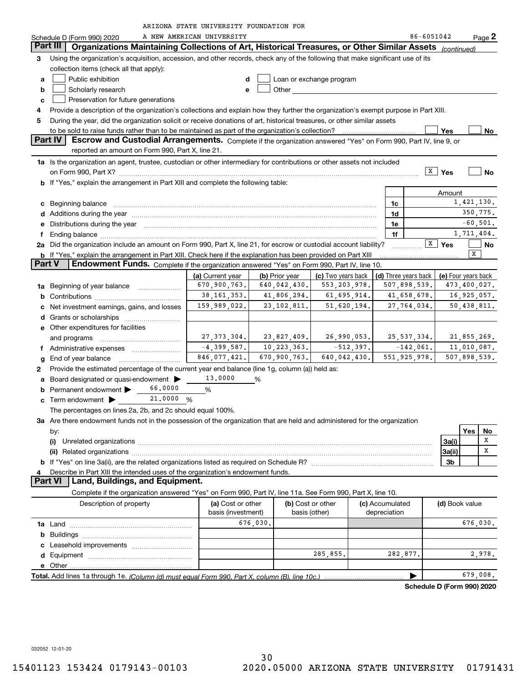| ARIZONA STATE UNIVERSITY FOUNDATION FOF |  |
|-----------------------------------------|--|
|-----------------------------------------|--|

|        |                                                                                                                                                                                                                                | ARIZONA STATE UNIVERSITY FOUNDATION FOR |                                 |                          |                      |                          |     |                   |  |  |  |
|--------|--------------------------------------------------------------------------------------------------------------------------------------------------------------------------------------------------------------------------------|-----------------------------------------|---------------------------------|--------------------------|----------------------|--------------------------|-----|-------------------|--|--|--|
|        | Schedule D (Form 990) 2020                                                                                                                                                                                                     | A NEW AMERICAN UNIVERSITY               |                                 |                          |                      | 86-6051042               |     | Page <sup>2</sup> |  |  |  |
|        | Organizations Maintaining Collections of Art, Historical Treasures, or Other Similar Assets (continued)<br>Part III                                                                                                            |                                         |                                 |                          |                      |                          |     |                   |  |  |  |
| 3<br>а | Using the organization's acquisition, accession, and other records, check any of the following that make significant use of its<br>collection items (check all that apply):<br>Public exhibition                               | d                                       |                                 | Loan or exchange program |                      |                          |     |                   |  |  |  |
| b      | Scholarly research<br><b>Other Community</b><br>e                                                                                                                                                                              |                                         |                                 |                          |                      |                          |     |                   |  |  |  |
| c      | Preservation for future generations                                                                                                                                                                                            |                                         |                                 |                          |                      |                          |     |                   |  |  |  |
| 4      | Provide a description of the organization's collections and explain how they further the organization's exempt purpose in Part XIII.                                                                                           |                                         |                                 |                          |                      |                          |     |                   |  |  |  |
| 5      | During the year, did the organization solicit or receive donations of art, historical treasures, or other similar assets                                                                                                       |                                         |                                 |                          |                      |                          |     |                   |  |  |  |
|        | to be sold to raise funds rather than to be maintained as part of the organization's collection?                                                                                                                               |                                         |                                 |                          |                      | Yes                      |     | No                |  |  |  |
|        | Part IV<br>Escrow and Custodial Arrangements. Complete if the organization answered "Yes" on Form 990, Part IV, line 9, or                                                                                                     |                                         |                                 |                          |                      |                          |     |                   |  |  |  |
|        | reported an amount on Form 990, Part X, line 21.                                                                                                                                                                               |                                         |                                 |                          |                      |                          |     |                   |  |  |  |
|        |                                                                                                                                                                                                                                |                                         |                                 |                          |                      |                          |     |                   |  |  |  |
|        | 1a Is the organization an agent, trustee, custodian or other intermediary for contributions or other assets not included                                                                                                       |                                         |                                 |                          |                      |                          |     |                   |  |  |  |
|        | on Form 990, Part X? [11] matter and the contract of the contract of the contract of the contract of the contract of the contract of the contract of the contract of the contract of the contract of the contract of the contr |                                         |                                 |                          |                      | $\sqrt{\frac{X}{2}}$ Yes |     | <b>No</b>         |  |  |  |
|        | b If "Yes," explain the arrangement in Part XIII and complete the following table:                                                                                                                                             |                                         |                                 |                          |                      |                          |     |                   |  |  |  |
|        |                                                                                                                                                                                                                                |                                         |                                 |                          |                      | Amount                   |     |                   |  |  |  |
| c      | Beginning balance                                                                                                                                                                                                              |                                         |                                 |                          | 1c                   |                          |     | 1,421,130.        |  |  |  |
|        | d Additions during the year measurement contains and a state of the year.                                                                                                                                                      |                                         |                                 |                          | 1d                   |                          |     | 350,775.          |  |  |  |
| е      | Distributions during the year manufactured and continuum and the year manufactured and the year manufactured and the year manufactured and the year manufactured and the year manufactured and the year manufactured and the y |                                         |                                 |                          | 1e                   |                          |     | $-60, 501.$       |  |  |  |
| f      | Ending balance measurements are all the contract of the contract of the contract of the contract of the contract of the contract of the contract of the contract of the contract of the contract of the contract of the contra |                                         |                                 |                          | 1f                   |                          |     | 1,711,404.        |  |  |  |
|        | 2a Did the organization include an amount on Form 990, Part X, line 21, for escrow or custodial account liability?                                                                                                             |                                         |                                 |                          |                      | $\overline{X}$ Yes       |     | No                |  |  |  |
|        |                                                                                                                                                                                                                                |                                         |                                 |                          |                      |                          | X   |                   |  |  |  |
| Part V | b If "Yes," explain the arrangement in Part XIII. Check here if the explanation has been provided on Part XIII<br>Endowment Funds. Complete if the organization answered "Yes" on Form 990, Part IV, line 10.                  |                                         |                                 |                          |                      |                          |     |                   |  |  |  |
|        |                                                                                                                                                                                                                                |                                         |                                 |                          |                      |                          |     |                   |  |  |  |
|        |                                                                                                                                                                                                                                | (a) Current year                        | (b) Prior year                  | (c) Two years back       | (d) Three years back | (e) Four years back      |     |                   |  |  |  |
| 1a     | Beginning of year balance                                                                                                                                                                                                      | 670,900,763.                            | 640,042,430.                    | 553, 203, 978.           | 507,898,539.         |                          |     | 473,400,027.      |  |  |  |
| b      |                                                                                                                                                                                                                                | 38, 161, 353.                           | 41,806,294.                     | 61,695,914.              | 41,658,678.          |                          |     | 16,925,057.       |  |  |  |
| с      | Net investment earnings, gains, and losses                                                                                                                                                                                     | 159,989,022.                            | 23, 102, 811.                   | 51,620,194.              | 27,764,034.          |                          |     | 50,438,811.       |  |  |  |
| d      |                                                                                                                                                                                                                                |                                         |                                 |                          |                      |                          |     |                   |  |  |  |
|        | <b>e</b> Other expenditures for facilities                                                                                                                                                                                     |                                         |                                 |                          |                      |                          |     |                   |  |  |  |
|        | and programs                                                                                                                                                                                                                   |                                         | $27, 373, 304.$ $23, 827, 409.$ | 26,990,053.              | 25, 537, 334.        |                          |     | 21,855,269.       |  |  |  |
|        | f Administrative expenses                                                                                                                                                                                                      | $-4,399,587.$                           | 10,223,363.                     | $-512, 397.$             | $-142,061.$          |                          |     | 11,010,087.       |  |  |  |
|        |                                                                                                                                                                                                                                | 846,077,421.                            | 670,900,763.                    | 640,042,430.             | 551.925.978.         |                          |     | 507,898,539.      |  |  |  |
| g      | End of year balance                                                                                                                                                                                                            |                                         |                                 |                          |                      |                          |     |                   |  |  |  |
| 2      | Provide the estimated percentage of the current year end balance (line 1g, column (a)) held as:                                                                                                                                |                                         |                                 |                          |                      |                          |     |                   |  |  |  |
|        | a Board designated or quasi-endowment >                                                                                                                                                                                        | 13,0000                                 | %                               |                          |                      |                          |     |                   |  |  |  |
| b      | 66,0000<br>Permanent endowment                                                                                                                                                                                                 | %                                       |                                 |                          |                      |                          |     |                   |  |  |  |
| c      | 21.0000 %<br>Term endowment $\blacktriangleright$ _                                                                                                                                                                            |                                         |                                 |                          |                      |                          |     |                   |  |  |  |
|        | The percentages on lines 2a, 2b, and 2c should equal 100%.                                                                                                                                                                     |                                         |                                 |                          |                      |                          |     |                   |  |  |  |
|        | 3a Are there endowment funds not in the possession of the organization that are held and administered for the organization                                                                                                     |                                         |                                 |                          |                      |                          |     |                   |  |  |  |
|        | by:                                                                                                                                                                                                                            |                                         |                                 |                          |                      |                          | Yes | No                |  |  |  |
|        | (i)<br>Unrelated organizations [111] March 1999, March 1999, March 1999, March 1999, March 1999, March 1999, March 19                                                                                                          |                                         |                                 |                          |                      | 3a(i)                    |     | х                 |  |  |  |
|        |                                                                                                                                                                                                                                |                                         |                                 |                          |                      | 3a(ii)                   |     | X                 |  |  |  |
|        |                                                                                                                                                                                                                                |                                         |                                 |                          |                      | 3b                       |     |                   |  |  |  |
| 4      |                                                                                                                                                                                                                                |                                         |                                 |                          |                      |                          |     |                   |  |  |  |
|        | Describe in Part XIII the intended uses of the organization's endowment funds.<br>Land, Buildings, and Equipment.<br>Part VI                                                                                                   |                                         |                                 |                          |                      |                          |     |                   |  |  |  |
|        |                                                                                                                                                                                                                                |                                         |                                 |                          |                      |                          |     |                   |  |  |  |
|        | Complete if the organization answered "Yes" on Form 990, Part IV, line 11a. See Form 990, Part X, line 10.                                                                                                                     |                                         |                                 |                          |                      |                          |     |                   |  |  |  |
|        | Description of property                                                                                                                                                                                                        | (a) Cost or other                       |                                 | (b) Cost or other        | (c) Accumulated      | (d) Book value           |     |                   |  |  |  |
|        |                                                                                                                                                                                                                                | basis (investment)                      |                                 | basis (other)            | depreciation         |                          |     |                   |  |  |  |
|        |                                                                                                                                                                                                                                |                                         | 676,030.                        |                          |                      |                          |     | 676,030.          |  |  |  |
| b      |                                                                                                                                                                                                                                |                                         |                                 |                          |                      |                          |     |                   |  |  |  |
| c      |                                                                                                                                                                                                                                |                                         |                                 |                          |                      |                          |     |                   |  |  |  |
|        |                                                                                                                                                                                                                                |                                         |                                 | 285,855.                 | 282,877.             |                          |     | 2,978.            |  |  |  |
|        |                                                                                                                                                                                                                                |                                         |                                 |                          |                      |                          |     |                   |  |  |  |
|        |                                                                                                                                                                                                                                |                                         |                                 |                          |                      |                          |     | 679,008.          |  |  |  |
|        |                                                                                                                                                                                                                                |                                         |                                 |                          |                      |                          |     |                   |  |  |  |

**Schedule D (Form 990) 2020**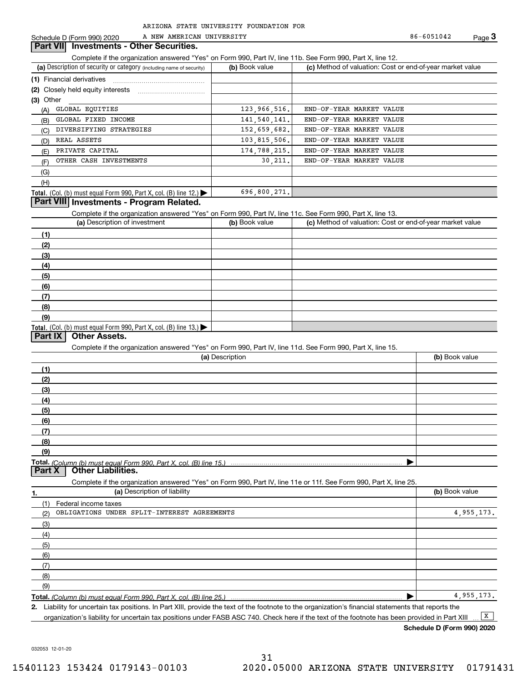A NEW AMERICAN UNIVERSITY

Schedule D (Form 990) 2020 A NEW AMERICAN UNIVERSITY 86-6051042 Page 3

86-6051042

### **Part VII Investments - Other Securities.**

Complete if the organization answered "Yes" on Form 990, Part IV, line 11b. See Form 990, Part X, line 12.

| (a) Description of security or category (including name of security)                   | (b) Book value | (c) Method of valuation: Cost or end-of-year market value |  |  |  |
|----------------------------------------------------------------------------------------|----------------|-----------------------------------------------------------|--|--|--|
|                                                                                        |                |                                                           |  |  |  |
| (2) Closely held equity interests                                                      |                |                                                           |  |  |  |
| $(3)$ Other                                                                            |                |                                                           |  |  |  |
| GLOBAL EQUITIES<br>(A)                                                                 | 123, 966, 516. | END-OF-YEAR MARKET VALUE                                  |  |  |  |
| GLOBAL FIXED INCOME<br>(B)                                                             | 141, 540, 141. | END-OF-YEAR MARKET VALUE                                  |  |  |  |
| DIVERSIFYING STRATEGIES<br>(C)                                                         | 152,659,682.   | END-OF-YEAR MARKET VALUE                                  |  |  |  |
| REAL ASSETS<br>(D)                                                                     | 103, 815, 506. | END-OF-YEAR MARKET VALUE                                  |  |  |  |
| PRIVATE CAPITAL<br>(E)                                                                 | 174, 788, 215. | END-OF-YEAR MARKET VALUE                                  |  |  |  |
| OTHER CASH INVESTMENTS<br>(F)                                                          | 30, 211.       | END-OF-YEAR MARKET VALUE                                  |  |  |  |
| (G)                                                                                    |                |                                                           |  |  |  |
| (H)                                                                                    |                |                                                           |  |  |  |
| Total. (Col. (b) must equal Form 990, Part X, col. (B) line 12.) $\blacktriangleright$ | 696,800,271.   |                                                           |  |  |  |

## **Part VIII Investments - Program Related.**

Complete if the organization answered "Yes" on Form 990, Part IV, line 11c. See Form 990, Part X, line 13.

| (a) Description of investment                                       | (b) Book value | (c) Method of valuation: Cost or end-of-year market value |
|---------------------------------------------------------------------|----------------|-----------------------------------------------------------|
| (1)                                                                 |                |                                                           |
| (2)                                                                 |                |                                                           |
| $\frac{1}{2}$                                                       |                |                                                           |
| (4)                                                                 |                |                                                           |
| $\frac{1}{2}$                                                       |                |                                                           |
| (6)                                                                 |                |                                                           |
| (7)                                                                 |                |                                                           |
| (8)                                                                 |                |                                                           |
| (9)                                                                 |                |                                                           |
| Total. (Col. (b) must equal Form 990, Part X, col. (B) line $13.$ ) |                |                                                           |

### **Part IX Other Assets.**

Complete if the organization answered "Yes" on Form 990, Part IV, line 11d. See Form 990, Part X, line 15.

| (a) Description | (b) Book value |
|-----------------|----------------|
| $\mathbf{f}$    |                |
| (2)             |                |
| (3)             |                |
| (4)             |                |
| (5)             |                |
| (6)             |                |
|                 |                |
| (8)             |                |
| (9)             |                |
|                 |                |
|                 |                |

**1.(a)** Description of liability **Book value** Book value Book value Book value Book value **Total.**  *(Column (b) must equal Form 990, Part X, col. (B) line 25.)* Complete if the organization answered "Yes" on Form 990, Part IV, line 11e or 11f. See Form 990, Part X, line 25. (1)(2)(3)(4)(5)(6)(7)(8)(9)Federal income taxes  $\blacktriangleright$ OBLIGATIONS UNDER SPLIT-INTEREST AGREEMENTS 4,955,173. 4,955,173.

**2.**Liability for uncertain tax positions. In Part XIII, provide the text of the footnote to the organization's financial statements that reports the organization's liability for uncertain tax positions under FASB ASC 740. Check here if the text of the footnote has been provided in Part XIII  $\boxed{\mathbf{X}}$ 

**Schedule D (Form 990) 2020**

032053 12-01-20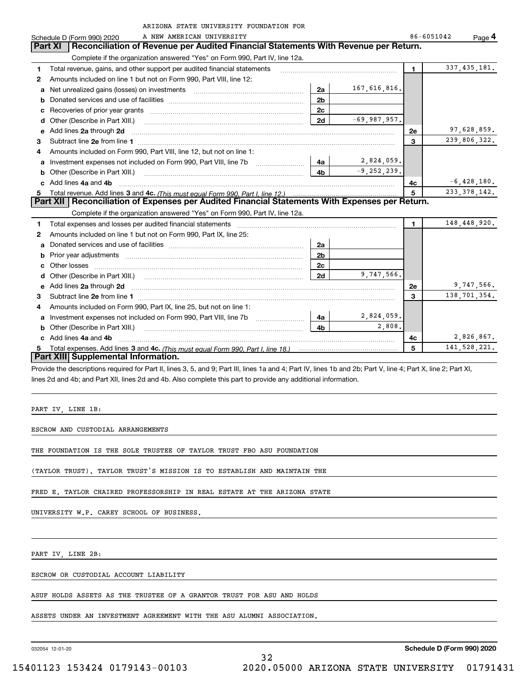|              | ARIZONA STATE UNIVERSITY FOUNDATION FOR                                                                                                                                                                                              |                |                 |                |                      |
|--------------|--------------------------------------------------------------------------------------------------------------------------------------------------------------------------------------------------------------------------------------|----------------|-----------------|----------------|----------------------|
|              | A NEW AMERICAN UNIVERSITY<br>Schedule D (Form 990) 2020                                                                                                                                                                              |                |                 |                | 86-6051042<br>Page 4 |
|              | Reconciliation of Revenue per Audited Financial Statements With Revenue per Return.<br><b>Part XI</b>                                                                                                                                |                |                 |                |                      |
|              | Complete if the organization answered "Yes" on Form 990, Part IV, line 12a.                                                                                                                                                          |                |                 |                |                      |
| 1            | Total revenue, gains, and other support per audited financial statements                                                                                                                                                             |                |                 | $\blacksquare$ | 337, 435, 181.       |
| $\mathbf{2}$ | Amounts included on line 1 but not on Form 990, Part VIII, line 12:                                                                                                                                                                  |                |                 |                |                      |
| a            | Net unrealized gains (losses) on investments [11] matter contracts and the unrealized gains (losses) on investments                                                                                                                  | 2a             | 167,616,816.    |                |                      |
| b            |                                                                                                                                                                                                                                      | 2 <sub>b</sub> |                 |                |                      |
| C            |                                                                                                                                                                                                                                      | 2c             |                 |                |                      |
| d            | Other (Describe in Part XIII.)                                                                                                                                                                                                       | 2d             | $-69,987,957.$  |                |                      |
| е            | Add lines 2a through 2d                                                                                                                                                                                                              |                |                 | 2е             | 97,628,859.          |
| З.           |                                                                                                                                                                                                                                      |                |                 | 3              | 239,806,322.         |
| 4            | Amounts included on Form 990, Part VIII, line 12, but not on line 1:                                                                                                                                                                 |                |                 |                |                      |
| a            | Investment expenses not included on Form 990, Part VIII, line 7b [1000000000000000000000000000000000                                                                                                                                 | 4a             | 2,824,059.      |                |                      |
| b            |                                                                                                                                                                                                                                      | 4 <sub>b</sub> | $-9, 252, 239.$ |                |                      |
|              | Add lines 4a and 4b                                                                                                                                                                                                                  |                |                 | 4с             | $-6,428,180.$        |
| 5.           |                                                                                                                                                                                                                                      |                |                 | 5              | 233, 378, 142.       |
|              | Part XII   Reconciliation of Expenses per Audited Financial Statements With Expenses per Return.                                                                                                                                     |                |                 |                |                      |
|              | Complete if the organization answered "Yes" on Form 990, Part IV, line 12a.                                                                                                                                                          |                |                 |                |                      |
| 1            |                                                                                                                                                                                                                                      |                |                 | $\blacksquare$ | 148,448,920.         |
| 2            | Amounts included on line 1 but not on Form 990, Part IX, line 25:                                                                                                                                                                    |                |                 |                |                      |
| a            |                                                                                                                                                                                                                                      | 2a             |                 |                |                      |
| b            |                                                                                                                                                                                                                                      | 2 <sub>b</sub> |                 |                |                      |
| с            |                                                                                                                                                                                                                                      | 2c             |                 |                |                      |
| d            | Other (Describe in Part XIII.) (2000) (2000) (2000) (2010) (2010) (2010) (2010) (2010) (2010) (2010) (2010) (20                                                                                                                      | 2d             | 9,747,566.      |                |                      |
| е            | Add lines 2a through 2d <b>continuum contract and all contract and all contract and all contract and all contract and all contract and all contract and all contract and all contract and all contract and all contract and all </b> |                |                 | 2е             | 9,747,566.           |
| 3            |                                                                                                                                                                                                                                      |                |                 | $\mathbf{a}$   | 138, 701, 354.       |
| 4            | Amounts included on Form 990, Part IX, line 25, but not on line 1:                                                                                                                                                                   |                |                 |                |                      |
| a            | Investment expenses not included on Form 990, Part VIII, line 7b [1000000000000000000000000000000000                                                                                                                                 | 4a             | 2,824,059.      |                |                      |
| b            |                                                                                                                                                                                                                                      | 4 <sub>b</sub> | 2,808.          |                |                      |
|              | Add lines 4a and 4b                                                                                                                                                                                                                  |                |                 | 4с             | 2,826,867.           |
| 5            |                                                                                                                                                                                                                                      |                |                 | 5              | 141,528,221.         |
|              | Part XIII Supplemental Information.                                                                                                                                                                                                  |                |                 |                |                      |

Provide the descriptions required for Part II, lines 3, 5, and 9; Part III, lines 1a and 4; Part IV, lines 1b and 2b; Part V, line 4; Part X, line 2; Part XI, lines 2d and 4b; and Part XII, lines 2d and 4b. Also complete this part to provide any additional information.

32

PART IV, LINE 1B:

ESCROW AND CUSTODIAL ARRANGEMENTS

THE FOUNDATION IS THE SOLE TRUSTEE OF TAYLOR TRUST FBO ASU FOUNDATION

(TAYLOR TRUST). TAYLOR TRUST'S MISSION IS TO ESTABLISH AND MAINTAIN THE

FRED E. TAYLOR CHAIRED PROFESSORSHIP IN REAL ESTATE AT THE ARIZONA STATE

UNIVERSITY W.P. CAREY SCHOOL OF BUSINESS.

PART IV, LINE 2B:

ESCROW OR CUSTODIAL ACCOUNT LIABILITY

ASUF HOLDS ASSETS AS THE TRUSTEE OF A GRANTOR TRUST FOR ASU AND HOLDS

ASSETS UNDER AN INVESTMENT AGREEMENT WITH THE ASU ALUMNI ASSOCIATION.

032054 12-01-20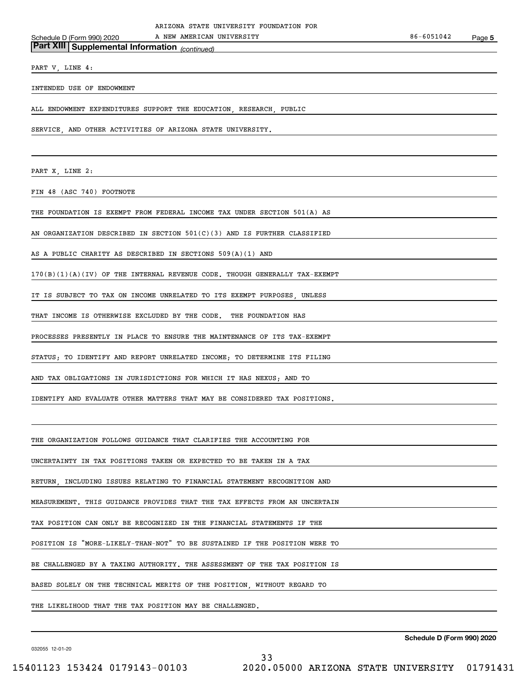PART V, LINE 4:

INTENDED USE OF ENDOWMENT

ALL ENDOWMENT EXPENDITURES SUPPORT THE EDUCATION, RESEARCH, PUBLIC

SERVICE, AND OTHER ACTIVITIES OF ARIZONA STATE UNIVERSITY.

*(continued)* **Part XIII Supplemental Information** 

PART X, LINE 2:

FIN 48 (ASC 740) FOOTNOTE

THE FOUNDATION IS EXEMPT FROM FEDERAL INCOME TAX UNDER SECTION 501(A) AS

AN ORGANIZATION DESCRIBED IN SECTION 501(C)(3) AND IS FURTHER CLASSIFIED

AS A PUBLIC CHARITY AS DESCRIBED IN SECTIONS 509(A)(1) AND

170(B)(1)(A)(IV) OF THE INTERNAL REVENUE CODE. THOUGH GENERALLY TAX-EXEMPT

IT IS SUBJECT TO TAX ON INCOME UNRELATED TO ITS EXEMPT PURPOSES, UNLESS

THAT INCOME IS OTHERWISE EXCLUDED BY THE CODE. THE FOUNDATION HAS

PROCESSES PRESENTLY IN PLACE TO ENSURE THE MAINTENANCE OF ITS TAX-EXEMPT

STATUS; TO IDENTIFY AND REPORT UNRELATED INCOME; TO DETERMINE ITS FILING

AND TAX OBLIGATIONS IN JURISDICTIONS FOR WHICH IT HAS NEXUS; AND TO

IDENTIFY AND EVALUATE OTHER MATTERS THAT MAY BE CONSIDERED TAX POSITIONS.

THE ORGANIZATION FOLLOWS GUIDANCE THAT CLARIFIES THE ACCOUNTING FOR

UNCERTAINTY IN TAX POSITIONS TAKEN OR EXPECTED TO BE TAKEN IN A TAX

RETURN, INCLUDING ISSUES RELATING TO FINANCIAL STATEMENT RECOGNITION AND

MEASUREMENT. THIS GUIDANCE PROVIDES THAT THE TAX EFFECTS FROM AN UNCERTAIN

TAX POSITION CAN ONLY BE RECOGNIZED IN THE FINANCIAL STATEMENTS IF THE

POSITION IS "MORE-LIKELY-THAN-NOT" TO BE SUSTAINED IF THE POSITION WERE TO

BE CHALLENGED BY A TAXING AUTHORITY. THE ASSESSMENT OF THE TAX POSITION IS

BASED SOLELY ON THE TECHNICAL MERITS OF THE POSITION, WITHOUT REGARD TO

THE LIKELIHOOD THAT THE TAX POSITION MAY BE CHALLENGED.

**Schedule D (Form 990) 2020**

032055 12-01-20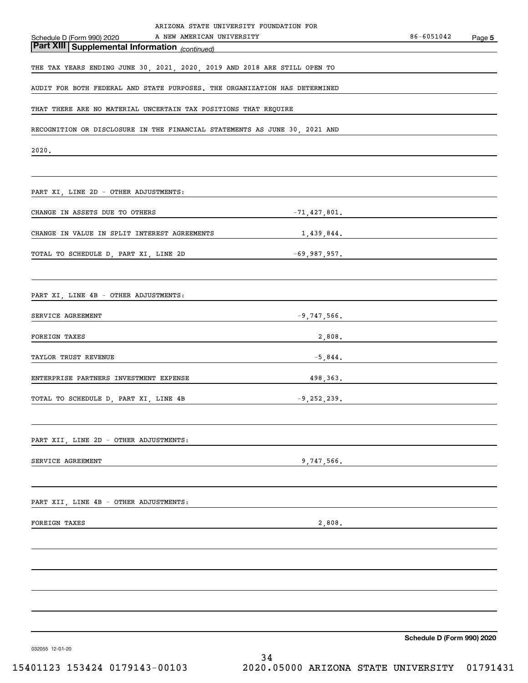| ARIZONA STATE UNIVERSITY FOUNDATION FOR                                                                         |                 |                            |        |
|-----------------------------------------------------------------------------------------------------------------|-----------------|----------------------------|--------|
| Schedule D (Form 990) 2020 A NEW AMERICAN UNIVERSITY<br><b>Part XIII   Supplemental Information</b> (continued) |                 | 86-6051042                 | Page 5 |
|                                                                                                                 |                 |                            |        |
| THE TAX YEARS ENDING JUNE 30, 2021, 2020, 2019 AND 2018 ARE STILL OPEN TO                                       |                 |                            |        |
| AUDIT FOR BOTH FEDERAL AND STATE PURPOSES. THE ORGANIZATION HAS DETERMINED                                      |                 |                            |        |
| THAT THERE ARE NO MATERIAL UNCERTAIN TAX POSITIONS THAT REQUIRE                                                 |                 |                            |        |
| RECOGNITION OR DISCLOSURE IN THE FINANCIAL STATEMENTS AS JUNE 30, 2021 AND                                      |                 |                            |        |
| 2020.                                                                                                           |                 |                            |        |
|                                                                                                                 |                 |                            |        |
| PART XI, LINE 2D - OTHER ADJUSTMENTS:                                                                           |                 |                            |        |
| CHANGE IN ASSETS DUE TO OTHERS                                                                                  | $-71,427,801$ . |                            |        |
| CHANGE IN VALUE IN SPLIT INTEREST AGREEMENTS                                                                    | 1,439,844.      |                            |        |
| TOTAL TO SCHEDULE D, PART XI, LINE 2D<br>-69,987,957.                                                           |                 |                            |        |
|                                                                                                                 |                 |                            |        |
| PART XI, LINE 4B - OTHER ADJUSTMENTS:                                                                           |                 |                            |        |
| SERVICE AGREEMENT                                                                                               | $-9,747,566.$   |                            |        |
| 2,808.<br>FOREIGN TAXES                                                                                         |                 |                            |        |
| TAYLOR TRUST REVENUE                                                                                            | $-5,844.$       |                            |        |
| ENTERPRISE PARTNERS INVESTMENT EXPENSE                                                                          | 498, 363.       |                            |        |
| TOTAL TO SCHEDULE D, PART XI, LINE 4B                                                                           | $-9,252,239.$   |                            |        |
|                                                                                                                 |                 |                            |        |
| PART XII, LINE 2D - OTHER ADJUSTMENTS:                                                                          |                 |                            |        |
| SERVICE AGREEMENT                                                                                               | 9,747,566.      |                            |        |
|                                                                                                                 |                 |                            |        |
| PART XII, LINE 4B - OTHER ADJUSTMENTS:                                                                          |                 |                            |        |
| FOREIGN TAXES                                                                                                   | 2,808.          |                            |        |
|                                                                                                                 |                 |                            |        |
|                                                                                                                 |                 |                            |        |
|                                                                                                                 |                 |                            |        |
|                                                                                                                 |                 |                            |        |
|                                                                                                                 |                 |                            |        |
| 032055 12-01-20                                                                                                 |                 | Schedule D (Form 990) 2020 |        |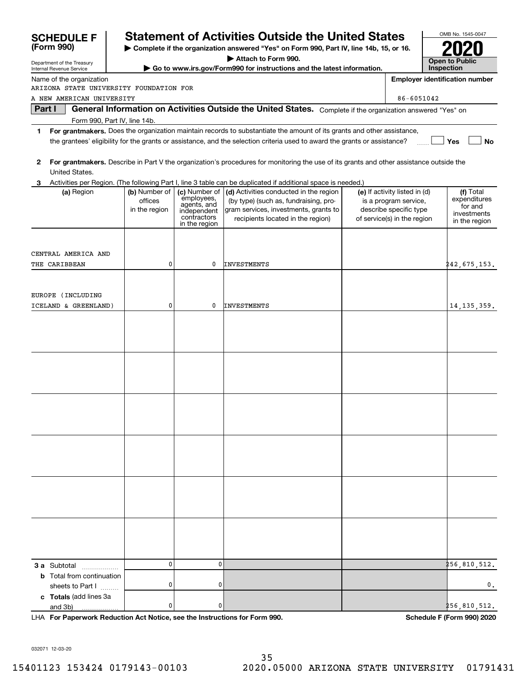| <b>SCHEDULE F</b>                                                                                      | <b>Statement of Activities Outside the United States</b> |                                                                                           |                                                                                                                                                                                                                                                      |  |                                                                                                                 |                                                                      | OMB No. 1545-0047 |  |  |
|--------------------------------------------------------------------------------------------------------|----------------------------------------------------------|-------------------------------------------------------------------------------------------|------------------------------------------------------------------------------------------------------------------------------------------------------------------------------------------------------------------------------------------------------|--|-----------------------------------------------------------------------------------------------------------------|----------------------------------------------------------------------|-------------------|--|--|
| (Form 990)<br>> Complete if the organization answered "Yes" on Form 990, Part IV, line 14b, 15, or 16. |                                                          |                                                                                           |                                                                                                                                                                                                                                                      |  |                                                                                                                 |                                                                      |                   |  |  |
| Department of the Treasury<br>Internal Revenue Service                                                 |                                                          |                                                                                           | Attach to Form 990.<br>Go to www.irs.gov/Form990 for instructions and the latest information.                                                                                                                                                        |  |                                                                                                                 | <b>Open to Public</b><br>Inspection                                  |                   |  |  |
| Name of the organization                                                                               |                                                          |                                                                                           |                                                                                                                                                                                                                                                      |  |                                                                                                                 | <b>Employer identification number</b>                                |                   |  |  |
| ARIZONA STATE UNIVERSITY FOUNDATION FOR                                                                |                                                          |                                                                                           |                                                                                                                                                                                                                                                      |  |                                                                                                                 |                                                                      |                   |  |  |
| A NEW AMERICAN UNIVERSITY                                                                              |                                                          |                                                                                           |                                                                                                                                                                                                                                                      |  | 86-6051042                                                                                                      |                                                                      |                   |  |  |
| Part I                                                                                                 |                                                          |                                                                                           | General Information on Activities Outside the United States. Complete if the organization answered "Yes" on                                                                                                                                          |  |                                                                                                                 |                                                                      |                   |  |  |
| Form 990, Part IV, line 14b.                                                                           |                                                          |                                                                                           |                                                                                                                                                                                                                                                      |  |                                                                                                                 |                                                                      |                   |  |  |
| 1.                                                                                                     |                                                          |                                                                                           | For grantmakers. Does the organization maintain records to substantiate the amount of its grants and other assistance,<br>the grantees' eligibility for the grants or assistance, and the selection criteria used to award the grants or assistance? |  |                                                                                                                 | Yes                                                                  | <b>No</b>         |  |  |
| 2<br>United States.                                                                                    |                                                          |                                                                                           | For grantmakers. Describe in Part V the organization's procedures for monitoring the use of its grants and other assistance outside the                                                                                                              |  |                                                                                                                 |                                                                      |                   |  |  |
|                                                                                                        |                                                          |                                                                                           | Activities per Region. (The following Part I, line 3 table can be duplicated if additional space is needed.)                                                                                                                                         |  |                                                                                                                 |                                                                      |                   |  |  |
| (a) Region                                                                                             | (b) Number of<br>offices<br>in the region                | (c) Number of<br>employees,<br>agents, and<br>independent<br>contractors<br>in the region | (d) Activities conducted in the region<br>(by type) (such as, fundraising, pro-<br>gram services, investments, grants to<br>recipients located in the region)                                                                                        |  | (e) If activity listed in (d)<br>is a program service,<br>describe specific type<br>of service(s) in the region | (f) Total<br>expenditures<br>for and<br>investments<br>in the region |                   |  |  |
|                                                                                                        |                                                          |                                                                                           |                                                                                                                                                                                                                                                      |  |                                                                                                                 |                                                                      |                   |  |  |
| CENTRAL AMERICA AND                                                                                    |                                                          |                                                                                           |                                                                                                                                                                                                                                                      |  |                                                                                                                 |                                                                      |                   |  |  |
| THE CARIBBEAN                                                                                          | 0                                                        | 0                                                                                         | <b>INVESTMENTS</b>                                                                                                                                                                                                                                   |  |                                                                                                                 | <b>2</b> 42,675,153 <b>.</b>                                         |                   |  |  |
|                                                                                                        |                                                          |                                                                                           |                                                                                                                                                                                                                                                      |  |                                                                                                                 |                                                                      |                   |  |  |
|                                                                                                        |                                                          |                                                                                           |                                                                                                                                                                                                                                                      |  |                                                                                                                 |                                                                      |                   |  |  |
| EUROPE (INCLUDING                                                                                      |                                                          |                                                                                           |                                                                                                                                                                                                                                                      |  |                                                                                                                 |                                                                      |                   |  |  |
| ICELAND & GREENLAND)                                                                                   | 0                                                        | 0                                                                                         | <b>INVESTMENTS</b>                                                                                                                                                                                                                                   |  |                                                                                                                 | 14, 135, 359.                                                        |                   |  |  |
|                                                                                                        |                                                          |                                                                                           |                                                                                                                                                                                                                                                      |  |                                                                                                                 |                                                                      |                   |  |  |
|                                                                                                        |                                                          |                                                                                           |                                                                                                                                                                                                                                                      |  |                                                                                                                 |                                                                      |                   |  |  |
|                                                                                                        |                                                          |                                                                                           |                                                                                                                                                                                                                                                      |  |                                                                                                                 |                                                                      |                   |  |  |
|                                                                                                        |                                                          |                                                                                           |                                                                                                                                                                                                                                                      |  |                                                                                                                 |                                                                      |                   |  |  |
|                                                                                                        |                                                          |                                                                                           |                                                                                                                                                                                                                                                      |  |                                                                                                                 |                                                                      |                   |  |  |
|                                                                                                        |                                                          |                                                                                           |                                                                                                                                                                                                                                                      |  |                                                                                                                 |                                                                      |                   |  |  |
|                                                                                                        |                                                          |                                                                                           |                                                                                                                                                                                                                                                      |  |                                                                                                                 |                                                                      |                   |  |  |
|                                                                                                        |                                                          |                                                                                           |                                                                                                                                                                                                                                                      |  |                                                                                                                 |                                                                      |                   |  |  |
|                                                                                                        |                                                          |                                                                                           |                                                                                                                                                                                                                                                      |  |                                                                                                                 |                                                                      |                   |  |  |
|                                                                                                        |                                                          |                                                                                           |                                                                                                                                                                                                                                                      |  |                                                                                                                 |                                                                      |                   |  |  |
|                                                                                                        |                                                          |                                                                                           |                                                                                                                                                                                                                                                      |  |                                                                                                                 |                                                                      |                   |  |  |
|                                                                                                        |                                                          |                                                                                           |                                                                                                                                                                                                                                                      |  |                                                                                                                 |                                                                      |                   |  |  |
|                                                                                                        |                                                          |                                                                                           |                                                                                                                                                                                                                                                      |  |                                                                                                                 |                                                                      |                   |  |  |
|                                                                                                        |                                                          |                                                                                           |                                                                                                                                                                                                                                                      |  |                                                                                                                 |                                                                      |                   |  |  |
|                                                                                                        |                                                          |                                                                                           |                                                                                                                                                                                                                                                      |  |                                                                                                                 |                                                                      |                   |  |  |
|                                                                                                        |                                                          |                                                                                           |                                                                                                                                                                                                                                                      |  |                                                                                                                 |                                                                      |                   |  |  |
|                                                                                                        |                                                          |                                                                                           |                                                                                                                                                                                                                                                      |  |                                                                                                                 |                                                                      |                   |  |  |
|                                                                                                        |                                                          |                                                                                           |                                                                                                                                                                                                                                                      |  |                                                                                                                 |                                                                      |                   |  |  |
|                                                                                                        |                                                          |                                                                                           |                                                                                                                                                                                                                                                      |  |                                                                                                                 |                                                                      |                   |  |  |
|                                                                                                        |                                                          |                                                                                           |                                                                                                                                                                                                                                                      |  |                                                                                                                 |                                                                      |                   |  |  |
|                                                                                                        | 0                                                        | 0                                                                                         |                                                                                                                                                                                                                                                      |  |                                                                                                                 | 256,810,512.                                                         |                   |  |  |
| <b>3 a</b> Subtotal<br><b>b</b> Total from continuation                                                |                                                          |                                                                                           |                                                                                                                                                                                                                                                      |  |                                                                                                                 |                                                                      |                   |  |  |
| sheets to Part I                                                                                       | 0                                                        | 0                                                                                         |                                                                                                                                                                                                                                                      |  |                                                                                                                 |                                                                      | $\mathbf 0$ .     |  |  |
| c Totals (add lines 3a                                                                                 |                                                          |                                                                                           |                                                                                                                                                                                                                                                      |  |                                                                                                                 |                                                                      |                   |  |  |
| and 3b)                                                                                                | 0                                                        | 0                                                                                         |                                                                                                                                                                                                                                                      |  |                                                                                                                 | 256,810,512.                                                         |                   |  |  |

**For Paperwork Reduction Act Notice, see the Instructions for Form 990. Schedule F (Form 990) 2020** LHA

032071 12-03-20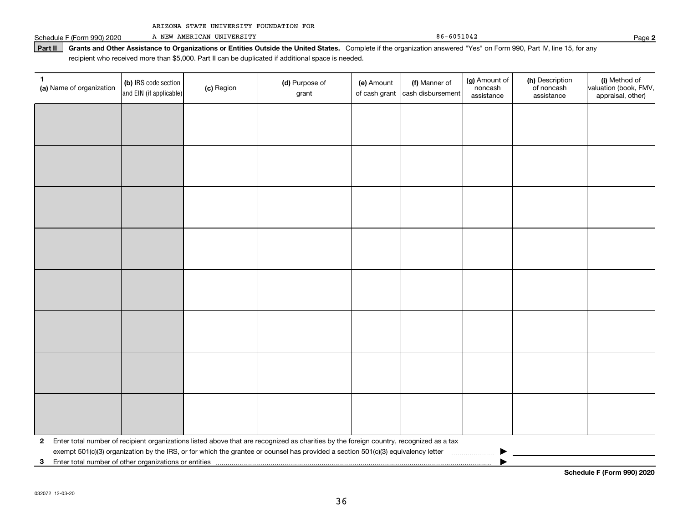Schedule F (Form 990) 2020 A NEW AMERICAN UNIVERSITY RESERVED A RESERVED B F 6051042 A NEW AMERICAN UNIVERSITY

Part II | Grants and Other Assistance to Organizations or Entities Outside the United States. Complete if the organization answered "Yes" on Form 990, Part IV, line 15, for any recipient who received more than \$5,000. Part II can be duplicated if additional space is needed.

| 1<br>(a) Name of organization                           | (b) IRS code section<br>and EIN (if applicable) | (c) Region | (d) Purpose of<br>grant                                                                                                                 | (e) Amount<br>of cash grant | (f) Manner of<br>cash disbursement | (g) Amount of<br>noncash<br>assistance | (h) Description<br>of noncash<br>assistance | (i) Method of<br>valuation (book, FMV,<br>appraisal, other) |
|---------------------------------------------------------|-------------------------------------------------|------------|-----------------------------------------------------------------------------------------------------------------------------------------|-----------------------------|------------------------------------|----------------------------------------|---------------------------------------------|-------------------------------------------------------------|
|                                                         |                                                 |            |                                                                                                                                         |                             |                                    |                                        |                                             |                                                             |
|                                                         |                                                 |            |                                                                                                                                         |                             |                                    |                                        |                                             |                                                             |
|                                                         |                                                 |            |                                                                                                                                         |                             |                                    |                                        |                                             |                                                             |
|                                                         |                                                 |            |                                                                                                                                         |                             |                                    |                                        |                                             |                                                             |
|                                                         |                                                 |            |                                                                                                                                         |                             |                                    |                                        |                                             |                                                             |
|                                                         |                                                 |            |                                                                                                                                         |                             |                                    |                                        |                                             |                                                             |
|                                                         |                                                 |            |                                                                                                                                         |                             |                                    |                                        |                                             |                                                             |
|                                                         |                                                 |            |                                                                                                                                         |                             |                                    |                                        |                                             |                                                             |
|                                                         |                                                 |            |                                                                                                                                         |                             |                                    |                                        |                                             |                                                             |
|                                                         |                                                 |            |                                                                                                                                         |                             |                                    |                                        |                                             |                                                             |
|                                                         |                                                 |            |                                                                                                                                         |                             |                                    |                                        |                                             |                                                             |
|                                                         |                                                 |            |                                                                                                                                         |                             |                                    |                                        |                                             |                                                             |
|                                                         |                                                 |            |                                                                                                                                         |                             |                                    |                                        |                                             |                                                             |
|                                                         |                                                 |            |                                                                                                                                         |                             |                                    |                                        |                                             |                                                             |
|                                                         |                                                 |            |                                                                                                                                         |                             |                                    |                                        |                                             |                                                             |
|                                                         |                                                 |            |                                                                                                                                         |                             |                                    |                                        |                                             |                                                             |
| $\mathbf{2}$                                            |                                                 |            | Enter total number of recipient organizations listed above that are recognized as charities by the foreign country, recognized as a tax |                             |                                    |                                        |                                             |                                                             |
| 3 Enter total number of other organizations or entities |                                                 |            | exempt 501(c)(3) organization by the IRS, or for which the grantee or counsel has provided a section 501(c)(3) equivalency letter       |                             |                                    |                                        |                                             |                                                             |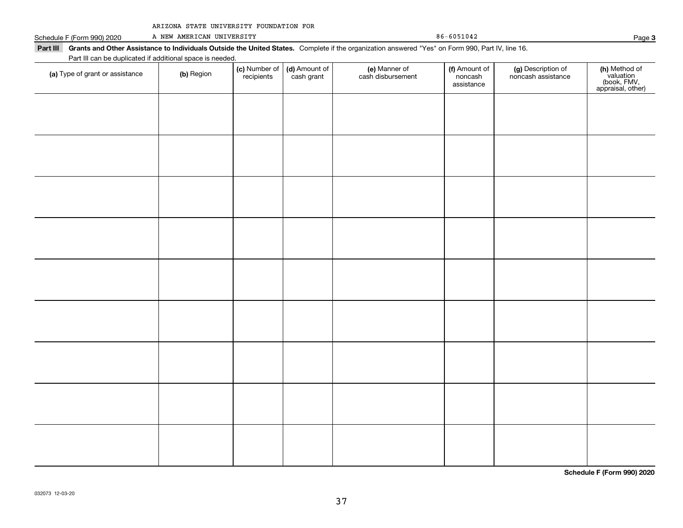|  |  |  | ARIZONA STATE UNIVERSITY FOUNDATION FOR |  |
|--|--|--|-----------------------------------------|--|
|--|--|--|-----------------------------------------|--|

Part III Grants and Other Assistance to Individuals Outside the United States. Complete if the organization answered "Yes" on Form 990, Part IV, line 16.

Schedule F (Form 990) 2020 A NEW AMERICAN UNIVERSITY RESERVED A RESERVED B F 6051042 A NEW AMERICAN UNIVERSITY

| Part III can be duplicated if additional space is needed. |            |                             |                             |                                    |                                        |                                          |                                                                |  |  |
|-----------------------------------------------------------|------------|-----------------------------|-----------------------------|------------------------------------|----------------------------------------|------------------------------------------|----------------------------------------------------------------|--|--|
| (a) Type of grant or assistance                           | (b) Region | (c) Number of<br>recipients | (d) Amount of<br>cash grant | (e) Manner of<br>cash disbursement | (f) Amount of<br>noncash<br>assistance | (g) Description of<br>noncash assistance | (h) Method of<br>valuation<br>(book, FMV,<br>appraisal, other) |  |  |
|                                                           |            |                             |                             |                                    |                                        |                                          |                                                                |  |  |
|                                                           |            |                             |                             |                                    |                                        |                                          |                                                                |  |  |
|                                                           |            |                             |                             |                                    |                                        |                                          |                                                                |  |  |
|                                                           |            |                             |                             |                                    |                                        |                                          |                                                                |  |  |
|                                                           |            |                             |                             |                                    |                                        |                                          |                                                                |  |  |
|                                                           |            |                             |                             |                                    |                                        |                                          |                                                                |  |  |
|                                                           |            |                             |                             |                                    |                                        |                                          |                                                                |  |  |
|                                                           |            |                             |                             |                                    |                                        |                                          |                                                                |  |  |
|                                                           |            |                             |                             |                                    |                                        |                                          |                                                                |  |  |
|                                                           |            |                             |                             |                                    |                                        |                                          |                                                                |  |  |
|                                                           |            |                             |                             |                                    |                                        |                                          |                                                                |  |  |
|                                                           |            |                             |                             |                                    |                                        |                                          |                                                                |  |  |
|                                                           |            |                             |                             |                                    |                                        |                                          |                                                                |  |  |
|                                                           |            |                             |                             |                                    |                                        |                                          |                                                                |  |  |

**Schedule F (Form 990) 2020**

**3**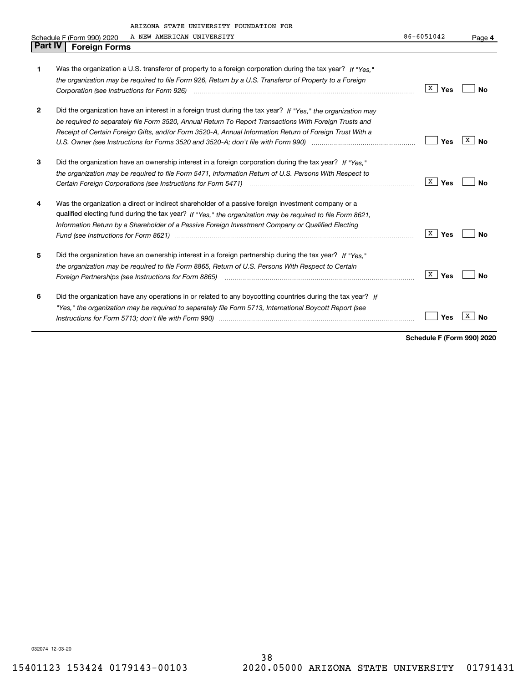|         | ARIZONA STATE UNIVERSITY FOUNDATION FOR                                                                        |                       |           |
|---------|----------------------------------------------------------------------------------------------------------------|-----------------------|-----------|
|         | A NEW AMERICAN UNIVERSITY<br>Schedule F (Form 990) 2020                                                        | 86-6051042            | Page 4    |
| Part IV | <b>Foreign Forms</b>                                                                                           |                       |           |
|         |                                                                                                                |                       |           |
| 1       | Was the organization a U.S. transferor of property to a foreign corporation during the tax year? If "Yes."     |                       |           |
|         | the organization may be required to file Form 926, Return by a U.S. Transferor of Property to a Foreign        |                       |           |
|         |                                                                                                                | x<br>Yes              | Nο        |
| 2       | Did the organization have an interest in a foreign trust during the tax year? If "Yes," the organization may   |                       |           |
|         | be required to separately file Form 3520, Annual Return To Report Transactions With Foreign Trusts and         |                       |           |
|         | Receipt of Certain Foreign Gifts, and/or Form 3520-A, Annual Information Return of Foreign Trust With a        |                       |           |
|         | U.S. Owner (see Instructions for Forms 3520 and 3520-A; don't file with Form 990) manufactured uncontrolled to | Yes                   | х<br>No   |
| 3       | Did the organization have an ownership interest in a foreign corporation during the tax year? If "Yes."        |                       |           |
|         | the organization may be required to file Form 5471, Information Return of U.S. Persons With Respect to         |                       |           |
|         |                                                                                                                | ∣ <sup>X</sup> _∣ Yes | No        |
| 4       | Was the organization a direct or indirect shareholder of a passive foreign investment company or a             |                       |           |
|         | qualified electing fund during the tax year? If "Yes," the organization may be required to file Form 8621,     |                       |           |
|         | Information Return by a Shareholder of a Passive Foreign Investment Company or Qualified Electing              |                       |           |
|         |                                                                                                                | X  <br>Yes            | Nο        |
| 5       | Did the organization have an ownership interest in a foreign partnership during the tax year? If "Yes."        |                       |           |
|         | the organization may be required to file Form 8865, Return of U.S. Persons With Respect to Certain             |                       |           |
|         |                                                                                                                | x  <br>Yes            | <b>No</b> |
| 6       | Did the organization have any operations in or related to any boycotting countries during the tax year? If     |                       |           |
|         | "Yes," the organization may be required to separately file Form 5713, International Boycott Report (see        |                       |           |
|         |                                                                                                                | Yes                   | х<br>No   |
|         |                                                                                                                |                       |           |

**Schedule F (Form 990) 2020**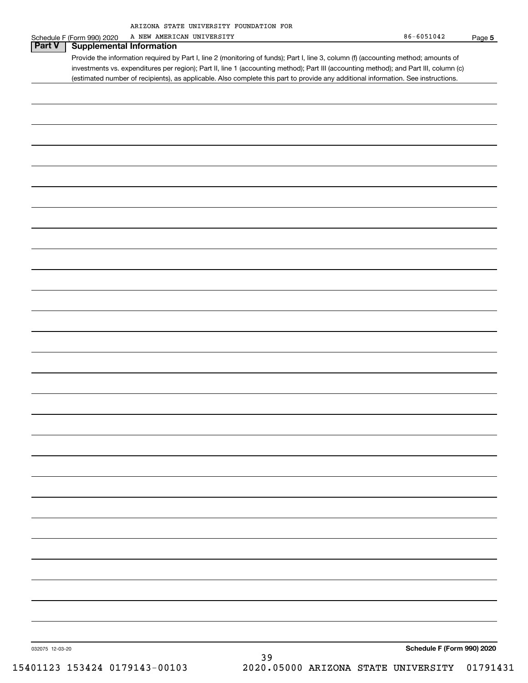| ARIZONA STATE UNIVERSITY FOUNDATION FOR |  |  |  |
|-----------------------------------------|--|--|--|
|-----------------------------------------|--|--|--|

|                 | A NEW AMERICAN UNIVERSITY<br>Schedule F (Form 990) 2020                                                                               | $86 - 6051042$             | Page 5   |
|-----------------|---------------------------------------------------------------------------------------------------------------------------------------|----------------------------|----------|
| <b>Part V</b>   | <b>Supplemental Information</b>                                                                                                       |                            |          |
|                 | Provide the information required by Part I, line 2 (monitoring of funds); Part I, line 3, column (f) (accounting method; amounts of   |                            |          |
|                 | investments vs. expenditures per region); Part II, line 1 (accounting method); Part III (accounting method); and Part III, column (c) |                            |          |
|                 | (estimated number of recipients), as applicable. Also complete this part to provide any additional information. See instructions.     |                            |          |
|                 |                                                                                                                                       |                            |          |
|                 |                                                                                                                                       |                            |          |
|                 |                                                                                                                                       |                            |          |
|                 |                                                                                                                                       |                            |          |
|                 |                                                                                                                                       |                            |          |
|                 |                                                                                                                                       |                            |          |
|                 |                                                                                                                                       |                            |          |
|                 |                                                                                                                                       |                            |          |
|                 |                                                                                                                                       |                            |          |
|                 |                                                                                                                                       |                            |          |
|                 |                                                                                                                                       |                            |          |
|                 |                                                                                                                                       |                            |          |
|                 |                                                                                                                                       |                            |          |
|                 |                                                                                                                                       |                            |          |
|                 |                                                                                                                                       |                            |          |
|                 |                                                                                                                                       |                            |          |
|                 |                                                                                                                                       |                            |          |
|                 |                                                                                                                                       |                            |          |
|                 |                                                                                                                                       |                            |          |
|                 |                                                                                                                                       |                            |          |
|                 |                                                                                                                                       |                            |          |
|                 |                                                                                                                                       |                            |          |
|                 |                                                                                                                                       |                            |          |
|                 |                                                                                                                                       |                            |          |
|                 |                                                                                                                                       |                            |          |
|                 |                                                                                                                                       |                            |          |
|                 |                                                                                                                                       |                            |          |
|                 |                                                                                                                                       |                            |          |
|                 |                                                                                                                                       |                            |          |
|                 |                                                                                                                                       |                            |          |
|                 |                                                                                                                                       |                            |          |
|                 |                                                                                                                                       |                            |          |
|                 |                                                                                                                                       |                            |          |
|                 |                                                                                                                                       |                            |          |
|                 |                                                                                                                                       |                            |          |
|                 |                                                                                                                                       |                            |          |
|                 |                                                                                                                                       |                            |          |
|                 |                                                                                                                                       |                            |          |
|                 |                                                                                                                                       |                            |          |
|                 |                                                                                                                                       |                            |          |
|                 |                                                                                                                                       |                            |          |
|                 |                                                                                                                                       |                            |          |
|                 |                                                                                                                                       |                            |          |
|                 |                                                                                                                                       |                            |          |
|                 |                                                                                                                                       |                            |          |
|                 |                                                                                                                                       |                            |          |
|                 |                                                                                                                                       |                            |          |
|                 |                                                                                                                                       |                            |          |
|                 |                                                                                                                                       |                            |          |
|                 |                                                                                                                                       |                            |          |
|                 |                                                                                                                                       |                            |          |
|                 |                                                                                                                                       |                            |          |
| 032075 12-03-20 | 39                                                                                                                                    | Schedule F (Form 990) 2020 |          |
|                 | 15401123 153424 0179143-00103<br>2020.05000 ARIZONA STATE UNIVERSITY                                                                  |                            | 01791431 |
|                 |                                                                                                                                       |                            |          |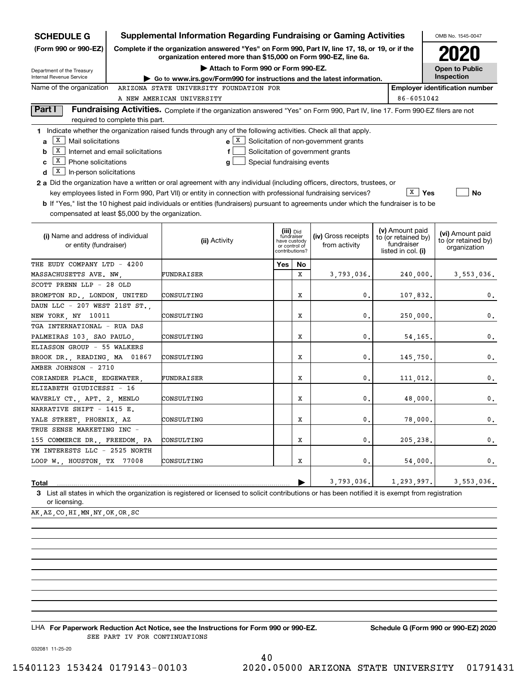| <b>SCHEDULE G</b>                                                                                            |                                                                                                                                                                             | <b>Supplemental Information Regarding Fundraising or Gaming Activities</b>                                                                         |                               |                                           |                                             |                                                                            |                         | OMB No. 1545-0047                                       |  |  |  |
|--------------------------------------------------------------------------------------------------------------|-----------------------------------------------------------------------------------------------------------------------------------------------------------------------------|----------------------------------------------------------------------------------------------------------------------------------------------------|-------------------------------|-------------------------------------------|---------------------------------------------|----------------------------------------------------------------------------|-------------------------|---------------------------------------------------------|--|--|--|
| (Form 990 or 990-EZ)                                                                                         | Complete if the organization answered "Yes" on Form 990, Part IV, line 17, 18, or 19, or if the<br>2020<br>organization entered more than \$15,000 on Form 990-EZ, line 6a. |                                                                                                                                                    |                               |                                           |                                             |                                                                            |                         |                                                         |  |  |  |
| Department of the Treasury                                                                                   | Attach to Form 990 or Form 990-EZ.<br><b>Open to Public</b>                                                                                                                 |                                                                                                                                                    |                               |                                           |                                             |                                                                            |                         |                                                         |  |  |  |
| Internal Revenue Service                                                                                     |                                                                                                                                                                             | ► Go to www.irs.gov/Form990 for instructions and the latest information.                                                                           |                               |                                           |                                             |                                                                            |                         | Inspection                                              |  |  |  |
| Name of the organization<br>ARIZONA STATE UNIVERSITY FOUNDATION FOR<br><b>Employer identification number</b> |                                                                                                                                                                             |                                                                                                                                                    |                               |                                           |                                             |                                                                            |                         |                                                         |  |  |  |
|                                                                                                              |                                                                                                                                                                             | A NEW AMERICAN UNIVERSITY                                                                                                                          |                               |                                           |                                             | 86-6051042                                                                 |                         |                                                         |  |  |  |
| Part I                                                                                                       | required to complete this part.                                                                                                                                             | Fundraising Activities. Complete if the organization answered "Yes" on Form 990, Part IV, line 17. Form 990-EZ filers are not                      |                               |                                           |                                             |                                                                            |                         |                                                         |  |  |  |
|                                                                                                              |                                                                                                                                                                             | 1 Indicate whether the organization raised funds through any of the following activities. Check all that apply.                                    |                               |                                           |                                             |                                                                            |                         |                                                         |  |  |  |
| X  <br>Mail solicitations<br>a                                                                               |                                                                                                                                                                             |                                                                                                                                                    |                               |                                           | $e X$ Solicitation of non-government grants |                                                                            |                         |                                                         |  |  |  |
| х<br>b                                                                                                       | Internet and email solicitations                                                                                                                                            | f                                                                                                                                                  |                               |                                           | Solicitation of government grants           |                                                                            |                         |                                                         |  |  |  |
| X<br>Phone solicitations<br>c                                                                                |                                                                                                                                                                             | Special fundraising events<br>g                                                                                                                    |                               |                                           |                                             |                                                                            |                         |                                                         |  |  |  |
| X<br>In-person solicitations<br>d                                                                            |                                                                                                                                                                             |                                                                                                                                                    |                               |                                           |                                             |                                                                            |                         |                                                         |  |  |  |
|                                                                                                              |                                                                                                                                                                             | 2 a Did the organization have a written or oral agreement with any individual (including officers, directors, trustees, or                         |                               |                                           |                                             |                                                                            |                         |                                                         |  |  |  |
|                                                                                                              |                                                                                                                                                                             | key employees listed in Form 990, Part VII) or entity in connection with professional fundraising services?                                        |                               |                                           |                                             |                                                                            | $\sqrt{\mathbf{x}}$ Yes | <b>No</b>                                               |  |  |  |
|                                                                                                              |                                                                                                                                                                             | <b>b</b> If "Yes," list the 10 highest paid individuals or entities (fundraisers) pursuant to agreements under which the fundraiser is to be       |                               |                                           |                                             |                                                                            |                         |                                                         |  |  |  |
| compensated at least \$5,000 by the organization.                                                            |                                                                                                                                                                             |                                                                                                                                                    |                               |                                           |                                             |                                                                            |                         |                                                         |  |  |  |
| (i) Name and address of individual<br>or entity (fundraiser)                                                 |                                                                                                                                                                             | (ii) Activity                                                                                                                                      | have custody<br>or control of | (iii) Did<br>fundraiser<br>contributions? | (iv) Gross receipts<br>from activity        | (v) Amount paid<br>to (or retained by)<br>fundraiser<br>listed in col. (i) |                         | (vi) Amount paid<br>to (or retained by)<br>organization |  |  |  |
| THE EUDY COMPANY LTD - 4200                                                                                  |                                                                                                                                                                             |                                                                                                                                                    | Yes                           | No                                        |                                             |                                                                            |                         |                                                         |  |  |  |
| MASSACHUSETTS AVE. NW.                                                                                       |                                                                                                                                                                             | FUNDRAISER                                                                                                                                         |                               | X                                         | 3,793,036.                                  | 240,000.                                                                   |                         | 3,553,036.                                              |  |  |  |
| SCOTT PRENN LLP - 28 OLD                                                                                     |                                                                                                                                                                             |                                                                                                                                                    |                               |                                           |                                             |                                                                            |                         |                                                         |  |  |  |
| BROMPTON RD., LONDON, UNITED                                                                                 |                                                                                                                                                                             | CONSULTING                                                                                                                                         |                               | x                                         | 0.                                          | 107,832.                                                                   |                         | $\mathbf{0}$ .                                          |  |  |  |
| DAUN LLC - 207 WEST 21ST ST.                                                                                 |                                                                                                                                                                             |                                                                                                                                                    |                               |                                           |                                             |                                                                            |                         |                                                         |  |  |  |
| NEW YORK, NY 10011                                                                                           |                                                                                                                                                                             | CONSULTING                                                                                                                                         |                               | X                                         | 0.                                          | 250,000.                                                                   |                         | 0.                                                      |  |  |  |
| TGA INTERNATIONAL - RUA DAS                                                                                  |                                                                                                                                                                             |                                                                                                                                                    |                               |                                           |                                             |                                                                            |                         |                                                         |  |  |  |
| PALMEIRAS 103, SAO PAULO,                                                                                    |                                                                                                                                                                             | CONSULTING                                                                                                                                         |                               | x                                         | 0.                                          | 54,165                                                                     |                         | 0.                                                      |  |  |  |
| ELIASSON GROUP - 55 WALKERS                                                                                  |                                                                                                                                                                             |                                                                                                                                                    |                               |                                           |                                             |                                                                            |                         |                                                         |  |  |  |
| BROOK DR., READING, MA 01867                                                                                 |                                                                                                                                                                             | CONSULTING                                                                                                                                         |                               | X                                         | 0.                                          | 145,750.                                                                   |                         | 0.                                                      |  |  |  |
| AMBER JOHNSON - 2710                                                                                         |                                                                                                                                                                             |                                                                                                                                                    |                               |                                           |                                             |                                                                            |                         |                                                         |  |  |  |
| CORIANDER PLACE, EDGEWATER,                                                                                  |                                                                                                                                                                             | FUNDRAISER                                                                                                                                         |                               | x                                         | 0.                                          | 111,012.                                                                   |                         | 0.                                                      |  |  |  |
| ELIZABETH GIUDICESSI - 16                                                                                    |                                                                                                                                                                             |                                                                                                                                                    |                               |                                           |                                             |                                                                            |                         |                                                         |  |  |  |
| WAVERLY CT., APT. 2, MENLO                                                                                   |                                                                                                                                                                             | CONSULTING                                                                                                                                         |                               | X                                         | 0.                                          | 48,000                                                                     |                         | 0.                                                      |  |  |  |
| NARRATIVE SHIFT - 1415 E.                                                                                    |                                                                                                                                                                             |                                                                                                                                                    |                               |                                           |                                             |                                                                            |                         |                                                         |  |  |  |
| YALE STREET, PHOENIX, AZ<br>TRUE SENSE MARKETING INC -                                                       |                                                                                                                                                                             | CONSULTING                                                                                                                                         |                               | X                                         | 0.                                          |                                                                            | 78,000.                 | 0.                                                      |  |  |  |
| 155 COMMERCE DR., FREEDOM, PA                                                                                |                                                                                                                                                                             | CONSULTING                                                                                                                                         |                               | X                                         | 0.                                          |                                                                            |                         | 0.                                                      |  |  |  |
| YM INTERESTS LLC - 2525 NORTH                                                                                |                                                                                                                                                                             |                                                                                                                                                    |                               |                                           |                                             | 205,238,                                                                   |                         |                                                         |  |  |  |
| LOOP W., HOUSTON, TX 77008                                                                                   |                                                                                                                                                                             | CONSULTING                                                                                                                                         |                               | X                                         | 0.                                          |                                                                            | 54,000.                 | 0.                                                      |  |  |  |
|                                                                                                              |                                                                                                                                                                             |                                                                                                                                                    |                               |                                           |                                             |                                                                            |                         |                                                         |  |  |  |
| Total                                                                                                        |                                                                                                                                                                             |                                                                                                                                                    |                               |                                           | 3,793,036.                                  | 1,293,997.                                                                 |                         | 3,553,036.                                              |  |  |  |
| or licensing.                                                                                                |                                                                                                                                                                             | 3 List all states in which the organization is registered or licensed to solicit contributions or has been notified it is exempt from registration |                               |                                           |                                             |                                                                            |                         |                                                         |  |  |  |

AK,AZ,CO,HI,MN,NY,OK,OR,SC

LHA For Paperwork Reduction Act Notice, see the Instructions for Form 990 or 990-EZ. Schedule G (Form 990 or 990-EZ) 2020 SEE PART IV FOR CONTINUATIONS

032081 11-25-20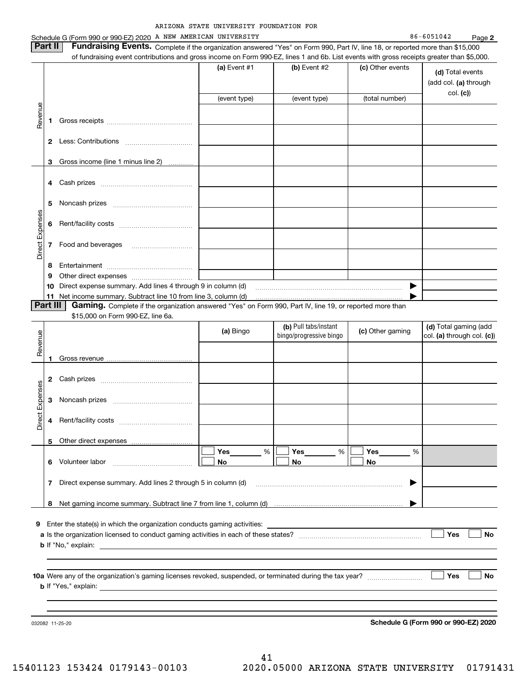|                 |                | Schedule G (Form 990 or 990-EZ) 2020 A NEW AMERICAN UNIVERSITY                                                                            |                |                         |   |                  | 86-6051042<br>Page 2       |
|-----------------|----------------|-------------------------------------------------------------------------------------------------------------------------------------------|----------------|-------------------------|---|------------------|----------------------------|
|                 | Part II        | Fundraising Events. Complete if the organization answered "Yes" on Form 990, Part IV, line 18, or reported more than \$15,000             |                |                         |   |                  |                            |
|                 |                | of fundraising event contributions and gross income on Form 990-EZ, lines 1 and 6b. List events with gross receipts greater than \$5,000. | (a) Event $#1$ | (b) Event #2            |   | (c) Other events |                            |
|                 |                |                                                                                                                                           |                |                         |   |                  | (d) Total events           |
|                 |                |                                                                                                                                           |                |                         |   |                  | (add col. (a) through      |
|                 |                |                                                                                                                                           | (event type)   | (event type)            |   | (total number)   | col. (c)                   |
|                 |                |                                                                                                                                           |                |                         |   |                  |                            |
| Revenue         | 1              |                                                                                                                                           |                |                         |   |                  |                            |
|                 |                |                                                                                                                                           |                |                         |   |                  |                            |
|                 |                |                                                                                                                                           |                |                         |   |                  |                            |
|                 |                | Gross income (line 1 minus line 2)                                                                                                        |                |                         |   |                  |                            |
|                 |                |                                                                                                                                           |                |                         |   |                  |                            |
|                 | 4              |                                                                                                                                           |                |                         |   |                  |                            |
|                 |                |                                                                                                                                           |                |                         |   |                  |                            |
|                 | 5              |                                                                                                                                           |                |                         |   |                  |                            |
|                 |                |                                                                                                                                           |                |                         |   |                  |                            |
|                 | 6              |                                                                                                                                           |                |                         |   |                  |                            |
| Direct Expenses | 7              |                                                                                                                                           |                |                         |   |                  |                            |
|                 |                |                                                                                                                                           |                |                         |   |                  |                            |
|                 | 8              |                                                                                                                                           |                |                         |   |                  |                            |
|                 | 9              |                                                                                                                                           |                |                         |   |                  |                            |
|                 | 10             | Direct expense summary. Add lines 4 through 9 in column (d) [11] manuscription and the summary. Add lines 4 through 9 in column (d)       |                |                         |   | ▶                |                            |
|                 | 11<br>Part III | Gaming. Complete if the organization answered "Yes" on Form 990, Part IV, line 19, or reported more than                                  |                |                         |   |                  |                            |
|                 |                | \$15,000 on Form 990-EZ, line 6a.                                                                                                         |                |                         |   |                  |                            |
|                 |                |                                                                                                                                           |                | (b) Pull tabs/instant   |   | (c) Other gaming | (d) Total gaming (add      |
| Revenue         |                |                                                                                                                                           | (a) Bingo      | bingo/progressive bingo |   |                  | col. (a) through col. (c)) |
|                 |                |                                                                                                                                           |                |                         |   |                  |                            |
|                 |                |                                                                                                                                           |                |                         |   |                  |                            |
|                 | 2              |                                                                                                                                           |                |                         |   |                  |                            |
|                 |                |                                                                                                                                           |                |                         |   |                  |                            |
| Expenses        | 3              |                                                                                                                                           |                |                         |   |                  |                            |
| ÷.              |                |                                                                                                                                           |                |                         |   |                  |                            |
| Direc           | 4              |                                                                                                                                           |                |                         |   |                  |                            |
|                 |                |                                                                                                                                           |                |                         |   |                  |                            |
|                 | 5              | Other direct expenses<br><u></u>                                                                                                          |                |                         |   |                  |                            |
|                 | 6              | Volunteer labor                                                                                                                           | Yes<br>%<br>No | Yes<br>No               | % | Yes<br>%<br>No   |                            |
|                 |                |                                                                                                                                           |                |                         |   |                  |                            |
|                 | 7              | Direct expense summary. Add lines 2 through 5 in column (d)                                                                               |                |                         |   |                  |                            |
|                 |                |                                                                                                                                           |                |                         |   |                  |                            |
|                 | 8              |                                                                                                                                           |                |                         |   |                  |                            |
|                 |                |                                                                                                                                           |                |                         |   |                  |                            |
| 9               |                | Enter the state(s) in which the organization conducts gaming activities:                                                                  |                |                         |   |                  | Yes<br>No                  |
|                 |                |                                                                                                                                           |                |                         |   |                  |                            |
|                 |                |                                                                                                                                           |                |                         |   |                  |                            |
|                 |                |                                                                                                                                           |                |                         |   |                  |                            |
|                 |                |                                                                                                                                           |                |                         |   |                  | Yes<br>No                  |
|                 |                |                                                                                                                                           |                |                         |   |                  |                            |
|                 |                |                                                                                                                                           |                |                         |   |                  |                            |
|                 |                |                                                                                                                                           |                |                         |   |                  |                            |

**Schedule G (Form 990 or 990-EZ) 2020**

032082 11-25-20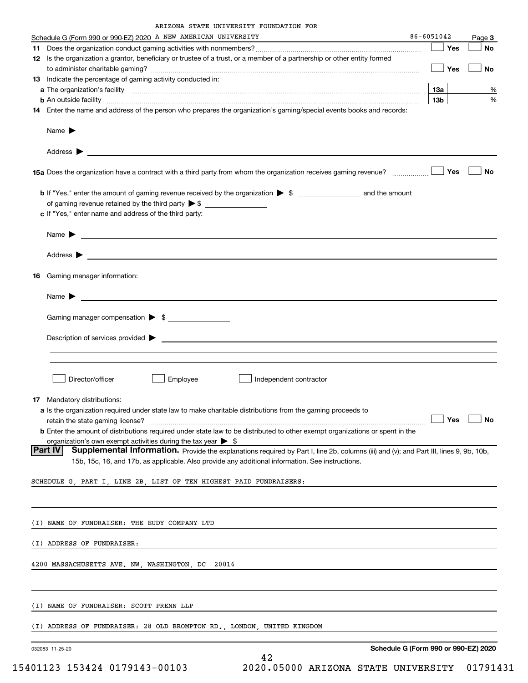|  | ARIZONA STATE UNIVERSITY FOUNDATION FOR |  |
|--|-----------------------------------------|--|
|  |                                         |  |

|    | Schedule G (Form 990 or 990-EZ) 2020 A NEW AMERICAN UNIVERSITY                                                                                                                                                                            | 86-6051042      | Page 3 |
|----|-------------------------------------------------------------------------------------------------------------------------------------------------------------------------------------------------------------------------------------------|-----------------|--------|
|    |                                                                                                                                                                                                                                           | Yes             | No     |
|    | 12 Is the organization a grantor, beneficiary or trustee of a trust, or a member of a partnership or other entity formed                                                                                                                  |                 |        |
|    |                                                                                                                                                                                                                                           | — ∣ Yes         | No     |
|    | <b>13</b> Indicate the percentage of gaming activity conducted in:                                                                                                                                                                        |                 |        |
|    |                                                                                                                                                                                                                                           | 13а             | %      |
|    | <b>b</b> An outside facility <b>contract and the contract of the contract of the contract of the contract of the contract of the contract of the contract of the contract of the contract of the contract of the contract of the cont</b> | 13 <sub>b</sub> | %      |
|    | 14 Enter the name and address of the person who prepares the organization's gaming/special events books and records:                                                                                                                      |                 |        |
|    |                                                                                                                                                                                                                                           |                 |        |
|    |                                                                                                                                                                                                                                           |                 |        |
|    | 15a Does the organization have a contract with a third party from whom the organization receives gaming revenue?                                                                                                                          | Yes             | No     |
|    |                                                                                                                                                                                                                                           |                 |        |
|    | of gaming revenue retained by the third party $\triangleright$ \$                                                                                                                                                                         |                 |        |
|    | c If "Yes," enter name and address of the third party:                                                                                                                                                                                    |                 |        |
|    | $Name \rightarrow$                                                                                                                                                                                                                        |                 |        |
|    |                                                                                                                                                                                                                                           |                 |        |
|    |                                                                                                                                                                                                                                           |                 |        |
|    |                                                                                                                                                                                                                                           |                 |        |
| 16 | Gaming manager information:                                                                                                                                                                                                               |                 |        |
|    |                                                                                                                                                                                                                                           |                 |        |
|    | Name $\blacktriangleright$ $\lrcorner$                                                                                                                                                                                                    |                 |        |
|    | Gaming manager compensation > \$                                                                                                                                                                                                          |                 |        |
|    |                                                                                                                                                                                                                                           |                 |        |
|    | $Description of services provided$ $\triangleright$                                                                                                                                                                                       |                 |        |
|    |                                                                                                                                                                                                                                           |                 |        |
|    |                                                                                                                                                                                                                                           |                 |        |
|    |                                                                                                                                                                                                                                           |                 |        |
|    | Director/officer<br>Employee<br>Independent contractor                                                                                                                                                                                    |                 |        |
|    | 17 Mandatory distributions:                                                                                                                                                                                                               |                 |        |
|    | a Is the organization required under state law to make charitable distributions from the gaming proceeds to                                                                                                                               |                 |        |
|    | $r$ etain the state gaming license? $\Box$ No                                                                                                                                                                                             |                 |        |
|    | <b>b</b> Enter the amount of distributions required under state law to be distributed to other exempt organizations or spent in the                                                                                                       |                 |        |
|    | organization's own exempt activities during the tax year $\triangleright$ \$                                                                                                                                                              |                 |        |
|    | <b>IPart IV</b><br>Supplemental Information. Provide the explanations required by Part I, line 2b, columns (iii) and (v); and Part III, lines 9, 9b, 10b,                                                                                 |                 |        |
|    | 15b, 15c, 16, and 17b, as applicable. Also provide any additional information. See instructions.                                                                                                                                          |                 |        |
|    | SCHEDULE G, PART I, LINE 2B, LIST OF TEN HIGHEST PAID FUNDRAISERS:                                                                                                                                                                        |                 |        |
|    |                                                                                                                                                                                                                                           |                 |        |
|    |                                                                                                                                                                                                                                           |                 |        |
|    |                                                                                                                                                                                                                                           |                 |        |
|    | (I) NAME OF FUNDRAISER: THE EUDY COMPANY LTD                                                                                                                                                                                              |                 |        |
|    |                                                                                                                                                                                                                                           |                 |        |
|    | (I) ADDRESS OF FUNDRAISER:                                                                                                                                                                                                                |                 |        |
|    | 4200 MASSACHUSETTS AVE. NW, WASHINGTON, DC 20016                                                                                                                                                                                          |                 |        |
|    |                                                                                                                                                                                                                                           |                 |        |
|    |                                                                                                                                                                                                                                           |                 |        |
|    |                                                                                                                                                                                                                                           |                 |        |
|    | (I) NAME OF FUNDRAISER: SCOTT PRENN LLP                                                                                                                                                                                                   |                 |        |
|    |                                                                                                                                                                                                                                           |                 |        |
|    | (I) ADDRESS OF FUNDRAISER: 28 OLD BROMPTON RD., LONDON, UNITED KINGDOM                                                                                                                                                                    |                 |        |
|    |                                                                                                                                                                                                                                           |                 |        |
|    | Schedule G (Form 990 or 990-EZ) 2020<br>032083 11-25-20                                                                                                                                                                                   |                 |        |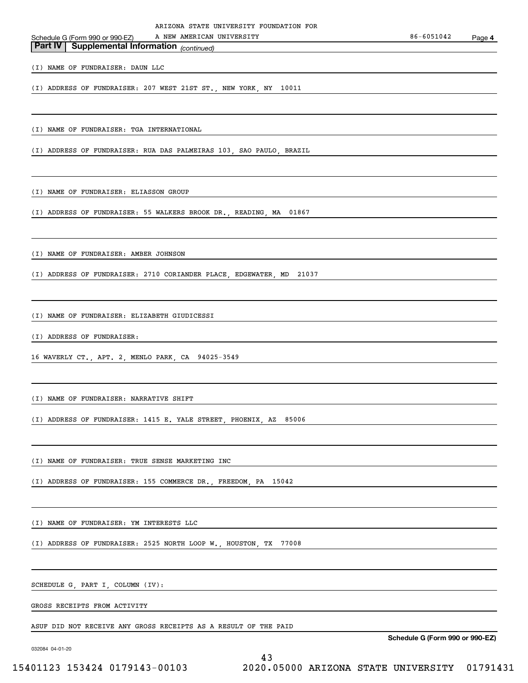*(continued)* **Part IV Supplemental Information**  Schedule G (Form 990 or 990-EZ)

(I) NAME OF FUNDRAISER: DAUN LLC

(I) ADDRESS OF FUNDRAISER: 207 WEST 21ST ST., NEW YORK, NY 10011

(I) NAME OF FUNDRAISER: TGA INTERNATIONAL

(I) ADDRESS OF FUNDRAISER: RUA DAS PALMEIRAS 103, SAO PAULO, BRAZIL

(I) NAME OF FUNDRAISER: ELIASSON GROUP

(I) ADDRESS OF FUNDRAISER: 55 WALKERS BROOK DR., READING, MA 01867

(I) NAME OF FUNDRAISER: AMBER JOHNSON

(I) ADDRESS OF FUNDRAISER: 2710 CORIANDER PLACE, EDGEWATER, MD 21037

(I) NAME OF FUNDRAISER: ELIZABETH GIUDICESSI

(I) ADDRESS OF FUNDRAISER:

16 WAVERLY CT., APT. 2, MENLO PARK, CA 94025-3549

(I) NAME OF FUNDRAISER: NARRATIVE SHIFT

(I) ADDRESS OF FUNDRAISER: 1415 E. YALE STREET, PHOENIX, AZ 85006

(I) NAME OF FUNDRAISER: TRUE SENSE MARKETING INC

(I) ADDRESS OF FUNDRAISER: 155 COMMERCE DR., FREEDOM, PA 15042

(I) NAME OF FUNDRAISER: YM INTERESTS LLC

(I) ADDRESS OF FUNDRAISER: 2525 NORTH LOOP W., HOUSTON, TX 77008

SCHEDULE G, PART I, COLUMN (IV):

GROSS RECEIPTS FROM ACTIVITY

ASUF DID NOT RECEIVE ANY GROSS RECEIPTS AS A RESULT OF THE PAID

032084 04-01-20

**Schedule G (Form 990 or 990-EZ)**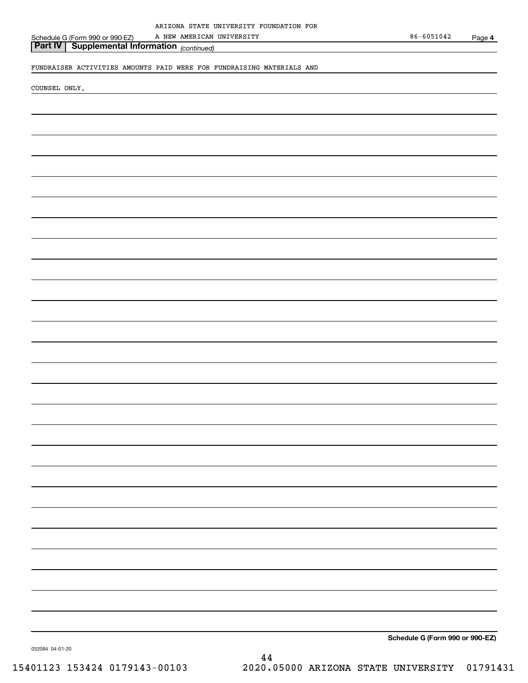*(continued)* **Part IV Supplemental Information** 

FUNDRAISER ACTIVITIES AMOUNTS PAID WERE FOR FUNDRAISING MATERIALS AND

COUNSEL ONLY.

Schedule G (Form 990 or 990-EZ)

**Schedule G (Form 990 or 990-EZ)**

032084 04-01-20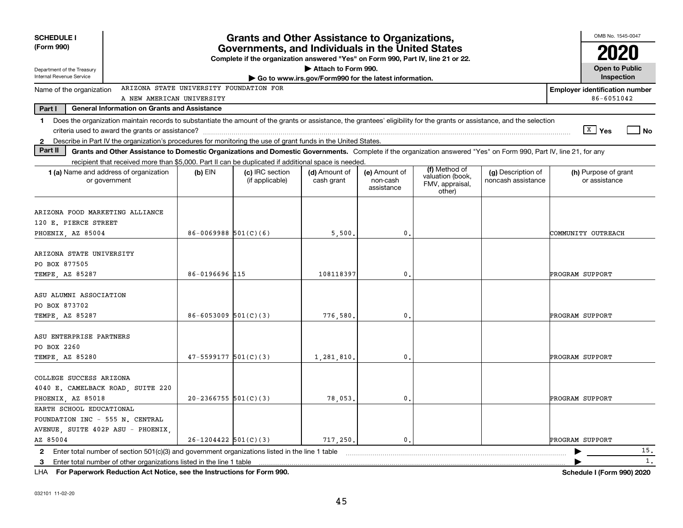| <b>SCHEDULE I</b><br>(Form 990)                                                                                                                                                                                                                                           | <b>Grants and Other Assistance to Organizations,</b><br>Governments, and Individuals in the United States<br>Complete if the organization answered "Yes" on Form 990, Part IV, line 21 or 22. |                                    |                             |                                         |                                                                |                                          |                                                     |  |  |  |  |  |
|---------------------------------------------------------------------------------------------------------------------------------------------------------------------------------------------------------------------------------------------------------------------------|-----------------------------------------------------------------------------------------------------------------------------------------------------------------------------------------------|------------------------------------|-----------------------------|-----------------------------------------|----------------------------------------------------------------|------------------------------------------|-----------------------------------------------------|--|--|--|--|--|
| Department of the Treasury<br>Internal Revenue Service                                                                                                                                                                                                                    |                                                                                                                                                                                               |                                    | Attach to Form 990.         |                                         |                                                                |                                          | <b>Open to Public</b><br>Inspection                 |  |  |  |  |  |
|                                                                                                                                                                                                                                                                           | Go to www.irs.gov/Form990 for the latest information.<br>ARIZONA STATE UNIVERSITY FOUNDATION FOR                                                                                              |                                    |                             |                                         |                                                                |                                          |                                                     |  |  |  |  |  |
| Name of the organization                                                                                                                                                                                                                                                  | A NEW AMERICAN UNIVERSITY                                                                                                                                                                     |                                    |                             |                                         |                                                                |                                          | <b>Employer identification number</b><br>86-6051042 |  |  |  |  |  |
| Part I<br><b>General Information on Grants and Assistance</b>                                                                                                                                                                                                             |                                                                                                                                                                                               |                                    |                             |                                         |                                                                |                                          |                                                     |  |  |  |  |  |
| Does the organization maintain records to substantiate the amount of the grants or assistance, the grantees' eligibility for the grants or assistance, and the selection<br>1.                                                                                            |                                                                                                                                                                                               |                                    |                             |                                         |                                                                |                                          | $\sqrt{\frac{X}{2}}$ Yes<br>l No                    |  |  |  |  |  |
| 2 Describe in Part IV the organization's procedures for monitoring the use of grant funds in the United States.<br>Part II                                                                                                                                                |                                                                                                                                                                                               |                                    |                             |                                         |                                                                |                                          |                                                     |  |  |  |  |  |
| Grants and Other Assistance to Domestic Organizations and Domestic Governments. Complete if the organization answered "Yes" on Form 990, Part IV, line 21, for any<br>recipient that received more than \$5,000. Part II can be duplicated if additional space is needed. |                                                                                                                                                                                               |                                    |                             |                                         |                                                                |                                          |                                                     |  |  |  |  |  |
| 1 (a) Name and address of organization<br>or government                                                                                                                                                                                                                   | $(b)$ EIN                                                                                                                                                                                     | (c) IRC section<br>(if applicable) | (d) Amount of<br>cash grant | (e) Amount of<br>non-cash<br>assistance | (f) Method of<br>valuation (book,<br>FMV, appraisal,<br>other) | (g) Description of<br>noncash assistance | (h) Purpose of grant<br>or assistance               |  |  |  |  |  |
| ARIZONA FOOD MARKETING ALLIANCE<br>120 E. PIERCE STREET<br>PHOENIX, AZ 85004                                                                                                                                                                                              | $86 - 0069988$ 501(C)(6)                                                                                                                                                                      |                                    | 5,500.                      | $\mathbf{0}$ .                          |                                                                |                                          | COMMUNITY OUTREACH                                  |  |  |  |  |  |
| ARIZONA STATE UNIVERSITY<br>PO BOX 877505<br>TEMPE, AZ 85287                                                                                                                                                                                                              | 86-0196696 115                                                                                                                                                                                |                                    | 108118397                   | $\mathbf{0}$ .                          |                                                                |                                          | PROGRAM SUPPORT                                     |  |  |  |  |  |
| ASU ALUMNI ASSOCIATION<br>PO BOX 873702<br>TEMPE, AZ 85287                                                                                                                                                                                                                | $86 - 6053009$ $501(C)(3)$                                                                                                                                                                    |                                    | 776,580.                    | 0.                                      |                                                                |                                          | PROGRAM SUPPORT                                     |  |  |  |  |  |
| ASU ENTERPRISE PARTNERS<br>PO BOX 2260<br>TEMPE, AZ 85280                                                                                                                                                                                                                 | $47 - 5599177$ $501(C)(3)$                                                                                                                                                                    |                                    | 1,281,810                   | 0.                                      |                                                                |                                          | PROGRAM SUPPORT                                     |  |  |  |  |  |
| COLLEGE SUCCESS ARIZONA<br>4040 E. CAMELBACK ROAD, SUITE 220<br>PHOENIX, AZ 85018                                                                                                                                                                                         | $20-2366755$ 501(C)(3)                                                                                                                                                                        |                                    | 78,053.                     | $\mathbf{0}$ .                          |                                                                |                                          | PROGRAM SUPPORT                                     |  |  |  |  |  |
| EARTH SCHOOL EDUCATIONAL<br>FOUNDATION INC - 555 N. CENTRAL<br>AVENUE, SUITE 402P ASU - PHOENIX,<br>AZ 85004                                                                                                                                                              | $26-1204422$ 501(C)(3)                                                                                                                                                                        |                                    | 717,250.                    | 0.                                      |                                                                |                                          | PROGRAM SUPPORT                                     |  |  |  |  |  |
| Enter total number of section $501(c)(3)$ and government organizations listed in the line 1 table<br>$\mathbf{2}$                                                                                                                                                         |                                                                                                                                                                                               |                                    |                             |                                         |                                                                |                                          | 15.                                                 |  |  |  |  |  |
| Enter total number of other organizations listed in the line 1 table<br>3                                                                                                                                                                                                 |                                                                                                                                                                                               |                                    |                             |                                         |                                                                |                                          | 1.                                                  |  |  |  |  |  |

**For Paperwork Reduction Act Notice, see the Instructions for Form 990. Schedule I (Form 990) 2020** LHA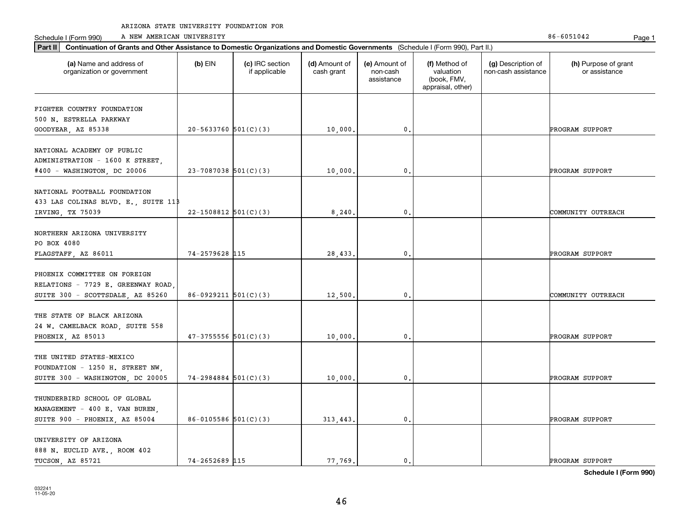Schedule I (Form 990) A NEW AMERICAN UNIVERSITY 86-6051042 Page 1

| Continuation of Grants and Other Assistance to Domestic Organizations and Domestic Governments (Schedule I (Form 990), Part II.)<br>Part II |                          |                                  |                             |                                         |                                                                |                                           |                                       |
|---------------------------------------------------------------------------------------------------------------------------------------------|--------------------------|----------------------------------|-----------------------------|-----------------------------------------|----------------------------------------------------------------|-------------------------------------------|---------------------------------------|
| (a) Name and address of<br>organization or government                                                                                       | $(b)$ EIN                | (c) IRC section<br>if applicable | (d) Amount of<br>cash grant | (e) Amount of<br>non-cash<br>assistance | (f) Method of<br>valuation<br>(book, FMV,<br>appraisal, other) | (g) Description of<br>non-cash assistance | (h) Purpose of grant<br>or assistance |
| FIGHTER COUNTRY FOUNDATION<br>500 N. ESTRELLA PARKWAY<br>GOODYEAR, AZ 85338                                                                 | $20 - 5633760$ 501(C)(3) |                                  | 10,000.                     | 0.                                      |                                                                |                                           | PROGRAM SUPPORT                       |
| NATIONAL ACADEMY OF PUBLIC<br>ADMINISTRATION - 1600 K STREET,<br>#400 - WASHINGTON, DC 20006                                                | $23 - 7087038$ 501(C)(3) |                                  | 10,000.                     | $\mathbf{0}$ .                          |                                                                |                                           | PROGRAM SUPPORT                       |
| NATIONAL FOOTBALL FOUNDATION<br>433 LAS COLINAS BLVD. E., SUITE 11B<br>IRVING, TX 75039                                                     | $22 - 1508812$ 501(C)(3) |                                  | 8, 240,                     | $\mathbf 0$ .                           |                                                                |                                           | COMMUNITY OUTREACH                    |
| NORTHERN ARIZONA UNIVERSITY<br>PO BOX 4080<br>FLAGSTAFF, AZ 86011                                                                           | 74-2579628 115           |                                  | 28,433.                     | 0.                                      |                                                                |                                           | PROGRAM SUPPORT                       |
| PHOENIX COMMITTEE ON FOREIGN<br>RELATIONS - 7729 E. GREENWAY ROAD<br>SUITE 300 - SCOTTSDALE, AZ 85260                                       | $86-0929211$ 501(C)(3)   |                                  | 12,500.                     | $\mathbf{0}$ .                          |                                                                |                                           | COMMUNITY OUTREACH                    |
| THE STATE OF BLACK ARIZONA<br>24 W. CAMELBACK ROAD, SUITE 558<br>PHOENIX, AZ 85013                                                          | $47-3755556$ $501(C)(3)$ |                                  | 10,000                      | $\mathbf 0$ .                           |                                                                |                                           | PROGRAM SUPPORT                       |
| THE UNITED STATES-MEXICO<br>FOUNDATION - 1250 H. STREET NW,<br>SUITE 300 - WASHINGTON, DC 20005                                             | $74 - 2984884$ 501(C)(3) |                                  | 10,000,                     | 0.                                      |                                                                |                                           | PROGRAM SUPPORT                       |
| THUNDERBIRD SCHOOL OF GLOBAL<br>MANAGEMENT - 400 E. VAN BUREN,<br>SUITE 900 - PHOENIX, AZ 85004                                             | 86-0105586 $501(C)(3)$   |                                  | 313, 443.                   | $\mathbf{0}$ .                          |                                                                |                                           | PROGRAM SUPPORT                       |
| UNIVERSITY OF ARIZONA<br>888 N. EUCLID AVE., ROOM 402<br>TUCSON, AZ 85721                                                                   | 74-2652689 115           |                                  | 77.769.                     | $\mathbf{0}$ .                          |                                                                |                                           | PROGRAM SUPPORT                       |

**Schedule I (Form 990)**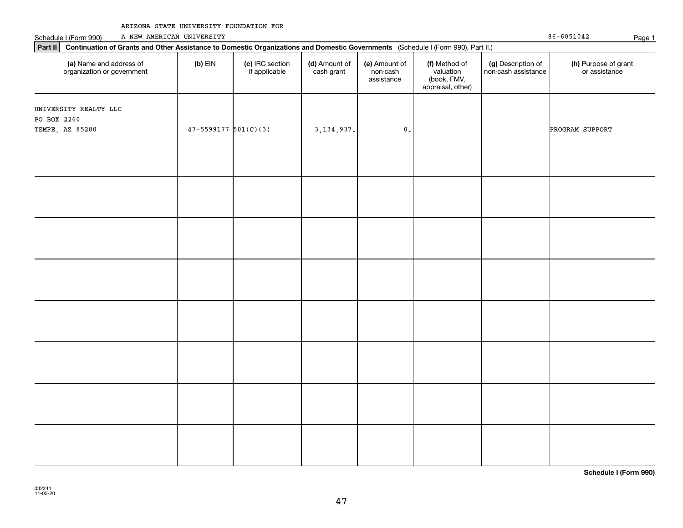|  | ARIZONA STATE UNIVERSITY FOUNDATION FOR |  |
|--|-----------------------------------------|--|
|  |                                         |  |

| Schedule I (Form 990)                                                                                                                    | A NEW AMERICAN UNIVERSITY  |                                  |                             |                                         |                                                                |                                           | $86 - 6051042$                        | Page 1 |
|------------------------------------------------------------------------------------------------------------------------------------------|----------------------------|----------------------------------|-----------------------------|-----------------------------------------|----------------------------------------------------------------|-------------------------------------------|---------------------------------------|--------|
| Part II Continuation of Grants and Other Assistance to Domestic Organizations and Domestic Governments (Schedule I (Form 990), Part II.) |                            |                                  |                             |                                         |                                                                |                                           |                                       |        |
| (a) Name and address of<br>organization or government                                                                                    | $(b)$ EIN                  | (c) IRC section<br>if applicable | (d) Amount of<br>cash grant | (e) Amount of<br>non-cash<br>assistance | (f) Method of<br>valuation<br>(book, FMV,<br>appraisal, other) | (g) Description of<br>non-cash assistance | (h) Purpose of grant<br>or assistance |        |
| UNIVERSITY REALTY LLC                                                                                                                    |                            |                                  |                             |                                         |                                                                |                                           |                                       |        |
| PO BOX 2260                                                                                                                              |                            |                                  |                             |                                         |                                                                |                                           |                                       |        |
| TEMPE, AZ 85280                                                                                                                          | $47 - 5599177$ $501(C)(3)$ |                                  | 3, 134, 937.                | $\mathbf{0}$ .                          |                                                                |                                           | PROGRAM SUPPORT                       |        |
|                                                                                                                                          |                            |                                  |                             |                                         |                                                                |                                           |                                       |        |
|                                                                                                                                          |                            |                                  |                             |                                         |                                                                |                                           |                                       |        |
|                                                                                                                                          |                            |                                  |                             |                                         |                                                                |                                           |                                       |        |
|                                                                                                                                          |                            |                                  |                             |                                         |                                                                |                                           |                                       |        |
|                                                                                                                                          |                            |                                  |                             |                                         |                                                                |                                           |                                       |        |
|                                                                                                                                          |                            |                                  |                             |                                         |                                                                |                                           |                                       |        |
|                                                                                                                                          |                            |                                  |                             |                                         |                                                                |                                           |                                       |        |
|                                                                                                                                          |                            |                                  |                             |                                         |                                                                |                                           |                                       |        |
|                                                                                                                                          |                            |                                  |                             |                                         |                                                                |                                           |                                       |        |
|                                                                                                                                          |                            |                                  |                             |                                         |                                                                |                                           |                                       |        |
|                                                                                                                                          |                            |                                  |                             |                                         |                                                                |                                           |                                       |        |
|                                                                                                                                          |                            |                                  |                             |                                         |                                                                |                                           |                                       |        |
|                                                                                                                                          |                            |                                  |                             |                                         |                                                                |                                           |                                       |        |
|                                                                                                                                          |                            |                                  |                             |                                         |                                                                |                                           |                                       |        |
|                                                                                                                                          |                            |                                  |                             |                                         |                                                                |                                           |                                       |        |
|                                                                                                                                          |                            |                                  |                             |                                         |                                                                |                                           |                                       |        |
|                                                                                                                                          |                            |                                  |                             |                                         |                                                                |                                           |                                       |        |
|                                                                                                                                          |                            |                                  |                             |                                         |                                                                |                                           |                                       |        |
|                                                                                                                                          |                            |                                  |                             |                                         |                                                                |                                           |                                       |        |
|                                                                                                                                          |                            |                                  |                             |                                         |                                                                |                                           |                                       |        |
|                                                                                                                                          |                            |                                  |                             |                                         |                                                                |                                           |                                       |        |
|                                                                                                                                          |                            |                                  |                             |                                         |                                                                |                                           |                                       |        |
|                                                                                                                                          |                            |                                  |                             |                                         |                                                                |                                           |                                       |        |
|                                                                                                                                          |                            |                                  |                             |                                         |                                                                |                                           |                                       |        |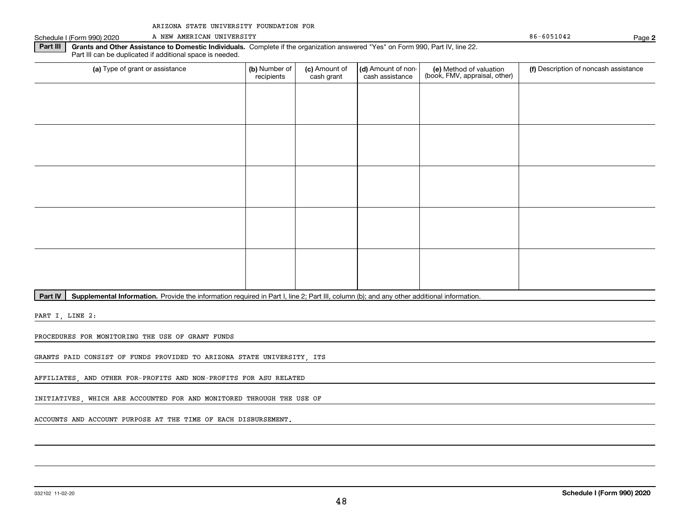|  |  | ARIZONA STATE UNIVERSITY FOUNDATION FOR |  |  |
|--|--|-----------------------------------------|--|--|
|--|--|-----------------------------------------|--|--|

Schedule I (Form 990) 2020 A NEW AMERICAN UNIVERSITY A NEW AMERICAN UNIVERSITY

**2**

**Part III | Grants and Other Assistance to Domestic Individuals. Complete if the organization answered "Yes" on Form 990, Part IV, line 22.** Part III can be duplicated if additional space is needed.

| (a) Type of grant or assistance | (b) Number of<br>recipients | (c) Amount of<br>cash grant | (d) Amount of non-<br>cash assistance | (e) Method of valuation<br>(book, FMV, appraisal, other) | (f) Description of noncash assistance |
|---------------------------------|-----------------------------|-----------------------------|---------------------------------------|----------------------------------------------------------|---------------------------------------|
|                                 |                             |                             |                                       |                                                          |                                       |
|                                 |                             |                             |                                       |                                                          |                                       |
|                                 |                             |                             |                                       |                                                          |                                       |
|                                 |                             |                             |                                       |                                                          |                                       |
|                                 |                             |                             |                                       |                                                          |                                       |
|                                 |                             |                             |                                       |                                                          |                                       |
|                                 |                             |                             |                                       |                                                          |                                       |
|                                 |                             |                             |                                       |                                                          |                                       |
|                                 |                             |                             |                                       |                                                          |                                       |
|                                 |                             |                             |                                       |                                                          |                                       |

Part IV | Supplemental Information. Provide the information required in Part I, line 2; Part III, column (b); and any other additional information.

PART I, LINE 2:

PROCEDURES FOR MONITORING THE USE OF GRANT FUNDS

GRANTS PAID CONSIST OF FUNDS PROVIDED TO ARIZONA STATE UNIVERSITY, ITS

AFFILIATES, AND OTHER FOR-PROFITS AND NON-PROFITS FOR ASU RELATED

INITIATIVES, WHICH ARE ACCOUNTED FOR AND MONITORED THROUGH THE USE OF

ACCOUNTS AND ACCOUNT PURPOSE AT THE TIME OF EACH DISBURSEMENT.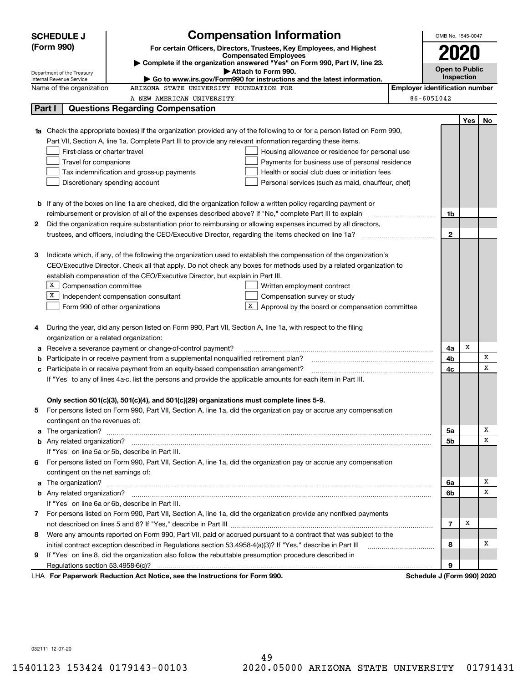|   | <b>SCHEDULE J</b>                       | <b>Compensation Information</b>                                                                                                  |                                       | OMB No. 1545-0047          |     |    |
|---|-----------------------------------------|----------------------------------------------------------------------------------------------------------------------------------|---------------------------------------|----------------------------|-----|----|
|   | (Form 990)                              | For certain Officers, Directors, Trustees, Key Employees, and Highest                                                            |                                       |                            |     |    |
|   |                                         | <b>Compensated Employees</b>                                                                                                     |                                       | 2020                       |     |    |
|   | Department of the Treasury              | Complete if the organization answered "Yes" on Form 990, Part IV, line 23.<br>Attach to Form 990.                                |                                       | <b>Open to Public</b>      |     |    |
|   | Internal Revenue Service                | $\blacktriangleright$ Go to www.irs.gov/Form990 for instructions and the latest information.                                     |                                       | <b>Inspection</b>          |     |    |
|   | Name of the organization                | ARIZONA STATE UNIVERSITY FOUNDATION FOR                                                                                          | <b>Employer identification number</b> |                            |     |    |
|   |                                         | A NEW AMERICAN UNIVERSITY                                                                                                        |                                       | 86-6051042                 |     |    |
|   | Part I                                  | <b>Questions Regarding Compensation</b>                                                                                          |                                       |                            |     |    |
|   |                                         |                                                                                                                                  |                                       |                            | Yes | No |
|   |                                         | <b>1a</b> Check the appropriate box(es) if the organization provided any of the following to or for a person listed on Form 990, |                                       |                            |     |    |
|   |                                         | Part VII, Section A, line 1a. Complete Part III to provide any relevant information regarding these items.                       |                                       |                            |     |    |
|   | First-class or charter travel           | Housing allowance or residence for personal use                                                                                  |                                       |                            |     |    |
|   | Travel for companions                   | Payments for business use of personal residence                                                                                  |                                       |                            |     |    |
|   |                                         | Tax indemnification and gross-up payments<br>Health or social club dues or initiation fees                                       |                                       |                            |     |    |
|   |                                         | Discretionary spending account<br>Personal services (such as maid, chauffeur, chef)                                              |                                       |                            |     |    |
|   |                                         |                                                                                                                                  |                                       |                            |     |    |
|   |                                         | <b>b</b> If any of the boxes on line 1a are checked, did the organization follow a written policy regarding payment or           |                                       |                            |     |    |
|   |                                         |                                                                                                                                  |                                       | 1b                         |     |    |
| 2 |                                         | Did the organization require substantiation prior to reimbursing or allowing expenses incurred by all directors,                 |                                       |                            |     |    |
|   |                                         |                                                                                                                                  |                                       | $\mathbf{2}$               |     |    |
|   |                                         |                                                                                                                                  |                                       |                            |     |    |
| з |                                         | Indicate which, if any, of the following the organization used to establish the compensation of the organization's               |                                       |                            |     |    |
|   |                                         | CEO/Executive Director. Check all that apply. Do not check any boxes for methods used by a related organization to               |                                       |                            |     |    |
|   | $X$ Compensation committee              | establish compensation of the CEO/Executive Director, but explain in Part III.                                                   |                                       |                            |     |    |
|   | х                                       | Written employment contract<br>Independent compensation consultant<br>Compensation survey or study                               |                                       |                            |     |    |
|   |                                         | Approval by the board or compensation committee<br>Form 990 of other organizations                                               |                                       |                            |     |    |
|   |                                         |                                                                                                                                  |                                       |                            |     |    |
| 4 |                                         | During the year, did any person listed on Form 990, Part VII, Section A, line 1a, with respect to the filing                     |                                       |                            |     |    |
|   | organization or a related organization: |                                                                                                                                  |                                       |                            |     |    |
| а |                                         | Receive a severance payment or change-of-control payment?                                                                        |                                       | 4a                         | х   |    |
| b |                                         | Participate in or receive payment from a supplemental nonqualified retirement plan?                                              |                                       | 4b                         |     | x  |
| с |                                         | Participate in or receive payment from an equity-based compensation arrangement?                                                 |                                       | 4c                         |     | x  |
|   |                                         | If "Yes" to any of lines 4a-c, list the persons and provide the applicable amounts for each item in Part III.                    |                                       |                            |     |    |
|   |                                         |                                                                                                                                  |                                       |                            |     |    |
|   |                                         | Only section 501(c)(3), 501(c)(4), and 501(c)(29) organizations must complete lines 5-9.                                         |                                       |                            |     |    |
|   |                                         | For persons listed on Form 990, Part VII, Section A, line 1a, did the organization pay or accrue any compensation                |                                       |                            |     |    |
|   | contingent on the revenues of:          |                                                                                                                                  |                                       |                            |     |    |
| a |                                         |                                                                                                                                  |                                       | 5a                         |     | х  |
|   |                                         |                                                                                                                                  |                                       | <b>5b</b>                  |     | x  |
|   |                                         | If "Yes" on line 5a or 5b, describe in Part III.                                                                                 |                                       |                            |     |    |
| 6 |                                         | For persons listed on Form 990, Part VII, Section A, line 1a, did the organization pay or accrue any compensation                |                                       |                            |     |    |
|   | contingent on the net earnings of:      |                                                                                                                                  |                                       |                            |     |    |
| a |                                         |                                                                                                                                  |                                       | 6a                         |     | х  |
|   |                                         |                                                                                                                                  |                                       | 6b                         |     | x  |
|   |                                         | If "Yes" on line 6a or 6b, describe in Part III.                                                                                 |                                       |                            |     |    |
|   |                                         | 7 For persons listed on Form 990, Part VII, Section A, line 1a, did the organization provide any nonfixed payments               |                                       |                            |     |    |
|   |                                         |                                                                                                                                  |                                       | 7                          | Х   |    |
| 8 |                                         | Were any amounts reported on Form 990, Part VII, paid or accrued pursuant to a contract that was subject to the                  |                                       |                            |     |    |
|   |                                         | initial contract exception described in Regulations section 53.4958-4(a)(3)? If "Yes," describe in Part III                      |                                       | 8                          |     | x  |
| 9 |                                         | If "Yes" on line 8, did the organization also follow the rebuttable presumption procedure described in                           |                                       |                            |     |    |
|   | Regulations section 53.4958-6(c)?       |                                                                                                                                  |                                       | 9                          |     |    |
|   |                                         | LHA For Paperwork Reduction Act Notice, see the Instructions for Form 990.                                                       |                                       | Schedule J (Form 990) 2020 |     |    |

032111 12-07-20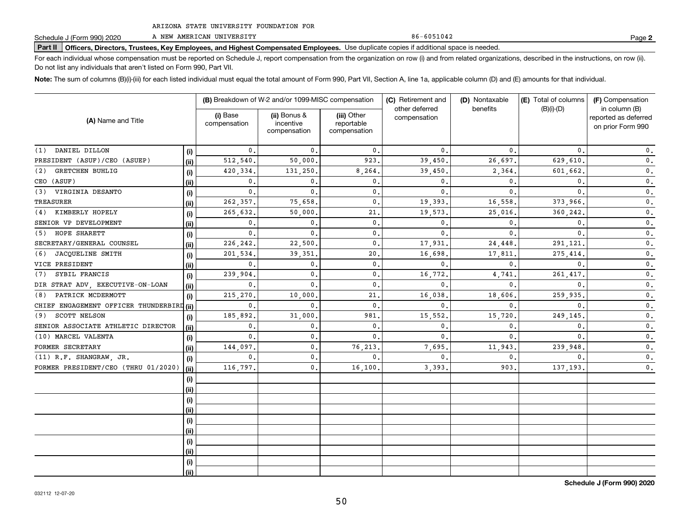A NEW AMERICAN UNIVERSITY

**Part II Officers, Directors, Trustees, Key Employees, and Highest Compensated Employees.**  Schedule J (Form 990) 2020 Page Use duplicate copies if additional space is needed.

For each individual whose compensation must be reported on Schedule J, report compensation from the organization on row (i) and from related organizations, described in the instructions, on row (ii). Do not list any individuals that aren't listed on Form 990, Part VII.

**Note:**  The sum of columns (B)(i)-(iii) for each listed individual must equal the total amount of Form 990, Part VII, Section A, line 1a, applicable column (D) and (E) amounts for that individual.

| (A) Name and Title                        |       | (B) Breakdown of W-2 and/or 1099-MISC compensation |                                           |                                           | (C) Retirement and             | (D) Nontaxable | (E) Total of columns | (F) Compensation                                           |  |
|-------------------------------------------|-------|----------------------------------------------------|-------------------------------------------|-------------------------------------------|--------------------------------|----------------|----------------------|------------------------------------------------------------|--|
|                                           |       | (i) Base<br>compensation                           | (ii) Bonus &<br>incentive<br>compensation | (iii) Other<br>reportable<br>compensation | other deferred<br>compensation | benefits       | $(B)(i)-(D)$         | in column (B)<br>reported as deferred<br>on prior Form 990 |  |
| DANIEL DILLON<br>(1)                      | (i)   | 0.                                                 | 0.                                        | $\mathbf{0}$ .                            | 0.                             | $\mathbf{0}$ . | $\mathbf{0}$ .       | 0.                                                         |  |
| PRESIDENT (ASUF)/CEO (ASUEP)              | (ii)  | 512,540                                            | 50,000.                                   | 923.                                      | 39,450.                        | 26,697.        | 629,610.             | $\mathfrak o$ .                                            |  |
| <b>GRETCHEN BUHLIG</b><br>(2)             | (i)   | 420, 334                                           | 131,250.                                  | 8, 264.                                   | 39,450                         | 2,364.         | 601.662.             | 0.                                                         |  |
| CEO (ASUF)                                | (ii)  | 0.                                                 | 0.                                        | 0.                                        | 0.                             | $\mathbf{0}$ . | $\mathbf{0}$ .       | 0.                                                         |  |
| (3)<br>VIRGINIA DESANTO                   | (i)   | 0.                                                 | $\mathbf{0}$ .                            | $\mathbf 0$ .                             | $\mathbf{0}$ .                 | $\mathbf{0}$ . | $\mathbf{0}$ .       | $\mathbf 0$ .                                              |  |
| <b>TREASURER</b>                          | (ii)  | 262,357.                                           | 75,658                                    | $\mathbf 0$ .                             | 19,393                         | 16,558.        | 373,966.             | $\mathbf 0$ .                                              |  |
| (4) KIMBERLY HOPELY                       | (i)   | 265,632.                                           | 50,000                                    | 21,                                       | 19,573                         | 25,016.        | 360,242              | $\mathbf 0$ .                                              |  |
| SENIOR VP DEVELOPMENT                     | (ii)  | $\mathbf{0}$ .                                     | $\mathbf{0}$ .                            | $\mathbf{0}$ .                            | $\mathbf{0}$ .                 | $\mathbf{0}$ . | $\mathbf{0}$         | $\mathfrak o$ .                                            |  |
| HOPE SHARETT<br>(5)                       | (i)   | 0.                                                 | $\mathbf{0}$ .                            | $\mathbf 0$ .                             | $\mathbf{0}$ .                 | $\mathbf{0}$ . | $\mathbf{0}$ .       | 0.                                                         |  |
| SECRETARY/GENERAL COUNSEL                 | (ii)  | 226, 242.                                          | 22,500.                                   | $\mathbf 0$ .                             | 17,931                         | 24,448.        | 291,121              | 0.                                                         |  |
| JACQUELINE SMITH<br>(6)                   | (i)   | 201,534                                            | 39,351                                    | 20.                                       | 16,698                         | 17,811         | 275,414              | $\mathbf 0$ .                                              |  |
| VICE PRESIDENT                            | (ii)  | 0.                                                 | $\mathbf 0$ .                             | 0.                                        | 0.                             | $\mathbf 0$ .  | $\mathbf{0}$         | $\mathbf 0$ .                                              |  |
| SYBIL FRANCIS<br>(7)                      | (i)   | 239,904.                                           | $\mathbf 0$ .                             | 0.                                        | 16,772                         | 4,741          | 261,417              | $\mathbf 0$ .                                              |  |
| DIR STRAT ADV, EXECUTIVE-ON-LOAN          | (ii)  | 0.                                                 | $\mathbf{0}$ .                            | $\mathbf{0}$ .                            | 0                              | $\mathbf{0}$ . | $\mathbf{0}$         | 0.                                                         |  |
| PATRICK MCDERMOTT<br>(8)                  | (i)   | 215,270.                                           | 10,000                                    | 21                                        | 16,038                         | 18,606         | 259.935              | 0.                                                         |  |
| CHIEF ENGAGEMENT OFFICER THUNDERBIRD (ii) |       | $\mathbf{0}$                                       | $\mathbf{0}$                              | $\mathbf{0}$ .                            | 0                              | 0              | 0                    | 0.                                                         |  |
| SCOTT NELSON<br>(9)                       | (i)   | 185,892.                                           | 31,000                                    | 981                                       | 15,552                         | 15,720         | 249,145              | 0.                                                         |  |
| SENIOR ASSOCIATE ATHLETIC DIRECTOR        | (ii)  | 0.                                                 | $\mathbf 0$                               | $\mathbf 0$ .                             | 0                              | 0              | $\mathbf 0$ .        | 0.                                                         |  |
| (10) MARCEL VALENTA                       | (i)   | 0.                                                 | $^{\circ}$ .                              | $\mathbf{0}$ .                            | 0                              | 0              | $\mathbf{0}$         | 0.                                                         |  |
| FORMER SECRETARY                          | (ii)  | 144,097                                            | 0.                                        | 76,213                                    | 7.695                          | 11,943         | 239,948              | 0.                                                         |  |
| (11) R.F. SHANGRAW, JR.                   | (i)   | 0.                                                 | $\mathbf{0}$ .                            | $\mathbf{0}$ .                            | 0                              | 0              | $\mathbf{0}$         | $\mathbf{0}$ .                                             |  |
| FORMER PRESIDENT/CEO (THRU 01/2020)       | (iii) | 116,797.                                           | $\mathbf{0}$ .                            | 16,100                                    | 3,393                          | 903            | 137, 193.            | 0.                                                         |  |
|                                           | (i)   |                                                    |                                           |                                           |                                |                |                      |                                                            |  |
|                                           | (ii)  |                                                    |                                           |                                           |                                |                |                      |                                                            |  |
|                                           | (i)   |                                                    |                                           |                                           |                                |                |                      |                                                            |  |
|                                           | (ii)  |                                                    |                                           |                                           |                                |                |                      |                                                            |  |
|                                           | (i)   |                                                    |                                           |                                           |                                |                |                      |                                                            |  |
|                                           | (ii)  |                                                    |                                           |                                           |                                |                |                      |                                                            |  |
|                                           | (i)   |                                                    |                                           |                                           |                                |                |                      |                                                            |  |
|                                           | (ii)  |                                                    |                                           |                                           |                                |                |                      |                                                            |  |
|                                           | (i)   |                                                    |                                           |                                           |                                |                |                      |                                                            |  |
|                                           | (i)   |                                                    |                                           |                                           |                                |                |                      |                                                            |  |

**2**

86-6051042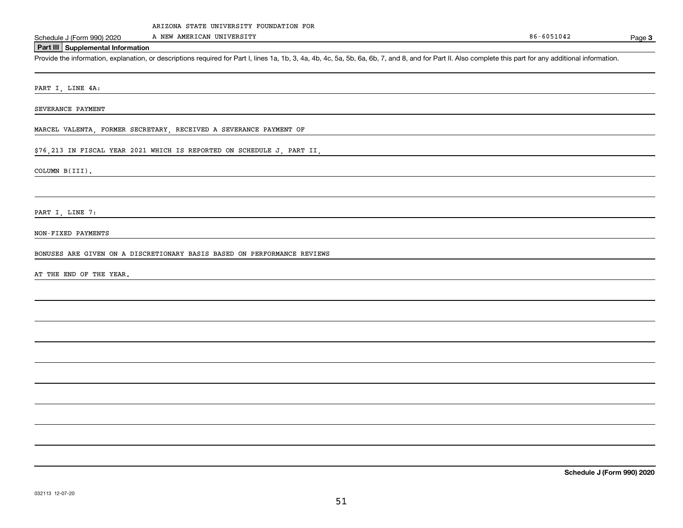A NEW AMERICAN UNIVERSITY

Page 3

### **Part III Supplemental Information**

Schedule J (Form 990) 2020 A NEW AMERICAN UNIVERSITY<br>Part III Supplemental Information<br>Provide the information, explanation, or descriptions required for Part I, lines 1a, 1b, 3, 4a, 4b, 4c, 5a, 5b, 6a, 6b, 7, and 8, and f

PART I, LINE 4A:

SEVERANCE PAYMENT

MARCEL VALENTA, FORMER SECRETARY, RECEIVED A SEVERANCE PAYMENT OF

\$76,213 IN FISCAL YEAR 2021 WHICH IS REPORTED ON SCHEDULE J, PART II,

COLUMN B(III).

PART I, LINE 7:

NON-FIXED PAYMENTS

BONUSES ARE GIVEN ON A DISCRETIONARY BASIS BASED ON PERFORMANCE REVIEWS

AT THE END OF THE YEAR.

**Schedule J (Form 990) 2020**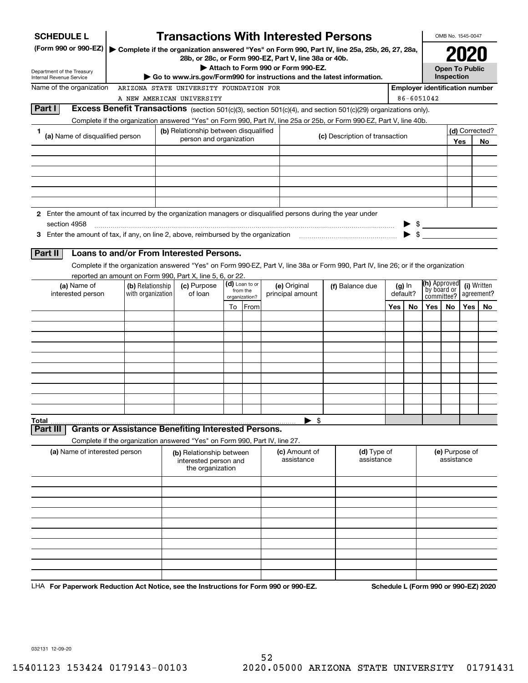| <b>SCHEDULE L</b>                                                                                                                                                                                                             |                   | <b>Transactions With Interested Persons</b>                                |    |                |                                    |                                                                                                                                    |                          |          |                                       | OMB No. 1545-0047            |      |                |
|-------------------------------------------------------------------------------------------------------------------------------------------------------------------------------------------------------------------------------|-------------------|----------------------------------------------------------------------------|----|----------------|------------------------------------|------------------------------------------------------------------------------------------------------------------------------------|--------------------------|----------|---------------------------------------|------------------------------|------|----------------|
| (Form 990 or 990-EZ)                                                                                                                                                                                                          |                   | 28b, or 28c, or Form 990-EZ, Part V, line 38a or 40b.                      |    |                |                                    | Complete if the organization answered "Yes" on Form 990, Part IV, line 25a, 25b, 26, 27, 28a,                                      |                          |          |                                       |                              | 2020 |                |
| Department of the Treasury                                                                                                                                                                                                    |                   |                                                                            |    |                | Attach to Form 990 or Form 990-EZ. |                                                                                                                                    |                          |          |                                       | <b>Open To Public</b>        |      |                |
| Internal Revenue Service                                                                                                                                                                                                      |                   |                                                                            |    |                |                                    | Go to www.irs.gov/Form990 for instructions and the latest information.                                                             |                          |          |                                       | Inspection                   |      |                |
| Name of the organization                                                                                                                                                                                                      |                   | ARIZONA STATE UNIVERSITY FOUNDATION FOR                                    |    |                |                                    |                                                                                                                                    |                          |          | <b>Employer identification number</b> |                              |      |                |
|                                                                                                                                                                                                                               |                   | A NEW AMERICAN UNIVERSITY                                                  |    |                |                                    |                                                                                                                                    |                          |          | 86-6051042                            |                              |      |                |
| Part I                                                                                                                                                                                                                        |                   |                                                                            |    |                |                                    | <b>Excess Benefit Transactions</b> (section 501(c)(3), section 501(c)(4), and section 501(c)(29) organizations only).              |                          |          |                                       |                              |      |                |
|                                                                                                                                                                                                                               |                   |                                                                            |    |                |                                    | Complete if the organization answered "Yes" on Form 990, Part IV, line 25a or 25b, or Form 990-EZ, Part V, line 40b.               |                          |          |                                       |                              |      |                |
| 1<br>(a) Name of disqualified person                                                                                                                                                                                          |                   | (b) Relationship between disqualified<br>person and organization           |    |                |                                    | (c) Description of transaction                                                                                                     |                          |          |                                       |                              |      | (d) Corrected? |
|                                                                                                                                                                                                                               |                   |                                                                            |    |                |                                    |                                                                                                                                    |                          |          |                                       |                              | Yes  | No             |
|                                                                                                                                                                                                                               |                   |                                                                            |    |                |                                    |                                                                                                                                    |                          |          |                                       |                              |      |                |
|                                                                                                                                                                                                                               |                   |                                                                            |    |                |                                    |                                                                                                                                    |                          |          |                                       |                              |      |                |
|                                                                                                                                                                                                                               |                   |                                                                            |    |                |                                    |                                                                                                                                    |                          |          |                                       |                              |      |                |
|                                                                                                                                                                                                                               |                   |                                                                            |    |                |                                    |                                                                                                                                    |                          |          |                                       |                              |      |                |
|                                                                                                                                                                                                                               |                   |                                                                            |    |                |                                    |                                                                                                                                    |                          |          |                                       |                              |      |                |
| 2 Enter the amount of tax incurred by the organization managers or disqualified persons during the year under                                                                                                                 |                   |                                                                            |    |                |                                    |                                                                                                                                    |                          |          |                                       |                              |      |                |
| section 4958                                                                                                                                                                                                                  |                   |                                                                            |    |                |                                    |                                                                                                                                    |                          |          | $\frac{1}{2}$                         |                              |      |                |
| 3 Enter the amount of tax, if any, on line 2, above, reimbursed by the organization match match match and the stress of the stress of the stress of the stress of the stress of the stress of the stress of the stress of the |                   |                                                                            |    |                |                                    |                                                                                                                                    |                          |          | $\blacktriangleright$ \$              |                              |      |                |
| Part II                                                                                                                                                                                                                       |                   | Loans to and/or From Interested Persons.                                   |    |                |                                    |                                                                                                                                    |                          |          |                                       |                              |      |                |
|                                                                                                                                                                                                                               |                   |                                                                            |    |                |                                    |                                                                                                                                    |                          |          |                                       |                              |      |                |
|                                                                                                                                                                                                                               |                   | reported an amount on Form 990, Part X, line 5, 6, or 22.                  |    |                |                                    | Complete if the organization answered "Yes" on Form 990-EZ, Part V, line 38a or Form 990, Part IV, line 26; or if the organization |                          |          |                                       |                              |      |                |
| (a) Name of                                                                                                                                                                                                                   | (b) Relationship  | (c) Purpose                                                                |    | (d) Loan to or | (e) Original                       | (f) Balance due                                                                                                                    |                          | $(g)$ In | <b>(h)</b> Approved                   |                              |      | (i) Written    |
| interested person                                                                                                                                                                                                             | with organization | from the<br>of loan<br>principal amount<br>organization?                   |    |                | default?                           | by board or                                                                                                                        | agreement?<br>committee? |          |                                       |                              |      |                |
|                                                                                                                                                                                                                               |                   |                                                                            | To | From           |                                    |                                                                                                                                    | Yes                      | No       | Yes                                   | No.                          | Yes  | No             |
|                                                                                                                                                                                                                               |                   |                                                                            |    |                |                                    |                                                                                                                                    |                          |          |                                       |                              |      |                |
|                                                                                                                                                                                                                               |                   |                                                                            |    |                |                                    |                                                                                                                                    |                          |          |                                       |                              |      |                |
|                                                                                                                                                                                                                               |                   |                                                                            |    |                |                                    |                                                                                                                                    |                          |          |                                       |                              |      |                |
|                                                                                                                                                                                                                               |                   |                                                                            |    |                |                                    |                                                                                                                                    |                          |          |                                       |                              |      |                |
|                                                                                                                                                                                                                               |                   |                                                                            |    |                |                                    |                                                                                                                                    |                          |          |                                       |                              |      |                |
|                                                                                                                                                                                                                               |                   |                                                                            |    |                |                                    |                                                                                                                                    |                          |          |                                       |                              |      |                |
|                                                                                                                                                                                                                               |                   |                                                                            |    |                |                                    |                                                                                                                                    |                          |          |                                       |                              |      |                |
|                                                                                                                                                                                                                               |                   |                                                                            |    |                |                                    |                                                                                                                                    |                          |          |                                       |                              |      |                |
|                                                                                                                                                                                                                               |                   |                                                                            |    |                |                                    |                                                                                                                                    |                          |          |                                       |                              |      |                |
|                                                                                                                                                                                                                               |                   |                                                                            |    |                |                                    |                                                                                                                                    |                          |          |                                       |                              |      |                |
| Total<br>Part III                                                                                                                                                                                                             |                   | <b>Grants or Assistance Benefiting Interested Persons.</b>                 |    |                | - \$<br>▶                          |                                                                                                                                    |                          |          |                                       |                              |      |                |
|                                                                                                                                                                                                                               |                   | Complete if the organization answered "Yes" on Form 990, Part IV, line 27. |    |                |                                    |                                                                                                                                    |                          |          |                                       |                              |      |                |
| (a) Name of interested person                                                                                                                                                                                                 |                   | (b) Relationship between<br>interested person and<br>the organization      |    |                | (c) Amount of<br>assistance        | (d) Type of<br>assistance                                                                                                          |                          |          |                                       | (e) Purpose of<br>assistance |      |                |
|                                                                                                                                                                                                                               |                   |                                                                            |    |                |                                    |                                                                                                                                    |                          |          |                                       |                              |      |                |
|                                                                                                                                                                                                                               |                   |                                                                            |    |                |                                    |                                                                                                                                    |                          |          |                                       |                              |      |                |
|                                                                                                                                                                                                                               |                   |                                                                            |    |                |                                    |                                                                                                                                    |                          |          |                                       |                              |      |                |
|                                                                                                                                                                                                                               |                   |                                                                            |    |                |                                    |                                                                                                                                    |                          |          |                                       |                              |      |                |
|                                                                                                                                                                                                                               |                   |                                                                            |    |                |                                    |                                                                                                                                    |                          |          |                                       |                              |      |                |
|                                                                                                                                                                                                                               |                   |                                                                            |    |                |                                    |                                                                                                                                    |                          |          |                                       |                              |      |                |
|                                                                                                                                                                                                                               |                   |                                                                            |    |                |                                    |                                                                                                                                    |                          |          |                                       |                              |      |                |
|                                                                                                                                                                                                                               |                   |                                                                            |    |                |                                    |                                                                                                                                    |                          |          |                                       |                              |      |                |
|                                                                                                                                                                                                                               |                   |                                                                            |    |                |                                    |                                                                                                                                    |                          |          |                                       |                              |      |                |
|                                                                                                                                                                                                                               |                   |                                                                            |    |                |                                    |                                                                                                                                    |                          |          |                                       |                              |      |                |
|                                                                                                                                                                                                                               |                   |                                                                            |    |                |                                    |                                                                                                                                    |                          |          |                                       |                              |      |                |

LHA For Paperwork Reduction Act Notice, see the Instructions for Form 990 or 990-EZ. Schedule L (Form 990 or 990-EZ) 2020

032131 12-09-20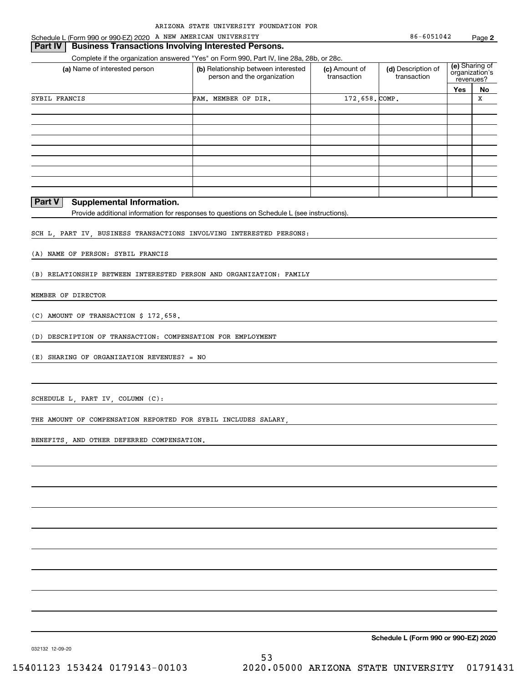#### **Part IV | Business Transactions Involving Interested Persons.**

Complete if the organization answered "Yes" on Form 990, Part IV, line 28a, 28b, or 28c.

| (a) Name of interested person                          | (b) Relationship between interested<br>person and the organization | (c) Amount of<br>transaction | (d) Description of<br>transaction | revenues?  | (e) Sharing of<br>organization's |
|--------------------------------------------------------|--------------------------------------------------------------------|------------------------------|-----------------------------------|------------|----------------------------------|
|                                                        |                                                                    |                              |                                   | <b>Yes</b> | No                               |
| SYBIL FRANCIS                                          | FAM. MEMBER OF DIR.                                                | 172,658. COMP.               |                                   |            | X                                |
|                                                        |                                                                    |                              |                                   |            |                                  |
|                                                        |                                                                    |                              |                                   |            |                                  |
|                                                        |                                                                    |                              |                                   |            |                                  |
|                                                        |                                                                    |                              |                                   |            |                                  |
|                                                        |                                                                    |                              |                                   |            |                                  |
|                                                        |                                                                    |                              |                                   |            |                                  |
|                                                        |                                                                    |                              |                                   |            |                                  |
|                                                        |                                                                    |                              |                                   |            |                                  |
|                                                        |                                                                    |                              |                                   |            |                                  |
| D <sub>2</sub> rt V<br><b>Cunnlomantal Information</b> |                                                                    |                              |                                   |            |                                  |

#### **Part V Supplemental Information.**

Provide additional information for responses to questions on Schedule L (see instructions).

SCH L, PART IV, BUSINESS TRANSACTIONS INVOLVING INTERESTED PERSONS:

(A) NAME OF PERSON: SYBIL FRANCIS

(B) RELATIONSHIP BETWEEN INTERESTED PERSON AND ORGANIZATION: FAMILY

MEMBER OF DIRECTOR

(C) AMOUNT OF TRANSACTION \$ 172,658.

(D) DESCRIPTION OF TRANSACTION: COMPENSATION FOR EMPLOYMENT

(E) SHARING OF ORGANIZATION REVENUES? = NO

SCHEDULE L, PART IV, COLUMN (C):

THE AMOUNT OF COMPENSATION REPORTED FOR SYBIL INCLUDES SALARY,

BENEFITS, AND OTHER DEFERRED COMPENSATION.

**Schedule L (Form 990 or 990-EZ) 2020**

032132 12-09-20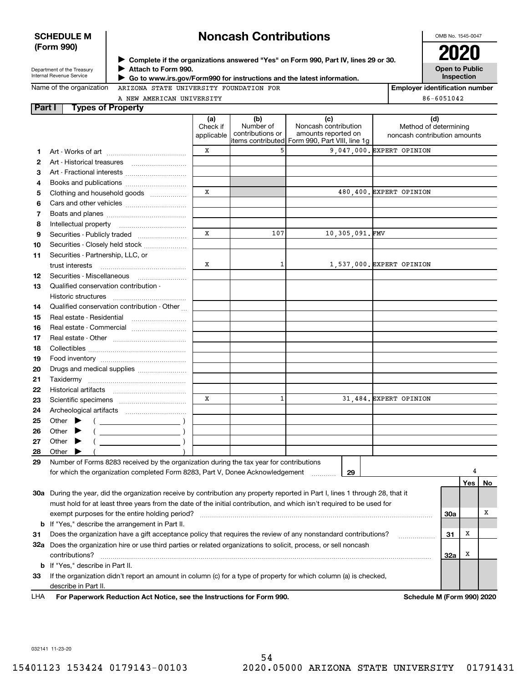### **SCHEDULE M (Form 990)**

# **Noncash Contributions**

OMB No. 1545-0047

| Department of the Treasury |
|----------------------------|
| Internal Revenue Service   |

**Part I** 

**Attach to Form 990.** J

**Open to Public Inspection Complete if the organizations answered "Yes" on Form 990, Part IV, lines 29 or 30.** <sup>J</sup>**2020**

| Name of the organization |  |
|--------------------------|--|
|--------------------------|--|

 **Go to www.irs.gov/Form990 for instructions and the latest information.** J ARIZONA STATE UNIVERSITY FOUNDATION FOR

A TALLER AT

**Employer identification number** 86-6051042

| A NEW AMERICAN UNIVERSIII |          |                             |                      | $00-0$           |
|---------------------------|----------|-----------------------------|----------------------|------------------|
| <b>Types of Property</b>  |          |                             |                      |                  |
|                           | (a)      | (b)                         | ΙC                   | (d)              |
|                           | Check if | Number of                   | Noncash contribution | Method of de     |
|                           |          | applicable Contributions or | amounts reported on  | noncach contribu |

|     |                                                                                                                                | Check if<br>applicable | Number of<br>contributions or | Noncash contribution<br>amounts reported on<br>litems contributed Form 990, Part VIII, line 1q | Method of determining<br>noncash contribution amounts |            |       |    |
|-----|--------------------------------------------------------------------------------------------------------------------------------|------------------------|-------------------------------|------------------------------------------------------------------------------------------------|-------------------------------------------------------|------------|-------|----|
| 1   |                                                                                                                                | х                      | 5                             |                                                                                                | 9,047,000. EXPERT OPINION                             |            |       |    |
| 2   | Art - Historical treasures                                                                                                     |                        |                               |                                                                                                |                                                       |            |       |    |
| з   | Art - Fractional interests                                                                                                     |                        |                               |                                                                                                |                                                       |            |       |    |
| 4   | Books and publications                                                                                                         |                        |                               |                                                                                                |                                                       |            |       |    |
| 5   | Clothing and household goods                                                                                                   | x                      |                               |                                                                                                | 480,400. EXPERT OPINION                               |            |       |    |
| 6   |                                                                                                                                |                        |                               |                                                                                                |                                                       |            |       |    |
| 7   |                                                                                                                                |                        |                               |                                                                                                |                                                       |            |       |    |
| 8   | Intellectual property                                                                                                          |                        |                               |                                                                                                |                                                       |            |       |    |
| 9   | Securities - Publicly traded                                                                                                   | x                      | 107                           | 10,305,091.FMV                                                                                 |                                                       |            |       |    |
| 10  | Securities - Closely held stock                                                                                                |                        |                               |                                                                                                |                                                       |            |       |    |
| 11  | Securities - Partnership, LLC, or                                                                                              |                        |                               |                                                                                                |                                                       |            |       |    |
|     | trust interests                                                                                                                | х                      | 1                             |                                                                                                | 1,537,000. EXPERT OPINION                             |            |       |    |
| 12  | Securities - Miscellaneous                                                                                                     |                        |                               |                                                                                                |                                                       |            |       |    |
| 13  | Qualified conservation contribution -                                                                                          |                        |                               |                                                                                                |                                                       |            |       |    |
|     | Historic structures                                                                                                            |                        |                               |                                                                                                |                                                       |            |       |    |
| 14  | Qualified conservation contribution - Other                                                                                    |                        |                               |                                                                                                |                                                       |            |       |    |
| 15  | Real estate - Residential                                                                                                      |                        |                               |                                                                                                |                                                       |            |       |    |
| 16  | Real estate - Commercial                                                                                                       |                        |                               |                                                                                                |                                                       |            |       |    |
| 17  |                                                                                                                                |                        |                               |                                                                                                |                                                       |            |       |    |
| 18  |                                                                                                                                |                        |                               |                                                                                                |                                                       |            |       |    |
| 19  |                                                                                                                                |                        |                               |                                                                                                |                                                       |            |       |    |
| 20  | Drugs and medical supplies                                                                                                     |                        |                               |                                                                                                |                                                       |            |       |    |
| 21  |                                                                                                                                |                        |                               |                                                                                                |                                                       |            |       |    |
| 22  |                                                                                                                                |                        |                               |                                                                                                |                                                       |            |       |    |
| 23  |                                                                                                                                | X                      | $\mathbf{1}$                  |                                                                                                | 31,484. EXPERT OPINION                                |            |       |    |
| 24  |                                                                                                                                |                        |                               |                                                                                                |                                                       |            |       |    |
| 25  | Other $\blacktriangleright$<br>$\left(\begin{array}{ccc}\n\end{array}\right)$                                                  |                        |                               |                                                                                                |                                                       |            |       |    |
| 26  | Other<br>▸                                                                                                                     |                        |                               |                                                                                                |                                                       |            |       |    |
| 27  | Other<br>▸                                                                                                                     |                        |                               |                                                                                                |                                                       |            |       |    |
| 28  | Other                                                                                                                          |                        |                               |                                                                                                |                                                       |            |       |    |
| 29  | Number of Forms 8283 received by the organization during the tax year for contributions                                        |                        |                               |                                                                                                |                                                       |            |       |    |
|     | for which the organization completed Form 8283, Part V, Donee Acknowledgement                                                  |                        |                               | 29<br>1.1.1.1.1.1.1.1.1                                                                        |                                                       |            |       |    |
|     |                                                                                                                                |                        |                               |                                                                                                |                                                       |            | Yes l | No |
|     | 30a During the year, did the organization receive by contribution any property reported in Part I, lines 1 through 28, that it |                        |                               |                                                                                                |                                                       |            |       |    |
|     | must hold for at least three years from the date of the initial contribution, and which isn't required to be used for          |                        |                               |                                                                                                |                                                       |            |       |    |
|     | exempt purposes for the entire holding period?                                                                                 |                        |                               |                                                                                                |                                                       | <b>30a</b> |       | х  |
| b   | If "Yes," describe the arrangement in Part II.                                                                                 |                        |                               |                                                                                                |                                                       |            |       |    |
| 31  | Does the organization have a gift acceptance policy that requires the review of any nonstandard contributions?                 |                        |                               |                                                                                                | .                                                     | 31         | x     |    |
|     | 32a Does the organization hire or use third parties or related organizations to solicit, process, or sell noncash              |                        |                               |                                                                                                |                                                       |            |       |    |
|     | contributions?                                                                                                                 |                        |                               |                                                                                                |                                                       | 32a        | x     |    |
| b   | If "Yes," describe in Part II.                                                                                                 |                        |                               |                                                                                                |                                                       |            |       |    |
| 33  | If the organization didn't report an amount in column (c) for a type of property for which column (a) is checked,              |                        |                               |                                                                                                |                                                       |            |       |    |
|     | describe in Part II.                                                                                                           |                        |                               |                                                                                                |                                                       |            |       |    |
| LHA | For Paperwork Reduction Act Notice, see the Instructions for Form 990.                                                         |                        |                               |                                                                                                | Schedule M (Form 990) 2020                            |            |       |    |

032141 11-23-20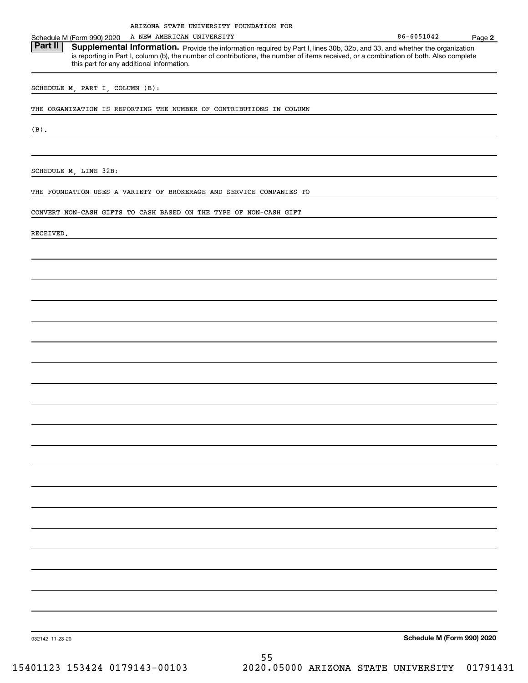|                 | ARIZONA STATE UNIVERSITY FOUNDATION FOR                                                                                                                                                                                                                                                                           |                            |        |
|-----------------|-------------------------------------------------------------------------------------------------------------------------------------------------------------------------------------------------------------------------------------------------------------------------------------------------------------------|----------------------------|--------|
|                 | A NEW AMERICAN UNIVERSITY<br>Schedule M (Form 990) 2020                                                                                                                                                                                                                                                           | 86-6051042                 | Page 2 |
| <b>Part II</b>  | Supplemental Information. Provide the information required by Part I, lines 30b, 32b, and 33, and whether the organization<br>is reporting in Part I, column (b), the number of contributions, the number of items received, or a combination of both. Also complete<br>this part for any additional information. |                            |        |
|                 | SCHEDULE M, PART I, COLUMN (B):                                                                                                                                                                                                                                                                                   |                            |        |
|                 | THE ORGANIZATION IS REPORTING THE NUMBER OF CONTRIBUTIONS IN COLUMN                                                                                                                                                                                                                                               |                            |        |
| $(B)$ .         |                                                                                                                                                                                                                                                                                                                   |                            |        |
|                 |                                                                                                                                                                                                                                                                                                                   |                            |        |
|                 | SCHEDULE M, LINE 32B:                                                                                                                                                                                                                                                                                             |                            |        |
|                 | THE FOUNDATION USES A VARIETY OF BROKERAGE AND SERVICE COMPANIES TO                                                                                                                                                                                                                                               |                            |        |
|                 | CONVERT NON-CASH GIFTS TO CASH BASED ON THE TYPE OF NON-CASH GIFT                                                                                                                                                                                                                                                 |                            |        |
| RECEIVED.       |                                                                                                                                                                                                                                                                                                                   |                            |        |
|                 |                                                                                                                                                                                                                                                                                                                   |                            |        |
|                 |                                                                                                                                                                                                                                                                                                                   |                            |        |
|                 |                                                                                                                                                                                                                                                                                                                   |                            |        |
|                 |                                                                                                                                                                                                                                                                                                                   |                            |        |
|                 |                                                                                                                                                                                                                                                                                                                   |                            |        |
|                 |                                                                                                                                                                                                                                                                                                                   |                            |        |
|                 |                                                                                                                                                                                                                                                                                                                   |                            |        |
|                 |                                                                                                                                                                                                                                                                                                                   |                            |        |
|                 |                                                                                                                                                                                                                                                                                                                   |                            |        |
|                 |                                                                                                                                                                                                                                                                                                                   |                            |        |
|                 |                                                                                                                                                                                                                                                                                                                   |                            |        |
|                 |                                                                                                                                                                                                                                                                                                                   |                            |        |
|                 |                                                                                                                                                                                                                                                                                                                   |                            |        |
|                 |                                                                                                                                                                                                                                                                                                                   |                            |        |
|                 |                                                                                                                                                                                                                                                                                                                   |                            |        |
|                 |                                                                                                                                                                                                                                                                                                                   |                            |        |
|                 |                                                                                                                                                                                                                                                                                                                   |                            |        |
|                 |                                                                                                                                                                                                                                                                                                                   |                            |        |
|                 |                                                                                                                                                                                                                                                                                                                   |                            |        |
| 032142 11-23-20 |                                                                                                                                                                                                                                                                                                                   | Schedule M (Form 990) 2020 |        |
|                 | 도도                                                                                                                                                                                                                                                                                                                |                            |        |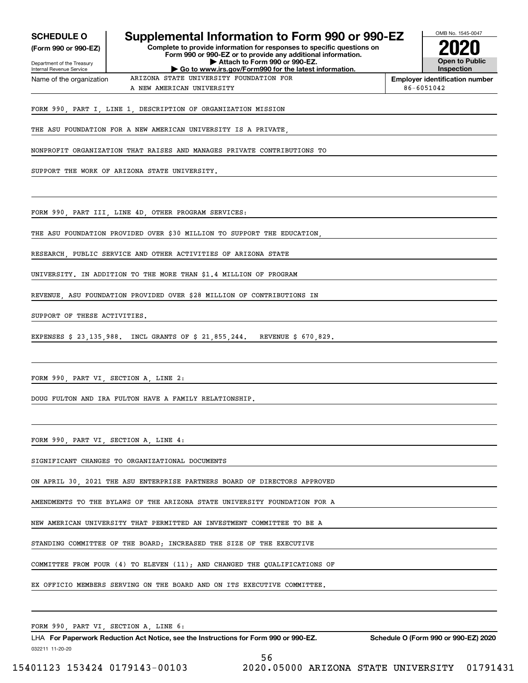| <b>SCHEDULE O</b><br>(Form 990 or 990-EZ)              | Supplemental Information to Form 990 or 990-EZ                                         | OMB No. 1545-0047 |                                            |
|--------------------------------------------------------|----------------------------------------------------------------------------------------|-------------------|--------------------------------------------|
| Department of the Treasury<br>Internal Revenue Service | Attach to Form 990 or 990-EZ.<br>Go to www.irs.gov/Form990 for the latest information. |                   | <b>Open to Public</b><br><b>Inspection</b> |
| Name of the organization                               | ARIZONA STATE UNIVERSITY FOUNDATION FOR                                                |                   | <b>Employer identification number</b>      |
|                                                        | A NEW AMERICAN UNIVERSITY                                                              | 86-6051042        |                                            |
|                                                        | FORM 990, PART I, LINE 1, DESCRIPTION OF ORGANIZATION MISSION                          |                   |                                            |
|                                                        | THE ASU FOUNDATION FOR A NEW AMERICAN UNIVERSITY IS A PRIVATE,                         |                   |                                            |
|                                                        | NONPROFIT ORGANIZATION THAT RAISES AND MANAGES PRIVATE CONTRIBUTIONS TO                |                   |                                            |
|                                                        | SUPPORT THE WORK OF ARIZONA STATE UNIVERSITY.                                          |                   |                                            |
|                                                        | FORM 990, PART III, LINE 4D, OTHER PROGRAM SERVICES:                                   |                   |                                            |
|                                                        | THE ASU FOUNDATION PROVIDED OVER \$30 MILLION TO SUPPORT THE EDUCATION,                |                   |                                            |
|                                                        | RESEARCH, PUBLIC SERVICE AND OTHER ACTIVITIES OF ARIZONA STATE                         |                   |                                            |
|                                                        | UNIVERSITY. IN ADDITION TO THE MORE THAN \$1.4 MILLION OF PROGRAM                      |                   |                                            |
|                                                        | REVENUE, ASU FOUNDATION PROVIDED OVER \$28 MILLION OF CONTRIBUTIONS IN                 |                   |                                            |
| SUPPORT OF THESE ACTIVITIES.                           |                                                                                        |                   |                                            |
|                                                        | EXPENSES \$ 23,135,988. INCL GRANTS OF \$ 21,855,244. REVENUE \$ 670,829.              |                   |                                            |
|                                                        |                                                                                        |                   |                                            |
|                                                        | FORM 990, PART VI, SECTION A, LINE 2:                                                  |                   |                                            |
|                                                        | DOUG FULTON AND IRA FULTON HAVE A FAMILY RELATIONSHIP.                                 |                   |                                            |
|                                                        |                                                                                        |                   |                                            |
|                                                        | FORM 990, PART VI, SECTION A, LINE 4:                                                  |                   |                                            |
|                                                        | SIGNIFICANT CHANGES TO ORGANIZATIONAL DOCUMENTS                                        |                   |                                            |
|                                                        | ON APRIL 30, 2021 THE ASU ENTERPRISE PARTNERS BOARD OF DIRECTORS APPROVED              |                   |                                            |
|                                                        | AMENDMENTS TO THE BYLAWS OF THE ARIZONA STATE UNIVERSITY FOUNDATION FOR A              |                   |                                            |
|                                                        | NEW AMERICAN UNIVERSITY THAT PERMITTED AN INVESTMENT COMMITTEE TO BE A                 |                   |                                            |
|                                                        | STANDING COMMITTEE OF THE BOARD; INCREASED THE SIZE OF THE EXECUTIVE                   |                   |                                            |
|                                                        | COMMITTEE FROM FOUR $(4)$ TO ELEVEN $(11)$ ; AND CHANGED THE QUALIFICATIONS OF         |                   |                                            |
|                                                        | EX OFFICIO MEMBERS SERVING ON THE BOARD AND ON ITS EXECUTIVE COMMITTEE.                |                   |                                            |

FORM 990, PART VI, SECTION A, LINE 6:

032211 11-20-20 LHA For Paperwork Reduction Act Notice, see the Instructions for Form 990 or 990-EZ. Schedule O (Form 990 or 990-EZ) 2020

56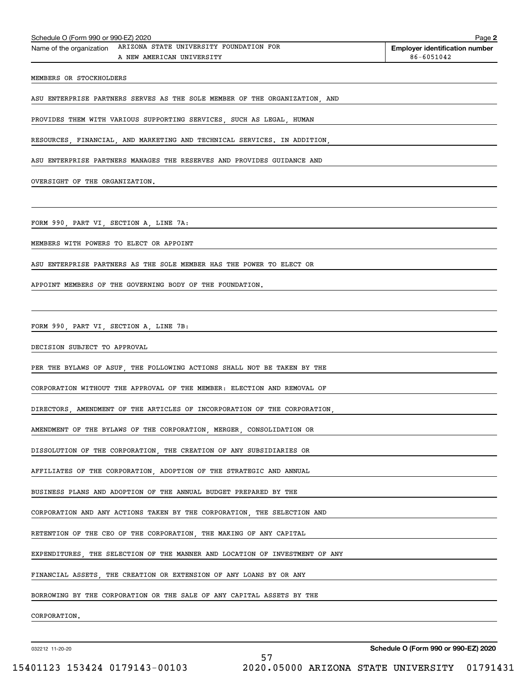| Schedule O (Form 990 or 990-EZ) 2020   |                                                                                               | Page 2                                              |
|----------------------------------------|-----------------------------------------------------------------------------------------------|-----------------------------------------------------|
|                                        | Name of the organization ARIZONA STATE UNIVERSITY FOUNDATION FOR<br>A NEW AMERICAN UNIVERSITY | <b>Employer identification number</b><br>86-6051042 |
| MEMBERS OR STOCKHOLDERS                |                                                                                               |                                                     |
|                                        | ASU ENTERPRISE PARTNERS SERVES AS THE SOLE MEMBER OF THE ORGANIZATION, AND                    |                                                     |
|                                        | PROVIDES THEM WITH VARIOUS SUPPORTING SERVICES, SUCH AS LEGAL, HUMAN                          |                                                     |
|                                        | RESOURCES, FINANCIAL, AND MARKETING AND TECHNICAL SERVICES. IN ADDITION,                      |                                                     |
|                                        |                                                                                               |                                                     |
|                                        | ASU ENTERPRISE PARTNERS MANAGES THE RESERVES AND PROVIDES GUIDANCE AND                        |                                                     |
| OVERSIGHT OF THE ORGANIZATION.         |                                                                                               |                                                     |
|                                        |                                                                                               |                                                     |
| FORM 990, PART VI, SECTION A, LINE 7A: |                                                                                               |                                                     |
|                                        | MEMBERS WITH POWERS TO ELECT OR APPOINT                                                       |                                                     |
|                                        | ASU ENTERPRISE PARTNERS AS THE SOLE MEMBER HAS THE POWER TO ELECT OR                          |                                                     |
|                                        | APPOINT MEMBERS OF THE GOVERNING BODY OF THE FOUNDATION.                                      |                                                     |
|                                        |                                                                                               |                                                     |
| FORM 990, PART VI, SECTION A, LINE 7B: |                                                                                               |                                                     |
| DECISION SUBJECT TO APPROVAL           |                                                                                               |                                                     |
|                                        | PER THE BYLAWS OF ASUF, THE FOLLOWING ACTIONS SHALL NOT BE TAKEN BY THE                       |                                                     |
|                                        | CORPORATION WITHOUT THE APPROVAL OF THE MEMBER: ELECTION AND REMOVAL OF                       |                                                     |
|                                        | DIRECTORS, AMENDMENT OF THE ARTICLES OF INCORPORATION OF THE CORPORATION,                     |                                                     |
|                                        | AMENDMENT OF THE BYLAWS OF THE CORPORATION, MERGER, CONSOLIDATION OR                          |                                                     |
|                                        | DISSOLUTION OF THE CORPORATION, THE CREATION OF ANY SUBSIDIARIES OR                           |                                                     |
|                                        | AFFILIATES OF THE CORPORATION, ADOPTION OF THE STRATEGIC AND ANNUAL                           |                                                     |
|                                        | BUSINESS PLANS AND ADOPTION OF THE ANNUAL BUDGET PREPARED BY THE                              |                                                     |
|                                        | CORPORATION AND ANY ACTIONS TAKEN BY THE CORPORATION, THE SELECTION AND                       |                                                     |
|                                        | RETENTION OF THE CEO OF THE CORPORATION, THE MAKING OF ANY CAPITAL                            |                                                     |
|                                        | EXPENDITURES, THE SELECTION OF THE MANNER AND LOCATION OF INVESTMENT OF ANY                   |                                                     |
|                                        | FINANCIAL ASSETS THE CREATION OR EXTENSION OF ANY LOANS BY OR ANY                             |                                                     |
|                                        | BORROWING BY THE CORPORATION OR THE SALE OF ANY CAPITAL ASSETS BY THE                         |                                                     |
| CORPORATION.                           |                                                                                               |                                                     |
|                                        |                                                                                               |                                                     |

032212 11-20-20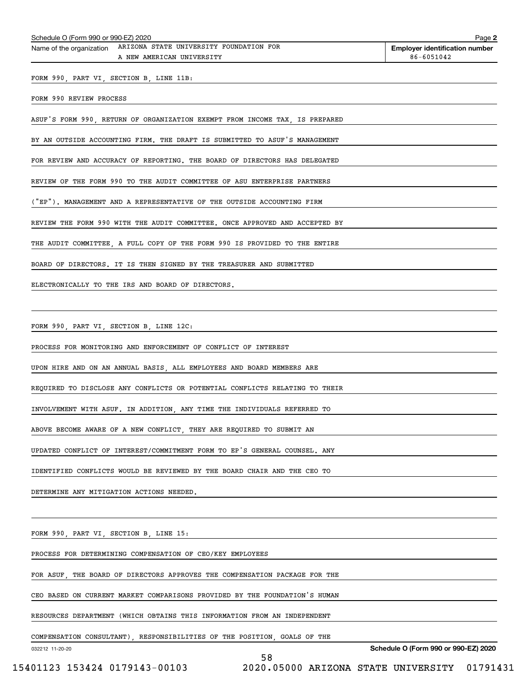| Schedule O (Form 990 or 990-EZ) 2020                                                          | Page                                                |
|-----------------------------------------------------------------------------------------------|-----------------------------------------------------|
| Name of the organization ARIZONA STATE UNIVERSITY FOUNDATION FOR<br>A NEW AMERICAN UNIVERSITY | <b>Employer identification number</b><br>86-6051042 |
| FORM 990, PART VI, SECTION B, LINE 11B:                                                       |                                                     |
| FORM 990 REVIEW PROCESS                                                                       |                                                     |
| ASUF'S FORM 990, RETURN OF ORGANIZATION EXEMPT FROM INCOME TAX, IS PREPARED                   |                                                     |
| BY AN OUTSIDE ACCOUNTING FIRM. THE DRAFT IS SUBMITTED TO ASUF'S MANAGEMENT                    |                                                     |
| FOR REVIEW AND ACCURACY OF REPORTING. THE BOARD OF DIRECTORS HAS DELEGATED                    |                                                     |
| REVIEW OF THE FORM 990 TO THE AUDIT COMMITTEE OF ASU ENTERPRISE PARTNERS                      |                                                     |
| ("EP"). MANAGEMENT AND A REPRESENTATIVE OF THE OUTSIDE ACCOUNTING FIRM                        |                                                     |
| REVIEW THE FORM 990 WITH THE AUDIT COMMITTEE. ONCE APPROVED AND ACCEPTED BY                   |                                                     |
| THE AUDIT COMMITTEE, A FULL COPY OF THE FORM 990 IS PROVIDED TO THE ENTIRE                    |                                                     |
| BOARD OF DIRECTORS. IT IS THEN SIGNED BY THE TREASURER AND SUBMITTED                          |                                                     |
|                                                                                               |                                                     |

FORM 990, PART VI, SECTION B, LINE 12C:

PROCESS FOR MONITORING AND ENFORCEMENT OF CONFLICT OF INTEREST

UPON HIRE AND ON AN ANNUAL BASIS, ALL EMPLOYEES AND BOARD MEMBERS ARE

REQUIRED TO DISCLOSE ANY CONFLICTS OR POTENTIAL CONFLICTS RELATING TO THEIR

INVOLVEMENT WITH ASUF. IN ADDITION, ANY TIME THE INDIVIDUALS REFERRED TO

ABOVE BECOME AWARE OF A NEW CONFLICT, THEY ARE REQUIRED TO SUBMIT AN

UPDATED CONFLICT OF INTEREST/COMMITMENT FORM TO EP'S GENERAL COUNSEL. ANY

IDENTIFIED CONFLICTS WOULD BE REVIEWED BY THE BOARD CHAIR AND THE CEO TO

DETERMINE ANY MITIGATION ACTIONS NEEDED.

FORM 990, PART VI, SECTION B, LINE 15:

PROCESS FOR DETERMINING COMPENSATION OF CEO/KEY EMPLOYEES

FOR ASUF, THE BOARD OF DIRECTORS APPROVES THE COMPENSATION PACKAGE FOR THE

CEO BASED ON CURRENT MARKET COMPARISONS PROVIDED BY THE FOUNDATION'S HUMAN

RESOURCES DEPARTMENT (WHICH OBTAINS THIS INFORMATION FROM AN INDEPENDENT

COMPENSATION CONSULTANT), RESPONSIBILITIES OF THE POSITION, GOALS OF THE

58

032212 11-20-20

**Schedule O (Form 990 or 990-EZ) 2020**

**2**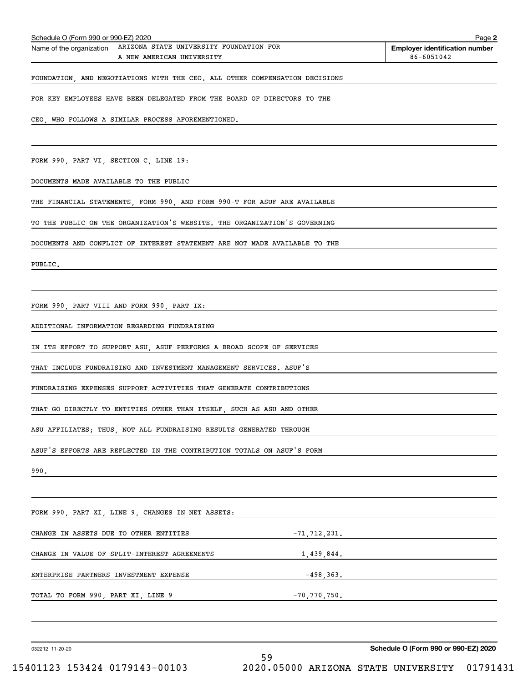| Schedule O (Form 990 or 990-EZ) 2020                                                          |                  | Page 2                                              |
|-----------------------------------------------------------------------------------------------|------------------|-----------------------------------------------------|
| Name of the organization ARIZONA STATE UNIVERSITY FOUNDATION FOR<br>A NEW AMERICAN UNIVERSITY |                  | <b>Employer identification number</b><br>86-6051042 |
| FOUNDATION, AND NEGOTIATIONS WITH THE CEO. ALL OTHER COMPENSATION DECISIONS                   |                  |                                                     |
| FOR KEY EMPLOYEES HAVE BEEN DELEGATED FROM THE BOARD OF DIRECTORS TO THE                      |                  |                                                     |
|                                                                                               |                  |                                                     |
| CEO, WHO FOLLOWS A SIMILAR PROCESS AFOREMENTIONED.                                            |                  |                                                     |
|                                                                                               |                  |                                                     |
| FORM 990, PART VI, SECTION C, LINE 19:                                                        |                  |                                                     |
| DOCUMENTS MADE AVAILABLE TO THE PUBLIC                                                        |                  |                                                     |
| THE FINANCIAL STATEMENTS, FORM 990, AND FORM 990-T FOR ASUF ARE AVAILABLE                     |                  |                                                     |
| TO THE PUBLIC ON THE ORGANIZATION'S WEBSITE. THE ORGANIZATION'S GOVERNING                     |                  |                                                     |
| DOCUMENTS AND CONFLICT OF INTEREST STATEMENT ARE NOT MADE AVAILABLE TO THE                    |                  |                                                     |
| PUBLIC.                                                                                       |                  |                                                     |
|                                                                                               |                  |                                                     |
| FORM 990, PART VIII AND FORM 990, PART IX:                                                    |                  |                                                     |
| ADDITIONAL INFORMATION REGARDING FUNDRAISING                                                  |                  |                                                     |
| IN ITS EFFORT TO SUPPORT ASU, ASUF PERFORMS A BROAD SCOPE OF SERVICES                         |                  |                                                     |
| THAT INCLUDE FUNDRAISING AND INVESTMENT MANAGEMENT SERVICES. ASUF'S                           |                  |                                                     |
|                                                                                               |                  |                                                     |
| FUNDRAISING EXPENSES SUPPORT ACTIVITIES THAT GENERATE CONTRIBUTIONS                           |                  |                                                     |
| THAT GO DIRECTLY TO ENTITIES OTHER THAN ITSELF    SUCH AS ASU AND OTHER                       |                  |                                                     |
| ASU AFFILIATES; THUS, NOT ALL FUNDRAISING RESULTS GENERATED THROUGH                           |                  |                                                     |
| ASUF'S EFFORTS ARE REFLECTED IN THE CONTRIBUTION TOTALS ON ASUF'S FORM                        |                  |                                                     |
| 990.                                                                                          |                  |                                                     |
|                                                                                               |                  |                                                     |
| FORM 990, PART XI, LINE 9, CHANGES IN NET ASSETS:                                             |                  |                                                     |
| CHANGE IN ASSETS DUE TO OTHER ENTITIES                                                        |                  | $-71, 712, 231.$                                    |
| CHANGE IN VALUE OF SPLIT-INTEREST AGREEMENTS                                                  |                  | 1,439,844.                                          |
| ENTERPRISE PARTNERS INVESTMENT EXPENSE                                                        |                  | $-498,363.$                                         |
| TOTAL TO FORM 990, PART XI, LINE 9                                                            | $-70, 770, 750.$ |                                                     |
|                                                                                               |                  |                                                     |
|                                                                                               |                  |                                                     |
| 032212 11-20-20                                                                               | E O              | Schedule O (Form 990 or 990-EZ) 2020                |

÷,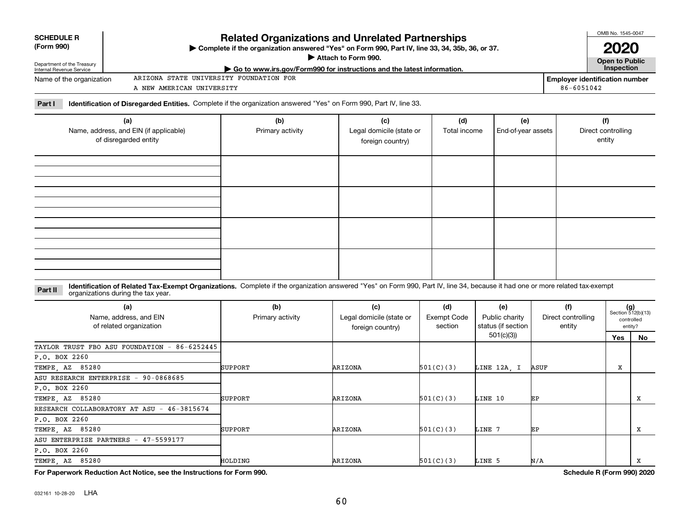**(a)**

Name, address, and EIN (if applicable) of disregarded entity

#### **Identification of Related Tax-Exempt Organizations.** Complete if the organization answered "Yes" on Form 990, Part IV, line 34, because it had one or more related tax-exempt **Part II** organizations during the tax year.

| (a)<br>Name, address, and EIN<br>of related organization | (b)<br>Primary activity | (c)<br>Legal domicile (state or<br>foreign country) | (d)<br>Exempt Code<br>section | (e)<br>Public charity<br>status (if section | (f)<br>Direct controlling<br>entity | $(g)$<br>Section 512(b)(13)<br>controlled<br>entity? |     |
|----------------------------------------------------------|-------------------------|-----------------------------------------------------|-------------------------------|---------------------------------------------|-------------------------------------|------------------------------------------------------|-----|
|                                                          |                         |                                                     |                               | 501(c)(3))                                  |                                     | Yes                                                  | No. |
| TAYLOR TRUST FBO ASU FOUNDATION - 86-6252445             |                         |                                                     |                               |                                             |                                     |                                                      |     |
| P.O. BOX 2260                                            |                         |                                                     |                               |                                             |                                     |                                                      |     |
| TEMPE, AZ 85280                                          | <b>SUPPORT</b>          | ARIZONA                                             | 501(C)(3)                     | LINE 12A, I                                 | ASUF                                | х                                                    |     |
| ASU RESEARCH ENTERPRISE - 90-0868685                     |                         |                                                     |                               |                                             |                                     |                                                      |     |
| P.O. BOX 2260                                            |                         |                                                     |                               |                                             |                                     |                                                      |     |
| TEMPE, AZ 85280                                          | <b>SUPPORT</b>          | ARIZONA                                             | 501(C)(3)                     | LINE 10                                     | ЕP                                  |                                                      | x   |
| RESEARCH COLLABORATORY AT ASU - 46-3815674               |                         |                                                     |                               |                                             |                                     |                                                      |     |
| P.O. BOX 2260                                            |                         |                                                     |                               |                                             |                                     |                                                      |     |
| TEMPE, AZ 85280                                          | <b>SUPPORT</b>          | ARIZONA                                             | 501(C)(3)                     | LINE 7                                      | EP                                  |                                                      | x   |
| ASU ENTERPRISE PARTNERS - 47-5599177                     |                         |                                                     |                               |                                             |                                     |                                                      |     |
| P.O. BOX 2260                                            |                         |                                                     |                               |                                             |                                     |                                                      |     |
| TEMPE, AZ 85280                                          | HOLDING                 | ARIZONA                                             | 501(C)(3)                     | LINE 5                                      | N/A                                 |                                                      | x   |

**For Paperwork Reduction Act Notice, see the Instructions for Form 990. Schedule R (Form 990) 2020**

| <b>SCHEDULE R</b><br>(Form 990)                        | <b>Related Organizations and Unrelated Partnerships</b><br>> Complete if the organization answered "Yes" on Form 990, Part IV, line 33, 34, 35b, 36, or 37.<br>Attach to Form 990. | <b>OMB NO. 1545-0047</b><br>2020      |
|--------------------------------------------------------|------------------------------------------------------------------------------------------------------------------------------------------------------------------------------------|---------------------------------------|
| Department of the Treasury<br>Internal Revenue Service | ▶ Go to www.irs.gov/Form990 for instructions and the latest information.                                                                                                           | Open to Public<br><b>Inspection</b>   |
| Name of the organization                               | ARIZONA STATE UNIVERSITY FOUNDATION FOR                                                                                                                                            | <b>Employer identification number</b> |
|                                                        | A NEW AMERICAN UNIVERSITY                                                                                                                                                          | 86-6051042                            |

Primary activity **Legal domicile (state or** 

**(b) (c) (d) (e) (f)**

foreign country)

**Part I Identification of Disregarded Entities.**  Complete if the organization answered "Yes" on Form 990, Part IV, line 33.

| <b>SCHEDULE R</b> |  |
|-------------------|--|
| (Form 990)        |  |

OMB No. 1545-0047

entity

Total income | End-of-year assets | Direct controlling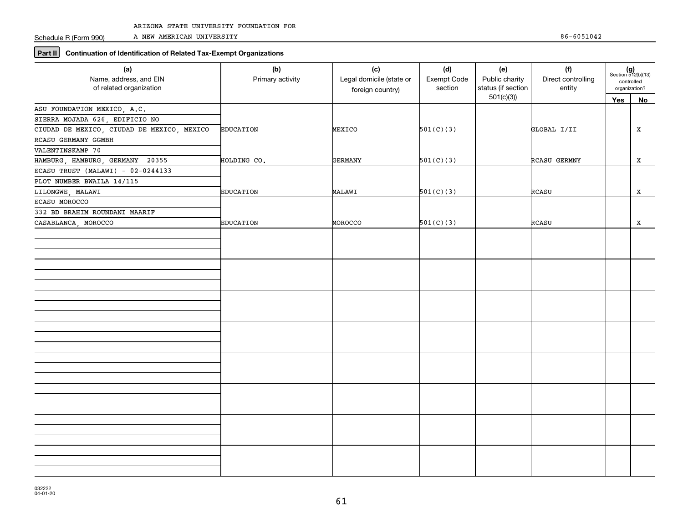Schedule R (Form 990)

A NEW AMERICAN UNIVERSITY 86-6051042

# **Part II Continuation of Identification of Related Tax-Exempt Organizations**

| Yes<br>No<br>ASU FOUNDATION MEXICO, A.C.<br>SIERRA MOJADA 626, EDIFICIO NO<br>CIUDAD DE MEXICO, CIUDAD DE MEXICO, MEXICO<br>501(C)(3)<br><b>EDUCATION</b><br>MEXICO<br>GLOBAL I/II<br>X<br>RCASU GERMANY GGMBH<br>VALENTINSKAMP 70<br>HAMBURG, HAMBURG, GERMANY 20355<br>GERMANY<br>501(C)(3)<br>RCASU GERMNY<br>X<br>HOLDING CO. | (a)<br>Name, address, and EIN<br>of related organization | (b)<br>Primary activity | (c)<br>Legal domicile (state or<br>foreign country) | (d)<br>Exempt Code<br>section | (e)<br>Public charity<br>status (if section | (f)<br>Direct controlling<br>entity | $(g)$<br>Section 512(b)(13)<br>controlled<br>organization? |  |
|-----------------------------------------------------------------------------------------------------------------------------------------------------------------------------------------------------------------------------------------------------------------------------------------------------------------------------------|----------------------------------------------------------|-------------------------|-----------------------------------------------------|-------------------------------|---------------------------------------------|-------------------------------------|------------------------------------------------------------|--|
|                                                                                                                                                                                                                                                                                                                                   |                                                          |                         |                                                     |                               | 501(c)(3)                                   |                                     |                                                            |  |
|                                                                                                                                                                                                                                                                                                                                   |                                                          |                         |                                                     |                               |                                             |                                     |                                                            |  |
|                                                                                                                                                                                                                                                                                                                                   |                                                          |                         |                                                     |                               |                                             |                                     |                                                            |  |
|                                                                                                                                                                                                                                                                                                                                   |                                                          |                         |                                                     |                               |                                             |                                     |                                                            |  |
|                                                                                                                                                                                                                                                                                                                                   |                                                          |                         |                                                     |                               |                                             |                                     |                                                            |  |
|                                                                                                                                                                                                                                                                                                                                   |                                                          |                         |                                                     |                               |                                             |                                     |                                                            |  |
|                                                                                                                                                                                                                                                                                                                                   |                                                          |                         |                                                     |                               |                                             |                                     |                                                            |  |
|                                                                                                                                                                                                                                                                                                                                   | ECASU TRUST (MALAWI) - 02-0244133                        |                         |                                                     |                               |                                             |                                     |                                                            |  |
|                                                                                                                                                                                                                                                                                                                                   | PLOT NUMBER BWAILA 14/115                                |                         |                                                     |                               |                                             |                                     |                                                            |  |
| <b>EDUCATION</b><br>MALAWI<br>501(C)(3)<br>RCASU<br>X                                                                                                                                                                                                                                                                             | LILONGWE, MALAWI                                         |                         |                                                     |                               |                                             |                                     |                                                            |  |
|                                                                                                                                                                                                                                                                                                                                   | ECASU MOROCCO                                            |                         |                                                     |                               |                                             |                                     |                                                            |  |
| 332 BD BRAHIM ROUNDANI MAARIF                                                                                                                                                                                                                                                                                                     |                                                          |                         |                                                     |                               |                                             |                                     |                                                            |  |
| <b>EDUCATION</b><br>MOROCCO<br>501(C)(3)<br>RCASU<br>x                                                                                                                                                                                                                                                                            | CASABLANCA, MOROCCO                                      |                         |                                                     |                               |                                             |                                     |                                                            |  |
|                                                                                                                                                                                                                                                                                                                                   |                                                          |                         |                                                     |                               |                                             |                                     |                                                            |  |
|                                                                                                                                                                                                                                                                                                                                   |                                                          |                         |                                                     |                               |                                             |                                     |                                                            |  |
|                                                                                                                                                                                                                                                                                                                                   |                                                          |                         |                                                     |                               |                                             |                                     |                                                            |  |
|                                                                                                                                                                                                                                                                                                                                   |                                                          |                         |                                                     |                               |                                             |                                     |                                                            |  |
|                                                                                                                                                                                                                                                                                                                                   |                                                          |                         |                                                     |                               |                                             |                                     |                                                            |  |
|                                                                                                                                                                                                                                                                                                                                   |                                                          |                         |                                                     |                               |                                             |                                     |                                                            |  |
|                                                                                                                                                                                                                                                                                                                                   |                                                          |                         |                                                     |                               |                                             |                                     |                                                            |  |
|                                                                                                                                                                                                                                                                                                                                   |                                                          |                         |                                                     |                               |                                             |                                     |                                                            |  |
|                                                                                                                                                                                                                                                                                                                                   |                                                          |                         |                                                     |                               |                                             |                                     |                                                            |  |
|                                                                                                                                                                                                                                                                                                                                   |                                                          |                         |                                                     |                               |                                             |                                     |                                                            |  |
|                                                                                                                                                                                                                                                                                                                                   |                                                          |                         |                                                     |                               |                                             |                                     |                                                            |  |
|                                                                                                                                                                                                                                                                                                                                   |                                                          |                         |                                                     |                               |                                             |                                     |                                                            |  |
|                                                                                                                                                                                                                                                                                                                                   |                                                          |                         |                                                     |                               |                                             |                                     |                                                            |  |
|                                                                                                                                                                                                                                                                                                                                   |                                                          |                         |                                                     |                               |                                             |                                     |                                                            |  |
|                                                                                                                                                                                                                                                                                                                                   |                                                          |                         |                                                     |                               |                                             |                                     |                                                            |  |
|                                                                                                                                                                                                                                                                                                                                   |                                                          |                         |                                                     |                               |                                             |                                     |                                                            |  |
|                                                                                                                                                                                                                                                                                                                                   |                                                          |                         |                                                     |                               |                                             |                                     |                                                            |  |
|                                                                                                                                                                                                                                                                                                                                   |                                                          |                         |                                                     |                               |                                             |                                     |                                                            |  |
|                                                                                                                                                                                                                                                                                                                                   |                                                          |                         |                                                     |                               |                                             |                                     |                                                            |  |
|                                                                                                                                                                                                                                                                                                                                   |                                                          |                         |                                                     |                               |                                             |                                     |                                                            |  |
|                                                                                                                                                                                                                                                                                                                                   |                                                          |                         |                                                     |                               |                                             |                                     |                                                            |  |
|                                                                                                                                                                                                                                                                                                                                   |                                                          |                         |                                                     |                               |                                             |                                     |                                                            |  |
|                                                                                                                                                                                                                                                                                                                                   |                                                          |                         |                                                     |                               |                                             |                                     |                                                            |  |
|                                                                                                                                                                                                                                                                                                                                   |                                                          |                         |                                                     |                               |                                             |                                     |                                                            |  |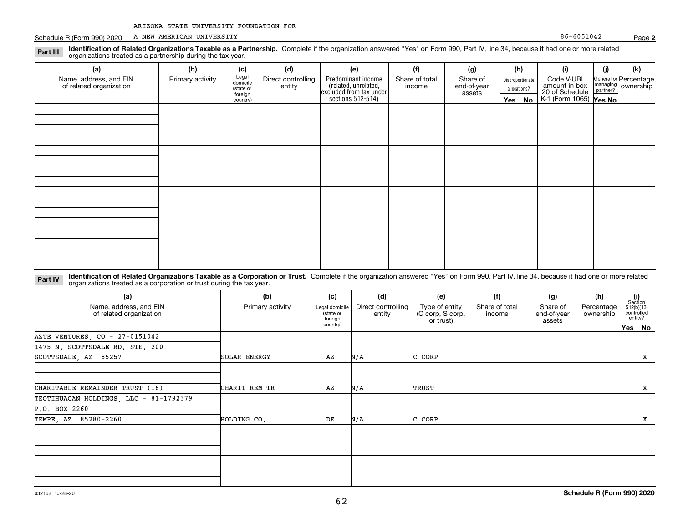|  |  |  |  | ARIZONA STATE UNIVERSITY FOUNDATION FOR |  |
|--|--|--|--|-----------------------------------------|--|
|--|--|--|--|-----------------------------------------|--|

Schedule R (Form 990) 2020 Page A NEW AMERICAN UNIVERSITY 86-6051042

**Part III**

| .9.9.9.0<br>organizations treated as a partnership during the tax year. |                  |                                           |                              |                                                                                           |                          |                                   |               |                  |                                               |     |                                                         |
|-------------------------------------------------------------------------|------------------|-------------------------------------------|------------------------------|-------------------------------------------------------------------------------------------|--------------------------|-----------------------------------|---------------|------------------|-----------------------------------------------|-----|---------------------------------------------------------|
| (a)                                                                     | (b)              | (c)                                       | (d)                          | (e)                                                                                       | (1)                      | (g)                               | (h)           |                  | (i)                                           | (i) | (k)                                                     |
| Name, address, and EIN<br>of related organization                       | Primary activity | Legal<br>domicile<br>(state or<br>foreign | Direct controlling<br>entity | Predominant income<br>related, unrelated,<br>excluded from tax under<br>sections 512-514) | Share of total<br>income | Share of<br>end-of-year<br>assets | allocations?  | Disproportionate | Code V-UBI<br>amount in box<br>20 of Schedule |     | General or Percentage<br>managing ownership<br>partner? |
|                                                                         |                  | country)                                  |                              |                                                                                           |                          |                                   | $Yes \mid No$ |                  | K-1 (Form 1065) Yes No                        |     |                                                         |
|                                                                         |                  |                                           |                              |                                                                                           |                          |                                   |               |                  |                                               |     |                                                         |
|                                                                         |                  |                                           |                              |                                                                                           |                          |                                   |               |                  |                                               |     |                                                         |
|                                                                         |                  |                                           |                              |                                                                                           |                          |                                   |               |                  |                                               |     |                                                         |
|                                                                         |                  |                                           |                              |                                                                                           |                          |                                   |               |                  |                                               |     |                                                         |
|                                                                         |                  |                                           |                              |                                                                                           |                          |                                   |               |                  |                                               |     |                                                         |
|                                                                         |                  |                                           |                              |                                                                                           |                          |                                   |               |                  |                                               |     |                                                         |
|                                                                         |                  |                                           |                              |                                                                                           |                          |                                   |               |                  |                                               |     |                                                         |
|                                                                         |                  |                                           |                              |                                                                                           |                          |                                   |               |                  |                                               |     |                                                         |
|                                                                         |                  |                                           |                              |                                                                                           |                          |                                   |               |                  |                                               |     |                                                         |
|                                                                         |                  |                                           |                              |                                                                                           |                          |                                   |               |                  |                                               |     |                                                         |
|                                                                         |                  |                                           |                              |                                                                                           |                          |                                   |               |                  |                                               |     |                                                         |
|                                                                         |                  |                                           |                              |                                                                                           |                          |                                   |               |                  |                                               |     |                                                         |
|                                                                         |                  |                                           |                              |                                                                                           |                          |                                   |               |                  |                                               |     |                                                         |
|                                                                         |                  |                                           |                              |                                                                                           |                          |                                   |               |                  |                                               |     |                                                         |
|                                                                         |                  |                                           |                              |                                                                                           |                          |                                   |               |                  |                                               |     |                                                         |
|                                                                         |                  |                                           |                              |                                                                                           |                          |                                   |               |                  |                                               |     |                                                         |

**Identification of Related Organizations Taxable as a Partnership.** Complete if the organization answered "Yes" on Form 990, Part IV, line 34, because it had one or more related

#### **Identification of Related Organizations Taxable as a Corporation or Trust.** Complete if the organization answered "Yes" on Form 990, Part IV, line 34, because it had one or more related **Part IV** organizations treated as a corporation or trust during the tax year.

| (a)<br>Name, address, and EIN<br>of related organization | (b)<br>Primary activity | (c)<br>Legal domicile<br>(state or<br>foreign | (d)<br>Direct controlling<br>entity | (e)<br>Type of entity<br>(C corp, S corp,<br>or trust) | (f)<br>Share of total<br>income | (g)<br>Share of<br>end-of-year<br>assets | (h)<br>Percentage<br>ownership | (i)<br>Section<br>512(b)(13)<br>controlled<br>entity? |          |
|----------------------------------------------------------|-------------------------|-----------------------------------------------|-------------------------------------|--------------------------------------------------------|---------------------------------|------------------------------------------|--------------------------------|-------------------------------------------------------|----------|
|                                                          |                         | country)                                      |                                     |                                                        |                                 |                                          |                                |                                                       | Yes   No |
| AZTE VENTURES, CO - 27-0151042                           |                         |                                               |                                     |                                                        |                                 |                                          |                                |                                                       |          |
| 1475 N. SCOTTSDALE RD. STE. 200                          |                         |                                               |                                     |                                                        |                                 |                                          |                                |                                                       |          |
| SCOTTSDALE, AZ 85257                                     | SOLAR ENERGY            | AZ                                            | N/A                                 | C CORP                                                 |                                 |                                          |                                |                                                       | x        |
| CHARITABLE REMAINDER TRUST (16)                          | CHARIT REM TR           | AZ                                            | N/A                                 | TRUST                                                  |                                 |                                          |                                |                                                       | x        |
| TEOTIHUACAN HOLDINGS, LLC - 81-1792379                   |                         |                                               |                                     |                                                        |                                 |                                          |                                |                                                       |          |
| P.O. BOX 2260                                            |                         |                                               |                                     |                                                        |                                 |                                          |                                |                                                       |          |
| TEMPE, AZ 85280-2260                                     | HOLDING CO.             | DE                                            | N/A                                 | C CORP                                                 |                                 |                                          |                                |                                                       | x        |
|                                                          |                         |                                               |                                     |                                                        |                                 |                                          |                                |                                                       |          |
|                                                          |                         |                                               |                                     |                                                        |                                 |                                          |                                |                                                       |          |

**Schedule R (Form 990) 2020**

**2**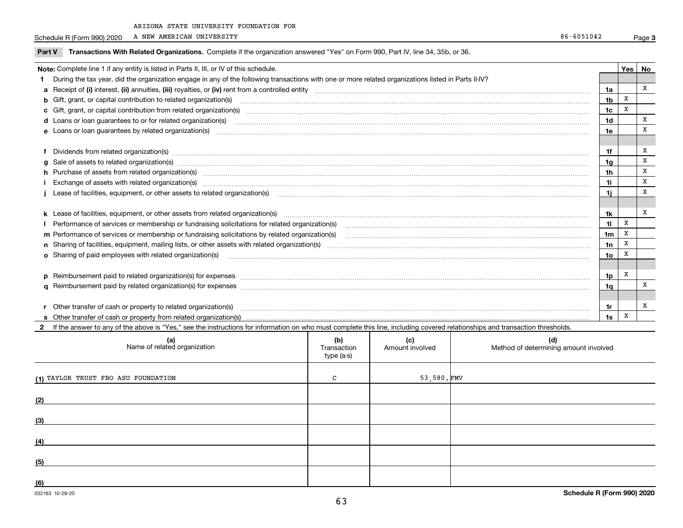Schedule R (Form 990) 2020 A NEW AMERICAN UNIVERSITY A NEW AMERICAN UNIVERSITY

| Part V                                                                                                                                              | Transactions With Related Organizations. Complete if the organization answered "Yes" on Form 990, Part IV, line 34, 35b, or 36.                                                                                                |                |   |   |  |
|-----------------------------------------------------------------------------------------------------------------------------------------------------|--------------------------------------------------------------------------------------------------------------------------------------------------------------------------------------------------------------------------------|----------------|---|---|--|
| Note: Complete line 1 if any entity is listed in Parts II, III, or IV of this schedule.                                                             |                                                                                                                                                                                                                                |                |   |   |  |
| During the tax year, did the organization engage in any of the following transactions with one or more related organizations listed in Parts II-IV? |                                                                                                                                                                                                                                |                |   |   |  |
|                                                                                                                                                     |                                                                                                                                                                                                                                | 1a             |   | x |  |
|                                                                                                                                                     | <b>b</b> Gift, grant, or capital contribution to related organization(s)                                                                                                                                                       | 1b             | X |   |  |
|                                                                                                                                                     | c Gift, grant, or capital contribution from related organization(s) CONCORRECT CONSERVITY OF Gift, grant, or capital contribution from related organization(s)                                                                 | 1c             | X |   |  |
|                                                                                                                                                     | <b>d</b> Loans or loan guarantees to or for related organization(s)                                                                                                                                                            | 1d             |   | x |  |
|                                                                                                                                                     | <b>e</b> Loans or loan guarantees by related organization(s)                                                                                                                                                                   | 1e             |   | x |  |
|                                                                                                                                                     |                                                                                                                                                                                                                                |                |   |   |  |
|                                                                                                                                                     | Dividends from related organization(s) material content and content and content and content and content and content and content and content and content and content and content and content and content and content and conten | 1f             |   | х |  |
|                                                                                                                                                     | g Sale of assets to related organization(s)                                                                                                                                                                                    | 1a             |   | x |  |
|                                                                                                                                                     | h Purchase of assets from related organization(s) manufactured content to content the content of the content of the content of the content of the content of the content of the content of the content of the content of the c | 1h             |   | X |  |
|                                                                                                                                                     |                                                                                                                                                                                                                                | 1i             |   | X |  |
|                                                                                                                                                     | Lease of facilities, equipment, or other assets to related organization(s)                                                                                                                                                     | 1i             |   | х |  |
|                                                                                                                                                     |                                                                                                                                                                                                                                |                |   |   |  |
|                                                                                                                                                     |                                                                                                                                                                                                                                | 1k             |   | x |  |
|                                                                                                                                                     | I Performance of services or membership or fundraising solicitations for related organization(s)                                                                                                                               | 11             | X |   |  |
|                                                                                                                                                     | m Performance of services or membership or fundraising solicitations by related organization(s)                                                                                                                                | 1 <sub>m</sub> | X |   |  |
|                                                                                                                                                     |                                                                                                                                                                                                                                | 1n             | X |   |  |
|                                                                                                                                                     | <b>o</b> Sharing of paid employees with related organization(s)                                                                                                                                                                | 10             | x |   |  |
|                                                                                                                                                     |                                                                                                                                                                                                                                |                |   |   |  |
|                                                                                                                                                     | p Reimbursement paid to related organization(s) for expenses [1111] and the content of the content of the content of the content of the content of the content of the content of the content of the content of the content of  | 1p             | X |   |  |
|                                                                                                                                                     |                                                                                                                                                                                                                                | 1a             |   | X |  |
|                                                                                                                                                     |                                                                                                                                                                                                                                |                |   |   |  |

**r** Other transfer of cash or property to related organization(s) ~~~~~~~~~~~~~~~~~~~~~~~~~~~~~~~~~~~~~~~~~~~~~~~~~~~~~~~~~**s**Other transfer of cash or property from related organization(s)

**2**If the answer to any of the above is "Yes," see the instructions for information on who must complete this line, including covered relationships and transaction thresholds.

| (a)<br>Name of related organization | (b)<br>Transaction<br>type (a-s) | (c)<br>Amount involved | (d)<br>Method of determining amount involved |
|-------------------------------------|----------------------------------|------------------------|----------------------------------------------|
| (1) TAYLOR TRUST FBO ASU FOUNDATION | C                                | $53,580.$ FMV          |                                              |
| (2)                                 |                                  |                        |                                              |
| (3)                                 |                                  |                        |                                              |
| (4)                                 |                                  |                        |                                              |
| (5)                                 |                                  |                        |                                              |
| (6)                                 |                                  |                        |                                              |

**1r1s**

X

X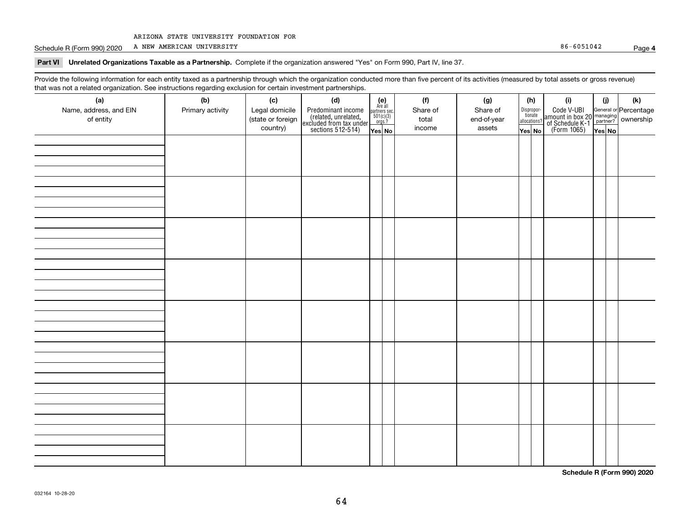Schedule R (Form 990) 2020 Page A NEW AMERICAN UNIVERSITY 86-6051042

**Part VI Unrelated Organizations Taxable as a Partnership. Complete if the organization answered "Yes" on Form 990, Part IV, line 37.** 

Provide the following information for each entity taxed as a partnership through which the organization conducted more than five percent of its activities (measured by total assets or gross revenue) that was not a related organization. See instructions regarding exclusion for certain investment partnerships.

| (a)                    | .<br>(b)         | (c)               | <br><br>(d)                                                                                |                                                                                                                  |  | (f)      | (g)         | (h)                   |  | (i)                                                                                                    | (i)    |  | $(\mathsf{k})$ |
|------------------------|------------------|-------------------|--------------------------------------------------------------------------------------------|------------------------------------------------------------------------------------------------------------------|--|----------|-------------|-----------------------|--|--------------------------------------------------------------------------------------------------------|--------|--|----------------|
| Name, address, and EIN | Primary activity | Legal domicile    |                                                                                            | $\begin{array}{c} \textbf{(e)}\\ \text{Are all} \\ \text{partners sec.}\\ 501(c)(3)\\ \text{orgs.?} \end{array}$ |  | Share of | Share of    | Dispropor-<br>tionate |  |                                                                                                        |        |  |                |
| of entity              |                  | (state or foreign | Predominant income<br>(related, unrelated,<br>excluded from tax under<br>sections 512-514) |                                                                                                                  |  | total    | end-of-year | allocations?          |  | Code V-UBI<br>amount in box 20 managing<br>of Schedule K-1 partner? ownership<br>(Form 1065)<br>ves No |        |  |                |
|                        |                  | country)          |                                                                                            | Yes No                                                                                                           |  | income   | assets      | Yes No                |  |                                                                                                        | Yes No |  |                |
|                        |                  |                   |                                                                                            |                                                                                                                  |  |          |             |                       |  |                                                                                                        |        |  |                |
|                        |                  |                   |                                                                                            |                                                                                                                  |  |          |             |                       |  |                                                                                                        |        |  |                |
|                        |                  |                   |                                                                                            |                                                                                                                  |  |          |             |                       |  |                                                                                                        |        |  |                |
|                        |                  |                   |                                                                                            |                                                                                                                  |  |          |             |                       |  |                                                                                                        |        |  |                |
|                        |                  |                   |                                                                                            |                                                                                                                  |  |          |             |                       |  |                                                                                                        |        |  |                |
|                        |                  |                   |                                                                                            |                                                                                                                  |  |          |             |                       |  |                                                                                                        |        |  |                |
|                        |                  |                   |                                                                                            |                                                                                                                  |  |          |             |                       |  |                                                                                                        |        |  |                |
|                        |                  |                   |                                                                                            |                                                                                                                  |  |          |             |                       |  |                                                                                                        |        |  |                |
|                        |                  |                   |                                                                                            |                                                                                                                  |  |          |             |                       |  |                                                                                                        |        |  |                |
|                        |                  |                   |                                                                                            |                                                                                                                  |  |          |             |                       |  |                                                                                                        |        |  |                |
|                        |                  |                   |                                                                                            |                                                                                                                  |  |          |             |                       |  |                                                                                                        |        |  |                |
|                        |                  |                   |                                                                                            |                                                                                                                  |  |          |             |                       |  |                                                                                                        |        |  |                |
|                        |                  |                   |                                                                                            |                                                                                                                  |  |          |             |                       |  |                                                                                                        |        |  |                |
|                        |                  |                   |                                                                                            |                                                                                                                  |  |          |             |                       |  |                                                                                                        |        |  |                |
|                        |                  |                   |                                                                                            |                                                                                                                  |  |          |             |                       |  |                                                                                                        |        |  |                |
|                        |                  |                   |                                                                                            |                                                                                                                  |  |          |             |                       |  |                                                                                                        |        |  |                |
|                        |                  |                   |                                                                                            |                                                                                                                  |  |          |             |                       |  |                                                                                                        |        |  |                |
|                        |                  |                   |                                                                                            |                                                                                                                  |  |          |             |                       |  |                                                                                                        |        |  |                |
|                        |                  |                   |                                                                                            |                                                                                                                  |  |          |             |                       |  |                                                                                                        |        |  |                |
|                        |                  |                   |                                                                                            |                                                                                                                  |  |          |             |                       |  |                                                                                                        |        |  |                |
|                        |                  |                   |                                                                                            |                                                                                                                  |  |          |             |                       |  |                                                                                                        |        |  |                |
|                        |                  |                   |                                                                                            |                                                                                                                  |  |          |             |                       |  |                                                                                                        |        |  |                |
|                        |                  |                   |                                                                                            |                                                                                                                  |  |          |             |                       |  |                                                                                                        |        |  |                |
|                        |                  |                   |                                                                                            |                                                                                                                  |  |          |             |                       |  |                                                                                                        |        |  |                |
|                        |                  |                   |                                                                                            |                                                                                                                  |  |          |             |                       |  |                                                                                                        |        |  |                |
|                        |                  |                   |                                                                                            |                                                                                                                  |  |          |             |                       |  |                                                                                                        |        |  |                |
|                        |                  |                   |                                                                                            |                                                                                                                  |  |          |             |                       |  |                                                                                                        |        |  |                |
|                        |                  |                   |                                                                                            |                                                                                                                  |  |          |             |                       |  |                                                                                                        |        |  |                |
|                        |                  |                   |                                                                                            |                                                                                                                  |  |          |             |                       |  |                                                                                                        |        |  |                |
|                        |                  |                   |                                                                                            |                                                                                                                  |  |          |             |                       |  |                                                                                                        |        |  |                |

**Schedule R (Form 990) 2020**